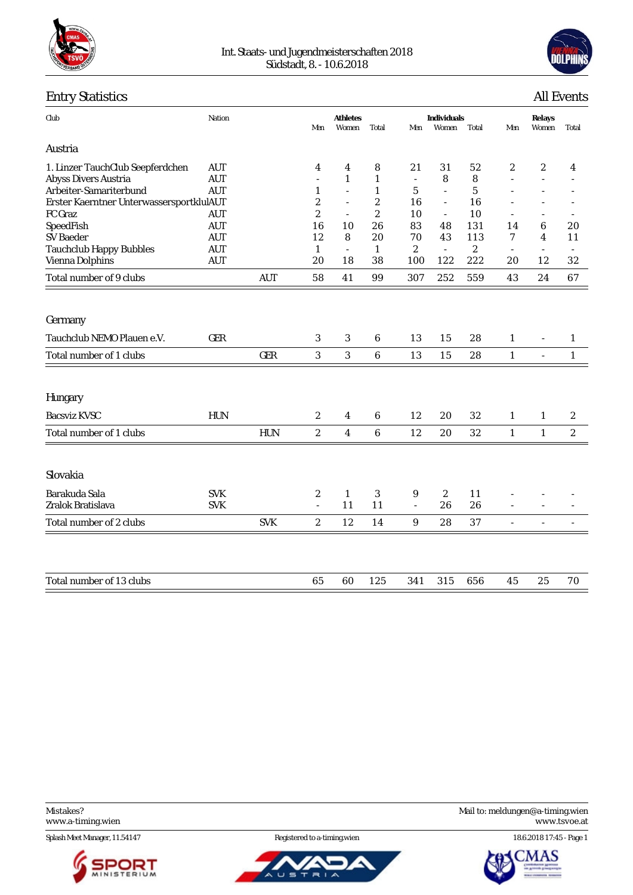

#### Int. Staats- und Jugendmeisterschaften 2018 Südstadt, 8. - 10.6.2018



# Entry Statistics All Events

| Club                                                     | Nation                   |            | Men                      | <b>Athletes</b><br>Women | Total             | Men            | Individuals<br>Women     | Total            | Men                      | Relays<br>Women          | Total                    |
|----------------------------------------------------------|--------------------------|------------|--------------------------|--------------------------|-------------------|----------------|--------------------------|------------------|--------------------------|--------------------------|--------------------------|
| Austria                                                  |                          |            |                          |                          |                   |                |                          |                  |                          |                          |                          |
| 1. Linzer TauchClub Seepferdchen<br>Abyss Divers Austria | <b>AUT</b><br><b>AUT</b> |            | 4<br>$\sim$              | 4<br>$\mathbf{1}$        | 8<br>$\mathbf{1}$ | 21<br>$\sim$   | 31<br>8                  | 52<br>8          | 2<br>$\overline{a}$      | $\overline{2}$<br>L.     | 4                        |
| Arbeiter-Samariterbund                                   | <b>AUT</b>               |            | $\mathbf{1}$             | $\overline{a}$           | $\mathbf{1}$      | $\mathbf 5$    | $\mathbb{L}$             | 5                |                          |                          |                          |
| Erster Kaerntner UnterwassersportklulAUT                 |                          |            | $\boldsymbol{2}$         | $\equiv$                 | $\boldsymbol{2}$  | 16             | $\overline{\phantom{a}}$ | 16               |                          |                          |                          |
| FC Graz                                                  | <b>AUT</b>               |            | $\boldsymbol{2}$         | $\overline{\phantom{a}}$ | $\boldsymbol{2}$  | 10             | $\overline{\phantom{a}}$ | 10               | $\overline{\phantom{a}}$ | ÷,                       | $\overline{\phantom{a}}$ |
| SpeedFish                                                | <b>AUT</b>               |            | 16                       | 10                       | 26                | 83             | 48                       | 131              | 14                       | 6                        | 20                       |
| <b>SV</b> Baeder                                         | <b>AUT</b>               |            | 12                       | 8                        | 20                | 70             | 43                       | 113              | 7                        | 4                        | 11                       |
| <b>Tauchclub Happy Bubbles</b>                           | <b>AUT</b>               |            | $\mathbf{1}$             | $\sim$                   | $\mathbf{1}$      | $\overline{c}$ | $\mathcal{L}$            | $\boldsymbol{2}$ | $\bar{a}$                | $\sim$                   |                          |
| Vienna Dolphins                                          | <b>AUT</b>               |            | 20                       | 18                       | 38                | 100            | 122                      | 222              | 20                       | 12                       | 32                       |
| Total number of 9 clubs                                  |                          | <b>AUT</b> | 58                       | 41                       | 99                | 307            | 252                      | 559              | 43                       | 24                       | 67                       |
|                                                          |                          |            |                          |                          |                   |                |                          |                  |                          |                          |                          |
| Germany                                                  |                          |            |                          |                          |                   |                |                          |                  |                          |                          |                          |
| Tauchclub NEMO Plauen e.V.                               | <b>GER</b>               |            | 3                        | 3                        | 6                 | 13             | 15                       | 28               | $\mathbf{1}$             | $\overline{\phantom{a}}$ | $\mathbf{1}$             |
| Total number of 1 clubs                                  |                          | <b>GER</b> | $\sqrt{3}$               | $\sqrt{3}$               | $\boldsymbol{6}$  | 13             | 15                       | $2\sqrt{8}$      | $\mathbf{1}$             | $\overline{\phantom{a}}$ | $\mathbf{1}$             |
| Hungary                                                  |                          |            |                          |                          |                   |                |                          |                  |                          |                          |                          |
| <b>Bacsviz KVSC</b>                                      | HUN                      |            | $\mathbf{2}$             | $\overline{4}$           | 6                 | 12             | 20                       | 32               | $\mathbf{1}$             | $\mathbf{1}$             | $\boldsymbol{2}$         |
| Total number of 1 clubs                                  |                          | <b>HUN</b> | $\boldsymbol{2}$         | $\overline{4}$           | $\boldsymbol{6}$  | 12             | 20                       | 32               | $\mathbf{1}$             | $\mathbf{1}$             | $\sqrt{2}$               |
|                                                          |                          |            |                          |                          |                   |                |                          |                  |                          |                          |                          |
| Slovakia                                                 |                          |            |                          |                          |                   |                |                          |                  |                          |                          |                          |
| Barakuda Sala                                            | <b>SVK</b>               |            | $\overline{c}$           | $\mathbf{1}$             | 3                 | 9              | $\overline{c}$           | 11               |                          |                          |                          |
| Zralok Bratislava                                        | <b>SVK</b>               |            | $\overline{\phantom{a}}$ | 11                       | 11                | $\sim$         | 26                       | 26               |                          |                          |                          |
| Total number of 2 clubs                                  |                          | <b>SVK</b> | $\boldsymbol{2}$         | 12                       | 14                | 9              | 28                       | 37               | $\overline{\phantom{a}}$ |                          |                          |
|                                                          |                          |            |                          |                          |                   |                |                          |                  |                          |                          |                          |
| Total number of 13 clubs                                 |                          |            | 65                       | 60                       | 125               | 341            | 315                      | 656              | 45                       | 25                       | 70                       |
|                                                          |                          |            |                          |                          |                   |                |                          |                  |                          |                          |                          |

Splash Meet Manager, 11.54147 Registered to a-timing.wien 18.6.2018 17:45 - Page 1







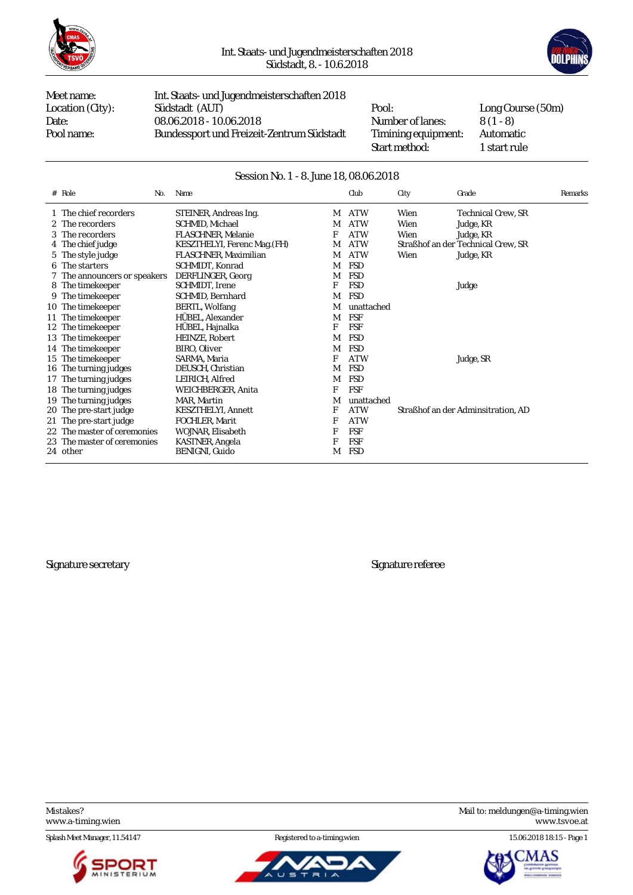



Meet name: Int. Staats- und Jugendmeisterschaften 2018 Location (City): Südstadt (AUT) Pool: Long Course (50m)<br>Date: 08.06.2018 - 10.06.2018 Number of lanes: 8 (1 - 8) Date: 08.06.2018 - 10.06.2018 Mumber of lanes: 8 (1 - 8)<br>Pool name: Bundessport und Freizeit-Zentrum Südstadt Timining equipment: Automatic Bundessport und Freizeit-Zentrum Südstadt Timining equipment:

Start method: 1 start rule

#### Session No. 1 - 8. June 18, 08.06.2018

| $#$ Role<br>No.              | Name                         |   | Club       | City | Grade                              | Remarks |
|------------------------------|------------------------------|---|------------|------|------------------------------------|---------|
| 1 The chief recorders        | STEINER, Andreas Ing.        | M | <b>ATW</b> | Wien | Technical Crew, SR                 |         |
| 2 The recorders              | SCHMID, Michael              | М | <b>ATW</b> | Wien | Judge, KR                          |         |
| 3 The recorders              | FLASCHNER, Melanie           | F | <b>ATW</b> | Wien | Judge, KR                          |         |
| 4 The chief judge            | KESZTHELYI, Ferenc Mag. (FH) | M | <b>ATW</b> |      | Straßhof an der Technical Crew, SR |         |
| 5 The style judge            | FLASCHNER, Maximilian        | M | <b>ATW</b> | Wien | Judge, KR                          |         |
| 6 The starters               | SCHMIDT, Konrad              | M | <b>FSD</b> |      |                                    |         |
| 7 The announcers or speakers | DERFLINGER, Georg            | M | <b>FSD</b> |      |                                    |         |
| 8 The timekeeper             | SCHMIDT, Irene               | F | <b>FSD</b> |      | Judge                              |         |
| 9 The timekeeper             | SCHMID, Bernhard             | M | <b>FSD</b> |      |                                    |         |
| 10 The timekeeper            | <b>BERTL, Wolfang</b>        | М | unattached |      |                                    |         |
| 11 The time keeper           | HÜBEL. Alexander             | M | <b>FSF</b> |      |                                    |         |
| 12 The timekeeper            | HÜBEL, Hajnalka              | F | <b>FSF</b> |      |                                    |         |
| 13 The timekeeper            | HEINZE, Robert               | M | <b>FSD</b> |      |                                    |         |
| 14 The timekeeper            | BIRO, Oliver                 | М | <b>FSD</b> |      |                                    |         |
| 15 The timekeeper            | SARMA, Maria                 | F | <b>ATW</b> |      | Judge, SR                          |         |
| 16 The turning judges        | DEUSCH, Christian            | M | <b>FSD</b> |      |                                    |         |
| 17 The turning judges        | LEIRICH, Alfred              | M | <b>FSD</b> |      |                                    |         |
| 18 The turning judges        | WEICHBERGER, Anita           | F | <b>FSF</b> |      |                                    |         |
| 19 The turning judges        | MAR, Martin                  | M | unattached |      |                                    |         |
| 20 The pre-start judge       | <b>KESZTHELYI, Annett</b>    | F | <b>ATW</b> |      | Straßhof an der Adminsitration, AD |         |
| 21 The pre-start judge       | FOCHLER, Marit               | F | <b>ATW</b> |      |                                    |         |
| 22 The master of ceremonies  | WOJNAR, Elisabeth            | F | FSF        |      |                                    |         |
| 23 The master of ceremonies  | <b>KASTNER, Angela</b>       | F | <b>FSF</b> |      |                                    |         |
| 24 other                     | BENIGNI, Guido               | M | <b>FSD</b> |      |                                    |         |
|                              |                              |   |            |      |                                    |         |

Signature secretary Signature referee

Splash Meet Manager, 11.54147 Registered to a-timing.wien 15.06.2018 18:15 - Page 1





Mistakes? Mail to: [meldungen@a-timing.wien](mailto:meldungen@a-timing.wien) <www.a-timing.wien> <www.tsvoe.at>

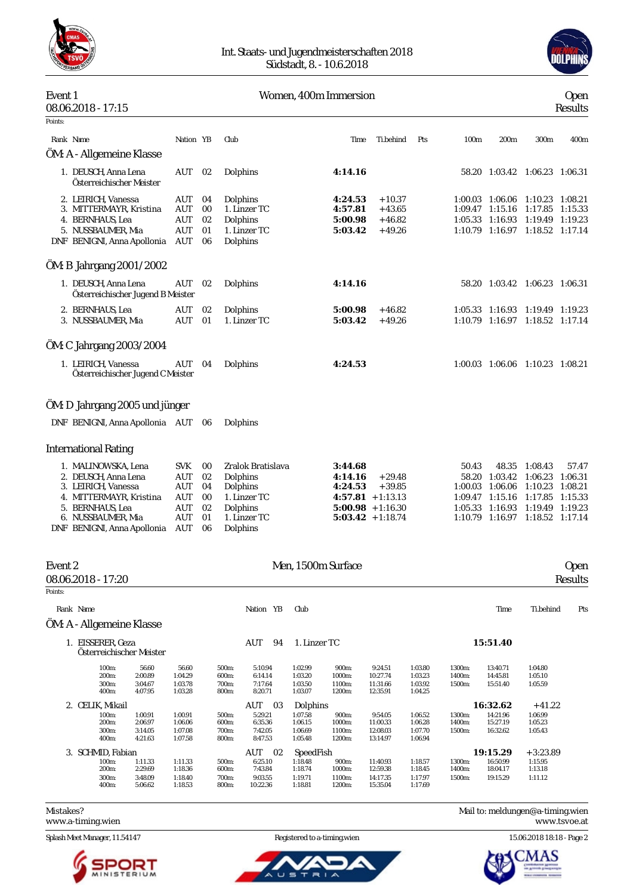

#### Int. Staats- und Jugendmeisterschaften 2018 Südstadt, 8. - 10.6.2018



| Event 1 | 08.06.2018 - 17:15                                                 |                   |                |                                      | Women, 400m Immersion         |                                  |     |         |                                               |                                       | <b>Open</b><br>Results |
|---------|--------------------------------------------------------------------|-------------------|----------------|--------------------------------------|-------------------------------|----------------------------------|-----|---------|-----------------------------------------------|---------------------------------------|------------------------|
| Points: |                                                                    |                   |                |                                      |                               |                                  |     |         |                                               |                                       |                        |
|         | Rank Name                                                          | Nation YB         |                | Club                                 | Time                          | Ti.behind                        | Pts | 100m    | 200m                                          | 300m                                  | 400m                   |
|         | ÖM: A - Allgemeine Klasse                                          |                   |                |                                      |                               |                                  |     |         |                                               |                                       |                        |
|         | 1. DEUSCH, Anna Lena<br>Österreichischer Meister                   | AUT               | 02             | Dolphins                             | 4:14.16                       |                                  |     |         |                                               | 58.20 1:03.42 1:06.23 1:06.31         |                        |
|         | 2. LEIRICH, Vanessa<br>3. MITTERMAYR, Kristina<br>4. BERNHAUS, Lea | AUT<br>AUT<br>AUT | 04<br>00<br>02 | Dolphins<br>1. Linzer TC<br>Dolphins | 4:24.53<br>4:57.81<br>5:00.98 | $+10.37$<br>$+43.65$<br>$+46.82$ |     | 1:09.47 | 1:00.03 1:06.06<br>1:15.16<br>1:05.33 1:16.93 | 1:10.23 1:08.21<br>1:17.85<br>1:19.49 | 1:15.33<br>1:19.23     |
|         | 5. NUSSBAUMER, Mia<br>DNF BENIGNI, Anna Apollonia                  | AUT<br>AUT        | 01<br>06       | 1. Linzer TC<br>Dolphins             | 5:03.42                       | $+49.26$                         |     |         |                                               | 1:10.79 1:16.97 1:18.52 1:17.14       |                        |
|         | ÖM: B Jahrgang 2001/2002                                           |                   |                |                                      |                               |                                  |     |         |                                               |                                       |                        |
|         | 1. DEUSCH, Anna Lena<br>Österreichischer Jugend B Meister          | AUT               | 02             | Dolphins                             | 4:14.16                       |                                  |     |         |                                               | 58.20 1:03.42 1:06.23 1:06.31         |                        |
|         | 2. BERNHAUS, Lea<br>3. NUSSBAUMER, Mia                             | AUT<br>AUT        | 02<br>01       | Dolphins<br>1. Linzer TC             | 5:00.98<br>5:03.42            | $+46.82$<br>$+49.26$             |     |         | 1:05.33 1:16.93<br>1:10.79 1:16.97            | 1:19.49 1:19.23<br>1:18.52 1:17.14    |                        |
|         |                                                                    |                   |                |                                      |                               |                                  |     |         |                                               |                                       |                        |
|         | ÖM: C Jahrgang 2003/2004                                           |                   |                |                                      |                               |                                  |     |         |                                               |                                       |                        |
|         | 1. LEIRICH, Vanessa<br>Österreichischer Jugend C Meister           | AUT               | 04             | Dolphins                             | 4:24.53                       |                                  |     |         |                                               | 1:00.03 1:06.06 1:10.23 1:08.21       |                        |
|         | ÖM: D Jahrgang 2005 und jünger                                     |                   |                |                                      |                               |                                  |     |         |                                               |                                       |                        |
|         | DNF BENIGNI, Anna Apollonia AUT                                    |                   | 06             | Dolphins                             |                               |                                  |     |         |                                               |                                       |                        |
|         | <b>International Rating</b>                                        |                   |                |                                      |                               |                                  |     |         |                                               |                                       |                        |
|         | 1. MALINOWSKA, Lena                                                | <b>SVK</b>        | 00             | Zralok Bratislava                    | 3:44.68                       |                                  |     | 50.43   | 48.35                                         | 1:08.43                               | 57.47                  |
|         | 2. DEUSCH, Anna Lena                                               | AUT               | 02             | Dolphins                             | 4:14.16                       | $+29.48$                         |     | 58.20   | 1:03.42                                       | 1:06.23                               | 1:06.31                |
|         | 3. LEIRICH, Vanessa<br>4. MITTERMAYR, Kristina                     | AUT<br>AUT        | 04<br>00       | Dolphins<br>1. Linzer TC             | 4:24.53                       | $+39.85$<br>$4:57.81 + 1:13.13$  |     | 1:00.03 | 1:06.06<br>1:09.47 1:15.16                    | 1:10.23<br>1:17.85                    | 1:08.21<br>1:15.33     |
|         | 5. BERNHAUS, Lea                                                   | AUT               | 02             | Dolphins                             |                               | $5:00.98 + 1:16.30$              |     | 1:05.33 | 1:16.93                                       | 1:19.49                               | 1:19.23                |
|         | 6. NUSSBAUMER, Mia                                                 | AUT               | 01             | 1. Linzer TC                         |                               | $5:03.42 + 1:18.74$              |     |         |                                               | 1:10.79 1:16.97 1:18.52 1:17.14       |                        |
|         | DNF BENIGNI, Anna Apollonia                                        | AUT               | 06             | Dolphins                             |                               |                                  |     |         |                                               |                                       |                        |
| Event 2 |                                                                    |                   |                |                                      | Men, 1500m Surface            |                                  |     |         |                                               |                                       | <b>Open</b>            |
|         | 08.06.2018 - 17:20                                                 |                   |                |                                      |                               |                                  |     |         |                                               |                                       | Results                |
| Points: |                                                                    |                   |                |                                      |                               |                                  |     |         |                                               |                                       |                        |
|         | Rank Name                                                          |                   |                | Nation YB                            | Club                          |                                  |     |         | Time                                          | Ti.behind                             | Pts                    |
|         | ÖM: A - Allgemeine Klasse                                          |                   |                |                                      |                               |                                  |     |         |                                               |                                       |                        |
|         | 1. EISSERER, Geza                                                  |                   |                | AUT<br>94                            | 1. Linzer TC                  |                                  |     |         | 15:51.40                                      |                                       |                        |

| 100m:              | 56.60          | 56.60                                                       | 500m:                                          | 5:10.94   | 1:02.99            | 900m:              | 9:24.51                                   | 1:03.80              | 1300m:             | 13:40.71 | 1:04.80                          |
|--------------------|----------------|-------------------------------------------------------------|------------------------------------------------|-----------|--------------------|--------------------|-------------------------------------------|----------------------|--------------------|----------|----------------------------------|
|                    |                |                                                             |                                                |           |                    |                    |                                           |                      |                    |          | 1:05.10                          |
| 300m:              | 3:04.67        | 1:03.78                                                     | 700m:                                          | 7:17.64   | 1:03.50            | 1100m:             | 11:31.66                                  | 1:03.92              | 1500m:             | 15:51.40 | 1:05.59                          |
|                    |                |                                                             | 800m:                                          |           |                    |                    |                                           |                      |                    |          |                                  |
|                    |                |                                                             |                                                | AUT<br>03 |                    |                    |                                           |                      |                    |          | $+41.22$                         |
| 100m:              | 1:00.91        | 1:00.91                                                     | 500m:                                          | 5:29.21   | 1:07.58            | 900m:              | 9:54.05                                   | 1:06.52              | 1300m:             | 14:21.96 | 1:06.99                          |
| 200 <sub>m</sub>   | 2:06.97        | 1:06.06                                                     | 600m:                                          | 6:35.36   | 1:06.15            | 1000m:             | 11:00.33                                  | 1:06.28              | 1400m:             | 15:27.19 | 1:05.23                          |
| 300m:              | 3:14.05        | 1:07.08                                                     | 700m:                                          | 7:42.05   | 1:06.69            | 1100m:             | 12:08.03                                  | 1:07.70              | 1500m:             | 16:32.62 | 1:05.43                          |
| 400m:              | 4:21.63        | 1:07.58                                                     | 800m:                                          | 8:47.53   | 1:05.48            | 1200m:             | 13:14.97                                  | 1:06.94              |                    |          |                                  |
|                    |                |                                                             |                                                | AUT<br>02 |                    |                    |                                           |                      |                    |          | $+3:23.89$                       |
| 100m:              | 1:11.33        | 1:11.33                                                     | 500m:                                          | 6:25.10   | 1:18.48            | 900m:              | 11:40.93                                  | 1:18.57              | 1300m:             | 16:50.99 | 1:15.95                          |
| 200 <sub>m</sub> : | 2:29.69        | 1:18.36                                                     | 600m:                                          | 7:43.84   | 1:18.74            | 1000m:             | 12:59.38                                  | 1:18.45              | 1400m:             | 18:04.17 | 1:13.18                          |
| 300m:              | 3:48.09        | 1:18.40                                                     | 700m:                                          | 9:03.55   | 1:19.71            | 1100m:             | 14:17.35                                  | 1:17.97              | 1500m:             | 19:15.29 | 1:11.12                          |
| 400m:              | 5:06.62        | 1:18.53                                                     | 800m:                                          | 10:22.36  | 1:18.81            | 1200m:             | 15:35.04                                  | 1:17.69              |                    |          |                                  |
|                    | 200m:<br>400m: | 2:00.89<br>4:07.95<br>2. CELIK, Mikail<br>3. SCHMID. Fabian | Österreichischer Meister<br>1:04.29<br>1:03.28 | 600m:     | 6:14.14<br>8:20.71 | 1:03.20<br>1:03.07 | 1000m:<br>1200m:<br>Dolphins<br>SpeedFish | 10:27.74<br>12:35.91 | 1:03.23<br>1:04.25 | 1400m:   | 14:45.81<br>16:32.62<br>19:15.29 |

Mistakes? Mail to: [meldungen@a-timing.wien](mailto:meldungen@a-timing.wien) <www.a-timing.wien>

Splash Meet Manager, 11.54147 Registered to a-timing.wien 15.06.2018 18:18 - Page 2



 $\overline{a}$ 

ັບ ຣ ᆕ

∼

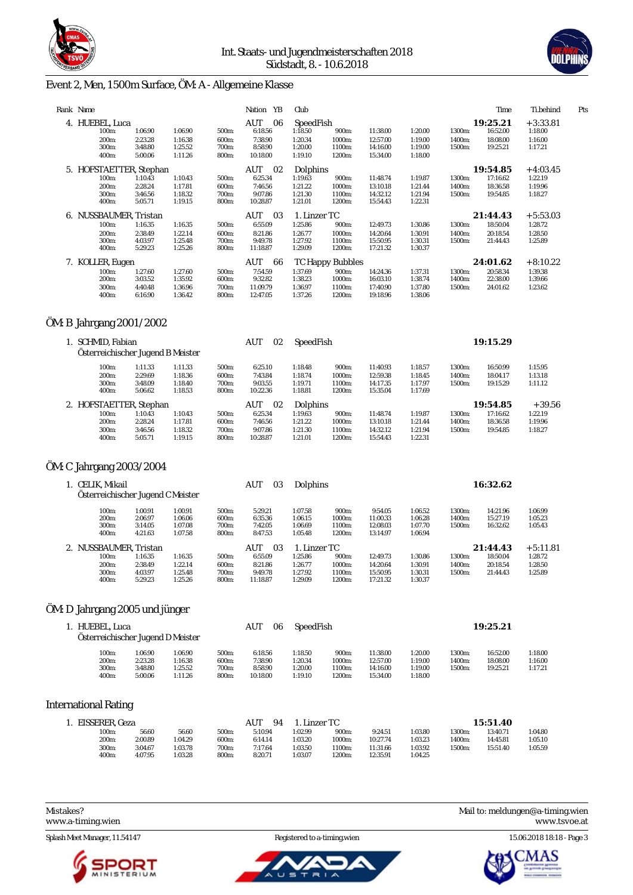



# Event 2, Men, 1500m Surface, ÖM: A - Allgemeine Klasse

|    | Rank Name               |         |         |       | YB<br>Nation | Club             |        |          |         |        | Time     | Ti.behind  | Pts |
|----|-------------------------|---------|---------|-------|--------------|------------------|--------|----------|---------|--------|----------|------------|-----|
|    | 4. HUEBEL, Luca         |         |         |       | AUT<br>06    | SpeedFish        |        |          |         |        | 19:25.21 | $+3:33.81$ |     |
|    | 100m:                   | 1:06.90 | 1:06.90 | 500m: | 6:18.56      | 1:18.50          | 900m:  | 11:38.00 | 1:20.00 | 1300m: | 16:52.00 | 1:18.00    |     |
|    | 200m:                   | 2:23.28 | 1:16.38 | 600m: | 7:38.90      | 1:20.34          | 1000m: | 12:57.00 | 1:19.00 | 1400m: | 18:08.00 | 1:16.00    |     |
|    | 300m:                   | 3:48.80 | 1:25.52 | 700m: | 8:58.90      | 1:20.00          | 1100m: | 14:16.00 | 1:19.00 | 1500m: | 19:25.21 | 1:17.21    |     |
|    | 400m:                   | 5:00.06 | 1:11.26 | 800m: | 10:18.00     | 1:19.10          | 1200m: | 15:34.00 | 1:18.00 |        |          |            |     |
|    | 5. HOFSTAETTER, Stephan |         |         |       | AUT<br>02    | Dolphins         |        |          |         |        | 19:54.85 | $+4:03.45$ |     |
|    | 100m:                   | 1:10.43 | 1:10.43 | 500m: | 6:25.34      | 1:19.63          | 900m:  | 11:48.74 | 1:19.87 | 1300m: | 17:16.62 | 1:22.19    |     |
|    | 200m:                   | 2:28.24 | 1:17.81 | 600m: | 7:46.56      | 1:21.22          | 1000m: | 13:10.18 | 1:21.44 | 1400m: | 18:36.58 | 1:19.96    |     |
|    | 300m:                   | 3:46.56 | 1:18.32 | 700m: | 9:07.86      | 1:21.30          | 1100m: | 14:32.12 | 1:21.94 | 1500m: | 19:54.85 | 1:18.27    |     |
|    | 400m:                   | 5:05.71 | 1:19.15 | 800m: | 10:28.87     | 1:21.01          | 1200m: | 15:54.43 | 1:22.31 |        |          |            |     |
| 6. | NUSSBAUMER, Tristan     |         |         |       | AUT<br>03    | 1. Linzer TC     |        |          |         |        | 21:44.43 | $+5:53.03$ |     |
|    | 100m:                   | 1:16.35 | 1:16.35 | 500m: | 6:55.09      | 1:25.86          | 900m:  | 12:49.73 | 1:30.86 | 1300m: | 18:50.04 | 1:28.72    |     |
|    | 200m:                   | 2:38.49 | 1:22.14 | 600m: | 8:21.86      | 1:26.77          | 1000m: | 14:20.64 | 1:30.91 | 1400m: | 20:18.54 | 1:28.50    |     |
|    | 300m:                   | 4:03.97 | 1:25.48 | 700m: | 9:49.78      | 1:27.92          | 1100m: | 15:50.95 | 1:30.31 | 1500m: | 21:44.43 | 1:25.89    |     |
|    | 400m:                   | 5:29.23 | 1:25.26 | 800m: | 11:18.87     | 1:29.09          | 1200m: | 17:21.32 | 1:30.37 |        |          |            |     |
|    | 7. KOLLER, Eugen        |         |         |       | AUT<br>66    | TC Happy Bubbles |        |          |         |        | 24:01.62 | $+8:10.22$ |     |
|    | 100m:                   | 1:27.60 | 1:27.60 | 500m: | 7:54.59      | 1:37.69          | 900m:  | 14:24.36 | 1:37.31 | 1300m: | 20:58.34 | 1:39.38    |     |
|    | 200m:                   | 3:03.52 | 1:35.92 | 600m: | 9:32.82      | 1:38.23          | 1000m: | 16:03.10 | 1:38.74 | 1400m: | 22:38.00 | 1:39.66    |     |
|    | 300m:                   | 4:40.48 | 1:36.96 | 700m: | 11:09.79     | 1:36.97          | 1100m: | 17:40.90 | 1:37.80 | 1500m: | 24:01.62 | 1:23.62    |     |
|    | 400m:                   | 6:16.90 | 1:36.42 | 800m: | 12:47.05     | 1:37.26          | 1200m: | 19:18.96 | 1:38.06 |        |          |            |     |

### ÖM: B Jahrgang 2001/2002

| 1. SCHMID, Fabian |                         |                                   |       | AUT      | 02      | SpeedFish         |          |         |        | 19:15.29 |          |
|-------------------|-------------------------|-----------------------------------|-------|----------|---------|-------------------|----------|---------|--------|----------|----------|
|                   |                         | Österreichischer Jugend B Meister |       |          |         |                   |          |         |        |          |          |
| 100m:             | 1:11.33                 | 1:11.33                           | 500m: | 6:25.10  |         | 900m:<br>1:18.48  | 11:40.93 | 1:18.57 | 1300m: | 16:50.99 | 1:15.95  |
| 200m:             | 2:29.69                 | 1:18.36                           | 600m: | 7:43.84  |         | 1:18.74<br>1000m: | 12:59.38 | 1:18.45 | 1400m: | 18:04.17 | 1:13.18  |
| 300m:             | 3:48.09                 | 1:18.40                           | 700m: | 9:03.55  | 1:19.71 | 1100m:            | 14:17.35 | 1:17.97 | 1500m: | 19:15.29 | 1:11.12  |
| 400m:             | 5:06.62                 | 1:18.53                           | 800m: | 10:22.36 | 1:18.81 | 1200m:            | 15:35.04 | 1:17.69 |        |          |          |
|                   | 2. HOFSTAETTER, Stephan |                                   |       | AUT      | 02      | Dolphins          |          |         |        | 19:54.85 | $+39.56$ |
| 100m:             | 1:10.43                 | 1:10.43                           | 500m: | 6:25.34  |         | 1:19.63<br>900m:  | 11:48.74 | 1:19.87 | 1300m: | 17:16.62 | 1:22.19  |
| 200m:             | 2:28.24                 | 1:17.81                           | 600m: | 7:46.56  |         | 1:21.22<br>1000m: | 13:10.18 | 1:21.44 | 1400m: | 18:36.58 | 1:19.96  |
| 300m:             | 3:46.56                 | 1:18.32                           | 700m: | 9:07.86  |         | 1:21.30<br>1100m: | 14:32.12 | 1:21.94 | 1500m: | 19:54.85 | 1:18.27  |
| 400m:             | 5:05.71                 | 1:19.15                           | 800m: | 10:28.87 | 1:21.01 | 1200m:            | 15:54.43 | 1:22.31 |        |          |          |

# ÖM: C Jahrgang 2003/2004

| 1. CELIK, Mikail   |                                   |         |       | AUT<br>03  | Dolphins     |        |          |         |        | 16:32.62 |            |
|--------------------|-----------------------------------|---------|-------|------------|--------------|--------|----------|---------|--------|----------|------------|
|                    | Österreichischer Jugend C Meister |         |       |            |              |        |          |         |        |          |            |
| 100m:              | 1:00.91                           | 1:00.91 | 500m: | 5:29.21    | 1:07.58      | 900m:  | 9:54.05  | 1:06.52 | 1300m: | 14:21.96 | 1:06.99    |
| 200 <sub>m</sub> : | 2:06.97                           | 1:06.06 | 600m: | 6:35.36    | 1:06.15      | 1000m: | 11:00.33 | 1:06.28 | 1400m: | 15:27.19 | 1:05.23    |
| 300m:              | 3:14.05                           | 1:07.08 | 700m: | 7:42.05    | 1:06.69      | 1100m: | 12:08.03 | 1:07.70 | 1500m: | 16:32.62 | 1:05.43    |
| 400m:              | 4:21.63                           | 1:07.58 | 800m: | 8:47.53    | 1:05.48      | 1200m: | 13:14.97 | 1:06.94 |        |          |            |
|                    | 2. NUSSBAUMER, Tristan            |         |       | AUT<br>-03 | 1. Linzer TC |        |          |         |        | 21:44.43 | $+5:11.81$ |
| 100m:              | 1:16.35                           | 1:16.35 | 500m: | 6:55.09    | 1:25.86      | 900m:  | 12:49.73 | 1:30.86 | 1300m: | 18:50.04 | 1:28.72    |
| 200 <sub>m</sub> : | 2:38.49                           | 1:22.14 | 600m: | 8:21.86    | 1:26.77      | 1000m: | 14:20.64 | 1:30.91 | 1400m: | 20:18.54 | 1:28.50    |
| 300m:              | 4:03.97                           | 1:25.48 | 700m: | 9:49.78    | 1:27.92      | 1100m: | 15:50.95 | 1:30.31 | 1500m: | 21:44.43 | 1:25.89    |
| 400m:              | 5:29.23                           | 1:25.26 | 800m: | 11:18.87   | 1:29.09      | 1200m: | 17:21.32 | 1:30.37 |        |          |            |

#### ÖM: D Jahrgang 2005 und jünger

|                                               | 1. HUEBEL, Luca<br>Österreichischer Jugend D Meister |                                          |                                  |                                           | 06                                       | SpeedFish                           |                                              |                                          |                            | 19:25.21                         |                               |
|-----------------------------------------------|------------------------------------------------------|------------------------------------------|----------------------------------|-------------------------------------------|------------------------------------------|-------------------------------------|----------------------------------------------|------------------------------------------|----------------------------|----------------------------------|-------------------------------|
| 100m:<br>200 <sub>m</sub> :<br>300m:<br>400m: | 1:06.90<br>2:23.28<br>3:48.80<br>5:00.06             | 1:06.90<br>1:16.38<br>1:25.52<br>1:11.26 | 500m:<br>600m:<br>700m:<br>800m: | 6:18.56<br>7:38.90<br>8:58.90<br>10:18.00 | 1:18.50<br>1:20.34<br>1:20.00<br>1:19.10 | 900m:<br>1000m:<br>1100m:<br>1200m: | 11:38.00<br>12:57.00<br>14:16.00<br>15:34.00 | 1:20.00<br>1:19.00<br>1:19.00<br>1:18.00 | 1300m:<br>1400m:<br>1500m: | 16:52.00<br>18:08.00<br>19:25.21 | 1:18.00<br>1:16.00<br>1:17.21 |

#### International Rating

| EISSERER.<br>Geza |         |         |       | $AU^{\mathsf{T}}$<br>94 |         | Linzer TC |          |         |        | 15:51.40 |         |
|-------------------|---------|---------|-------|-------------------------|---------|-----------|----------|---------|--------|----------|---------|
| 100m:             | 56.60   | 56.60   | 500m: | 5:10.94                 | 1:02.99 | 900m:     | 9:24.51  | 1:03.80 | 1300m: | 13:40.71 | :04.80  |
| 200m:             | 2:00.89 | 1:04.29 | 600m: | 6:14.14                 | 1:03.20 | 1000m:    | 10:27.74 | 1:03.23 | 1400m: | 14:45.81 | 1:05.10 |
| 300m:             | 3:04.67 | 1:03.78 | 700m: | 7:17.64                 | 1:03.50 | 1100m:    | 11:31.66 | 1:03.92 | 1500m: | 15:51.40 | :05.59  |
| 400m:             | 4:07.95 | 1:03.28 | 800m: | 8:20.71                 | 1:03.07 | 1200m:    | 12:35.91 | 1:04.25 |        |          |         |





Mistakes? Mail to: [meldungen@a-timing.wien](mailto:meldungen@a-timing.wien) <www.a-timing.wien> <www.tsvoe.at>

Splash Meet Manager, 11.54147 Registered to a-timing.wien 15.06.2018 18:18 - Page 3

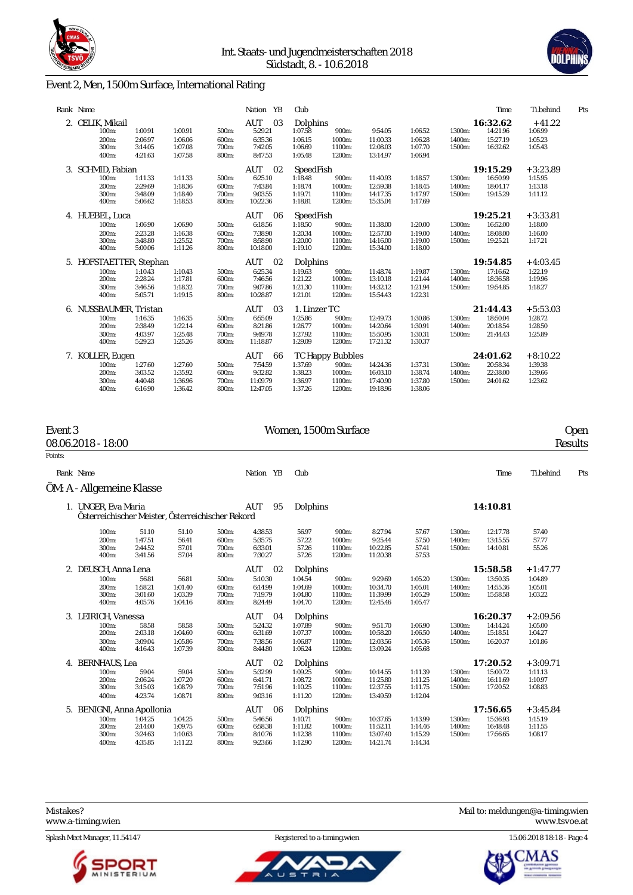



### Event 2, Men, 1500m Surface, International Rating

|    | Rank Name               |         |         |       | Nation YB | Club         |                  |          |         |        | Time     | Ti.behind  | Pts |
|----|-------------------------|---------|---------|-------|-----------|--------------|------------------|----------|---------|--------|----------|------------|-----|
|    | 2. CELIK, Mikail        |         |         |       | AUT<br>03 | Dolphins     |                  |          |         |        | 16:32.62 | $+41.22$   |     |
|    | 100m:                   | 1:00.91 | 1:00.91 | 500m: | 5:29.21   | 1:07.58      | 900m:            | 9:54.05  | 1:06.52 | 1300m: | 14:21.96 | 1:06.99    |     |
|    | 200m:                   | 2:06.97 | 1:06.06 | 600m: | 6:35.36   | 1:06.15      | 1000m:           | 11:00.33 | 1:06.28 | 1400m: | 15:27.19 | 1:05.23    |     |
|    | 300m:                   | 3:14.05 | 1:07.08 | 700m: | 7:42.05   | 1:06.69      | 1100m:           | 12:08.03 | 1:07.70 | 1500m: | 16:32.62 | 1:05.43    |     |
|    | 400m:                   | 4:21.63 | 1:07.58 | 800m: | 8:47.53   | 1:05.48      | 1200m:           | 13:14.97 | 1:06.94 |        |          |            |     |
|    |                         |         |         |       |           |              |                  |          |         |        |          |            |     |
| 3. | SCHMID, Fabian          |         |         |       | AUT<br>02 | SpeedFish    |                  |          |         |        | 19:15.29 | $+3:23.89$ |     |
|    | 100m:                   | 1:11.33 | 1:11.33 | 500m: | 6:25.10   | 1:18.48      | 900m:            | 11:40.93 | 1:18.57 | 1300m: | 16:50.99 | 1:15.95    |     |
|    | 200m:                   | 2:29.69 | 1:18.36 | 600m: | 7:43.84   | 1:18.74      | 1000m:           | 12:59.38 | 1:18.45 | 1400m: | 18:04.17 | 1:13.18    |     |
|    | 300m:                   | 3:48.09 | 1:18.40 | 700m: | 9:03.55   | 1:19.71      | 1100m:           | 14:17.35 | 1:17.97 | 1500m: | 19:15.29 | 1:11.12    |     |
|    | 400m:                   | 5:06.62 | 1:18.53 | 800m: | 10:22.36  | 1:18.81      | 1200m:           | 15:35.04 | 1:17.69 |        |          |            |     |
|    | 4. HUEBEL, Luca         |         |         |       | AUT<br>06 | SpeedFish    |                  |          |         |        | 19:25.21 | $+3:33.81$ |     |
|    | 100m:                   | 1:06.90 | 1:06.90 | 500m: | 6:18.56   | 1:18.50      | 900m:            | 11:38.00 | 1:20.00 | 1300m: | 16:52.00 | 1:18.00    |     |
|    | 200m:                   | 2:23.28 | 1:16.38 | 600m: | 7:38.90   | 1:20.34      | 1000m:           | 12:57.00 | 1:19.00 | 1400m: | 18:08.00 | 1:16.00    |     |
|    | 300m:                   | 3:48.80 | 1:25.52 | 700m: | 8:58.90   | 1:20.00      | 1100m:           | 14:16.00 | 1:19.00 | 1500m: | 19:25.21 | 1:17.21    |     |
|    | 400m:                   | 5:00.06 | 1:11.26 | 800m: | 10:18.00  | 1:19.10      | 1200m:           | 15:34.00 | 1:18.00 |        |          |            |     |
|    | 5. HOFSTAETTER, Stephan |         |         |       | AUT<br>02 | Dolphins     |                  |          |         |        | 19:54.85 | $+4:03.45$ |     |
|    | 100m:                   | 1:10.43 | 1:10.43 | 500m: | 6:25.34   | 1:19.63      | 900m:            | 11:48.74 | 1:19.87 | 1300m: | 17:16.62 | 1:22.19    |     |
|    | 200m:                   | 2:28.24 | 1:17.81 | 600m: | 7:46.56   | 1:21.22      | 1000m:           | 13:10.18 | 1:21.44 | 1400m: | 18:36.58 | 1:19.96    |     |
|    | 300m:                   | 3:46.56 | 1:18.32 | 700m: | 9:07.86   | 1:21.30      | 1100m:           | 14:32.12 | 1:21.94 | 1500m: | 19:54.85 | 1:18.27    |     |
|    | 400m:                   | 5:05.71 | 1:19.15 | 800m: | 10:28.87  | 1:21.01      | 1200m:           | 15:54.43 | 1:22.31 |        |          |            |     |
|    |                         |         |         |       |           |              |                  |          |         |        |          |            |     |
|    | 6. NUSSBAUMER, Tristan  |         |         |       | AUT<br>03 | 1. Linzer TC |                  |          |         |        | 21:44.43 | $+5:53.03$ |     |
|    | 100m:                   | 1:16.35 | 1:16.35 | 500m: | 6:55.09   | 1:25.86      | 900m:            | 12:49.73 | 1:30.86 | 1300m: | 18:50.04 | 1:28.72    |     |
|    | 200m:                   | 2:38.49 | 1:22.14 | 600m: | 8:21.86   | 1:26.77      | 1000m:           | 14:20.64 | 1:30.91 | 1400m: | 20:18.54 | 1:28.50    |     |
|    | 300m:                   | 4:03.97 | 1:25.48 | 700m: | 9:49.78   | 1:27.92      | 1100m:           | 15:50.95 | 1:30.31 | 1500m: | 21:44.43 | 1:25.89    |     |
|    | 400m:                   | 5:29.23 | 1:25.26 | 800m: | 11:18.87  | 1:29.09      | 1200m:           | 17:21.32 | 1:30.37 |        |          |            |     |
|    | 7. KOLLER, Eugen        |         |         |       | AUT<br>66 |              | TC Happy Bubbles |          |         |        | 24:01.62 | $+8:10.22$ |     |
|    | 100m:                   | 1:27.60 | 1:27.60 | 500m: | 7:54.59   | 1:37.69      | 900m:            | 14:24.36 | 1:37.31 | 1300m: | 20:58.34 | 1:39.38    |     |
|    | 200m:                   | 3:03.52 | 1:35.92 | 600m: | 9:32.82   | 1:38.23      | 1000m:           | 16:03.10 | 1:38.74 | 1400m: | 22:38.00 | 1:39.66    |     |
|    | 300m:                   | 4:40.48 | 1:36.96 | 700m: | 11:09.79  | 1:36.97      | 1100m:           | 17:40.90 | 1:37.80 | 1500m: | 24:01.62 | 1:23.62    |     |
|    | 400m:                   | 6:16.90 | 1:36.42 | 800m: | 12:47.05  | 1:37.26      | 1200m:           | 19:18.96 | 1:38.06 |        |          |            |     |

| Event 3 | 08.06.2018 - 18:00                                |         |         |       |                  |          | Women, 1500m Surface |          |         |        |          |            | <b>Open</b><br>Results |
|---------|---------------------------------------------------|---------|---------|-------|------------------|----------|----------------------|----------|---------|--------|----------|------------|------------------------|
| Points: |                                                   |         |         |       |                  |          |                      |          |         |        |          |            |                        |
|         | Rank Name                                         |         |         |       | Nation YB        | Club     |                      |          |         |        | Time     | Ti.behind  | Pts                    |
|         | ÖM: A - Allgemeine Klasse                         |         |         |       |                  |          |                      |          |         |        |          |            |                        |
|         | 1. UNGER, Eva Maria                               |         |         |       | <b>AUT</b><br>95 | Dolphins |                      |          |         |        | 14:10.81 |            |                        |
|         | Österreichischer Meister, Österreichischer Rekord |         |         |       |                  |          |                      |          |         |        |          |            |                        |
|         | 100m:                                             | 51.10   | 51.10   | 500m: | 4:38.53          | 56.97    | 900m:                | 8:27.94  | 57.67   | 1300m: | 12:17.78 | 57.40      |                        |
|         | 200m:                                             | 1:47.51 | 56.41   | 600m: | 5:35.75          | 57.22    | 1000m:               | 9:25.44  | 57.50   | 1400m: | 13:15.55 | 57.77      |                        |
|         | 300m:                                             | 2:44.52 | 57.01   | 700m: | 6:33.01          | 57.26    | 1100m:               | 10:22.85 | 57.41   | 1500m: | 14:10.81 | 55.26      |                        |
|         | 400m:                                             | 3:41.56 | 57.04   | 800m: | 7:30.27          | 57.26    | 1200m:               | 11:20.38 | 57.53   |        |          |            |                        |
|         | 2. DEUSCH, Anna Lena                              |         |         |       | AUT<br>- 02      | Dolphins |                      |          |         |        | 15:58.58 | $+1:47.77$ |                        |
|         | 100m:                                             | 56.81   | 56.81   | 500m: | 5:10.30          | 1:04.54  | 900m:                | 9:29.69  | 1:05.20 | 1300m: | 13:50.35 | 1:04.89    |                        |
|         | 200m:                                             | 1:58.21 | 1:01.40 | 600m: | 6:14.99          | 1:04.69  | 1000m:               | 10:34.70 | 1:05.01 | 1400m: | 14:55.36 | 1:05.01    |                        |
|         | 300m:                                             | 3:01.60 | 1:03.39 | 700m: | 7:19.79          | 1:04.80  | 1100m:               | 11:39.99 | 1:05.29 | 1500m: | 15:58.58 | 1:03.22    |                        |
|         | 400m:                                             | 4:05.76 | 1:04.16 | 800m: | 8:24.49          | 1:04.70  | 1200m:               | 12:45.46 | 1:05.47 |        |          |            |                        |
|         | 3. LEIRICH, Vanessa                               |         |         |       | AUT<br>04        | Dolphins |                      |          |         |        | 16:20.37 | $+2:09.56$ |                        |
|         | 100m:                                             | 58.58   | 58.58   | 500m: | 5:24.32          | 1:07.89  | 900m:                | 9:51.70  | 1:06.90 | 1300m: | 14:14.24 | 1:05.00    |                        |
|         | 200m:                                             | 2:03.18 | 1:04.60 | 600m: | 6:31.69          | 1:07.37  | 1000m:               | 10:58.20 | 1:06.50 | 1400m: | 15:18.51 | 1:04.27    |                        |
|         | 300m:                                             | 3:09.04 | 1:05.86 | 700m: | 7:38.56          | 1:06.87  | 1100m:               | 12:03.56 | 1:05.36 | 1500m: | 16:20.37 | 1:01.86    |                        |
|         | 400m:                                             | 4:16.43 | 1:07.39 | 800m: | 8:44.80          | 1:06.24  | 1200m:               | 13:09.24 | 1:05.68 |        |          |            |                        |
|         | 4. BERNHAUS, Lea                                  |         |         |       | AUT<br>02        | Dolphins |                      |          |         |        | 17:20.52 | $+3:09.71$ |                        |
|         | 100m:                                             | 59.04   | 59.04   | 500m: | 5:32.99          | 1:09.25  | 900m:                | 10:14.55 | 1:11.39 | 1300m: | 15:00.72 | 1:11.13    |                        |
|         | 200m:                                             | 2:06.24 | 1:07.20 | 600m: | 6:41.71          | 1:08.72  | 1000m:               | 11:25.80 | 1:11.25 | 1400m: | 16:11.69 | 1:10.97    |                        |
|         | 300m:                                             | 3:15.03 | 1:08.79 | 700m: | 7:51.96          | 1:10.25  | 1100m:               | 12:37.55 | 1:11.75 | 1500m: | 17:20.52 | 1:08.83    |                        |
|         | 400m:                                             | 4:23.74 | 1:08.71 | 800m: | 9:03.16          | 1:11.20  | 1200m:               | 13:49.59 | 1:12.04 |        |          |            |                        |
|         | 5. BENIGNI, Anna Apollonia                        |         |         |       | AUT<br>- 06      | Dolphins |                      |          |         |        | 17:56.65 | $+3:45.84$ |                        |
|         | 100m:                                             | 1:04.25 | 1:04.25 | 500m: | 5:46.56          | 1:10.71  | 900m:                | 10:37.65 | 1:13.99 | 1300m: | 15:36.93 | 1:15.19    |                        |
|         | 200m:                                             | 2:14.00 | 1:09.75 | 600m: | 6:58.38          | 1:11.82  | 1000m:               | 11:52.11 | 1:14.46 | 1400m: | 16:48.48 | 1:11.55    |                        |
|         | 300m:                                             | 3:24.63 | 1:10.63 | 700m: | 8:10.76          | 1:12.38  | 1100m:               | 13:07.40 | 1:15.29 | 1500m: | 17:56.65 | 1:08.17    |                        |
|         | 400m:                                             | 4:35.85 | 1:11.22 | 800m: | 9:23.66          | 1:12.90  | 1200m:               | 14:21.74 | 1:14.34 |        |          |            |                        |
|         |                                                   |         |         |       |                  |          |                      |          |         |        |          |            |                        |

<www.a-timing.wien>



ū



Mistakes? Mail to: [meldungen@a-timing.wien](mailto:meldungen@a-timing.wien)

Splash Meet Manager, 11.54147 Registered to a-timing.wien 15.06.2018 18:18 - Page 4

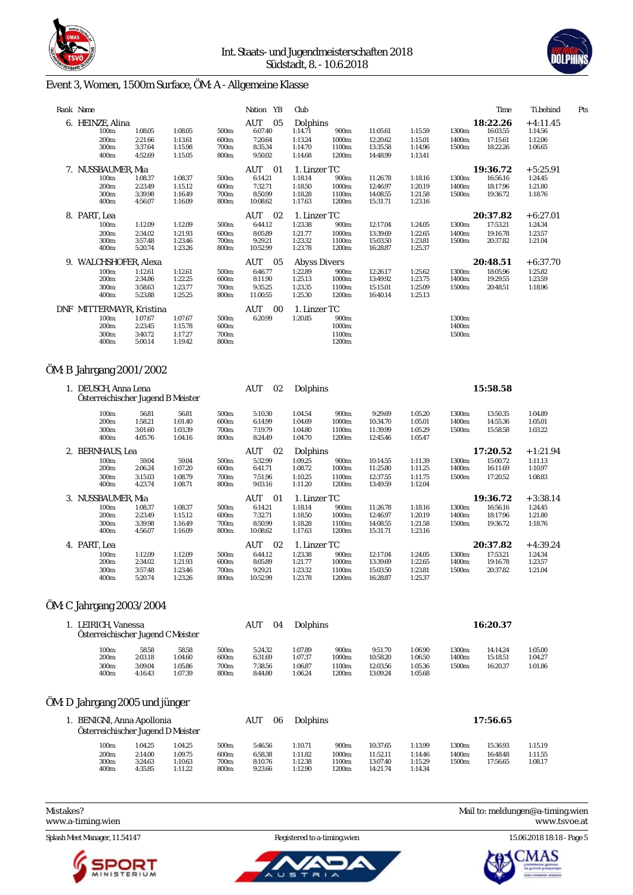



# Event 3, Women, 1500m Surface, ÖM: A - Allgemeine Klasse

|    | Rank Name                |         |         |       | Nation YB | Club                |        |          |         |        | Time     | Ti.behind  | Pts |
|----|--------------------------|---------|---------|-------|-----------|---------------------|--------|----------|---------|--------|----------|------------|-----|
|    | 6. HEINZE, Alina         |         |         |       | AUT<br>05 | Dolphins            |        |          |         |        | 18:22.26 | $+4:11.45$ |     |
|    | 100m:                    | 1:08.05 | 1:08.05 | 500m: | 6:07.40   | 1:14.71             | 900m:  | 11:05.61 | 1:15.59 | 1300m: | 16:03.55 | 1:14.56    |     |
|    | 200m:                    | 2:21.66 | 1:13.61 | 600m: | 7:20.64   | 1:13.24             | 1000m: | 12:20.62 | 1:15.01 | 1400m: | 17:15.61 | 1:12.06    |     |
|    | 300m:                    | 3:37.64 | 1:15.98 | 700m: | 8:35.34   | 1:14.70             | 1100m: | 13:35.58 | 1:14.96 | 1500m: | 18:22.26 | 1:06.65    |     |
|    | 400m:                    | 4:52.69 | 1:15.05 | 800m: | 9:50.02   | 1:14.68             | 1200m: | 14:48.99 | 1:13.41 |        |          |            |     |
|    | 7. NUSSBAUMER, Mia       |         |         |       | AUT<br>01 | 1. Linzer TC        |        |          |         |        | 19:36.72 | $+5:25.91$ |     |
|    | 100m:                    | 1:08.37 | 1:08.37 | 500m: | 6:14.21   | 1:18.14             | 900m:  | 11:26.78 | 1:18.16 | 1300m: | 16:56.16 | 1:24.45    |     |
|    | 200m:                    | 2:23.49 | 1:15.12 | 600m: | 7:32.71   | 1:18.50             | 1000m: | 12:46.97 | 1:20.19 | 1400m: | 18:17.96 | 1:21.80    |     |
|    | 300m:                    | 3:39.98 | 1:16.49 | 700m: | 8:50.99   | 1:18.28             | 1100m: | 14:08.55 | 1:21.58 | 1500m: | 19:36.72 | 1:18.76    |     |
|    | 400m:                    | 4:56.07 | 1:16.09 | 800m: | 10:08.62  | 1:17.63             | 1200m: | 15:31.71 | 1:23.16 |        |          |            |     |
|    | 8. PART, Lea             |         |         |       | AUT<br>02 | 1. Linzer TC        |        |          |         |        | 20:37.82 | $+6:27.01$ |     |
|    | 100m:                    | 1:12.09 | 1:12.09 | 500m: | 6:44.12   | 1:23.38             | 900m:  | 12:17.04 | 1:24.05 | 1300m: | 17:53.21 | 1:24.34    |     |
|    | 200 <sub>m</sub> :       | 2:34.02 | 1:21.93 | 600m: | 8:05.89   | 1:21.77             | 1000m: | 13:39.69 | 1:22.65 | 1400m: | 19:16.78 | 1:23.57    |     |
|    | 300m:                    | 3:57.48 | 1:23.46 | 700m: | 9:29.21   | 1:23.32             | 1100m: | 15:03.50 | 1:23.81 | 1500m: | 20:37.82 | 1:21.04    |     |
|    | 400m:                    | 5:20.74 | 1:23.26 | 800m: | 10:52.99  | 1:23.78             | 1200m: | 16:28.87 | 1:25.37 |        |          |            |     |
| 9. | WALCHSHOFER, Alexa       |         |         |       | AUT<br>05 | <b>Abyss Divers</b> |        |          |         |        | 20:48.51 | $+6:37.70$ |     |
|    | 100m:                    | 1:12.61 | 1:12.61 | 500m: | 6:46.77   | 1:22.89             | 900m:  | 12:26.17 | 1:25.62 | 1300m: | 18:05.96 | 1:25.82    |     |
|    | 200m:                    | 2:34.86 | 1:22.25 | 600m: | 8:11.90   | 1:25.13             | 1000m: | 13:49.92 | 1:23.75 | 1400m: | 19:29.55 | 1:23.59    |     |
|    | 300m:                    | 3:58.63 | 1:23.77 | 700m: | 9:35.25   | 1:23.35             | 1100m: | 15:15.01 | 1:25.09 | 1500m: | 20:48.51 | 1:18.96    |     |
|    | 400m:                    | 5:23.88 | 1:25.25 | 800m: | 11:00.55  | 1:25.30             | 1200m: | 16:40.14 | 1:25.13 |        |          |            |     |
|    | DNF MITTERMAYR, Kristina |         |         |       | AUT<br>00 | 1. Linzer TC        |        |          |         |        |          |            |     |
|    | 100m:                    | 1:07.67 | 1:07.67 | 500m: | 6:20.99   | 1:20.85             | 900m:  |          |         | 1300m: |          |            |     |
|    | 200 <sub>m</sub> :       | 2:23.45 | 1:15.78 | 600m: |           |                     | 1000m: |          |         | 1400m: |          |            |     |
|    | 300m:                    | 3:40.72 | 1:17.27 | 700m: |           |                     | 1100m: |          |         | 1500m: |          |            |     |
|    | 400m:                    | 5:00.14 | 1:19.42 | 800m: |           |                     | 1200m: |          |         |        |          |            |     |
|    |                          |         |         |       |           |                     |        |          |         |        |          |            |     |

# ÖM: B Jahrgang 2001/2002

| 1. DEUSCH, Anna Lena<br>Österreichischer Jugend B Meister |         |         |       | AUT<br>02 | Dolphins     |        |          |         |        | 15:58.58 |            |
|-----------------------------------------------------------|---------|---------|-------|-----------|--------------|--------|----------|---------|--------|----------|------------|
| 100m:                                                     | 56.81   | 56.81   | 500m: | 5:10.30   | 1:04.54      | 900m:  | 9:29.69  | 1:05.20 | 1300m: | 13:50.35 | 1:04.89    |
| 200m:                                                     | 1:58.21 | 1:01.40 | 600m: | 6:14.99   | 1:04.69      | 1000m: | 10:34.70 | 1:05.01 | 1400m: | 14:55.36 | 1:05.01    |
| 300m:                                                     | 3:01.60 | 1:03.39 | 700m: | 7:19.79   | 1:04.80      | 1100m: | 11:39.99 | 1:05.29 | 1500m: | 15:58.58 | 1:03.22    |
| 400m:                                                     | 4:05.76 | 1:04.16 | 800m: | 8:24.49   | 1:04.70      | 1200m: | 12:45.46 | 1:05.47 |        |          |            |
| 2. BERNHAUS, Lea                                          |         |         |       | AUT<br>02 | Dolphins     |        |          |         |        | 17:20.52 | $+1:21.94$ |
| 100m:                                                     | 59.04   | 59.04   | 500m: | 5:32.99   | 1:09.25      | 900m:  | 10:14.55 | 1:11.39 | 1300m: | 15:00.72 | 1:11.13    |
| 200m:                                                     | 2:06.24 | 1:07.20 | 600m: | 6:41.71   | 1:08.72      | 1000m: | 11:25.80 | 1:11.25 | 1400m: | 16:11.69 | 1:10.97    |
| 300m:                                                     | 3:15.03 | 1:08.79 | 700m: | 7:51.96   | 1:10.25      | 1100m: | 12:37.55 | 1:11.75 | 1500m: | 17:20.52 | 1:08.83    |
| 400m:                                                     | 4:23.74 | 1:08.71 | 800m: | 9:03.16   | 1:11.20      | 1200m: | 13:49.59 | 1:12.04 |        |          |            |
| 3. NUSSBAUMER, Mia                                        |         |         |       | AUT<br>01 | 1. Linzer TC |        |          |         |        | 19:36.72 | $+3:38.14$ |
| 100m:                                                     | 1:08.37 | 1:08.37 | 500m: | 6:14.21   | 1:18.14      | 900m:  | 11:26.78 | 1:18.16 | 1300m: | 16:56.16 | 1:24.45    |
| 200m:                                                     | 2:23.49 | 1:15.12 | 600m: | 7:32.71   | 1:18.50      | 1000m: | 12:46.97 | 1:20.19 | 1400m: | 18:17.96 | 1:21.80    |
| 300m:                                                     | 3:39.98 | 1:16.49 | 700m: | 8:50.99   | 1:18.28      | 1100m: | 14:08.55 | 1:21.58 | 1500m: | 19:36.72 | 1:18.76    |
| 400m:                                                     | 4:56.07 | 1:16.09 | 800m: | 10:08.62  | 1:17.63      | 1200m: | 15:31.71 | 1:23.16 |        |          |            |
| 4. PART, Lea                                              |         |         |       | AUT<br>02 | 1. Linzer TC |        |          |         |        | 20:37.82 | $+4:39.24$ |
| 100m:                                                     | 1:12.09 | 1:12.09 | 500m: | 6:44.12   | 1:23.38      | 900m:  | 12:17.04 | 1:24.05 | 1300m: | 17:53.21 | 1:24.34    |
| 200m:                                                     | 2:34.02 | 1:21.93 | 600m: | 8:05.89   | 1:21.77      | 1000m: | 13:39.69 | 1:22.65 | 1400m: | 19:16.78 | 1:23.57    |
| 300m:                                                     | 3:57.48 | 1:23.46 | 700m: | 9:29.21   | 1:23.32      | 1100m: | 15:03.50 | 1:23.81 | 1500m: | 20:37.82 | 1:21.04    |
| 400m:                                                     | 5:20.74 | 1:23.26 | 800m: | 10:52.99  | 1:23.78      | 1200m: | 16:28.87 | 1:25.37 |        |          |            |
|                                                           |         |         |       |           |              |        |          |         |        |          |            |

### ÖM: C Jahrgang 2003/2004

| 1. LEIRICH. Vanessa<br>Österreichischer Jugend C Meister |                    |                    |                | AUT<br>04          | <b>Dolphins</b>    |                  |                      |                    | 16:20.37 |          |         |  |  |
|----------------------------------------------------------|--------------------|--------------------|----------------|--------------------|--------------------|------------------|----------------------|--------------------|----------|----------|---------|--|--|
| 100m:                                                    | 58.58              | 58.58              | 500m:          | 5:24.32            | 1:07.89            | 900m:            | 9:51.70              | 1:06.90            | 1300m:   | 14:14.24 | 1:05.00 |  |  |
| 200 <sub>m</sub> :                                       | 2:03.18            | 1:04.60            | 600m:          | 6:31.69            | 1:07.37            | 1000m:           | 10:58.20             | 1:06.50            | 1400m:   | 15:18.51 | 1:04.27 |  |  |
| 300m:<br>400m:                                           | 3:09.04<br>4:16.43 | 1:05.86<br>1:07.39 | 700m:<br>800m: | 7:38.56<br>8:44.80 | 1:06.87<br>1:06.24 | 1100m:<br>1200m: | 12:03.56<br>13:09.24 | 1:05.36<br>1:05.68 | 1500m:   | 16:20.37 | 1:01.86 |  |  |

#### ÖM: D Jahrgang 2005 und jünger

| 1. BENIGNI, Anna Apollonia<br>Österreichischer Jugend D Meister |                                      |                               |                               |                         | AUT<br>06                     | Dolphins                      |                            |                                  |                               |                  | 17:56.65             |                    |
|-----------------------------------------------------------------|--------------------------------------|-------------------------------|-------------------------------|-------------------------|-------------------------------|-------------------------------|----------------------------|----------------------------------|-------------------------------|------------------|----------------------|--------------------|
|                                                                 | 100m:                                | 1:04.25                       | 1:04.25                       | 500m:                   | 5:46.56                       | 1:10.71                       | 900m:                      | 10:37.65                         | 1:13.99                       | 1300m:           | 15:36.93             | 1:15.19            |
|                                                                 | 200 <sub>m</sub> :<br>300m:<br>400m: | 2:14.00<br>3:24.63<br>4:35.85 | 1:09.75<br>1:10.63<br>1:11.22 | 600m:<br>700m:<br>800m: | 6:58.38<br>8:10.76<br>9:23.66 | 1:11.82<br>1:12.38<br>1:12.90 | 1000m:<br>1100m:<br>1200m: | 11:52.11<br>13:07.40<br>14:21.74 | 1:14.46<br>1:15.29<br>1:14.34 | 1400m:<br>1500m: | 16:48.48<br>17:56.65 | 1:11.55<br>1:08.17 |

Splash Meet Manager, 11.54147 Registered to a-timing.wien 15.06.2018 18:18 - Page 5



<www.a-timing.wien> <www.tsvoe.at>

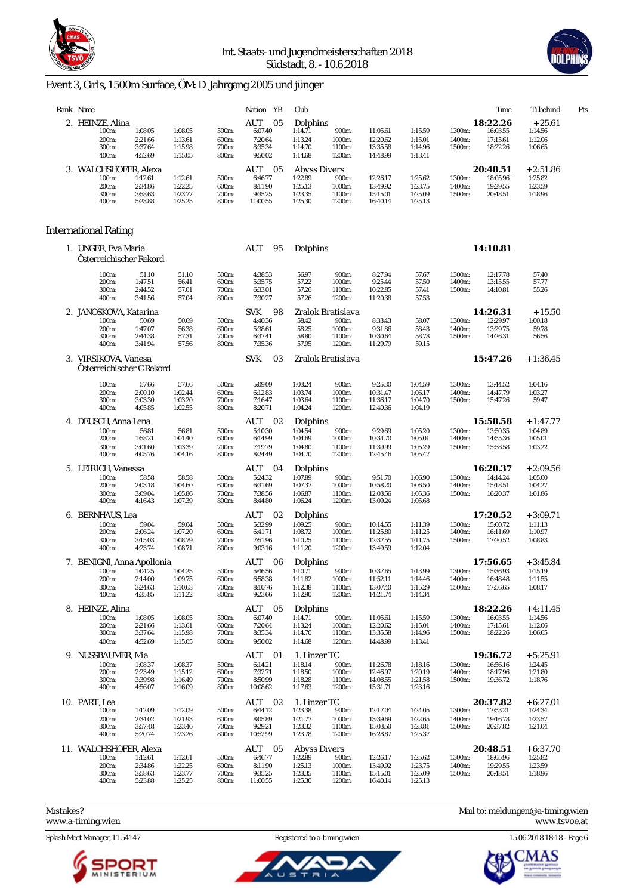



# Event 3, Girls, 1500m Surface, ÖM: D Jahrgang 2005 und jünger

| Rank Name |                                                           |                                          |                                          |                                  | Nation YB                                              | Club                                                            |                                     |                                              |                                          |                            | Time                                         | Ti.behind                                   | Pts |
|-----------|-----------------------------------------------------------|------------------------------------------|------------------------------------------|----------------------------------|--------------------------------------------------------|-----------------------------------------------------------------|-------------------------------------|----------------------------------------------|------------------------------------------|----------------------------|----------------------------------------------|---------------------------------------------|-----|
|           | 2. HEINZE, Alina<br>100m:<br>200m:<br>300m:               | 1:08.05<br>2:21.66<br>3:37.64            | 1:08.05<br>1:13.61<br>1:15.98            | 500m:<br>600m:<br>700m:          | AUT<br>05<br>6:07.40<br>7:20.64<br>8:35.34             | Dolphins<br>1:14.71<br>1:13.24<br>1:14.70                       | 900m:<br>1000m:<br>1100m:           | 11:05.61<br>12:20.62<br>13:35.58             | 1:15.59<br>1:15.01<br>1:14.96            | 1300m:<br>1400m:<br>1500m: | 18:22.26<br>16:03.55<br>17:15.61<br>18:22.26 | $+25.61$<br>1:14.56<br>1:12.06<br>1:06.65   |     |
|           | 400m:                                                     | 4:52.69                                  | 1:15.05                                  | 800m:                            | 9:50.02                                                | 1:14.68                                                         | 1200m:                              | 14:48.99                                     | 1:13.41                                  |                            |                                              |                                             |     |
|           | 3. WALCHSHOFER, Alexa<br>100m:<br>200m:<br>300m:<br>400m: | 1:12.61<br>2:34.86<br>3:58.63<br>5:23.88 | 1:12.61<br>1:22.25<br>1:23.77<br>1:25.25 | 500m:<br>600m:<br>700m:<br>800m: | 05<br>AUT<br>6:46.77<br>8:11.90<br>9:35.25<br>11:00.55 | <b>Abyss Divers</b><br>1:22.89<br>1:25.13<br>1:23.35<br>1:25.30 | 900m:<br>1000m:<br>1100m:<br>1200m: | 12:26.17<br>13:49.92<br>15:15.01<br>16:40.14 | 1:25.62<br>1:23.75<br>1:25.09<br>1:25.13 | 1300m:<br>1400m:<br>1500m: | 20:48.51<br>18:05.96<br>19:29.55<br>20:48.51 | $+2:51.86$<br>1:25.82<br>1:23.59<br>1:18.96 |     |
|           |                                                           |                                          |                                          |                                  |                                                        |                                                                 |                                     |                                              |                                          |                            |                                              |                                             |     |
|           | International Rating                                      |                                          |                                          |                                  |                                                        |                                                                 |                                     |                                              |                                          |                            |                                              |                                             |     |
|           | 1. UNGER, Eva Maria<br>Osterreichischer Rekord            |                                          |                                          |                                  | AUT<br>95                                              | Dolphins                                                        |                                     |                                              |                                          |                            | 14:10.81                                     |                                             |     |
|           | 100m:                                                     | 51.10                                    | 51.10                                    | 500m:                            | 4:38.53                                                | 56.97                                                           | 900m:                               | 8:27.94                                      | 57.67                                    | 1300m:                     | 12:17.78                                     | 57.40                                       |     |
|           | 200m:                                                     | 1:47.51                                  | 56.41                                    | 600m:                            | 5:35.75                                                | 57.22                                                           | 1000m:                              | 9:25.44                                      | 57.50                                    | 1400m:                     | 13:15.55                                     | 57.77                                       |     |
|           | 300m:<br>400m:                                            | 2:44.52<br>3:41.56                       | 57.01<br>57.04                           | 700m:<br>800m:                   | 6:33.01<br>7:30.27                                     | 57.26<br>57.26                                                  | 1100m:<br>1200m:                    | 10:22.85<br>11:20.38                         | 57.41<br>57.53                           | 1500m:                     | 14:10.81                                     | 55.26                                       |     |
|           | 2. JANOSKOVA, Katarina                                    |                                          |                                          |                                  | 98<br><b>SVK</b>                                       |                                                                 | Zralok Bratislava                   |                                              |                                          |                            | 14:26.31                                     | $+15.50$                                    |     |
|           | 100m:                                                     | 50.69                                    | 50.69                                    | 500m:                            | 4:40.36                                                | 58.42                                                           | 900m:                               | 8:33.43                                      | 58.07                                    | 1300m:                     | 12:29.97                                     | 1:00.18                                     |     |
|           | 200m:                                                     | 1:47.07                                  | 56.38                                    | 600m:                            | 5:38.61                                                | 58.25                                                           | 1000m:                              | 9:31.86                                      | 58.43                                    | 1400m:                     | 13:29.75                                     | 59.78                                       |     |
|           | 300m:<br>400m:                                            | 2:44.38<br>3:41.94                       | 57.31<br>57.56                           | 700m:<br>800m:                   | 6:37.41<br>7:35.36                                     | 58.80<br>57.95                                                  | 1100m:<br>1200m:                    | 10:30.64<br>11:29.79                         | 58.78<br>59.15                           | 1500m:                     | 14:26.31                                     | 56.56                                       |     |
|           | 3. VIRSIKOVA, Vanesa<br>Österreichischer C Rekord         |                                          |                                          |                                  | <b>SVK</b><br>03                                       |                                                                 | Zralok Bratislava                   |                                              |                                          |                            | 15:47.26                                     | $+1:36.45$                                  |     |
|           | 100m:                                                     | 57.66                                    | 57.66                                    | 500m:                            | 5:09.09                                                | 1:03.24                                                         | 900m:                               | 9:25.30                                      | 1:04.59                                  | 1300m:                     | 13:44.52                                     | 1:04.16                                     |     |
|           | 200m:                                                     | 2:00.10                                  | 1:02.44                                  | 600m:                            | 6:12.83                                                | 1:03.74                                                         | 1000m:                              | 10:31.47                                     | 1:06.17                                  | 1400m:                     | 14:47.79                                     | 1:03.27                                     |     |
|           | 300m:<br>400m:                                            | 3:03.30<br>4:05.85                       | 1:03.20<br>1:02.55                       | 700m:<br>800m:                   | 7:16.47<br>8:20.71                                     | 1:03.64<br>1:04.24                                              | 1100m:<br>1200m:                    | 11:36.17<br>12:40.36                         | 1:04.70<br>1:04.19                       | 1500m:                     | 15:47.26                                     | 59.47                                       |     |
|           | 4. DEUSCH, Anna Lena                                      |                                          |                                          |                                  | AUT<br>02                                              | Dolphins                                                        |                                     |                                              |                                          |                            | 15:58.58                                     | $+1:47.77$                                  |     |
|           | 100m:                                                     | 56.81                                    | 56.81                                    | 500m:                            | 5:10.30                                                | 1:04.54                                                         | 900m:                               | 9:29.69                                      | 1:05.20                                  | 1300m:                     | 13:50.35                                     | 1:04.89                                     |     |
|           | 200m:                                                     | 1:58.21                                  | 1:01.40                                  | 600m:                            | 6:14.99                                                | 1:04.69                                                         | 1000m:                              | 10:34.70                                     | 1:05.01                                  | 1400m:                     | 14:55.36                                     | 1:05.01                                     |     |
|           | 300m:<br>400m:                                            | 3:01.60<br>4:05.76                       | 1:03.39<br>1:04.16                       | 700m:<br>800m:                   | 7:19.79<br>8:24.49                                     | 1:04.80<br>1:04.70                                              | 1100m:<br>1200m:                    | 11:39.99<br>12:45.46                         | 1:05.29<br>1:05.47                       | 1500m:                     | 15:58.58                                     | 1:03.22                                     |     |
|           | 5. LEIRICH, Vanessa                                       |                                          |                                          |                                  | AUT<br>04                                              | Dolphins                                                        |                                     |                                              |                                          |                            | 16:20.37                                     | $+2:09.56$                                  |     |
|           | 100m:                                                     | 58.58                                    | 58.58                                    | 500m:                            | 5:24.32                                                | 1:07.89                                                         | 900m:                               | 9:51.70                                      | 1:06.90                                  | 1300m:                     | 14:14.24                                     | 1:05.00                                     |     |
|           | 200m:                                                     | 2:03.18                                  | 1:04.60                                  | 600m:                            | 6:31.69                                                | 1:07.37                                                         | 1000m:                              | 10:58.20                                     | 1:06.50                                  | 1400m:                     | 15:18.51                                     | 1:04.27                                     |     |
|           | 300m:<br>400m:                                            | 3:09.04<br>4:16.43                       | 1:05.86<br>1:07.39                       | 700m:<br>800m:                   | 7:38.56<br>8:44.80                                     | 1:06.87<br>1:06.24                                              | 1100m:<br>1200m:                    | 12:03.56<br>13:09.24                         | 1:05.36<br>1:05.68                       | 1500m:                     | 16:20.37                                     | 1:01.86                                     |     |
|           | 6. BERNHAUS, Lea                                          |                                          |                                          |                                  | AUT<br>02                                              | Dolphins                                                        |                                     |                                              |                                          |                            | 17:20.52                                     | $+3:09.71$                                  |     |
|           | 100m:                                                     | 59.04                                    | 59.04                                    | 500m:                            | 5:32.99                                                | 1:09.25                                                         | 900m:                               | 10:14.55                                     | 1:11.39                                  | 1300m:                     | 15:00.72                                     | 1:11.13                                     |     |
|           | 200m:<br>300m:                                            | 2:06.24<br>3:15.03                       | 1:07.20<br>1:08.79                       | 600m:<br>700m:                   | 6:41.71<br>7:51.96                                     | 1:08.72<br>1:10.25                                              | 1000m:<br>1100m:                    | 11:25.80<br>12:37.55                         | 1:11.25<br>1:11.75                       | 1400m:<br>1500m:           | 16:11.69<br>17:20.52                         | 1:10.97<br>1:08.83                          |     |
|           | 400m:                                                     | 4:23.74                                  | 1:08.71                                  | 800m:                            | 9:03.16                                                | 1:11.20                                                         | 1200m:                              | 13:49.59                                     | 1:12.04                                  |                            |                                              |                                             |     |
|           | 7. BENIGNI, Anna Apollonia                                |                                          |                                          |                                  | AUT<br>06                                              | Dolphins                                                        |                                     |                                              |                                          |                            | 17:56.65                                     | $+3:45.84$                                  |     |
|           | 100m:                                                     | 1:04.25                                  | 1:04.25                                  | 500m:                            | 5:46.56                                                | 1:10.71                                                         | 900m:                               | 10:37.65                                     | 1:13.99                                  | 1300m:                     | 15:36.93                                     | 1:15.19                                     |     |
|           | 200m:<br>300m:                                            | 2:14.00<br>3:24.63                       | 1:09.75<br>1:10.63                       | 600m:<br>700m:                   | 6:58.38<br>8:10.76                                     | 1:11.82<br>1:12.38                                              | 1000m:<br>1100m:                    | 11:52.11<br>13:07.40                         | 1:14.46<br>1:15.29                       | 1400m:<br>1500m:           | 16:48.48<br>17:56.65                         | 1:11.55<br>1:08.17                          |     |
|           | 400m:                                                     | 4:35.85                                  | 1:11.22                                  | 800m:                            | 9:23.66                                                | 1:12.90                                                         | 1200m:                              | 14:21.74                                     | 1:14.34                                  |                            |                                              |                                             |     |
|           | 8. HEINZE, Alina                                          |                                          |                                          |                                  | AUT 05                                                 | Dolphins                                                        |                                     |                                              |                                          |                            | 18:22.26                                     | $+4:11.45$                                  |     |
|           | 100m:                                                     | 1:08.05                                  | 1:08.05                                  | 500m:                            | 6:07.40                                                | 1:14.71                                                         | 900m:                               | 11:05.61                                     | 1:15.59                                  | 1300m:                     | 16:03.55                                     | 1:14.56                                     |     |
|           | 200m:<br>300m:                                            | 2:21.66<br>3:37.64                       | 1:13.61<br>1:15.98                       | 600m:<br>700m:                   | 7:20.64<br>8:35.34                                     | 1:13.24<br>1:14.70                                              | 1000m:<br>1100m:                    | 12:20.62<br>13:35.58                         | 1:15.01<br>1:14.96                       | 1400m:<br>1500m:           | 17:15.61<br>18:22.26                         | 1:12.06<br>1:06.65                          |     |
|           | 400m:                                                     | 4:52.69                                  | 1:15.05                                  | 800m:                            | 9:50.02                                                | 1:14.68                                                         | 1200m:                              | 14:48.99                                     | 1:13.41                                  |                            |                                              |                                             |     |
|           | 9. NUSSBAUMER, Mia                                        |                                          |                                          |                                  | AUT 01                                                 | 1. Linzer TC                                                    |                                     |                                              |                                          |                            | 19:36.72                                     | $+5:25.91$                                  |     |
|           | 100m:                                                     | 1:08.37                                  | 1:08.37                                  | 500m:                            | 6:14.21                                                | 1:18.14                                                         | 900m:                               | 11:26.78                                     | 1:18.16                                  | 1300m:                     | 16:56.16                                     | 1:24.45                                     |     |
|           | 200m:<br>300m:                                            | 2:23.49<br>3:39.98                       | 1:15.12<br>1:16.49                       | 600m:<br>700m:                   | 7:32.71<br>8:50.99                                     | 1:18.50<br>1:18.28                                              | 1000m:<br>1100m:                    | 12:46.97<br>14:08.55                         | 1:20.19<br>1:21.58                       | 1400m:<br>1500m:           | 18:17.96<br>19:36.72                         | 1:21.80<br>1:18.76                          |     |
|           | 400m:                                                     | 4:56.07                                  | 1:16.09                                  | 800m:                            | 10:08.62                                               | 1:17.63                                                         | 1200m:                              | 15:31.71                                     | 1:23.16                                  |                            |                                              |                                             |     |
|           | 10. PART, Lea                                             |                                          |                                          |                                  | AUT 02                                                 | 1. Linzer TC                                                    |                                     |                                              |                                          |                            | 20:37.82                                     | $+6:27.01$                                  |     |
|           | 100m:                                                     | 1:12.09                                  | 1:12.09                                  | 500m:                            | 6:44.12                                                | 1:23.38                                                         | 900m:                               | 12:17.04                                     | 1:24.05                                  | 1300m:                     | 17:53.21                                     | 1:24.34                                     |     |
|           | 200m:<br>300m:                                            | 2:34.02<br>3:57.48                       | 1:21.93<br>1:23.46                       | 600m:<br>700m:                   | 8:05.89<br>9:29.21                                     | 1:21.77<br>1:23.32                                              | 1000m:<br>1100m:                    | 13:39.69<br>15:03.50                         | 1:22.65<br>1:23.81                       | 1400m:<br>1500m:           | 19:16.78<br>20:37.82                         | 1:23.57<br>1:21.04                          |     |
|           | 400m:                                                     | 5:20.74                                  | 1:23.26                                  | 800m:                            | 10:52.99                                               | 1:23.78                                                         | 1200m:                              | 16:28.87                                     | 1:25.37                                  |                            |                                              |                                             |     |
|           | 11. WALCHSHOFER, Alexa                                    |                                          |                                          |                                  | AUT 05                                                 | <b>Abyss Divers</b>                                             |                                     |                                              |                                          |                            | 20:48.51                                     | $+6:37.70$                                  |     |
|           | 100m:                                                     | 1:12.61                                  | 1:12.61                                  | 500m:                            | 6:46.77                                                | 1:22.89                                                         | 900m:                               | 12:26.17                                     | 1:25.62                                  | 1300m:                     | 18:05.96                                     | 1:25.82                                     |     |
|           | 200m:<br>300m:                                            | 2:34.86<br>3:58.63                       | 1:22.25<br>1:23.77                       | 600m:<br>700m:                   | 8:11.90<br>9:35.25                                     | 1:25.13<br>1:23.35                                              | 1000m:<br>1100m:                    | 13:49.92<br>15:15.01                         | 1:23.75<br>1:25.09                       | 1400m:<br>1500m:           | 19:29.55<br>20:48.51                         | 1:23.59<br>1:18.96                          |     |
|           | 400m:                                                     | 5:23.88                                  | 1:25.25                                  | 800m:                            | 11:00.55                                               | 1:25.30                                                         | 1200m:                              | 16:40.14                                     | 1:25.13                                  |                            |                                              |                                             |     |

<www.a-timing.wien>

Splash Meet Manager, 11.54147 Registered to a-timing.wien 15.06.2018 18:18 - Page 6



Ū  $\equiv$ 

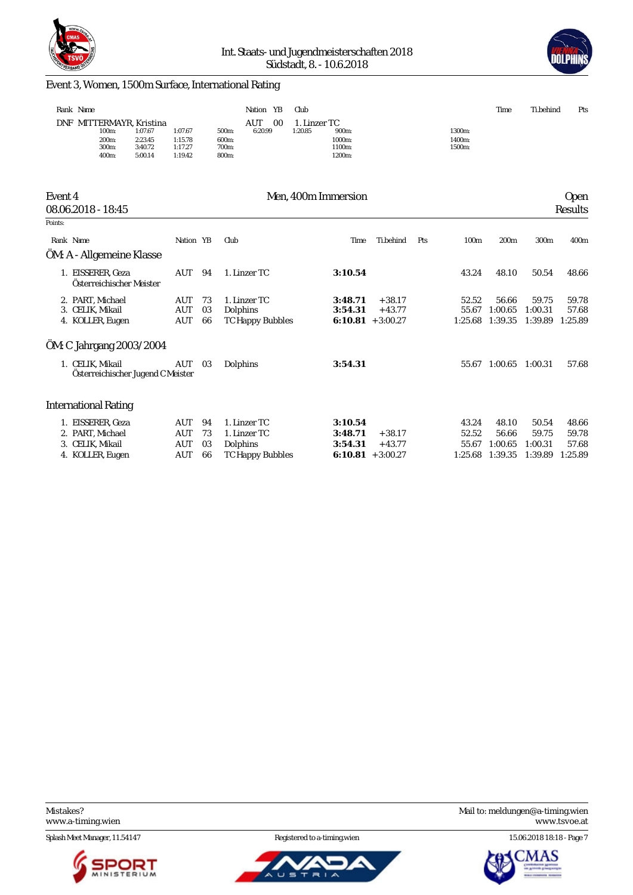



### Event 3, Women, 1500m Surface, International Rating

|                      | Rank Name                                                                                                |                                          |                | Nation YB                                                | Club                                                           |                      |     |                            | Time                        | Ti.behind                   | Pts                       |
|----------------------|----------------------------------------------------------------------------------------------------------|------------------------------------------|----------------|----------------------------------------------------------|----------------------------------------------------------------|----------------------|-----|----------------------------|-----------------------------|-----------------------------|---------------------------|
|                      | DNF MITTERMAYR, Kristina<br>100m:<br>1:07.67<br>200m:<br>2:23.45<br>300m:<br>3:40.72<br>5:00.14<br>400m: | 1:07.67<br>1:15.78<br>1:17.27<br>1:19.42 |                | AUT<br>00<br>6:20.99<br>500m:<br>600m:<br>700m:<br>800m: | 1. Linzer TC<br>1:20.85<br>900m:<br>1000m:<br>1100m:<br>1200m: |                      |     | 1300m:<br>1400m:<br>1500m: |                             |                             |                           |
| Event 4              | 08.06.2018 - 18:45                                                                                       |                                          |                |                                                          | Men, 400m Immersion                                            |                      |     |                            |                             |                             | <b>Open</b><br>Results    |
| Points:<br>Rank Name |                                                                                                          | Nation YB                                |                |                                                          |                                                                | Ti.behind            |     |                            |                             |                             |                           |
|                      | ÖM: A - Allgemeine Klasse                                                                                |                                          |                | Club                                                     | Time                                                           |                      | Pts | 100m                       | 200m                        | 300m                        | 400m                      |
|                      | 1. EISSERER, Geza<br>Österreichischer Meister                                                            | AUT                                      | 94             | 1. Linzer TC                                             | 3:10.54                                                        |                      |     | 43.24                      | 48.10                       | 50.54                       | 48.66                     |
|                      | 2. PART, Michael<br>3. CELIK, Mikail<br>4. KOLLER, Eugen                                                 | AUT<br>AUT<br>AUT                        | 73<br>03<br>66 | 1. Linzer TC<br>Dolphins<br><b>TC Happy Bubbles</b>      | 3:48.71<br>3:54.31<br>$6:10.81 + 3:00.27$                      | $+38.17$<br>$+43.77$ |     | 52.52<br>55.67<br>1:25.68  | 56.66<br>1:00.65<br>1:39.35 | 59.75<br>1:00.31<br>1:39.89 | 59.78<br>57.68<br>1:25.89 |
|                      | ÖM: C Jahrgang 2003/2004                                                                                 |                                          |                |                                                          |                                                                |                      |     |                            |                             |                             |                           |
|                      | 1. CELIK, Mikail<br>Österreichischer Jugend C Meister                                                    | AUT                                      | 03             | Dolphins                                                 | 3:54.31                                                        |                      |     |                            | 55.67 1:00.65               | 1:00.31                     | 57.68                     |
|                      | <b>International Rating</b>                                                                              |                                          |                |                                                          |                                                                |                      |     |                            |                             |                             |                           |
|                      | 1. EISSERER, Geza                                                                                        | AUT                                      | 94             | 1. Linzer TC                                             | 3:10.54                                                        |                      |     | 43.24                      | 48.10                       | 50.54                       | 48.66                     |

| 1. EISSERER Geza |  | AUT 94 Llinzer IC       | 3:10.54             |       | 43.24 48.10 50.54 48.66         |  |
|------------------|--|-------------------------|---------------------|-------|---------------------------------|--|
| 2. PART. Michael |  | AUT 73 1. Linzer TC     | $3:48.71 + 38.17$   | 52.52 | 56.66 59.75 59.78               |  |
| 3. CELIK. Mikail |  | AUT 03 Dolphins         | $3:54.31 + 43.77$   |       | 55.67 1:00.65 1:00.31 57.68     |  |
| 4. KOLLER, Eugen |  | AUT 66 TC Happy Bubbles | $6:10.81 + 3:00.27$ |       | 1:25.68 1:39.35 1:39.89 1:25.89 |  |

Splash Meet Manager, 11.54147 Registered to a-timing.wien 15.06.2018 18:18 - Page 7





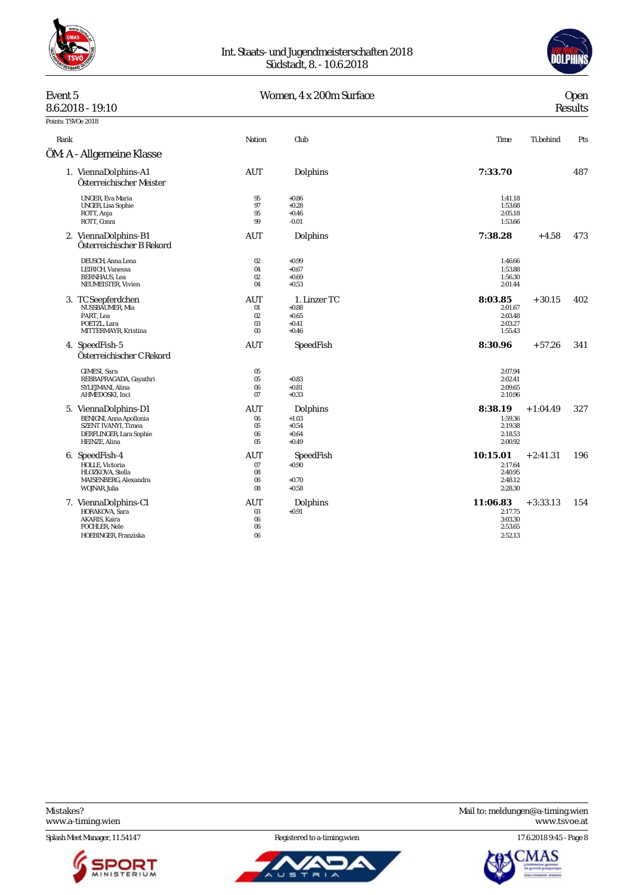



# Event 5 Women,  $4 \times 200$ m Surface<br> $8.62018 - 19.10$

| Open |
|------|
|      |

| 8.6.2018 - 19:10                                                                                                          |                                            |                                                          |                                                      |            | Results |
|---------------------------------------------------------------------------------------------------------------------------|--------------------------------------------|----------------------------------------------------------|------------------------------------------------------|------------|---------|
| Points: TSVOe 2018                                                                                                        |                                            |                                                          |                                                      |            |         |
| Rank                                                                                                                      | Nation                                     | Club                                                     | Time                                                 | Ti.behind  | Pts     |
| ÖM: A - Allgemeine Klasse                                                                                                 |                                            |                                                          |                                                      |            |         |
| 1. ViennaDolphins-A1<br>Österreichischer Meister                                                                          | AUT                                        | Dolphins                                                 | 7:33.70                                              |            | 487     |
| <b>UNGER, Eva Maria</b><br>UNGER, Lisa Sophie<br>ROTT, Anja<br>ROTT, Conni                                                | 95<br>97<br>95<br>99                       | $+0.86$<br>$+0.28$<br>$+0.46$<br>$-0.01$                 | 1:41.18<br>1:53.68<br>2:05.18<br>1:53.66             |            |         |
| 2. ViennaDolphins-B1<br>Österreichischer B Rekord                                                                         | AUT                                        | Dolphins                                                 | 7:38.28                                              | $+4.58$    | 473     |
| DEUSCH, Anna Lena<br>LEIRICH, Vanessa<br><b>BERNHAUS, Lea</b><br>NEUMEISTER, Vivien                                       | 02<br>04<br>02<br>04                       | $+0.99$<br>$+0.67$<br>$+0.69$<br>$+0.53$                 | 1:46.66<br>1:53.88<br>1:56.30<br>2:01.44             |            |         |
| 3. TC Seepferdchen<br>NUSSBAUMER, Mia<br>PART. Lea<br>POETZL, Lara<br>MITTERMAYR, Kristina                                | AUT<br>01<br>02<br>03<br>$00\,$            | 1. Linzer TC<br>$+0.88$<br>$+0.65$<br>$+0.41$<br>$+0.46$ | 8:03.85<br>2:01.67<br>2:03.48<br>2:03.27<br>1:55.43  | $+30.15$   | 402     |
| 4. SpeedFish-5<br>Österreichischer C Rekord                                                                               | <b>AUT</b>                                 | SpeedFish                                                | 8:30.96                                              | $+57.26$   | 341     |
| GIMESI, Sara<br>REBBAPRAGADA, Gayathri<br>SYLEJMANI, Alina<br>AHMEDOSKI, Inci                                             | 05<br>05<br>06<br>07                       | $+0.83$<br>$+0.81$<br>$+0.33$                            | 2:07.94<br>2:02.41<br>2:09.65<br>2:10.96             |            |         |
| 5. ViennaDolphins-D1<br><b>BENIGNI, Anna Apollonia</b><br>SZENT IVANYI, Timea<br>DERFLINGER, Lara Sophie<br>HEINZE, Alina | AUT<br>$06\,$<br>05<br>$06\,$<br>05        | Dolphins<br>$+1.03$<br>$+0.54$<br>$+0.64$<br>$+0.49$     | 8:38.19<br>1:59.36<br>2:19.38<br>2:18.53<br>2:00.92  | $+1:04.49$ | 327     |
| 6. SpeedFish-4<br>HOLLE, Victoria<br>HLOZKOVA, Stella<br>MAISENBERG, Alexandra<br>WOJNAR, Julia                           | AUT<br>07<br>08<br>06<br>08                | SpeedFish<br>$+0.90$<br>$+0.70$<br>$+0.58$               | 10:15.01<br>2:17.64<br>2:40.95<br>2:48.12<br>2:28.30 | $+2:41.31$ | 196     |
| 7. ViennaDolphins-C1<br>HORAKOVA, Sara<br>AKARIS, Kaira<br>FOCHLER, Nele<br>HOEBINGER, Franziska                          | <b>AUT</b><br>03<br>$06\,$<br>$06\,$<br>06 | Dolphins<br>$+0.91$                                      | 11:06.83<br>2:17.75<br>3:03.30<br>2:53.65<br>2:52.13 | $+3:33.13$ | 154     |

<www.a-timing.wien>

Splash Meet Manager, 11.54147 **Registered to a-timing.wien** 17.6.2018 9:45 - Page 8





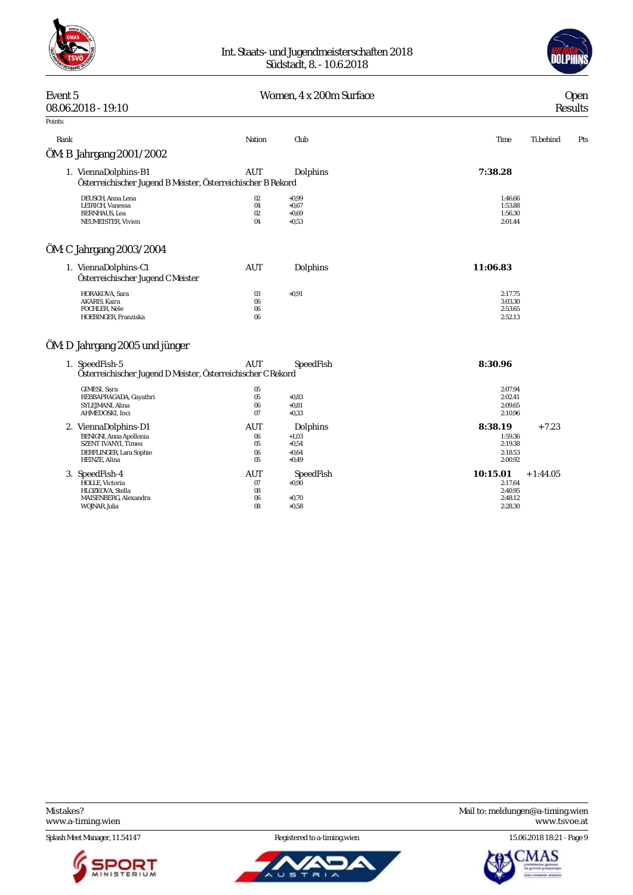



## Event 5 Communication Communication Communication Communication Communication Communication Communication Communication Communication Communication Communication Communication Communication Communication Communication Comm 08.06.2018 - 19:10 Results Points: Rank Nation Club Time Ti.behind Pts ÖM: B Jahrgang 2001/2002 1. ViennaDolphins-B1 AUT Dolphins **7:38.28** *Österreichischer Jugend B Meister, Österreichischer B Rekord* 02 +0,99 1:46.66<br>
1.46.66 1.EIRICH, Vanessa 60 +0.67 +0.67 1.53.88 1.53.88 1.53.88 1.53.88 1.53.88 1.53.88 1.53.88 1.53.88 1.53.88 1.53.88 1.53.88 1.53.88 1.53.88 1.53.88 1.55.30 1.55.30 1.56.30 1.56.30 1.56.30 1.56.30 1.5 LEIRICH, Vanessa 04 +0,67 1:53.88 BERNHAUS, Lea 02 +0,69 1:56.30 NEUMEISTER, Vivien 04 +0,53 2:01.44 ÖM: C Jahrgang 2003/2004 1. ViennaDolphins-C1 AUT Dolphins **11:06.83** *Österreichischer Jugend C Meister* HORAKOVA, Sara 03 +0,91 2:17.75 AKARIS, Kaira 06 3:03.30 FOCHLER, Nele  $2.53.65$ HOEBINGER, Franziska 06 2:52.13 ÖM: D Jahrgang 2005 und jünger 1. SpeedFish-5 AUT SpeedFish **8:30.96** *Österreichischer Jugend D Meister, Österreichischer C Rekord* GIMESI, Sara 05 2:07.94 REBBAPRAGADA, Gayathri 05 +0,83 2:02.41 SYLEJMANI, Alina 06 +0,81 2:09.65 AHMEDOSKI, Inci 07 +0,33 2:10.96 2. ViennaDolphins-D1 AUT Dolphins **8:38.19** + 7.23 BENIGNI, Anna Apollonia 06 +1,03 1:59.36 SZENT IVANYI, Timea 05 +0,54 2:19.38 DERFLINGER, Lara Sophie 06 +0,64 2:18.53 HEINZE, Alina 05 +0,49 2:00.92 3. SpeedFish-4 AUT SpeedFish **10:15.01** + 1:44.05 HOLLE, Victoria HLOZKOVA, Stella 08 2:40.95 MAISENBERG, Alexandra 06 +0,70 2:48.12

WOJNAR, Julia 08 +0,58 2:28.30

Splash Meet Manager, 11.54147 **Registered to a-timing.wien** 15.06.2018 18:21 - Page 9





Mistakes? Mail to: [meldungen@a-timing.wien](mailto:meldungen@a-timing.wien) <www.a-timing.wien> <www.tsvoe.at>

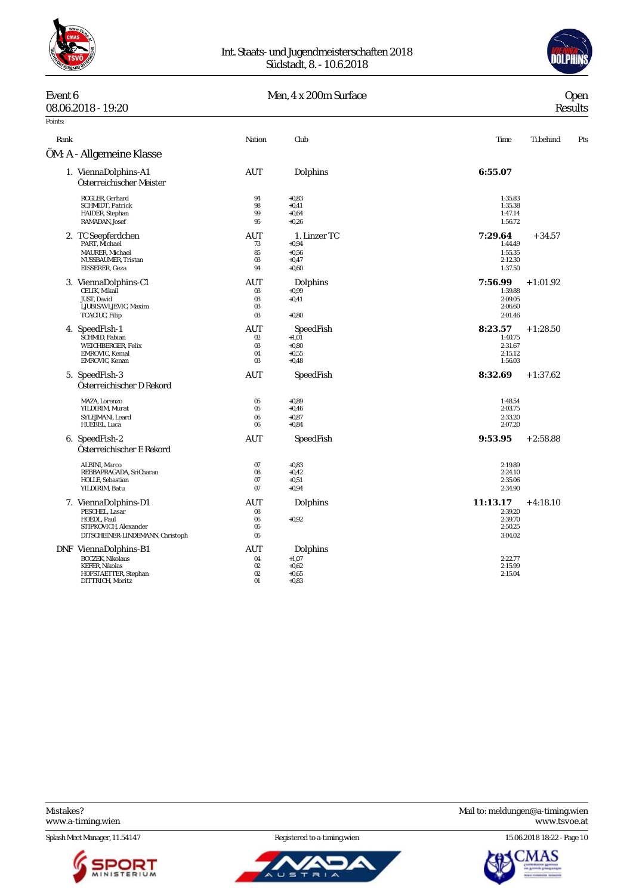



| Event 6 | 08.06.2018 - 19:20                                                                                                    |                                 | Men, 4 x 200m Surface                                    | <b>Open</b><br><b>Results</b>                        |            |     |  |  |
|---------|-----------------------------------------------------------------------------------------------------------------------|---------------------------------|----------------------------------------------------------|------------------------------------------------------|------------|-----|--|--|
| Points: |                                                                                                                       |                                 |                                                          |                                                      |            |     |  |  |
| Rank    |                                                                                                                       | Nation                          | Club                                                     | Time                                                 | Ti.behind  | Pts |  |  |
|         | ÖM: A - Allgemeine Klasse                                                                                             |                                 |                                                          |                                                      |            |     |  |  |
|         | 1. ViennaDolphins-A1<br>Österreichischer Meister                                                                      | AUT                             | Dolphins                                                 | 6:55.07                                              |            |     |  |  |
|         | ROGLER, Gerhard<br>SCHMIDT, Patrick<br>HAIDER, Stephan<br>RAMADAN, Josef                                              | 94<br>98<br>99<br>95            | $+0,83$<br>$+0.41$<br>$+0,64$<br>$+0,26$                 | 1:35.83<br>1:35.38<br>1:47.14<br>1:56.72             |            |     |  |  |
|         | 2. TC Seepferdchen<br>PART, Michael<br>MAURER, Michael<br>NUSSBAUMER, Tristan<br>EISSERER, Geza                       | AUT<br>73<br>85<br>03<br>94     | 1. Linzer TC<br>$+0.94$<br>$+0.56$<br>$+0,47$<br>$+0,60$ | 7:29.64<br>1:44.49<br>1:55.35<br>2:12.30<br>1:37.50  | $+34.57$   |     |  |  |
|         | 3. ViennaDolphins-C1<br>CELIK, Mikail<br><b>JUST.</b> David<br>LJUBISAVLJEVIC, Maxim<br>TCACIUC, Filip                | AUT<br>03<br>03<br>03<br>03     | Dolphins<br>$\bf{+0.99}$<br>$+0,41$<br>$+0.80$           | 7:56.99<br>1:39.88<br>2:09.05<br>2:06.60<br>2:01.46  | $+1:01.92$ |     |  |  |
|         | 4. SpeedFish-1<br>SCHMID, Fabian<br>WEICHBERGER, Felix<br>EMROVIC, Kemal<br>EMROVIC, Kenan                            | AUT<br>$02\,$<br>03<br>04<br>03 | SpeedFish<br>$+1,01$<br>$+0,80$<br>$+0,55$<br>$+0.48$    | 8:23.57<br>1:40.75<br>2:31.67<br>2:15.12<br>1:56.03  | $+1:28.50$ |     |  |  |
|         | 5. SpeedFish-3<br>Österreichischer D Rekord                                                                           | AUT                             | SpeedFish                                                | 8:32.69                                              | $+1:37.62$ |     |  |  |
|         | MAZA, Lorenzo<br>YILDIRIM, Murat<br>SYLEJMANI, Leard<br>HUEBEL, Luca                                                  | 05<br>05<br>06<br>06            | $+0.89$<br>$+0,46$<br>$+0,87$<br>$+0,84$                 | 1:48.54<br>2:03.75<br>2:33.20<br>2:07.20             |            |     |  |  |
|         | 6. SpeedFish-2<br>Österreichischer E Rekord                                                                           | <b>AUT</b>                      | SpeedFish                                                | 9:53.95                                              | $+2:58.88$ |     |  |  |
|         | ALBINI, Marco<br>REBBAPRAGADA, SriCharan<br>HOLLE, Sebastian<br>YILDIRIM, Batu                                        | 07<br>08<br>07<br>07            | $+0,83$<br>$+0.42$<br>$+0,51$<br>$+0,94$                 | 2:19.89<br>2:24.10<br>2:35.06<br>2:34.90             |            |     |  |  |
|         | 7. ViennaDolphins-D1<br>PESCHEL, Lasar<br>HOEDL, Paul<br>STIPKOVICH, Alexander<br>DITSCHEINER-LINDEMANN, Christoph    | AUT<br>08<br>$06\,$<br>05<br>05 | Dolphins<br>$+0.92$                                      | 11:13.17<br>2:39.20<br>2:39.70<br>2:50.25<br>3:04.02 | $+4:18.10$ |     |  |  |
|         | DNF ViennaDolphins-B1<br><b>BOCZEK, Nikolaus</b><br><b>KEFER, Nikolas</b><br>HOFSTAETTER, Stephan<br>DITTRICH, Moritz | AUT<br>04<br>02<br>02<br>01     | Dolphins<br>$+1,07$<br>$+0.62$<br>$+0,65$<br>$+0,83$     | 2:22.77<br>2:15.99<br>2:15.04                        |            |     |  |  |







Splash Meet Manager, 11.54147 Registered to a-timing.wien 15.06.2018 18:22 - Page 10

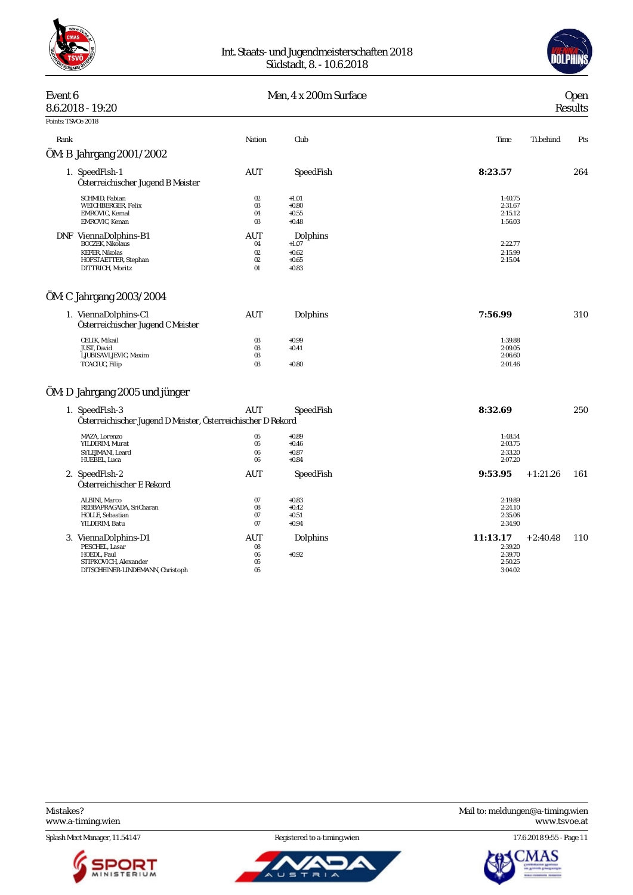

#### Int. Staats- und Jugendmeisterschaften 2018 Südstadt, 8. - 10.6.2018



| Event 6            | 8.6.2018 - 19:20                                                                                                      |                             | Men, 4 x 200m Surface                                | <b>Open</b><br>Results                               |                   |  |  |
|--------------------|-----------------------------------------------------------------------------------------------------------------------|-----------------------------|------------------------------------------------------|------------------------------------------------------|-------------------|--|--|
| Points: TSVOe 2018 |                                                                                                                       |                             |                                                      |                                                      |                   |  |  |
| Rank               |                                                                                                                       | Nation                      | Club                                                 | Time                                                 | Ti.behind<br>Pts  |  |  |
|                    | ÖM: B Jahrgang 2001/2002                                                                                              |                             |                                                      |                                                      |                   |  |  |
|                    | 1. SpeedFish-1<br>Österreichischer Jugend B Meister                                                                   | AUT                         | SpeedFish                                            | 8:23.57                                              | 264               |  |  |
|                    | SCHMID, Fabian<br>WEICHBERGER, Felix<br>EMROVIC, Kemal<br>EMROVIC, Kenan                                              | 02<br>03<br>04<br>03        | $+1.01$<br>$+0.80$<br>$+0.55$<br>$+0.48$             | 1:40.75<br>2:31.67<br>2:15.12<br>1:56.03             |                   |  |  |
|                    | DNF ViennaDolphins-B1<br><b>BOCZEK, Nikolaus</b><br><b>KEFER, Nikolas</b><br>HOFSTAETTER, Stephan<br>DITTRICH, Moritz | AUT<br>04<br>02<br>02<br>01 | Dolphins<br>$+1.07$<br>$+0.62$<br>$+0.65$<br>$+0.83$ | 2:22.77<br>2:15.99<br>2:15.04                        |                   |  |  |
|                    | ÖM: C Jahrgang 2003/2004                                                                                              |                             |                                                      |                                                      |                   |  |  |
|                    | 1. ViennaDolphins-C1<br>Österreichischer Jugend C Meister                                                             | AUT                         | Dolphins                                             | 7:56.99                                              | 310               |  |  |
|                    | CELIK, Mikail<br>JUST, David<br>LJUBISAVLJEVIC, Maxim<br>TCACIUC, Filip                                               | 03<br>03<br>03<br>03        | $+0.99$<br>$+0.41$<br>$+0.80$                        | 1:39.88<br>2:09.05<br>2:06.60<br>2:01.46             |                   |  |  |
|                    | ÖM: D Jahrgang 2005 und jünger                                                                                        |                             |                                                      |                                                      |                   |  |  |
|                    | 1. SpeedFish-3<br>Österreichischer Jugend D Meister, Österreichischer D Rekord                                        | AUT                         | SpeedFish                                            | 8:32.69                                              | 250               |  |  |
|                    | MAZA, Lorenzo<br>YILDIRIM, Murat<br>SYLEJMANI, Leard<br>HUEBEL, Luca                                                  | 05<br>$05\,$<br>06<br>06    | $+0.89$<br>$+0.46$<br>$+0.87$<br>$+0.84$             | 1:48.54<br>2:03.75<br>2:33.20<br>2:07.20             |                   |  |  |
|                    | 2. SpeedFish-2<br>Österreichischer E Rekord                                                                           | AUT                         | SpeedFish                                            | 9:53.95                                              | 161<br>$+1:21.26$ |  |  |
|                    | ALBINI, Marco<br>REBBAPRAGADA, SriCharan<br>HOLLE, Sebastian<br>YILDIRIM, Batu                                        | 07<br>08<br>07<br>07        | $+0.83$<br>$+0.42$<br>$+0.51$<br>$+0.94$             | 2:19.89<br>2:24.10<br>2:35.06<br>2:34.90             |                   |  |  |
|                    | 3. ViennaDolphins-D1<br>PESCHEL, Lasar<br>HOEDL, Paul<br>STIPKOVICH, Alexander<br>DITSCHEINER-LINDEMANN, Christoph    | AUT<br>08<br>06<br>05<br>05 | Dolphins<br>$+0.92$                                  | 11:13.17<br>2:39.20<br>2:39.70<br>2:50.25<br>3:04.02 | 110<br>$+2:40.48$ |  |  |

Splash Meet Manager, 11.54147 Registered to a-timing.wien 17.6.2018 9:55 - Page 11





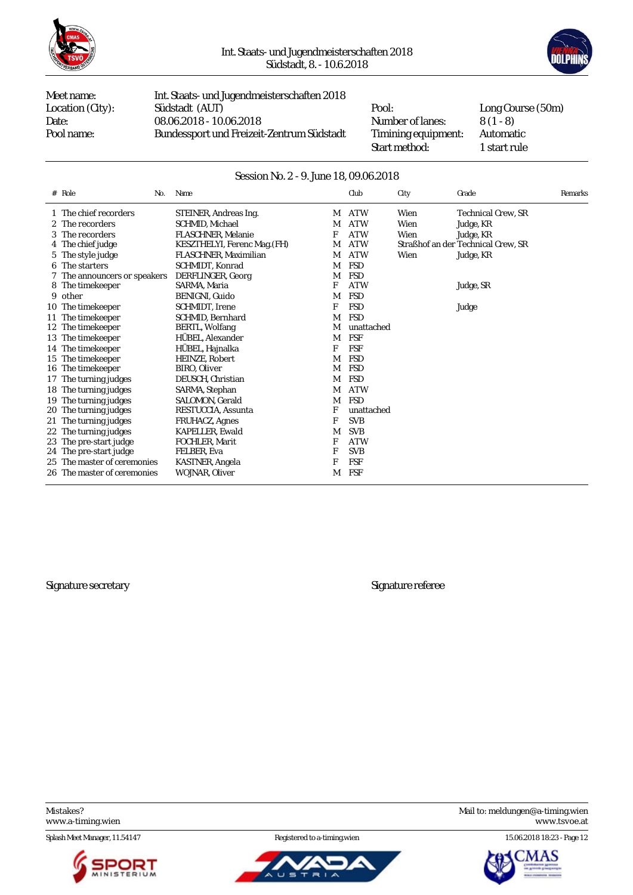



Meet name: Int. Staats- und Jugendmeisterschaften 2018 Location (City): Südstadt (AUT) Pool: Long Course (50m)<br>Date: 08.06.2018 - 10.06.2018 Number of lanes: 8 (1 - 8) Date: 08.06.2018 - 10.06.2018 Mumber of lanes: 8 (1 - 8)<br>Pool name: Bundessport und Freizeit-Zentrum Südstadt Timining equipment: Automatic Bundessport und Freizeit-Zentrum Südstadt Timining equipment:

Start method: 1 start rule

#### Session No. 2 - 9. June 18, 09.06.2018

| # | Role<br>No.                  | Name                         |   | Club       | City | Grade                              | Remarks |
|---|------------------------------|------------------------------|---|------------|------|------------------------------------|---------|
|   | 1 The chief recorders        | STEINER, Andreas Ing.        | M | <b>ATW</b> | Wien | <b>Technical Crew. SR</b>          |         |
|   | 2 The recorders              | SCHMID, Michael              | M | <b>ATW</b> | Wien | Judge, KR                          |         |
|   | 3 The recorders              | <b>FLASCHNER, Melanie</b>    | F | <b>ATW</b> | Wien | Judge, KR                          |         |
|   | 4 The chief judge            | KESZTHELYI, Ferenc Mag. (FH) | M | <b>ATW</b> |      | Straßhof an der Technical Crew, SR |         |
|   | 5 The style judge            | FLASCHNER, Maximilian        | M | <b>ATW</b> | Wien | Judge, KR                          |         |
|   | 6 The starters               | SCHMIDT, Konrad              | M | <b>FSD</b> |      |                                    |         |
|   | 7 The announcers or speakers | DERFLINGER, Georg            | M | <b>FSD</b> |      |                                    |         |
|   | 8 The time keeper            | SARMA, Maria                 | F | <b>ATW</b> |      | Judge, SR                          |         |
|   | 9 other                      | BENIGNI, Guido               | M | <b>FSD</b> |      |                                    |         |
|   | 10 The timekeeper            | SCHMIDT, Irene               | F | <b>FSD</b> |      | Judge                              |         |
|   | 11 The timekeeper            | <b>SCHMID.</b> Bernhard      | M | <b>FSD</b> |      |                                    |         |
|   | 12 The timekeeper            | BERTL, Wolfang               | M | unattached |      |                                    |         |
|   | 13 The timekeeper            | HÜBEL, Alexander             | M | <b>FSF</b> |      |                                    |         |
|   | 14 The timekeeper            | HÜBEL, Hajnalka              | F | <b>FSF</b> |      |                                    |         |
|   | 15 The timekeeper            | HEINZE, Robert               | M | <b>FSD</b> |      |                                    |         |
|   | 16 The timekeeper            | BIRO, Oliver                 | М | <b>FSD</b> |      |                                    |         |
|   | 17 The turning judges        | DEUSCH, Christian            | М | <b>FSD</b> |      |                                    |         |
|   | 18 The turning judges        | SARMA, Stephan               | M | <b>ATW</b> |      |                                    |         |
|   | 19 The turning judges        | SALOMON, Gerald              | M | FSD        |      |                                    |         |
|   | 20 The turning judges        | RESTUCCIA, Assunta           | F | unattached |      |                                    |         |
|   | 21 The turning judges        | <b>FRUHACZ, Agnes</b>        | F | <b>SVB</b> |      |                                    |         |
|   | 22 The turning judges        | <b>KAPELLER, Ewald</b>       | M | <b>SVB</b> |      |                                    |         |
|   | 23 The pre-start judge       | FOCHLER, Marit               | F | <b>ATW</b> |      |                                    |         |
|   | 24 The pre-start judge       | FELBER, Eva                  | F | <b>SVB</b> |      |                                    |         |
|   | 25 The master of ceremonies  | KASTNER, Angela              | F | <b>FSF</b> |      |                                    |         |
|   | 26 The master of ceremonies  | WOJNAR, Oliver               | M | FSF        |      |                                    |         |

Signature secretary Signature referee

Splash Meet Manager, 11.54147 Registered to a-timing.wien 15.06.2018 18:23 - Page 12





Mistakes? Mail to: [meldungen@a-timing.wien](mailto:meldungen@a-timing.wien) <www.a-timing.wien> <www.tsvoe.at>

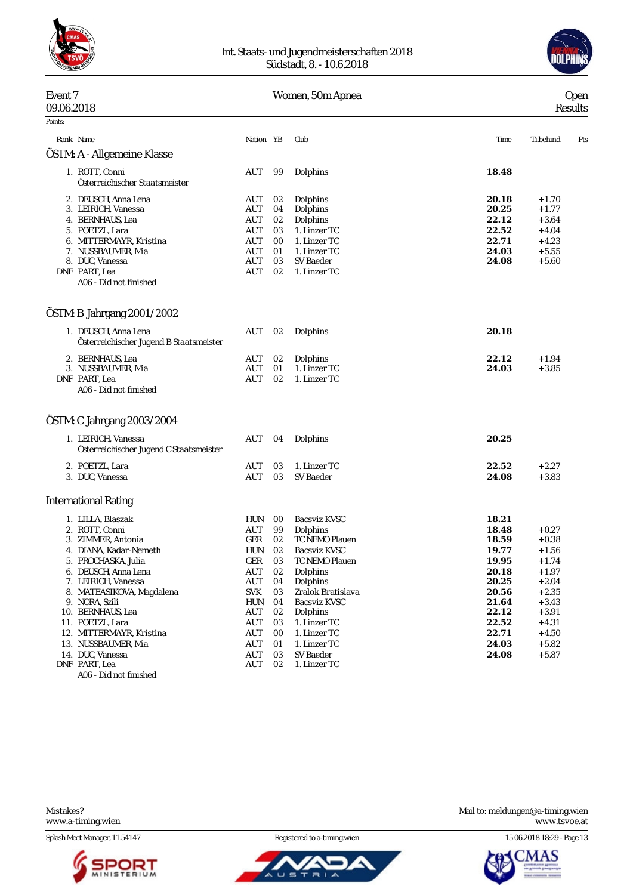

#### Int. Staats- und Jugendmeisterschaften 2018 Südstadt, 8. - 10.6.2018



#### Event 7 Women, 50m Apnea Open 09.06.2018 Results Points: Rank Name Nation YB Club Time Ti.behind Pts ÖSTM: A - Allgemeine Klasse 1. ROTT, Conni AUT 99 Dolphins **18.48** *Österreichischer Staatsmeister* 2. DEUSCH, Anna Lena AUT 02 Dolphins **20.18** + 1.70 3. LEIRICH, Vanessa 4. BERNHAUS, Lea AUT 02 Dolphins **22.12** + 3.64 5. POETZL, Lara AUT 03 1. Linzer TC **22.52** + 4.04 6. MITTERMAYR, Kristina AUT 00 1. Linzer TC **22.71** + 4.23 7. NUSSBAUMER, Mia AUT 01 1. Linzer TC **24.03** + 5.55 8. DUC, Vanessa AUT 03 SV Baeder **24.08** + 5.60 DNF PART, Lea AUT 02 1. Linzer TC *A06 - Did not finished* ÖSTM: B Jahrgang 2001/2002 1. DEUSCH, Anna Lena AUT 02 Dolphins **20.18** *Österreichischer Jugend B Staatsmeister* 2. BERNHAUS, Lea AUT 02 Dolphins **22.12** + 1.94 3. NUSSBAUMER, Mia DNF PART, Lea AUT 02 1. Linzer TC *A06 - Did not finished* ÖSTM: C Jahrgang 2003/2004 1. LEIRICH, Vanessa AUT 04 Dolphins **20.25** *Österreichischer Jugend C Staatsmeister* 2. POETZL, Lara AUT 03 1. Linzer TC **22.52** + 2.27 3. DUC, Vanessa AUT 03 SV Baeder **24.08** + 3.83 International Rating 1. LILLA, Blaszak HUN 00 Bacsviz KVSC **18.21** 2. ROTT, Conni AUT 99 Dolphins **18.48** + 0.27 3. ZIMMER, Antonia 62 GER<br>1. DIANA. Kadar-Nemeth **18.69** HUN 4. DIANA, Kadar-Nemeth HUN 02 Bacsviz KVSC **19.77** + 1.56 5. PROCHASKA, Julia GER 03 TC NEMO Plauen **19.95** + 1.74 6. DEUSCH, Anna Lena AUT 02 Dolphins **20.18** + 1.97 7. LEIRICH, Vanessa AUT 04 Dolphins **20.25** + 2.04 8. MATEASIKOVA, Magdalena 9. NORA, Szili HUN 04 Bacsviz KVSC **21.64** + 3.43 10. BERNHAUS, Lea **AUT** 4.1. POETZL, Lara 11. POETZL, Lara **11. 22.52** + 4.31<br>12. MITTERMAYR. Kristina **AUT 00** 1. Linzer TC **1. 12. AUT** 22.71 + 4.50 12. MITTERMAYR, Kristina 13. NUSSBAUMER, Mia AUT 01 1. Linzer TC **24.03** + 5.82 14. DUC, Vanessa AUT 03 SV Baeder **24.08** + 5.87 02 1. Linzer TC

*A06 - Did not finished*

Splash Meet Manager, 11.54147 **Registered to a-timing.wien** 15.06.2018 18:29 - Page 13





Mistakes? Mail to: [meldungen@a-timing.wien](mailto:meldungen@a-timing.wien) <www.a-timing.wien> <www.tsvoe.at>

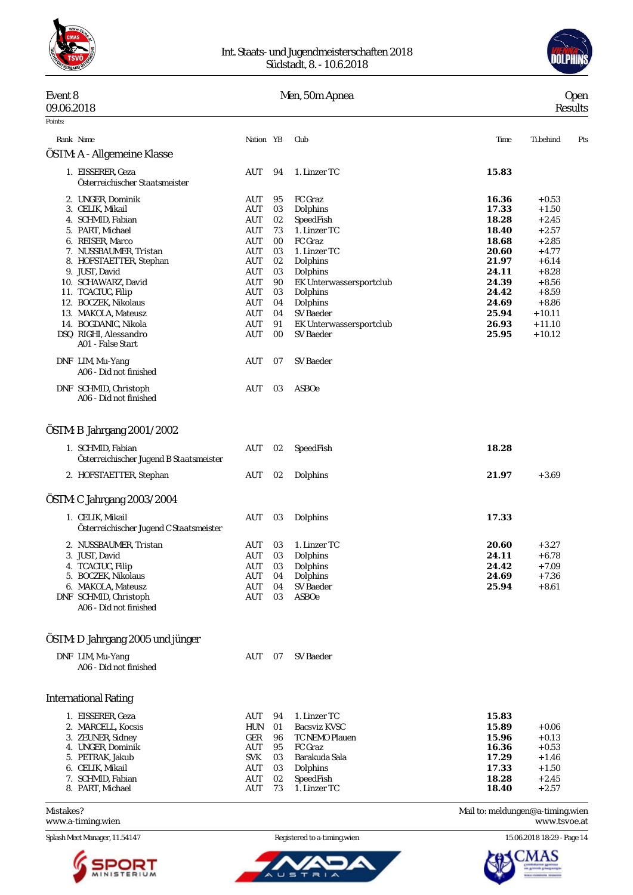

#### Int. Staats- und Jugendmeisterschaften 2018 Südstadt, 8. - 10.6.2018



### Mistakes? Mail to: [meldungen@a-timing.wien](mailto:meldungen@a-timing.wien) Event 8 Men, 50m Apnea Open 09.06.2018 Results Points: Rank Name Nation YB Club Time Ti.behind Pts ÖSTM: A - Allgemeine Klasse 1. EISSERER, Geza AUT 94 1. Linzer TC **15.83** *Österreichischer Staatsmeister* 2. UNGER, Dominik AUT 95 FC Graz **16.36** + 0.53 3. CELIK, Mikail 4. SCHMID, Fabian AUT 02 SpeedFish **18.28** + 2.45 5. PART, Michael AUT 73 1. Linzer TC **18.40** + 2.57 6. REISER, Marco AUT 00 FC Graz **18.68** + 2.85 7. NUSSBAUMER, Tristan AUT 03 1. Linzer TC **20.60** + 4.77 8. HOFSTAETTER, Stephan AUT 02 Dolphins **21.97** + 6.14 9. JUST, David AUT 03 Dolphins **24.11** + 8.28 AUT 90 EK Unterwassersportclub  $24.39 + 8.56$ <br>AUT 03 Dolphins  $24.42 + 8.59$ 11. TCACIUC, Filip **2006**<br>12. BOCZEK, Nikolaus **2006**<br>AUT 12. BOCZEK, Nikolaus AUT 04 Dolphins **24.69** + 8.86 13. MAKOLA, Mateusz AUT 04 SV Baeder **25.94** + 10.11 EK Unterwassersportclub  $26.93 + 11.10$ DSQ RIGHI, Alessandro AUT 00 SV Baeder **25.95** + 10.12 *A01 - False Start* DNF LIM, Mu-Yang AUT 07 SV Baeder *A06 - Did not finished* DNF SCHMID, Christoph AUT 03 ASBOe *A06 - Did not finished* ÖSTM: B Jahrgang 2001/2002 1. SCHMID, Fabian AUT 02 SpeedFish **18.28** *Österreichischer Jugend B Staatsmeister* 2. HOFSTAETTER, Stephan AUT 02 Dolphins **21.97** + 3.69 ÖSTM: C Jahrgang 2003/2004 1. CELIK, Mikail AUT 03 Dolphins **17.33** *Österreichischer Jugend C Staatsmeister* 2. NUSSBAUMER, Tristan AUT 03 1. Linzer TC **20.60** + 3.27 3. JUST, David AUT 03 Dolphins **24.11** + 6.78 4. TCACIUC, Filip AUT 03 Dolphins **24.42** + 7.09 5. BOCZEK, Nikolaus 6. MAKOLA, Mateusz AUT 04 SV Baeder **25.94** + 8.61 DNF SCHMID, Christoph AUT 03 ASBOe *A06 - Did not finished* ÖSTM: D Jahrgang 2005 und jünger DNF LIM, Mu-Yang and AUT 07 SV Baeder *A06 - Did not finished* International Rating 1. EISSERER, Geza AUT 94 1. Linzer TC **15.83** 2. MARCELL, Kocsis HUN 01 Bacsviz KVSC **15.89** + 0.06 3. ZEUNER, Sidney GER 96 TC NEMO Plauen **15.96** + 0.13 4. UNGER, Dominik AUT 95 FC Graz **16.36** + 0.53 5. PETRAK, Jakub SVK 03 Barakuda Sala **17.29** + 1.46 6. CELIK, Mikail AUT 03 Dolphins **17.33** + 1.50 7. SCHMID, Fabian AUT 02 SpeedFish **18.28** + 2.45 8. PART, Michael

<www.a-timing.wien> <www.tsvoe.at>



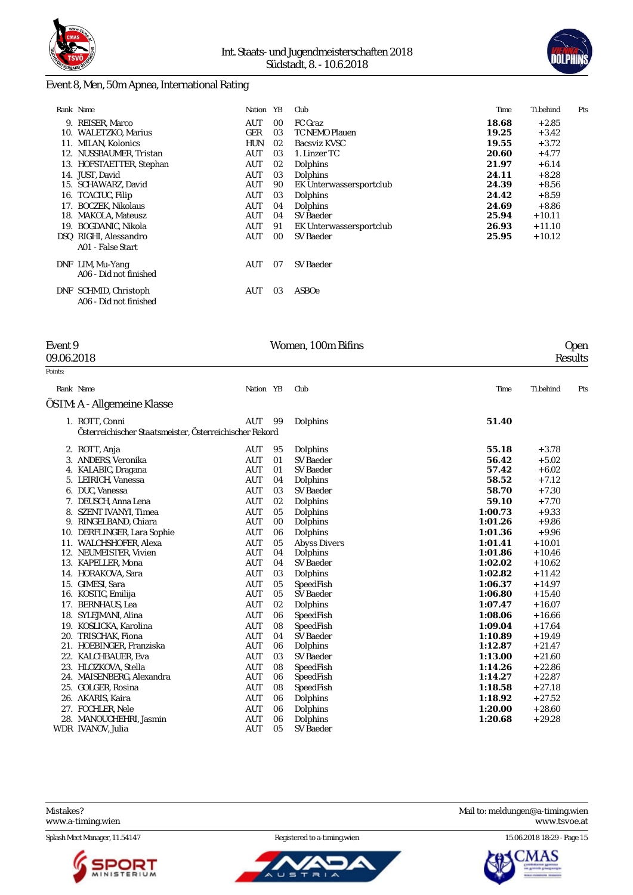



### Event 8, Men, 50m Apnea, International Rating

|     | Rank Name                | Nation     | YB | Club                    | Time  | Ti.behind | Pts |
|-----|--------------------------|------------|----|-------------------------|-------|-----------|-----|
| 9.  | REISER, Marco            | AUT        | 00 | FC Graz                 | 18.68 | $+2.85$   |     |
| 10. | WALETZKO, Marius         | GER        | 03 | <b>TC NEMO Plauen</b>   | 19.25 | $+3.42$   |     |
|     | 11. MILAN, Kolonics      | <b>HUN</b> | 02 | Bacsviz KVSC            | 19.55 | $+3.72$   |     |
|     | 12. NUSSBAUMER, Tristan  | AUT        | 03 | 1. Linzer TC            | 20.60 | $+4.77$   |     |
|     | 13. HOFSTAETTER, Stephan | <b>AUT</b> | 02 | Dolphins                | 21.97 | $+6.14$   |     |
|     | 14. JUST, David          | AUT        | 03 | Dolphins                | 24.11 | $+8.28$   |     |
|     | 15. SCHAWARZ, David      | AUT        | 90 | EK Unterwassersportclub | 24.39 | $+8.56$   |     |
|     | 16. TCACIUC, Filip       | AUT        | 03 | Dolphins                | 24.42 | $+8.59$   |     |
| 17. | <b>BOCZEK, Nikolaus</b>  | AUT        | 04 | Dolphins                | 24.69 | $+8.86$   |     |
|     | 18. MAKOLA, Mateusz      | AUT        | 04 | SV Baeder               | 25.94 | $+10.11$  |     |
| 19. | <b>BOGDANIC, Nikola</b>  | AUT        | 91 | EK Unterwassersportclub | 26.93 | $+11.10$  |     |
|     | DSQ RIGHI, Alessandro    | AUT        | 00 | <b>SV Baeder</b>        | 25.95 | $+10.12$  |     |
|     | A01 - False Start        |            |    |                         |       |           |     |
| DNF | LIM, Mu-Yang             | AUT        | 07 | SV Baeder               |       |           |     |
|     | A06 - Did not finished   |            |    |                         |       |           |     |
| DNF | SCHMID, Christoph        | AUT        | 03 | ASBOe                   |       |           |     |
|     | A06 - Did not finished   |            |    |                         |       |           |     |

09.06.2018 Results

| Event 9 | Women, 100m Bifins | <b>Open</b> |
|---------|--------------------|-------------|

| Points: |                                                         |            |    |                     |         |           |     |
|---------|---------------------------------------------------------|------------|----|---------------------|---------|-----------|-----|
|         | Rank Name                                               | Nation YB  |    | Club                | Time    | Ti.behind | Pts |
|         | ÖSTM: A - Allgemeine Klasse                             |            |    |                     |         |           |     |
|         | 1. ROTT, Conni                                          | AUT        | 99 | Dolphins            | 51.40   |           |     |
|         | Österreichischer Staatsmeister, Österreichischer Rekord |            |    |                     |         |           |     |
|         | 2. ROTT, Anja                                           | AUT        | 95 | Dolphins            | 55.18   | $+3.78$   |     |
|         | 3. ANDERS, Veronika                                     | <b>AUT</b> | 01 | SV Baeder           | 56.42   | $+5.02$   |     |
|         | 4. KALABIC, Dragana                                     | <b>AUT</b> | 01 | SV Baeder           | 57.42   | $+6.02$   |     |
|         | 5. LEIRICH, Vanessa                                     | <b>AUT</b> | 04 | Dolphins            | 58.52   | $+7.12$   |     |
|         | 6. DUC, Vanessa                                         | AUT        | 03 | SV Baeder           | 58.70   | $+7.30$   |     |
|         | 7. DEUSCH, Anna Lena                                    | <b>AUT</b> | 02 | Dolphins            | 59.10   | $+7.70$   |     |
|         | 8. SZENT IVANYI, Timea                                  | <b>AUT</b> | 05 | Dolphins            | 1:00.73 | $+9.33$   |     |
|         | 9. RINGELBAND, Chiara                                   | <b>AUT</b> | 00 | Dolphins            | 1:01.26 | $+9.86$   |     |
|         | 10. DERFLINGER, Lara Sophie                             | AUT        | 06 | Dolphins            | 1:01.36 | $+9.96$   |     |
|         | 11. WALCHSHOFER, Alexa                                  | <b>AUT</b> | 05 | <b>Abyss Divers</b> | 1:01.41 | $+10.01$  |     |
|         | 12. NEUMEISTER, Vivien                                  | <b>AUT</b> | 04 | Dolphins            | 1:01.86 | $+10.46$  |     |
|         | 13. KAPELLER, Mona                                      | <b>AUT</b> | 04 | SV Baeder           | 1:02.02 | $+10.62$  |     |
|         | 14. HORAKOVA, Sara                                      | <b>AUT</b> | 03 | Dolphins            | 1:02.82 | $+11.42$  |     |
|         | 15. GIMESI, Sara                                        | <b>AUT</b> | 05 | SpeedFish           | 1:06.37 | $+14.97$  |     |
|         | 16. KOSTIC, Emilija                                     | <b>AUT</b> | 05 | SV Baeder           | 1:06.80 | $+15.40$  |     |
|         | 17. BERNHAUS, Lea                                       | <b>AUT</b> | 02 | Dolphins            | 1:07.47 | $+16.07$  |     |
|         | 18. SYLEJMANI, Alina                                    | AUT        | 06 | SpeedFish           | 1:08.06 | $+16.66$  |     |
|         | 19. KOSLICKA, Karolina                                  | <b>AUT</b> | 08 | SpeedFish           | 1:09.04 | $+17.64$  |     |
|         | 20. TRISCHAK. Fiona                                     | <b>AUT</b> | 04 | SV Baeder           | 1:10.89 | $+19.49$  |     |
|         | 21. HOEBINGER, Franziska                                | <b>AUT</b> | 06 | Dolphins            | 1:12.87 | $+21.47$  |     |
|         | 22. KALCHBAUER, Eva                                     | <b>AUT</b> | 03 | SV Baeder           | 1:13.00 | $+21.60$  |     |
|         | 23. HLOZKOVA, Stella                                    | <b>AUT</b> | 08 | SpeedFish           | 1:14.26 | $+22.86$  |     |
| 24.     | MAISENBERG, Alexandra                                   | AUT        | 06 | SpeedFish           | 1:14.27 | $+22.87$  |     |
|         | 25. GOLGER, Rosina                                      | <b>AUT</b> | 08 | SpeedFish           | 1:18.58 | $+27.18$  |     |
|         | 26. AKARIS, Kaira                                       | <b>AUT</b> | 06 | Dolphins            | 1:18.92 | $+27.52$  |     |
|         | 27. FOCHLER, Nele                                       | <b>AUT</b> | 06 | Dolphins            | 1:20.00 | $+28.60$  |     |
|         | 28. MANOUCHEHRI, Jasmin                                 | <b>AUT</b> | 06 | Dolphins            | 1:20.68 | $+29.28$  |     |
|         | WDR IVANOV, Julia                                       | <b>AUT</b> | 05 | <b>SV Baeder</b>    |         |           |     |

Mistakes? Mail to: [meldungen@a-timing.wien](mailto:meldungen@a-timing.wien) <www.a-timing.wien>





Splash Meet Manager, 11.54147 **Registered to a-timing.wien** 15.06.2018 18:29 - Page 15

ΑS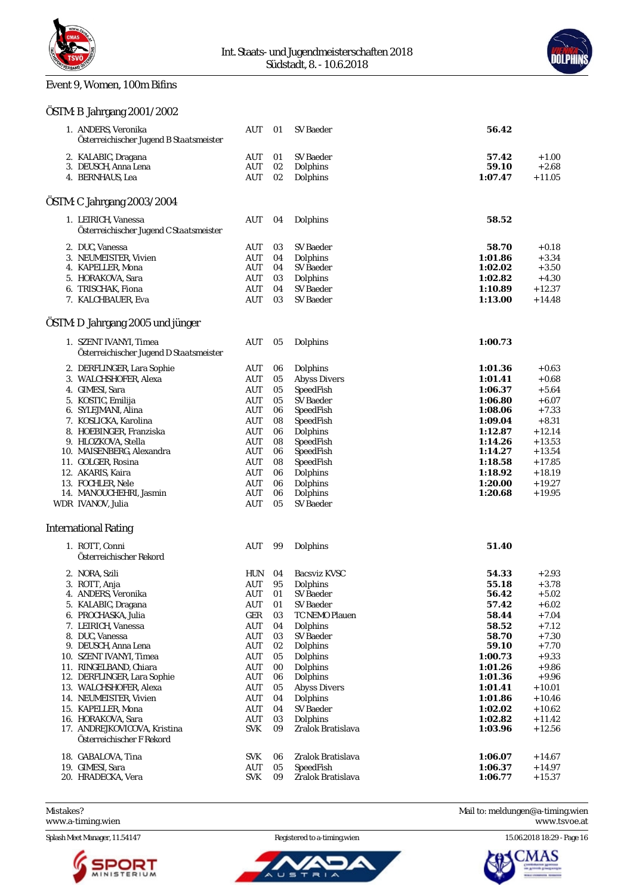

### Event 9, Women, 100m Bifins

### ÖSTM: B Jahrgang 2001/2002



| 1. ANDERS, Veronika<br>Österreichischer Jugend B Staatsmeister | AUT                | 01       | <b>SV Baeder</b>      | 56.42              |                      |
|----------------------------------------------------------------|--------------------|----------|-----------------------|--------------------|----------------------|
| 2. KALABIC, Dragana                                            | AUT                | 01       | SV Baeder             | 57.42              | $+1.00$              |
| 3. DEUSCH, Anna Lena                                           | AUT                | 02       | Dolphins              | 59.10              | $+2.68$              |
| 4. BERNHAUS, Lea                                               | AUT                | 02       | Dolphins              | 1:07.47            | $+11.05$             |
|                                                                |                    |          |                       |                    |                      |
| ÖSTM: C Jahrgang 2003/2004                                     |                    |          |                       |                    |                      |
| 1. LEIRICH, Vanessa<br>Österreichischer Jugend C Staatsmeister | <b>AUT</b>         | 04       | Dolphins              | 58.52              |                      |
| 2. DUC, Vanessa                                                | AUT                | 03       | <b>SV Baeder</b>      | 58.70              | $+0.18$              |
| 3. NEUMEISTER, Vivien                                          | AUT                | 04       | Dolphins              | 1:01.86            | $+3.34$              |
| 4. KAPELLER, Mona                                              | AUT                | 04       | SV Baeder             | 1:02.02            | $+3.50$              |
| 5. HORAKOVA, Sara                                              | AUT                | 03       | Dolphins              | 1:02.82            | $+4.30$              |
| 6. TRISCHAK, Fiona                                             | <b>AUT</b>         | 04       | <b>SV Baeder</b>      | 1:10.89            | $+12.37$             |
| 7. KALCHBAUER, Eva                                             | AUT                | 03       | <b>SV Baeder</b>      | 1:13.00            | $+14.48$             |
| OSTM: D Jahrgang 2005 und jünger                               |                    |          |                       |                    |                      |
| 1. SZENT IVANYI, Timea                                         | AUT                | 05       | Dolphins              | 1:00.73            |                      |
| Österreichischer Jugend D Staatsmeister                        |                    |          |                       |                    |                      |
| 2. DERFLINGER, Lara Sophie                                     | AUT                | 06       | Dolphins              | 1:01.36            | $+0.63$              |
| 3. WALCHSHOFER, Alexa                                          | <b>AUT</b>         | 05       | <b>Abyss Divers</b>   | 1:01.41            | $+0.68$              |
| 4. GIMESI, Sara                                                | <b>AUT</b>         | 05       | SpeedFish             | 1:06.37            | $+5.64$              |
| 5. KOSTIC, Emilija                                             | <b>AUT</b>         | 05       | <b>SV Baeder</b>      | 1:06.80            | $+6.07$              |
| 6. SYLEJMANI, Alina                                            | AUT                | 06       | SpeedFish             | 1:08.06            | $+7.33$              |
| 7. KOSLICKA, Karolina                                          | AUT                | 08       | SpeedFish             | 1:09.04            | $+8.31$              |
| 8. HOEBINGER, Franziska<br>9. HLOZKOVA, Stella                 | AUT<br><b>AUT</b>  | 06<br>08 | Dolphins<br>SpeedFish | 1:12.87<br>1:14.26 | $+12.14$<br>$+13.53$ |
| 10. MAISENBERG, Alexandra                                      | <b>AUT</b>         | 06       | SpeedFish             | 1:14.27            | $+13.54$             |
| 11. GOLGER, Rosina                                             | AUT                | 08       | SpeedFish             | 1:18.58            | $+17.85$             |
| 12. AKARIS, Kaira                                              | AUT                | 06       | Dolphins              | 1:18.92            | $+18.19$             |
| 13. FOCHLER, Nele                                              | <b>AUT</b>         | 06       | Dolphins              | 1:20.00            | $+19.27$             |
| 14. MANOUCHEHRI, Jasmin                                        | AUT                | 06       | Dolphins              | 1:20.68            | $+19.95$             |
| WDR IVANOV, Julia                                              | AUT                | 05       | <b>SV Baeder</b>      |                    |                      |
| <b>International Rating</b>                                    |                    |          |                       |                    |                      |
| 1. ROTT, Conni<br>Österreichischer Rekord                      | AUT                | 99       | Dolphins              | 51.40              |                      |
| 2. NORA, Szili                                                 | HUN                | 04       | <b>Bacsviz KVSC</b>   | 54.33              | $+2.93$              |
| 3. ROTT, Anja                                                  | <b>AUT</b>         | 95       | Dolphins              | 55.18              | $+3.78$              |
| 4. ANDERS, Veronika                                            | AUT                | 01       | SV Baeder             | 56.42              | $+5.02$              |
| 5. KALABIC, Dragana                                            | AUT                | $0 \\ 1$ | SV Baeder             | 57.42              | $+6.02$              |
| 6. PROCHASKA, Julia                                            | GER                | 03       | TC NEMO Plauen        | 58.44              | $+7.04$              |
| 7. LEIRICH, Vanessa                                            | $\mathop{\rm AUT}$ | 04       | Dolphins              | 58.52              | $+7.12$              |
| 8. DUC, Vanessa                                                | <b>AUT</b>         | 03       | SV Baeder             | 58.70              | $+7.30$              |
| 9. DEUSCH, Anna Lena                                           | AUT                | 02       | Dolphins              | 59.10              | $+7.70$              |
| 10. SZENT IVANYI, Timea                                        | AUT                | 05       | Dolphins              | 1:00.73            | $+9.33$              |
| 11. RINGELBAND, Chiara                                         | <b>AUT</b>         | 00       | <b>Dolphins</b>       | 1:01.26            | $+9.86$              |
| 12. DERFLINGER, Lara Sophie                                    | <b>AUT</b>         | 06       | Dolphins              | 1:01.36            | $+9.96$              |
| 13. WALCHSHOFER, Alexa                                         | AUT                | 05       | <b>Abyss Divers</b>   | 1:01.41            | $+10.01$             |
| 14. NEUMEISTER, Vivien                                         | AUT                | 04       | Dolphins<br>SV Baeder | 1:01.86            | $+10.46$             |
| 15. KAPELLER, Mona<br>16. HORAKOVA, Sara                       | <b>AUT</b>         | 04       | Dolphins              | 1:02.02            | $+10.62$             |
| 17. ANDREJKOVICOVA, Kristina                                   | AUT<br><b>SVK</b>  | 03<br>09 | Zralok Bratislava     | 1:02.82<br>1:03.96 | $+11.42$<br>$+12.56$ |
| Österreichischer F Rekord                                      |                    |          |                       |                    |                      |
| 18. GABALOVA, Tina                                             | <b>SVK</b>         | 06       | Zralok Bratislava     | 1:06.07            | $+14.67$             |
| 19. GIMESI, Sara                                               | AUT                | 05       | SpeedFish             | 1:06.37            | $+14.97$             |
| 20. HRADECKA, Vera                                             | <b>SVK</b>         | 09       | Zralok Bratislava     | 1:06.77            | $+15.37$             |

<www.a-timing.wien>

Splash Meet Manager, 11.54147 **Registered to a-timing.wien** 15.06.2018 18:29 - Page 16



Ъ  $\equiv$ 

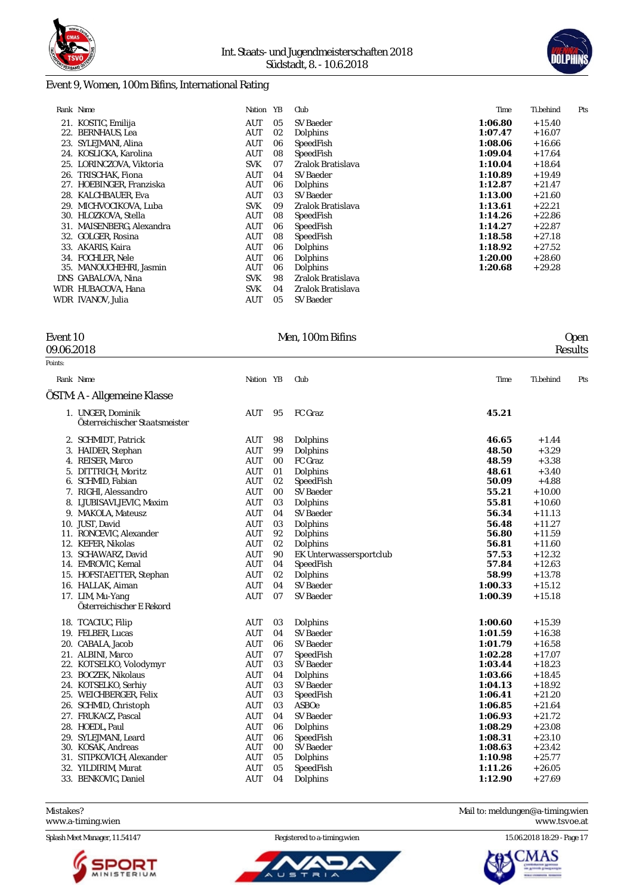



#### Event 9, Women, 100m Bifins, International Rating

|     | Rank Name                | Nation     | YB | Club              | Time    | Ti.behind | Pts |
|-----|--------------------------|------------|----|-------------------|---------|-----------|-----|
|     | 21. KOSTIC, Emilija      | AUT        | 05 | SV Baeder         | 1:06.80 | $+15.40$  |     |
| 22. | <b>BERNHAUS, Lea</b>     | AUT        | 02 | Dolphins          | 1:07.47 | $+16.07$  |     |
| 23. | SYLEJMANI, Alina         | AUT        | 06 | SpeedFish         | 1:08.06 | $+16.66$  |     |
|     | 24. KOSLICKA, Karolina   | AUT        | 08 | SpeedFish         | 1:09.04 | $+17.64$  |     |
|     | 25. LORINCZOVA, Viktoria | <b>SVK</b> | 07 | Zralok Bratislava | 1:10.04 | $+18.64$  |     |
|     | 26. TRISCHAK. Fiona      | AUT        | 04 | SV Baeder         | 1:10.89 | $+19.49$  |     |
| 27. | HOEBINGER, Franziska     | AUT        | 06 | Dolphins          | 1:12.87 | $+21.47$  |     |
| 28. | KALCHBAUER, Eva          | AUT        | 03 | SV Baeder         | 1:13.00 | $+21.60$  |     |
| 29. | MICHVOCIKOVA, Luba       | <b>SVK</b> | 09 | Zralok Bratislava | 1:13.61 | $+22.21$  |     |
| 30. | HLOZKOVA, Stella         | AUT        | 08 | SpeedFish         | 1:14.26 | $+22.86$  |     |
| 31. | MAISENBERG, Alexandra    | AUT        | 06 | SpeedFish         | 1:14.27 | $+22.87$  |     |
|     | 32. GOLGER, Rosina       | AUT        | 08 | SpeedFish         | 1:18.58 | $+27.18$  |     |
| 33. | AKARIS, Kaira            | AUT        | 06 | Dolphins          | 1:18.92 | $+27.52$  |     |
|     | 34. FOCHLER, Nele        | AUT        | 06 | Dolphins          | 1:20.00 | $+28.60$  |     |
|     | 35. MANOUCHEHRI, Jasmin  | AUT        | 06 | Dolphins          | 1:20.68 | $+29.28$  |     |
|     | DNS GABALOVA, Nina       | <b>SVK</b> | 98 | Zralok Bratislava |         |           |     |
|     | WDR HUBACOVA, Hana       | <b>SVK</b> | 04 | Zralok Bratislava |         |           |     |
|     | WDR IVANOV. Julia        | AUT        | 05 | SV Baeder         |         |           |     |

Points:

09.06.2018 Results

### Event 10 Men, 100m Bifins Open

| Rank Name                                           | Nation YB  |                | Club                    | Time    | Ti.behind | Pts |
|-----------------------------------------------------|------------|----------------|-------------------------|---------|-----------|-----|
| OSTM: A - Allgemeine Klasse                         |            |                |                         |         |           |     |
| 1. UNGER, Dominik<br>Österreichischer Staatsmeister | AUT        | 95             | FC Graz                 | 45.21   |           |     |
| 2. SCHMIDT, Patrick                                 | AUT        | 98             | Dolphins                | 46.65   | $+1.44$   |     |
| 3. HAIDER, Stephan                                  | <b>AUT</b> | 99             | Dolphins                | 48.50   | $+3.29$   |     |
| 4. REISER, Marco                                    | AUT        | 0 <sub>0</sub> | FC Graz                 | 48.59   | $+3.38$   |     |
| 5. DITTRICH, Moritz                                 | <b>AUT</b> | 01             | Dolphins                | 48.61   | $+3.40$   |     |
| 6. SCHMID, Fabian                                   | <b>AUT</b> | 02             | SpeedFish               | 50.09   | $+4.88$   |     |
| 7. RIGHI, Alessandro                                | <b>AUT</b> | 0 <sub>0</sub> | SV Baeder               | 55.21   | $+10.00$  |     |
| 8. LJUBISAVLJEVIC, Maxim                            | <b>AUT</b> | 03             | Dolphins                | 55.81   | $+10.60$  |     |
| 9. MAKOLA. Mateusz                                  | <b>AUT</b> | 04             | <b>SV Baeder</b>        | 56.34   | $+11.13$  |     |
| 10. JUST, David                                     | <b>AUT</b> | 03             | Dolphins                | 56.48   | $+11.27$  |     |
| 11. RONCEVIC, Alexander                             | <b>AUT</b> | 92             | Dolphins                | 56.80   | $+11.59$  |     |
| 12. KEFER, Nikolas                                  | <b>AUT</b> | 02             | Dolphins                | 56.81   | $+11.60$  |     |
| 13. SCHAWARZ, David                                 | <b>AUT</b> | 90             | EK Unterwassersportclub | 57.53   | $+12.32$  |     |
| 14. EMROVIC, Kemal                                  | <b>AUT</b> | 04             | SpeedFish               | 57.84   | $+12.63$  |     |
| 15. HOFSTAETTER, Stephan                            | <b>AUT</b> | 02             | Dolphins                | 58.99   | $+13.78$  |     |
| 16. HALLAK, Aiman                                   | <b>AUT</b> | 04             | SV Baeder               | 1:00.33 | $+15.12$  |     |
| 17. LIM, Mu-Yang                                    | AUT        | 07             | <b>SV Baeder</b>        | 1:00.39 | $+15.18$  |     |
| Österreichischer E Rekord                           |            |                |                         |         |           |     |
| 18. TCACIUC, Filip                                  | <b>AUT</b> | 03             | Dolphins                | 1:00.60 | $+15.39$  |     |
| 19. FELBER, Lucas                                   | <b>AUT</b> | 04             | SV Baeder               | 1:01.59 | $+16.38$  |     |
| 20. CABALA. Jacob                                   | <b>AUT</b> | 06             | SV Baeder               | 1:01.79 | $+16.58$  |     |
| 21. ALBINI, Marco                                   | <b>AUT</b> | 07             | SpeedFish               | 1:02.28 | $+17.07$  |     |
| 22. KOTSELKO, Volodymyr                             | AUT        | 03             | SV Baeder               | 1:03.44 | $+18.23$  |     |
| 23. BOCZEK, Nikolaus                                | <b>AUT</b> | 04             | Dolphins                | 1:03.66 | $+18.45$  |     |
| 24. KOTSELKO, Serhiy                                | <b>AUT</b> | 03             | SV Baeder               | 1:04.13 | $+18.92$  |     |
| 25. WEICHBERGER, Felix                              | <b>AUT</b> | 03             | SpeedFish               | 1:06.41 | $+21.20$  |     |
| 26. SCHMID, Christoph                               | AUT        | 03             | <b>ASBOe</b>            | 1:06.85 | $+21.64$  |     |
| 27. FRUKACZ, Pascal                                 | <b>AUT</b> | 04             | SV Baeder               | 1:06.93 | $+21.72$  |     |
| 28. HOEDL, Paul                                     | <b>AUT</b> | 06             | Dolphins                | 1:08.29 | $+23.08$  |     |
| 29. SYLEJMANI, Leard                                | <b>AUT</b> | 06             | SpeedFish               | 1:08.31 | $+23.10$  |     |
| 30. KOSAK, Andreas                                  | <b>AUT</b> | 0 <sub>0</sub> | <b>SV Baeder</b>        | 1:08.63 | $+23.42$  |     |

Mistakes? Mail to: [meldungen@a-timing.wien](mailto:meldungen@a-timing.wien) <www.a-timing.wien> <www.tsvoe.at>



31. STIPKOVICH, Alexander AUT 05 Dolphins **1:10.98** + 25.77 32. YILDIRIM, Murat AUT 05 SpeedFish **1:11.26** + 26.05 33. BENKOVIC, Daniel AUT 04 Dolphins **1:12.90** + 27.69

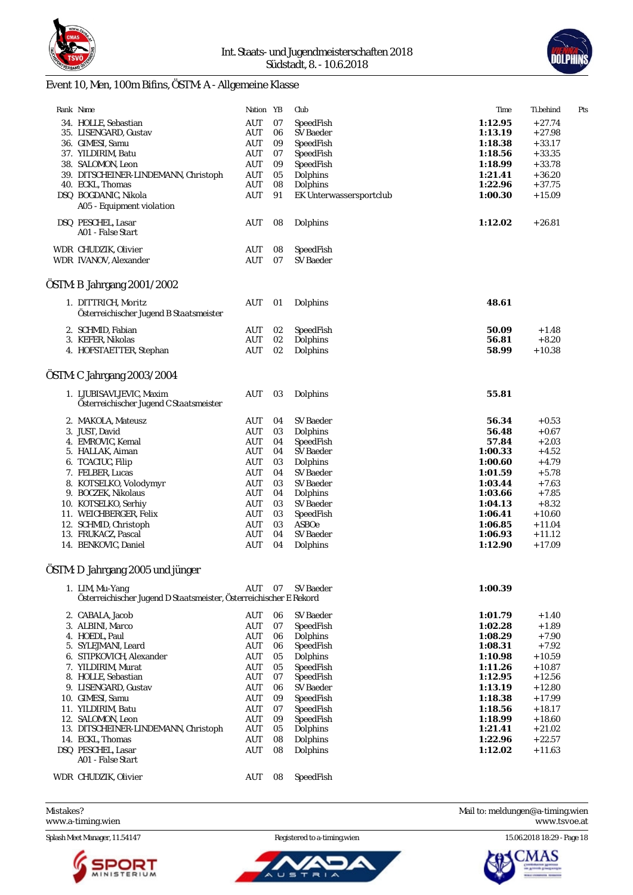



# Event 10, Men, 100m Bifins, ÖSTM: A - Allgemeine Klasse

| Rank Name                                                                             | Nation YB                |          | Club                    | Time           | Ti.behind          | Pts |
|---------------------------------------------------------------------------------------|--------------------------|----------|-------------------------|----------------|--------------------|-----|
| 34. HOLLE, Sebastian                                                                  | AUT                      | 07       | SpeedFish               | 1:12.95        | $+27.74$           |     |
| 35. LISENGARD, Gustav                                                                 | <b>AUT</b>               | 06       | SV Baeder               | 1:13.19        | $+27.98$           |     |
| 36. GIMESI, Samu                                                                      | AUT                      | 09       | SpeedFish               | 1:18.38        | $+33.17$           |     |
| 37. YILDIRIM, Batu                                                                    | AUT                      | 07       | SpeedFish               | 1:18.56        | $+33.35$           |     |
| 38. SALOMON, Leon                                                                     | AUT                      | 09       | SpeedFish               | 1:18.99        | $+33.78$           |     |
| 39. DITSCHEINER-LINDEMANN, Christoph                                                  | AUT                      | 05       | Dolphins                | 1:21.41        | $+36.20$           |     |
| 40. ECKL, Thomas                                                                      | <b>AUT</b>               | 08       | Dolphins                | 1:22.96        | $+37.75$           |     |
| DSQ BOGDANIC, Nikola                                                                  | <b>AUT</b>               | 91       | EK Unterwassersportclub | 1:00.30        | $+15.09$           |     |
| A05 - Equipment violation                                                             |                          |          |                         |                |                    |     |
| DSQ PESCHEL, Lasar                                                                    | <b>AUT</b>               | 08       | Dolphins                | 1:12.02        | $+26.81$           |     |
| A01 - False Start                                                                     |                          |          |                         |                |                    |     |
| WDR CHUDZIK, Olivier                                                                  | <b>AUT</b>               | 08       | SpeedFish               |                |                    |     |
| WDR IVANOV, Alexander                                                                 | <b>AUT</b>               | 07       | <b>SV</b> Baeder        |                |                    |     |
|                                                                                       |                          |          |                         |                |                    |     |
| ÖSTM: B Jahrgang 2001/2002                                                            |                          |          |                         |                |                    |     |
| 1. DITTRICH, Moritz                                                                   | <b>AUT</b>               | 01       | Dolphins                | 48.61          |                    |     |
| Österreichischer Jugend B Staatsmeister                                               |                          |          |                         |                |                    |     |
|                                                                                       |                          |          |                         |                |                    |     |
| 2. SCHMID, Fabian<br>3. KEFER, Nikolas                                                | <b>AUT</b><br><b>AUT</b> | 02<br>02 | SpeedFish<br>Dolphins   | 50.09<br>56.81 | $+1.48$<br>$+8.20$ |     |
| 4. HOFSTAETTER, Stephan                                                               | <b>AUT</b>               | 02       | Dolphins                | 58.99          | $+10.38$           |     |
|                                                                                       |                          |          |                         |                |                    |     |
| ÖSTM: C Jahrgang 2003/2004                                                            |                          |          |                         |                |                    |     |
| 1. LJUBISAVLJEVIC, Maxim                                                              | <b>AUT</b>               | 03       | Dolphins                | 55.81          |                    |     |
| Österreichischer Jugend C Staatsmeister                                               |                          |          |                         |                |                    |     |
| 2. MAKOLA, Mateusz                                                                    | <b>AUT</b>               | 04       | <b>SV</b> Baeder        | 56.34          | $+0.53$            |     |
| 3. JUST, David                                                                        | AUT                      | 03       | Dolphins                | 56.48          | $+0.67$            |     |
| 4. EMROVIC, Kemal                                                                     | AUT                      | 04       | SpeedFish               | 57.84          | $+2.03$            |     |
| 5. HALLAK, Aiman                                                                      | AUT                      | 04       | SV Baeder               | 1:00.33        | $+4.52$            |     |
| 6. TCACIUC, Filip                                                                     | <b>AUT</b>               | 03       | Dolphins                | 1:00.60        | $+4.79$            |     |
| 7. FELBER, Lucas                                                                      | AUT                      | 04       | SV Baeder               | 1:01.59        | $+5.78$            |     |
| 8. KOTSELKO, Volodymyr                                                                | <b>AUT</b>               | 03       | <b>SV</b> Baeder        | 1:03.44        | $+7.63$            |     |
| 9. BOCZEK, Nikolaus                                                                   | <b>AUT</b>               | 04       | Dolphins                | 1:03.66        | $+7.85$            |     |
| 10. KOTSELKO, Serhiy                                                                  | AUT                      | 03       | SV Baeder               | 1:04.13        | $+8.32$            |     |
| 11. WEICHBERGER, Felix                                                                | AUT                      | 03       | SpeedFish               | 1:06.41        | $+10.60$           |     |
| 12. SCHMID, Christoph                                                                 | AUT                      | 03       | <b>ASBOe</b>            | 1:06.85        | $+11.04$           |     |
| 13. FRUKACZ, Pascal                                                                   | <b>AUT</b>               | 04       | <b>SV</b> Baeder        | 1:06.93        | $+11.12$           |     |
| 14. BENKOVIC, Daniel                                                                  | <b>AUT</b>               | 04       | Dolphins                | 1:12.90        | $+17.09$           |     |
| ÖSTM: D Jahrgang 2005 und jünger                                                      |                          |          |                         |                |                    |     |
|                                                                                       |                          |          |                         |                |                    |     |
| 1. LIM, Mu-Yang<br>Österreichischer Jugend D Staatsmeister, Österreichischer E Rekord | AUT                      | 07       | SV Baeder               | 1:00.39        |                    |     |
|                                                                                       |                          |          |                         |                |                    |     |
| 2. CABALA, Jacob                                                                      | <b>AUT</b>               | 06       | SV Baeder               | 1:01.79        | $+1.40$            |     |
| 3. ALBINI, Marco                                                                      | AUT                      | 07       | SpeedFish               | 1:02.28        | $+1.89$            |     |
| 4. HOEDL, Paul                                                                        | <b>AUT</b>               | 06       | Dolphins                | 1:08.29        | $+7.90$            |     |
| 5. SYLEJMANI, Leard                                                                   | <b>AUT</b>               | 06       | SpeedFish               | 1:08.31        | $+7.92$            |     |
| 6. STIPKOVICH, Alexander                                                              | <b>AUT</b>               | 05       | Dolphins                | 1:10.98        | $+10.59$           |     |
| 7. YILDIRIM, Murat                                                                    | AUT                      | 05       | SpeedFish               | 1:11.26        | $+10.87$           |     |
| 8. HOLLE, Sebastian                                                                   | AUT                      | 07       | SpeedFish               | 1:12.95        | $+12.56$           |     |
| 9. LISENGARD, Gustav                                                                  | <b>AUT</b>               | 06       | SV Baeder               | 1:13.19        | $+12.80$           |     |
| 10. GIMESI, Samu                                                                      | <b>AUT</b>               | 09       | SpeedFish               | 1:18.38        | $+17.99$           |     |
| 11. YILDIRIM, Batu                                                                    | AUT                      | 07       | SpeedFish               | 1:18.56        | $+18.17$           |     |
| 12. SALOMON, Leon                                                                     | <b>AUT</b>               | 09       | SpeedFish               | 1:18.99        | $+18.60$           |     |
| 13. DITSCHEINER-LINDEMANN, Christoph                                                  | <b>AUT</b>               | 05       | Dolphins                | 1:21.41        | $+21.02$           |     |
| 14. ECKL, Thomas                                                                      | <b>AUT</b>               | 08       | Dolphins                | 1:22.96        | $+22.57$           |     |
| DSQ PESCHEL, Lasar<br>A01 - False Start                                               | AUT                      | 08       | Dolphins                | 1:12.02        | $+11.63$           |     |
|                                                                                       |                          |          |                         |                |                    |     |
| WDR CHUDZIK, Olivier                                                                  | AUT                      | 08       | SpeedFish               |                |                    |     |

<www.a-timing.wien>

Splash Meet Manager, 11.54147 **Registered to a-timing.wien** 15.06.2018 18:29 - Page 18



ັບ ຣ

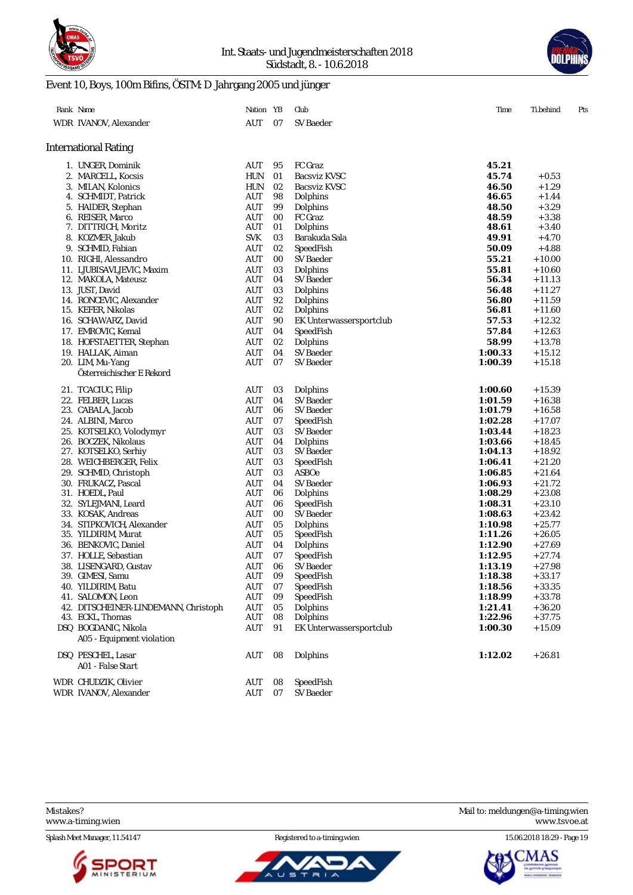



# Event 10, Boys, 100m Bifins, ÖSTM: D Jahrgang 2005 und jünger

| Rank Name                            | Nation YB  |    | Club                    | Time    | Ti.behind | Pts |
|--------------------------------------|------------|----|-------------------------|---------|-----------|-----|
| WDR IVANOV, Alexander                | AUT        | 07 | <b>SV Baeder</b>        |         |           |     |
|                                      |            |    |                         |         |           |     |
| International Rating                 |            |    |                         |         |           |     |
| 1. UNGER, Dominik                    | AUT        | 95 | FC Graz                 | 45.21   |           |     |
| 2. MARCELL, Kocsis                   | HUN        | 01 | <b>Bacsviz KVSC</b>     | 45.74   | $+0.53$   |     |
| 3. MILAN, Kolonics                   | <b>HUN</b> | 02 | <b>Bacsviz KVSC</b>     | 46.50   | $+1.29$   |     |
| 4. SCHMIDT, Patrick                  | AUT        | 98 | Dolphins                | 46.65   | $+1.44$   |     |
| 5. HAIDER, Stephan                   | AUT        | 99 | Dolphins                | 48.50   | $+3.29$   |     |
| 6. REISER, Marco                     | <b>AUT</b> | 00 | FC Graz                 | 48.59   | $+3.38$   |     |
| 7. DITTRICH, Moritz                  | AUT        | 01 | Dolphins                | 48.61   | $+3.40$   |     |
| 8. KOZMER, Jakub                     | <b>SVK</b> | 03 | Barakuda Sala           | 49.91   | $+4.70$   |     |
| 9. SCHMID, Fabian                    | AUT        | 02 | SpeedFish               | 50.09   | $+4.88$   |     |
| 10. RIGHI, Alessandro                | AUT        | 00 | SV Baeder               | 55.21   | $+10.00$  |     |
| 11. LJUBISAVLJEVIC, Maxim            | AUT        | 03 | Dolphins                | 55.81   | $+10.60$  |     |
| 12. MAKOLA, Mateusz                  | AUT        | 04 | SV Baeder               | 56.34   | + 11.13   |     |
| 13. JUST, David                      | AUT        | 03 | Dolphins                | 56.48   | $+11.27$  |     |
| 14. RONCEVIC, Alexander              | AUT        | 92 | Dolphins                | 56.80   | $+11.59$  |     |
| 15. KEFER, Nikolas                   | AUT        | 02 | Dolphins                | 56.81   | $+11.60$  |     |
| 16. SCHAWARZ, David                  | AUT        | 90 | EK Unterwassersportclub | 57.53   | $+12.32$  |     |
| 17. EMROVIC, Kemal                   | AUT        | 04 | SpeedFish               | 57.84   | $+12.63$  |     |
| 18. HOFSTAETTER, Stephan             | AUT        | 02 | Dolphins                | 58.99   | $+13.78$  |     |
| 19. HALLAK, Aiman                    | AUT        | 04 | SV Baeder               | 1:00.33 | $+15.12$  |     |
| 20. LIM, Mu-Yang                     | AUT        | 07 | <b>SV Baeder</b>        | 1:00.39 | $+15.18$  |     |
| Österreichischer E Rekord            |            |    |                         |         |           |     |
| 21. TCACIUC, Filip                   | AUT        | 03 | Dolphins                | 1:00.60 | $+15.39$  |     |
| 22. FELBER, Lucas                    | AUT        | 04 | SV Baeder               | 1:01.59 | $+16.38$  |     |
| 23. CABALA, Jacob                    | AUT        | 06 | SV Baeder               | 1:01.79 | $+16.58$  |     |
| 24. ALBINI, Marco                    | AUT        | 07 | SpeedFish               | 1:02.28 | $+17.07$  |     |
| 25. KOTSELKO, Volodymyr              | AUT        | 03 | SV Baeder               | 1:03.44 | $+18.23$  |     |
| 26. BOCZEK, Nikolaus                 | AUT        | 04 | Dolphins                | 1:03.66 | $+18.45$  |     |
| 27. KOTSELKO, Serhiy                 | AUT        | 03 | SV Baeder               | 1:04.13 | $+18.92$  |     |
| 28. WEICHBERGER, Felix               | AUT        | 03 | SpeedFish               | 1:06.41 | $+21.20$  |     |
| 29. SCHMID, Christoph                | <b>AUT</b> | 03 | ASBOe                   | 1:06.85 | $+21.64$  |     |
| 30. FRUKACZ, Pascal                  | AUT        | 04 | SV Baeder               | 1:06.93 | $+21.72$  |     |
| 31. HOEDL, Paul                      | AUT        | 06 | Dolphins                | 1:08.29 | $+23.08$  |     |
| 32. SYLEJMANI, Leard                 | AUT        | 06 | SpeedFish               | 1:08.31 | $+23.10$  |     |
| 33. KOSAK, Andreas                   | AUT        | 00 | SV Baeder               | 1:08.63 | $+23.42$  |     |
| 34. STIPKOVICH, Alexander            | AUT        | 05 | Dolphins                | 1:10.98 | $+25.77$  |     |
| 35. YILDIRIM, Murat                  | AUT        | 05 | SpeedFish               | 1:11.26 | $+26.05$  |     |
| 36. BENKOVIC, Daniel                 | AUT        | 04 | Dolphins                | 1:12.90 | $+27.69$  |     |
| 37. HOLLE, Sebastian                 | AUT        | 07 | SpeedFish               | 1:12.95 | $+27.74$  |     |
| 38. LISENGARD, Gustav                | AUT        | 06 | SV Baeder               | 1:13.19 | $+27.98$  |     |
| 39. GIMESI, Samu                     | AUT        | 09 | SpeedFish               | 1:18.38 | $+33.17$  |     |
| 40. YILDIRIM, Batu                   | AUT        | 07 | SpeedFish               | 1:18.56 | $+33.35$  |     |
| 41. SALOMON, Leon                    | AUT        | 09 | SpeedFish               | 1:18.99 | $+33.78$  |     |
| 42. DITSCHEINER-LINDEMANN, Christoph | AUT        | 05 | Dolphins                | 1:21.41 | $+36.20$  |     |
| 43. ECKL, Thomas                     | AUT        | 08 | Dolphins                | 1:22.96 | $+37.75$  |     |
| DSQ BOGDANIC, Nikola                 | AUT        | 91 | EK Unterwassersportclub | 1:00.30 | $+15.09$  |     |
| A05 - Equipment violation            |            |    |                         |         |           |     |
| DSQ PESCHEL, Lasar                   | AUT        | 08 | Dolphins                | 1:12.02 | $+26.81$  |     |
| A01 - False Start                    |            |    |                         |         |           |     |
|                                      |            |    |                         |         |           |     |
| WDR CHUDZIK, Olivier                 | AUT        | 08 | SpeedFish               |         |           |     |
| WDR IVANOV, Alexander                | AUT        | 07 | SV Baeder               |         |           |     |

Splash Meet Manager, 11.54147 **Registered to a-timing.wien** 15.06.2018 18:29 - Page 19





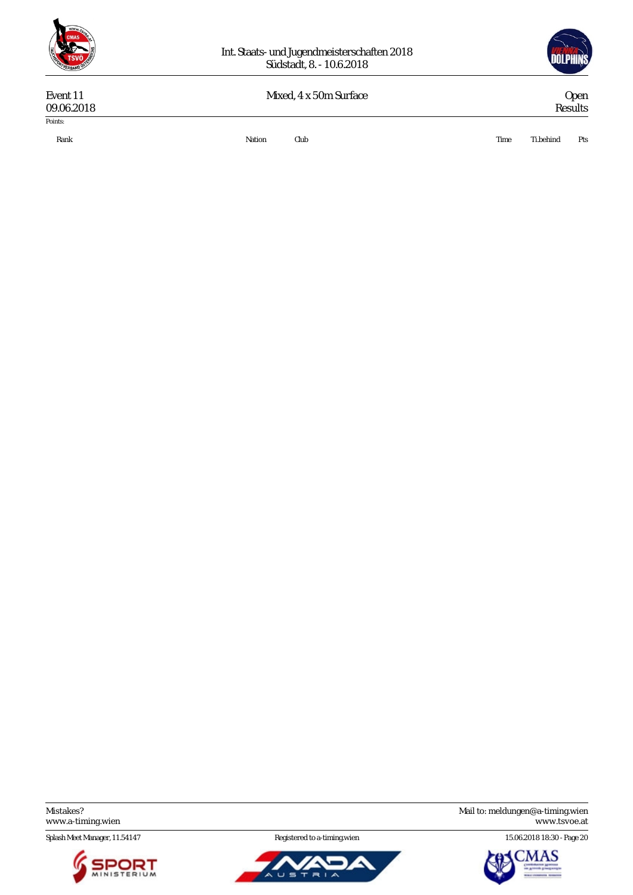



# 09.06.2018 Results Points:

Event 11 Mixed, 4 x 50m Surface Open 09.06.2018 Results

Rank Nation Club Time Ti.behind Pts

<www.a-timing.wien>

Splash Meet Manager, 11.54147 **Registered to a-timing.wien** 15.06.2018 18:30 - Page 20





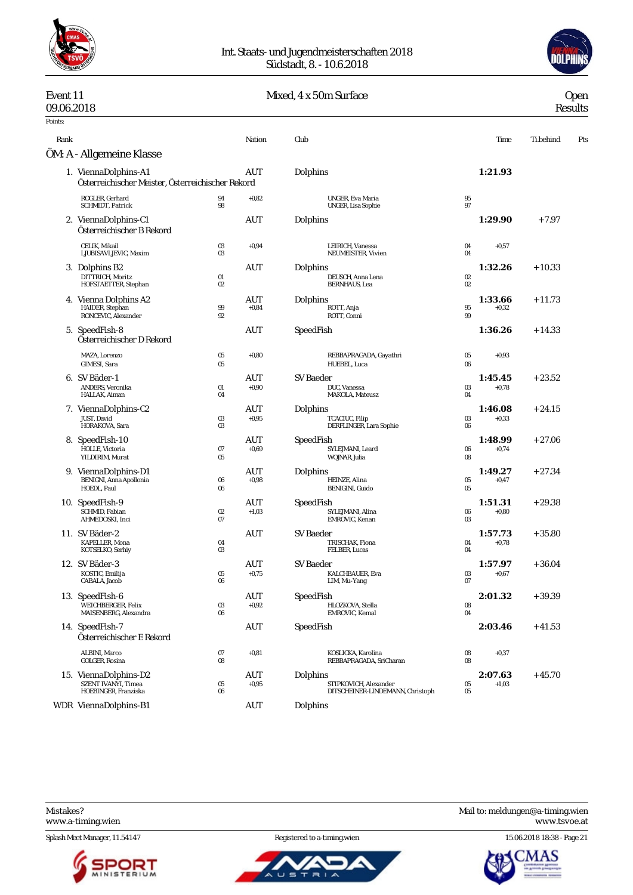

#### Int. Staats- und Jugendmeisterschaften 2018 Südstadt, 8. - 10.6.2018



# Event 11 Mixed, 4 x 50m Surface Open 09.06.2018 Results

# 09.06.2018 Results

| Points: |                                                                             |                   |                                             |                                                                       |              |                    |           |     |
|---------|-----------------------------------------------------------------------------|-------------------|---------------------------------------------|-----------------------------------------------------------------------|--------------|--------------------|-----------|-----|
| Rank    |                                                                             |                   | Nation                                      | Club                                                                  |              | Time               | Ti.behind | Pts |
|         | ÖM: A - Allgemeine Klasse                                                   |                   |                                             |                                                                       |              |                    |           |     |
|         | 1. ViennaDolphins-A1<br>Österreichischer Meister, Österreichischer Rekord   |                   | AUT                                         | Dolphins                                                              |              | 1:21.93            |           |     |
|         | ROGLER, Gerhard<br>SCHMIDT, Patrick                                         | 94<br>98          | $+0.82$                                     | <b>UNGER, Eva Maria</b><br>UNGER, Lisa Sophie                         | 95<br>97     |                    |           |     |
|         | 2. ViennaDolphins-C1<br>Österreichischer B Rekord                           |                   | AUT                                         | Dolphins                                                              |              | 1:29.90            | $+7.97$   |     |
|         | CELIK, Mikail<br>LJUBISAVLJEVIC, Maxim                                      | $03\,$<br>03      | $+0.94$                                     | LEIRICH, Vanessa<br>NEUMEISTER, Vivien                                | 04<br>04     | $+0,57$            |           |     |
|         | 3. Dolphins B2<br>DITTRICH, Moritz<br>HOFSTAETTER, Stephan                  | $_{01}$<br>$02\,$ | AUT                                         | Dolphins<br>DEUSCH, Anna Lena<br><b>BERNHAUS</b> , Lea                | $02\,$<br>02 | 1:32.26            | $+10.33$  |     |
|         | 4. Vienna Dolphins A2<br>HAIDER, Stephan<br>RONCEVIC, Alexander             | 99<br>92          | AUT<br>$+0.84$                              | Dolphins<br>ROTT, Anja<br>ROTT, Conni                                 | 95<br>99     | 1:33.66<br>$+0.32$ | $+11.73$  |     |
|         | 5. SpeedFish-8<br>Österreichischer D Rekord                                 |                   | AUT                                         | SpeedFish                                                             |              | 1:36.26            | $+14.33$  |     |
|         | MAZA, Lorenzo<br>GIMESI, Sara                                               | 05<br>05          | $+0.80$                                     | REBBAPRAGADA, Gayathri<br>HUEBEL, Luca                                | 05<br>06     | $+0.93$            |           |     |
|         | 6. SV Bäder-1<br><b>ANDERS</b> . Veronika<br>HALLAK, Aiman                  | 01<br>04          | AUT<br>$+0.90$                              | <b>SV</b> Baeder<br>DUC, Vanessa<br>MAKOLA, Mateusz                   | 03<br>04     | 1:45.45<br>$+0,78$ | $+23.52$  |     |
|         | 7. ViennaDolphins-C2<br>JUST, David<br>HORAKOVA, Sara                       | 03<br>03          | AUT<br>$+0.95$                              | Dolphins<br>TCACIUC, Filip<br>DERFLINGER, Lara Sophie                 | 03<br>06     | 1:46.08<br>$+0,33$ | $+24.15$  |     |
|         | 8. SpeedFish-10<br>HOLLE, Victoria<br>YILDIRIM, Murat                       | 07<br>05          | AUT<br>$+0.69$                              | SpeedFish<br>SYLEJMANI, Leard<br>WOJNAR, Julia                        | 06<br>08     | 1:48.99<br>$+0,74$ | $+27.06$  |     |
|         | 9. ViennaDolphins-D1<br>BENIGNI, Anna Apollonia<br>HOEDL, Paul              | $06\,$<br>06      | AUT<br>$+0.98$                              | Dolphins<br>HEINZE, Alina<br>BENIGINI, Guido                          | $05\,$<br>05 | 1:49.27<br>$+0.47$ | $+27.34$  |     |
|         | 10. SpeedFish-9<br>SCHMID, Fabian<br>AHMEDOSKI, Inci                        | $02\,$<br>07      | AUT<br>$+1,03$                              | SpeedFish<br>SYLEJMANI, Alina<br>EMROVIC, Kenan                       | 06<br>03     | 1:51.31<br>$+0.80$ | $+29.38$  |     |
|         | 11. SV Bäder-2<br>KAPELLER, Mona<br>KOTSELKO, Serhiy                        | 04<br>03          | AUT                                         | <b>SV Baeder</b><br>TRISCHAK, Fiona<br>FELBER, Lucas                  | 04<br>04     | 1:57.73<br>$+0,78$ | $+35.80$  |     |
|         | 12. SV Bäder-3<br>KOSTIC, Emilija<br>CABALA, Jacob                          | 05<br>06          | AUT<br>$+0,75$                              | SV Baeder<br>KALCHBAUER, Eva<br>LIM, Mu-Yang                          | 03<br>07     | 1:57.97<br>$+0,67$ | $+36.04$  |     |
|         | 13. SpeedFish-6<br>WEICHBERGER, Felix<br>MAISENBERG, Alexandra              | $03\,$<br>06      | $\mathbf{A}\mathbf{U}\mathbf{T}$<br>$+0.92$ | SpeedFish<br>HLOZKOVA, Stella<br>EMROVIC, Kemal                       | 08<br>04     | 2:01.32            | $+39.39$  |     |
|         | 14. SpeedFish-7<br>Österreichischer E Rekord                                |                   | <b>AUT</b>                                  | SpeedFish                                                             |              | 2:03.46            | $+41.53$  |     |
|         | ALBINI, Marco<br>GOLGER, Rosina                                             | 07<br>$08\,$      | $+0,81$                                     | KOSLICKA, Karolina<br>REBBAPRAGADA, SriCharan                         | 08<br>08     | $+0,37$            |           |     |
|         | 15. ViennaDolphins-D2<br><b>SZENT IVANYI, Timea</b><br>HOEBINGER, Franziska | 05<br>$06\,$      | <b>AUT</b><br>$+0.95$                       | Dolphins<br>STIPKOVICH, Alexander<br>DITSCHEINER-LINDEMANN, Christoph | 05<br>05     | 2:07.63<br>$+1,03$ | $+45.70$  |     |
|         | WDR ViennaDolphins-B1                                                       |                   | AUT                                         | Dolphins                                                              |              |                    |           |     |

<www.a-timing.wien>



Ū.  $\equiv$ 



Splash Meet Manager, 11.54147 Registered to a-timing.wien 15.06.2018 18:38 - Page 21

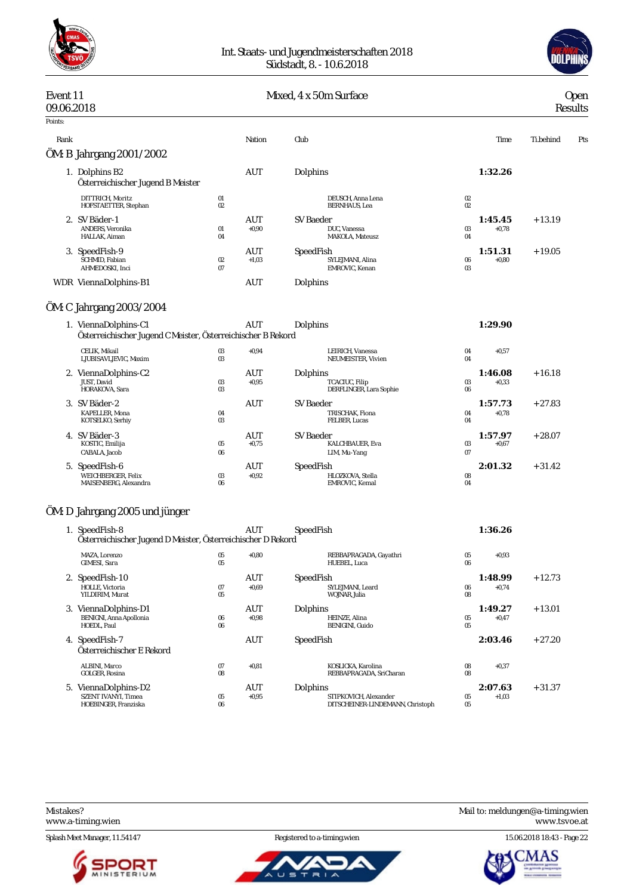



#### Event 11 Contract Communication of the Mixed, 4 x 50m Surface Communication of the Open 09.06.2018 Results Points: Rank Nation Club Time Ti.behind Pts ÖM: B Jahrgang 2001/2002 1. Dolphins B2 AUT Dolphins **1:32.26** *Österreichischer Jugend B Meister* DITTRICH, Moritz 01 DEUSCH, Anna Lena 02 HOFSTAETTER, Stephan 2. SV Bäder-1 **1:45.45** + 13.19<br>AUT SV Baeder **1:45.45** + 13.19<br>DUC. Vanessa **DUC. ANDERS. Veronika 1:45.45** + 13.19 ANDERS, Veronika 01 +0,90 DUC, Vanessa 03 +0,78 HALLAK, Aiman 04 MAKOLA, Mateusz 04 3. SpeedFish-9 <br>3. SpeedFish <br>3. SpeedFish <br>3. SpeedFish <br>3. SpeedFish <br>3. SpeedFish <br>3. Schmid, alina <br>3. Of  $\frac{1:51.31}{0.80}$  + 19.05 SCHMID, Fabian 02 +1,03 SYLEJMANI, Alina 2007<br>AHMEDOSKI, Inci 07 EMROVIC, Kenan AHMEDOS EMROVIC, Kenan 03 WDR ViennaDolphins-B1 AUT Dolphins ÖM: C Jahrgang 2003/2004 1. ViennaDolphins-C1 AUT Dolphins **1:29.90** *Österreichischer Jugend C Meister, Österreichischer B Rekord* CELIK, Mikail 03 +0,94 LEIRICH, Vanessa 04 +0,57 LJUBISAVLJEVIC, Maxim 03 NEUMEISTER, Vivien 04 2. ViennaDolphins-C2 **1:46.08** + 16.18<br>
UST, David 1:46.08 + 16.18<br>
UST, David 1:46.08 + 16.18 JUST, David 03 +0,95 TCACIUC, Filip 03 +0,33 HORAKOVA, Sara 03 DERFLINGER, Lara Sophie 06 3. SV Bäder-2 AUT SV Baeder **1:57.73** + 27.83 VALUE A CONSUMING THE CONSUMING SUBSECTION CONSUMERS AND TRISCHAK, Fiona 04 +0,78<br>
RAPELLER, Mona 04 TRISCHAK, Fiona 04 +0,78<br>
ROTSELKO, Serhiy 03 FELBER, Lucas 04 KOTSELKO, Serhiy 4. SV Bäder-3 AUT SV Baeder **1:57.97** + 28.07 KALCHBAUER, Eva CABALA, Jacob 06 LIM, Mu-Yang 07 5. SpeedFish-6 AUT SpeedFish **2:01.32** + 31.42 WEICHBERGER, Felix 03 +0,92 HLOZKOVA, Stella 08 MAISENBERG, Alexandra ÖM: D Jahrgang 2005 und jünger 1. SpeedFish-8 AUT SpeedFish **1:36.26** *Österreichischer Jugend D Meister, Österreichischer D Rekord* MAZA, Lorenzo 05 +0,80 REBBAPRAGADA, Gayathri 05 +0,93 GIMESI, Sara 05 HUEBEL, Luca 06 2. SpeedFish-10 AUT AUT SpeedFish 10<br>
HOLLE, Victoria 67 +0,69 5YLEMANI, Leard 66 +0,74<br>
YILDIRIM, Murat 65 6 +0,59 5YLEMANI, Leard 68 +0,74<br>
YILDIRIM, Murat 65 6 +0,74 HOLLE, Victoria 07 +0,69 SYLEJMANI, Leard 06 +0,74 YILDIRIM, Murat 05 WOJNAR, Julia 08 3. ViennaDolphins-D1 AUT Dolphins **1:49.27** + 13.01 BENIGNI, Anna Apollonia 06 +0,98 HEINZE, Alina 05 +0,47 HOEDL, Paul 06 BENIGINI, Guido 05 4. SpeedFish-7 AUT SpeedFish **2:03.46** + 27.20 *Österreichischer E Rekord* ALBINI, Marco 07 +0,81 KOSLICKA, Karolina 08 +0,37 REBBAPRAGADA, SriCharan 5. ViennaDolphins-D2 **AUT** Dolphins **2:07.63** + 31.37 SZENT IVANYI, Timea 05 +0,95 STIPKOVICH, Alexander 05 +1,03 BIT ROVICH, HEADREET DITSCHEINER-LINDEMANN, Christoph

Splash Meet Manager, 11.54147 **Registered to a-timing.wien** 15.06.2018 18:43 - Page 22





Mistakes? Mail to: [meldungen@a-timing.wien](mailto:meldungen@a-timing.wien) <www.a-timing.wien> <www.tsvoe.at>

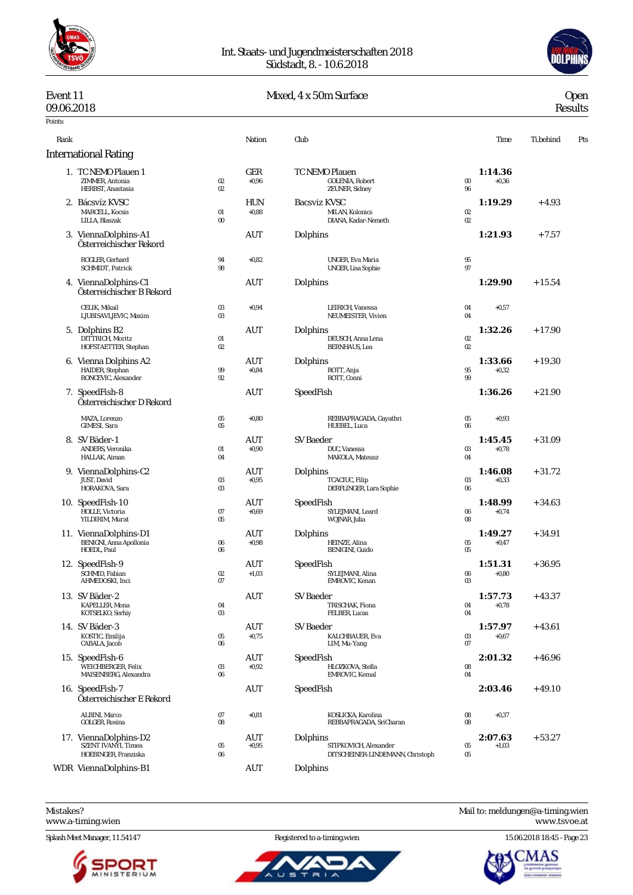



# Event 11 Mixed, 4 x 50m Surface Open 09.06.2018 Results

# 09.06.2018 Results

| Points: |                                                                      |                              |                       |                                                                       |                             |                    |           |     |
|---------|----------------------------------------------------------------------|------------------------------|-----------------------|-----------------------------------------------------------------------|-----------------------------|--------------------|-----------|-----|
| Rank    |                                                                      |                              | Nation                | Club                                                                  |                             | Time               | Ti.behind | Pts |
|         | <b>International Rating</b>                                          |                              |                       |                                                                       |                             |                    |           |     |
|         | 1. TC NEMO Plauen 1<br>ZIMMER, Antonia<br>HERBST, Anastasia          | 02<br>02                     | GER<br>$+0.96$        | TC NEMO Plauen<br>GOLENIA, Robert<br>ZEUNER, Sidney                   | $\boldsymbol{\omega}$<br>96 | 1:14.36<br>$+0,36$ |           |     |
|         | 2. Bácsvíz KVSC<br><b>MARCELL, Kocsis</b><br>LILLA, Blaszak          | $_{01}$<br>$\boldsymbol{00}$ | <b>HUN</b><br>$+0.88$ | <b>Bacsviz KVSC</b><br>MILAN, Kolonics<br>DIANA, Kadar-Nemeth         | $02\,$<br>02                | 1:19.29            | $+4.93$   |     |
|         | 3. ViennaDolphins-A1<br>Österreichischer Rekord                      |                              | AUT                   | Dolphins                                                              |                             | 1:21.93            | $+7.57$   |     |
|         | ROGLER, Gerhard<br>SCHMIDT, Patrick                                  | 94<br>98                     | $+0.82$               | <b>UNGER, Eva Maria</b><br>UNGER, Lisa Sophie                         | 95<br>97                    |                    |           |     |
|         | 4. ViennaDolphins-C1<br>Österreichischer B Rekord                    |                              | AUT                   | Dolphins                                                              |                             | 1:29.90            | $+15.54$  |     |
|         | CELIK, Mikail<br>LJUBISAVLJEVIC, Maxim                               | $03\,$<br>03                 | $+0.94$               | LEIRICH, Vanessa<br>NEUMEISTER, Vivien                                | 04<br>04                    | $+0,57$            |           |     |
|         | 5. Dolphins B2<br>DITTRICH, Moritz<br>HOFSTAETTER, Stephan           | $_{01}$<br>$02\,$            | AUT                   | Dolphins<br>DEUSCH, Anna Lena<br><b>BERNHAUS</b> , Lea                | $02\,$<br>02                | 1:32.26            | $+17.90$  |     |
|         | 6. Vienna Dolphins A2<br>HAIDER, Stephan<br>RONCEVIC, Alexander      | 99<br>92                     | AUT<br>$+0.84$        | Dolphins<br>ROTT, Anja<br>ROTT, Conni                                 | 95<br>99                    | 1:33.66<br>$+0,32$ | $+19.30$  |     |
|         | 7. SpeedFish-8<br>Österreichischer D Rekord                          |                              | AUT                   | SpeedFish                                                             |                             | 1:36.26            | $+21.90$  |     |
|         | MAZA, Lorenzo<br><b>GIMESI</b> . Sara                                | $05\,$<br>05                 | $+0.80$               | REBBAPRAGADA, Gayathri<br>HUEBEL, Luca                                | 05<br>06                    | $+0,93$            |           |     |
|         | 8. SV Bäder-1<br>ANDERS, Veronika<br>HALLAK, Aiman                   | $_{01}$<br>04                | AUT<br>$+0.90$        | <b>SV</b> Baeder<br>DUC, Vanessa<br>MAKOLA, Mateusz                   | 03<br>04                    | 1:45.45<br>$+0.78$ | $+31.09$  |     |
|         | 9. ViennaDolphins-C2<br>JUST, David<br>HORAKOVA, Sara                | $03\,$<br>03                 | AUT<br>$+0.95$        | Dolphins<br>TCACIUC, Filip<br>DERFLINGER, Lara Sophie                 | 03<br>06                    | 1:46.08<br>$+0.33$ | $+31.72$  |     |
|         | 10. SpeedFish-10<br>HOLLE, Victoria<br>YILDIRIM, Murat               | 07<br>$05\,$                 | AUT<br>$+0.69$        | SpeedFish<br>SYLEJMANI, Leard<br>WOJNAR, Julia                        | 06<br>08                    | 1:48.99<br>$+0.74$ | $+34.63$  |     |
|         | 11. ViennaDolphins-D1<br>BENIGNI, Anna Apollonia<br>HOEDL, Paul      | $06\,$<br>$06\,$             | AUT<br>$+0.98$        | Dolphins<br>HEINZE, Alina<br>BENIGINI, Guido                          | 05<br>05                    | 1:49.27<br>$+0.47$ | $+34.91$  |     |
|         | 12. SpeedFish-9<br>SCHMID. Fabian<br>AHMEDOSKI, Inci                 | 02<br>07                     | AUT<br>$+1,03$        | SpeedFish<br>SYLEJMANI, Alina<br><b>EMROVIC</b> . Kenan               | 06<br>03                    | 1:51.31<br>$+0,80$ | $+36.95$  |     |
|         | 13. SV Bäder-2<br>KAPELLER, Mona<br>KOTSELKO, Serhiy                 | 04<br>$03\,$                 | $\rm{AUT}$            | SV Baeder<br>TRISCHAK, Fiona<br>FELBER, Lucas                         | 04<br>04                    | 1:57.73<br>$+0,78$ | $+43.37$  |     |
|         | 14. SV Bäder-3<br>KOSTIC, Emilija<br>CABALA, Jacob                   | 05<br>$06\,$                 | AUT<br>$+0,75$        | <b>SV Baeder</b><br>KALCHBAUER, Eva<br>LIM, Mu-Yang                   | 03<br>07                    | 1:57.97<br>$+0,67$ | $+43.61$  |     |
|         | 15. SpeedFish-6<br>WEICHBERGER, Felix<br>MAISENBERG, Alexandra       | 03<br>06                     | AUT<br>$+0,92$        | SpeedFish<br>HLOZKOVA, Stella<br>EMROVIC, Kemal                       | 08<br>04                    | 2:01.32            | $+46.96$  |     |
|         | 16. SpeedFish-7<br>Österreichischer E Rekord                         |                              | <b>AUT</b>            | SpeedFish                                                             |                             | 2:03.46            | $+49.10$  |     |
|         | ALBINI, Marco<br>GOLGER, Rosina                                      | 07<br>08                     | $+0.81$               | KOSLICKA, Karolina<br>REBBAPRAGADA, SriCharan                         | 08<br>08                    | $+0,37$            |           |     |
|         | 17. ViennaDolphins-D2<br>SZENT IVANYI, Timea<br>HOEBINGER, Franziska | $05\,$<br>$06\,$             | AUT<br>$+0.95$        | Dolphins<br>STIPKOVICH, Alexander<br>DITSCHEINER-LINDEMANN, Christoph | $05\,$<br>$05\,$            | 2:07.63<br>$+1,03$ | $+53.27$  |     |
|         | WDR ViennaDolphins-B1                                                |                              | <b>AUT</b>            | Dolphins                                                              |                             |                    |           |     |

<www.a-timing.wien>

Splash Meet Manager, 11.54147 Registered to a-timing.wien 15.06.2018 18:45 - Page 23



ū



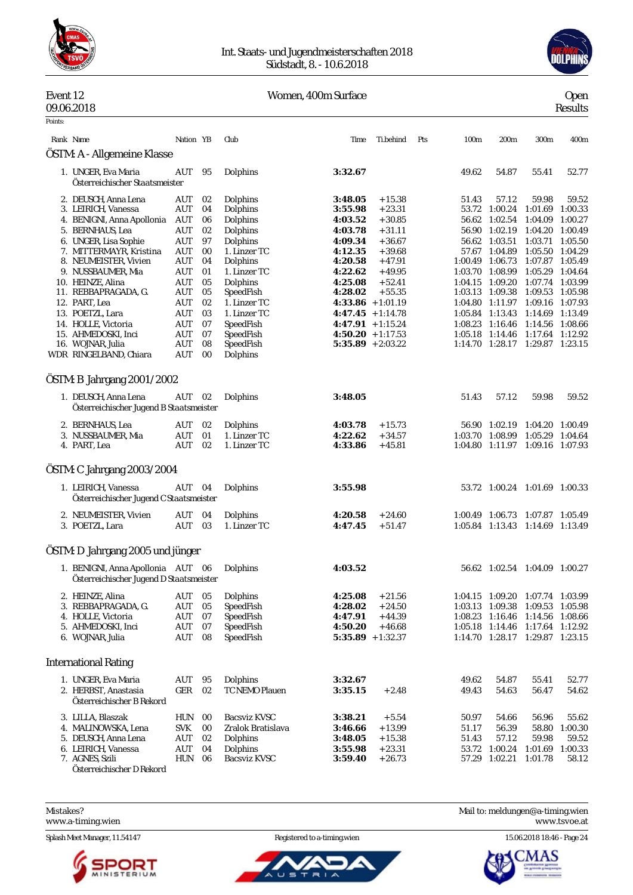

#### Int. Staats- und Jugendmeisterschaften 2018 Südstadt, 8. - 10.6.2018



#### Event 12 Women, 400m Surface Open 09.06.2018 Results

| Points: |                                                                              |                    |          |                          |                                            |                      |     |                  |                                    |                                    |                    |
|---------|------------------------------------------------------------------------------|--------------------|----------|--------------------------|--------------------------------------------|----------------------|-----|------------------|------------------------------------|------------------------------------|--------------------|
|         | Rank Name                                                                    | Nation YB          |          | Club                     | Time                                       | Ti.behind            | Pts | 100 <sub>m</sub> | 200m                               | 300m                               | 400m               |
|         | ÖSTM: A - Allgemeine Klasse                                                  |                    |          |                          |                                            |                      |     |                  |                                    |                                    |                    |
|         | 1. UNGER, Eva Maria<br>Österreichischer Staatsmeister                        | AUT                | 95       | Dolphins                 | 3:32.67                                    |                      |     | 49.62            | 54.87                              | 55.41                              | 52.77              |
|         | 2. DEUSCH, Anna Lena<br>3. LEIRICH, Vanessa                                  | AUT<br>AUT         | 02<br>04 | Dolphins<br>Dolphins     | 3:48.05<br>3:55.98                         | $+15.38$<br>$+23.31$ |     | 51.43<br>53.72   | 57.12<br>1:00.24                   | 59.98<br>1:01.69                   | 59.52<br>1:00.33   |
|         | 4. BENIGNI, Anna Apollonia                                                   | AUT                | 06       | Dolphins                 | 4:03.52                                    | $+30.85$             |     |                  | 56.62 1:02.54                      | 1:04.09                            | 1:00.27            |
|         | 5. BERNHAUS, Lea                                                             | AUT                | 02       | Dolphins                 | 4:03.78                                    | $+31.11$             |     |                  | 56.90 1:02.19                      | 1:04.20                            | 1:00.49            |
|         | 6. UNGER, Lisa Sophie                                                        | AUT                | 97       | Dolphins                 | 4:09.34                                    | $+36.67$             |     | 56.62            | 1:03.51                            | 1:03.71                            | 1:05.50            |
|         | 7. MITTERMAYR, Kristina                                                      | AUT                | 00       | 1. Linzer TC             | 4:12.35                                    | $+39.68$             |     |                  | 57.67 1:04.89                      | 1:05.50 1:04.29                    |                    |
|         | 8. NEUMEISTER, Vivien                                                        | AUT                | 04       | Dolphins                 | 4:20.58                                    | $+47.91$             |     | 1:00.49          | 1:06.73                            | 1:07.87 1:05.49                    |                    |
|         | 9. NUSSBAUMER, Mia                                                           | AUT                | 01       | 1. Linzer TC             | 4:22.62                                    | $+49.95$             |     |                  | 1:03.70 1:08.99                    | 1:05.29                            | 1:04.64            |
|         | 10. HEINZE, Alina                                                            | AUT                | 05       | Dolphins                 | 4:25.08                                    | $+52.41$             |     |                  | 1:04.15 1:09.20                    | 1:07.74 1:03.99                    |                    |
|         | 11. REBBAPRAGADA, G.                                                         | AUT                | 05       | SpeedFish                | 4:28.02                                    | $+55.35$             |     | 1:03.13          | 1:09.38                            | 1:09.53                            | 1:05.98            |
|         | 12. PART, Lea                                                                | AUT                | 02       | 1. Linzer TC             | $4:33.86 + 1:01.19$                        |                      |     |                  | 1:04.80 1:11.97                    | 1:09.16 1:07.93                    |                    |
|         | 13. POETZL, Lara                                                             | AUT                | 03       | 1. Linzer TC             | $4:47.45 + 1:14.78$<br>$4:47.91 + 1:15.24$ |                      |     |                  | 1:05.84 1:13.43<br>1:08.23 1:16.46 | 1:14.69                            | 1:13.49<br>1:08.66 |
|         | 14. HOLLE, Victoria<br>15. AHMEDOSKI, Inci                                   | AUT<br>AUT         | 07<br>07 | SpeedFish<br>SpeedFish   | $4:50.20 + 1:17.53$                        |                      |     |                  | 1:05.18 1:14.46                    | 1:14.56<br>1:17.64 1:12.92         |                    |
|         | 16. WOJNAR, Julia                                                            | AUT                | 08       | SpeedFish                | $5:35.89 + 2:03.22$                        |                      |     |                  | 1:14.70 1:28.17 1:29.87 1:23.15    |                                    |                    |
|         | WDR RINGELBAND, Chiara                                                       | AUT                | 00       | Dolphins                 |                                            |                      |     |                  |                                    |                                    |                    |
|         | ÖSTM: B Jahrgang 2001/2002                                                   |                    |          |                          |                                            |                      |     |                  |                                    |                                    |                    |
|         | 1. DEUSCH, Anna Lena<br>Österreichischer Jugend B Staatsmeister              | AUT                | 02       | Dolphins                 | 3:48.05                                    |                      |     | 51.43            | 57.12                              | 59.98                              | 59.52              |
|         | 2. BERNHAUS, Lea                                                             | AUT                | 02       | Dolphins                 | 4:03.78                                    | $+15.73$             |     |                  | 56.90 1:02.19                      | 1:04.20 1:00.49                    |                    |
|         | 3. NUSSBAUMER, Mia                                                           | AUT                | 01       | 1. Linzer TC             | 4:22.62                                    | $+34.57$             |     | 1:03.70          | 1:08.99                            | 1:05.29                            | 1:04.64            |
|         | 4. PART, Lea                                                                 | AUT                | 02       | 1. Linzer TC             | 4:33.86                                    | $+45.81$             |     |                  | 1:04.80 1:11.97                    | 1:09.16 1:07.93                    |                    |
|         | ÖSTM: C Jahrgang 2003/2004                                                   |                    |          |                          |                                            |                      |     |                  |                                    |                                    |                    |
|         | 1. LEIRICH, Vanessa<br>Österreichischer Jugend C Staatsmeister               | AUT                | 04       | Dolphins                 | 3:55.98                                    |                      |     |                  | 53.72 1:00.24 1:01.69 1:00.33      |                                    |                    |
|         |                                                                              |                    |          |                          |                                            |                      |     |                  |                                    |                                    |                    |
|         | 2. NEUMEISTER, Vivien<br>3. POETZL, Lara                                     | AUT<br>AUT         | 04<br>03 | Dolphins<br>1. Linzer TC | 4:20.58<br>4:47.45                         | $+24.60$<br>$+51.47$ |     |                  | 1:00.49 1:06.73<br>1:05.84 1:13.43 | 1:07.87 1:05.49<br>1:14.69 1:13.49 |                    |
|         | ÖSTM: D Jahrgang 2005 und jünger                                             |                    |          |                          |                                            |                      |     |                  |                                    |                                    |                    |
|         |                                                                              |                    |          |                          |                                            |                      |     |                  |                                    |                                    |                    |
|         | 1. BENIGNI, Anna Apollonia AUT 06<br>Österreichischer Jugend D Staatsmeister |                    |          | Dolphins                 | 4:03.52                                    |                      |     |                  | 56.62 1:02.54 1:04.09 1:00.27      |                                    |                    |
|         | 2. HEINZE, Alina                                                             | $\mathop{\rm AUT}$ | 05       | Dolphins                 | 4:25.08                                    | $+21.56$             |     |                  | 1:04.15 1:09.20 1:07.74 1:03.99    |                                    |                    |
|         | 3. REBBAPRAGADA, G.                                                          | AUT                | 05       | SpeedFish                | 4:28.02                                    | $+24.50$             |     |                  | 1:03.13 1:09.38                    | 1:09.53 1:05.98                    |                    |
|         | 4. HOLLE, Victoria                                                           | AUT                | 07       | SpeedFish                | 4:47.91                                    | $+44.39$             |     |                  | 1:08.23 1:16.46                    | 1:14.56 1:08.66                    |                    |
|         | 5. AHMEDOSKI, Inci                                                           | AUT                | 07       | SpeedFish                | 4:50.20                                    | $+46.68$             |     |                  | 1:05.18 1:14.46 1:17.64 1:12.92    |                                    |                    |
|         | 6. WOJNAR, Julia                                                             | AUT                | 08       | SpeedFish                | $5:35.89 + 1:32.37$                        |                      |     |                  | 1:14.70 1:28.17 1:29.87 1:23.15    |                                    |                    |
|         | <b>International Rating</b>                                                  |                    |          |                          |                                            |                      |     |                  |                                    |                                    |                    |
|         | 1. UNGER, Eva Maria                                                          | AUT                | 95       | Dolphins                 | 3:32.67                                    |                      |     | 49.62            | 54.87                              | 55.41                              | 52.77              |
|         | 2. HERBST, Anastasia<br>Österreichischer B Rekord                            | GER                | 02       | TC NEMO Plauen           | 3:35.15                                    | $+2.48$              |     | 49.43            | 54.63                              | 56.47                              | 54.62              |
|         | 3. LILLA, Blaszak                                                            | HUN                | 00       | Bacsviz KVSC             | 3:38.21                                    | $+5.54$              |     | 50.97            | 54.66                              | 56.96                              | 55.62              |
|         | 4. MALINOWSKA, Lena                                                          | SVK                | 00       | Zralok Bratislava        | 3:46.66                                    | $+13.99$             |     | 51.17            | 56.39                              | 58.80                              | 1:00.30            |
|         | 5. DEUSCH, Anna Lena                                                         | AUT                | 02       | Dolphins                 | 3:48.05                                    | $+15.38$             |     | 51.43            | 57.12                              | 59.98                              | 59.52              |
|         | 6. LEIRICH, Vanessa                                                          | AUT                | 04       | Dolphins                 | 3:55.98                                    | $+23.31$             |     |                  | 53.72 1:00.24                      | 1:01.69 1:00.33                    |                    |
|         | 7. AGNES, Szili                                                              | HUN 06             |          | Bacsviz KVSC             | 3:59.40                                    | $+26.73$             |     | 57.29            | 1:02.21                            | 1:01.78                            | 58.12              |

*Österreichischer D Rekord*

- 
- <www.a-timing.wien>

Splash Meet Manager, 11.54147 Registered to a-timing.wien 15.06.2018 18:46 - Page 24





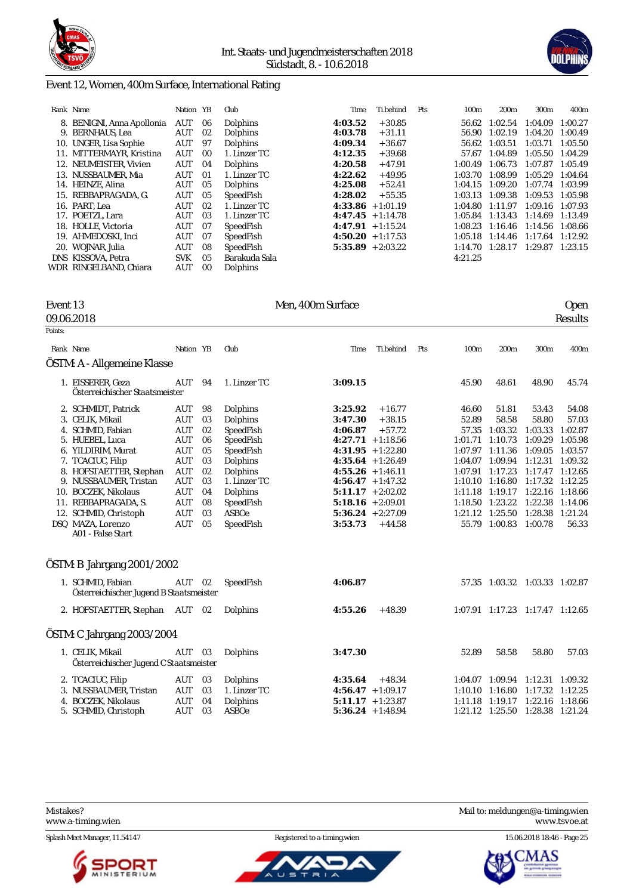



### Event 12, Women, 400m Surface, International Rating

| Rank Name                  | Nation YB  |                | Club          | Time                | Ti.behind | Pts | 100 <sub>m</sub> | 200 <sub>m</sub> | 300m                | 400 <sub>m</sub> |
|----------------------------|------------|----------------|---------------|---------------------|-----------|-----|------------------|------------------|---------------------|------------------|
| 8. BENIGNI, Anna Apollonia | AUT        | 06             | Dolphins      | 4:03.52             | $+30.85$  |     | 56.62            | 1:02.54          | 1:04.09             | 1:00.27          |
| 9. BERNHAUS, Lea           | AUT        | 02             | Dolphins      | 4:03.78             | $+31.11$  |     | 56.90            | 1:02.19          | 1:04.20             | 1:00.49          |
| 10. UNGER, Lisa Sophie     | AUT        | 97             | Dolphins      | 4:09.34             | $+36.67$  |     | 56.62            | 1:03.51          | 1:03.71             | 1:05.50          |
| 11. MITTERMAYR, Kristina   | AUT        | 0 <sub>0</sub> | 1. Linzer TC  | 4:12.35             | $+39.68$  |     | 57.67            | 1:04.89          | 1:05.50             | 1:04.29          |
| 12. NEUMEISTER, Vivien     | AUT        | 04             | Dolphins      | 4:20.58             | $+47.91$  |     | 1:00.49          | 1:06.73          | 1:07.87             | 1:05.49          |
| 13. NUSSBAUMER, Mia        | <b>AUT</b> | 01             | 1. Linzer TC  | 4:22.62             | $+49.95$  |     | 1:03.70          | 1:08.99          | 1:05.29             | 1:04.64          |
| 14. HEINZE, Alina          | AUT        | 05             | Dolphins      | 4:25.08             | $+52.41$  |     | 1:04.15          | 1:09.20          | 1:07.74             | 1:03.99          |
| 15. REBBAPRAGADA, G.       | <b>AUT</b> | 05             | SpeedFish     | 4:28.02             | $+55.35$  |     | 1:03.13          | 1:09.38          | 1:09.53 1:05.98     |                  |
| 16. PART. Lea              | AUT        | 02             | 1. Linzer TC  | $4:33.86 + 1:01.19$ |           |     | 1:04.80          | 1:11.97          | 1:09.16             | 1:07.93          |
| 17. POETZL, Lara           | AUT        | 03             | 1. Linzer TC  | $4:47.45 + 1:14.78$ |           |     | 1:05.84          | 1:13.43          | 1:14.69             | 1:13.49          |
| 18. HOLLE, Victoria        | AUT        | 07             | SpeedFish     | $4:47.91 + 1:15.24$ |           |     | 1:08.23          | 1:16.46          | 1:14.56             | 1:08.66          |
| 19. AHMEDOSKI, Inci        | AUT        | 07             | SpeedFish     | $4:50.20 + 1:17.53$ |           |     | 1:05.18          | 1:14.46          | $1:17.64$ $1:12.92$ |                  |
| 20. WOJNAR Julia           | AUT        | 08             | SpeedFish     | $5:35.89 + 2:03.22$ |           |     | 1:14.70          | 1:28.17          | $1:29.87$ $1:23.15$ |                  |
| DNS KISSOVA, Petra         | <b>SVK</b> | 05             | Barakuda Sala |                     |           |     | 4:21.25          |                  |                     |                  |
| WDR RINGELBAND. Chiara     | AUT        | 00             | Dolphins      |                     |           |     |                  |                  |                     |                  |
|                            |            |                |               |                     |           |     |                  |                  |                     |                  |

#### 09.06.2018 Results

Points:

# Event 13 Men, 400m Surface Open 2018<br>Besults

|                                                                                                                                                                                                                                                                               |                                                                                                                                          | Nation YB                                                            | Club                                                                                                                                                      | Time                                                                                                                                                        | Ti.behind                                                                                                         | Pts | 100 <sub>m</sub>                                                                                                        | 200 <sub>m</sub>                                                                                                        | 300m                                                                                                                         | 400m                                                                                                                       |
|-------------------------------------------------------------------------------------------------------------------------------------------------------------------------------------------------------------------------------------------------------------------------------|------------------------------------------------------------------------------------------------------------------------------------------|----------------------------------------------------------------------|-----------------------------------------------------------------------------------------------------------------------------------------------------------|-------------------------------------------------------------------------------------------------------------------------------------------------------------|-------------------------------------------------------------------------------------------------------------------|-----|-------------------------------------------------------------------------------------------------------------------------|-------------------------------------------------------------------------------------------------------------------------|------------------------------------------------------------------------------------------------------------------------------|----------------------------------------------------------------------------------------------------------------------------|
| ÖSTM: A - Allgemeine Klasse                                                                                                                                                                                                                                                   |                                                                                                                                          |                                                                      |                                                                                                                                                           |                                                                                                                                                             |                                                                                                                   |     |                                                                                                                         |                                                                                                                         |                                                                                                                              |                                                                                                                            |
| 1. EISSERER, Geza<br>Österreichischer Staatsmeister                                                                                                                                                                                                                           | <b>AUT</b>                                                                                                                               | 94                                                                   | 1. Linzer TC                                                                                                                                              | 3:09.15                                                                                                                                                     |                                                                                                                   |     | 45.90                                                                                                                   | 48.61                                                                                                                   | 48.90                                                                                                                        | 45.74                                                                                                                      |
| 2. SCHMIDT, Patrick<br>3. CELIK, Mikail<br>4. SCHMID, Fabian<br>5. HUEBEL, Luca<br>6. YILDIRIM, Murat<br>7. TCACIUC, Filip<br>8. HOFSTAETTER, Stephan<br>9. NUSSBAUMER, Tristan<br>10. BOCZEK, Nikolaus<br>11. REBBAPRAGADA, S.<br>12. SCHMID, Christoph<br>DSQ MAZA, Lorenzo | <b>AUT</b><br>AUT<br><b>AUT</b><br><b>AUT</b><br><b>AUT</b><br>AUT<br><b>AUT</b><br><b>AUT</b><br>AUT<br>AUT<br><b>AUT</b><br><b>AUT</b> | 98<br>03<br>02<br>06<br>05<br>03<br>02<br>03<br>04<br>08<br>03<br>05 | Dolphins<br>Dolphins<br>SpeedFish<br>SpeedFish<br>SpeedFish<br>Dolphins<br>Dolphins<br>1. Linzer TC<br>Dolphins<br>SpeedFish<br><b>ASBOe</b><br>SpeedFish | 3:25.92<br>3:47.30<br>4:06.87<br>$4:55.26 + 1:46.11$<br>$4:56.47 + 1:47.32$<br>$5:11.17 + 2:02.02$<br>$5:18.16 + 2:09.01$<br>$5:36.24 + 2:27.09$<br>3:53.73 | $+16.77$<br>$+38.15$<br>$+57.72$<br>$4:27.71 + 1:18.56$<br>$4:31.95 + 1:22.80$<br>$4:35.64 + 1:26.49$<br>$+44.58$ |     | 46.60<br>52.89<br>57.35<br>1:01.71<br>1:07.97<br>1:04.07<br>1:07.91<br>1:10.10<br>1:11.18 1:19.17<br>1:18.50<br>1:21.12 | 51.81<br>58.58<br>1:03.32<br>1:10.73<br>1:11.36<br>1:09.94<br>1:17.23<br>1:16.80<br>1:23.22<br>1:25.50<br>55.79 1:00.83 | 53.43<br>58.80<br>1:03.33<br>1:09.29<br>1:09.05<br>1:12.31<br>1:17.47<br>1:17.32<br>1:22.16<br>1:22.38<br>1:28.38<br>1:00.78 | 54.08<br>57.03<br>1:02.87<br>1:05.98<br>1:03.57<br>1:09.32<br>1:12.65<br>1:12.25<br>1:18.66<br>1:14.06<br>1:21.24<br>56.33 |
| A01 - False Start<br>ÖSTM: B Jahrgang 2001/2002                                                                                                                                                                                                                               |                                                                                                                                          |                                                                      |                                                                                                                                                           |                                                                                                                                                             |                                                                                                                   |     |                                                                                                                         |                                                                                                                         |                                                                                                                              |                                                                                                                            |
| 1. SCHMID, Fabian<br>Österreichischer Jugend B Staatsmeister                                                                                                                                                                                                                  | AUT                                                                                                                                      | 02                                                                   | SpeedFish                                                                                                                                                 | 4:06.87                                                                                                                                                     |                                                                                                                   |     |                                                                                                                         | 57.35 1:03.32 1:03.33 1:02.87                                                                                           |                                                                                                                              |                                                                                                                            |
| 2. HOFSTAETTER, Stephan                                                                                                                                                                                                                                                       | AUT                                                                                                                                      | 02                                                                   | Dolphins                                                                                                                                                  | 4:55.26                                                                                                                                                     | $+48.39$                                                                                                          |     |                                                                                                                         | 1:07.91 1:17.23 1:17.47 1:12.65                                                                                         |                                                                                                                              |                                                                                                                            |
| ÖSTM: C Jahrgang 2003/2004                                                                                                                                                                                                                                                    |                                                                                                                                          |                                                                      |                                                                                                                                                           |                                                                                                                                                             |                                                                                                                   |     |                                                                                                                         |                                                                                                                         |                                                                                                                              |                                                                                                                            |
| 1. CELIK, Mikail<br>Österreichischer Jugend C Staatsmeister                                                                                                                                                                                                                   | AUT                                                                                                                                      | 03                                                                   | Dolphins                                                                                                                                                  | 3:47.30                                                                                                                                                     |                                                                                                                   |     | 52.89                                                                                                                   | 58.58                                                                                                                   | 58.80                                                                                                                        | 57.03                                                                                                                      |
| 2. TCACIUC, Filip<br>3. NUSSBAUMER, Tristan<br>4. BOCZEK, Nikolaus<br>5. SCHMID, Christoph                                                                                                                                                                                    | AUT<br>AUT<br><b>AUT</b><br>AUT                                                                                                          | 03<br>03<br>04<br>03                                                 | Dolphins<br>1. Linzer TC<br>Dolphins<br><b>ASBOe</b>                                                                                                      | 4:35.64<br>$4:56.47 + 1:09.17$<br>$5:11.17 + 1:23.87$<br>$5:36.24 + 1:48.94$                                                                                | $+48.34$                                                                                                          |     | 1:10.10<br>1:11.18                                                                                                      | 1:04.07 1:09.94<br>1:16.80<br>1:19.17<br>1:21.12 1:25.50 1:28.38 1:21.24                                                | 1:12.31 1:09.32<br>1:17.32 1:12.25<br>1:22.16                                                                                | 1:18.66                                                                                                                    |

<www.a-timing.wien>

Splash Meet Manager, 11.54147 Registered to a-timing.wien 15.06.2018 18:46 - Page 25





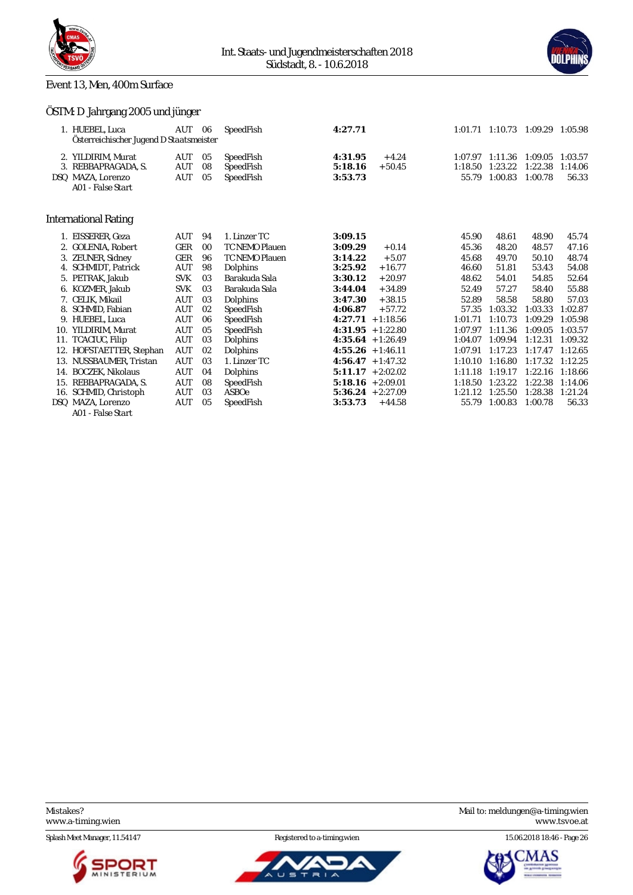



### Event 13, Men, 400m Surface

# ÖSTM: D Jahrgang 2005 und jünger

|     | 1. HUEBEL, Luca<br>Österreichischer Jugend D Staatsmeister | AUT        | 06 | SpeedFish             | 4:27.71 |                     |         | 1:01.71 1:10.73 1:09.29 1:05.98 |         |         |
|-----|------------------------------------------------------------|------------|----|-----------------------|---------|---------------------|---------|---------------------------------|---------|---------|
|     | 2. YILDIRIM, Murat                                         | AUT        | 05 | SpeedFish             | 4:31.95 | $+4.24$             | 1:07.97 | 1:11.36                         | 1:09.05 | 1:03.57 |
|     | 3. REBBAPRAGADA, S.                                        | AUT        | 08 | SpeedFish             | 5:18.16 | $+50.45$            | 1:18.50 | 1:23.22                         | 1:22.38 | 1:14.06 |
|     | DSQ MAZA, Lorenzo                                          | AUT        | 05 | SpeedFish             | 3:53.73 |                     | 55.79   | 1:00.83                         | 1:00.78 | 56.33   |
|     | A01 - False Start                                          |            |    |                       |         |                     |         |                                 |         |         |
|     |                                                            |            |    |                       |         |                     |         |                                 |         |         |
|     | International Rating                                       |            |    |                       |         |                     |         |                                 |         |         |
|     | EISSERER, Geza                                             | AUT        | 94 | 1. Linzer TC          | 3:09.15 |                     | 45.90   | 48.61                           | 48.90   | 45.74   |
|     | GOLENIA. Robert                                            | GER        | 00 | TC NEMO Plauen        | 3:09.29 | $+0.14$             | 45.36   | 48.20                           | 48.57   | 47.16   |
| 3.  | <b>ZEUNER, Sidney</b>                                      | GER        | 96 | <b>TC NEMO Plauen</b> | 3:14.22 | $+5.07$             | 45.68   | 49.70                           | 50.10   | 48.74   |
| 4.  | SCHMIDT, Patrick                                           | AUT        | 98 | Dolphins              | 3:25.92 | $+16.77$            | 46.60   | 51.81                           | 53.43   | 54.08   |
|     | 5. PETRAK. Jakub                                           | <b>SVK</b> | 03 | Barakuda Sala         | 3:30.12 | $+20.97$            | 48.62   | 54.01                           | 54.85   | 52.64   |
|     | 6. KOZMER Jakub                                            | <b>SVK</b> | 03 | Barakuda Sala         | 3:44.04 | $+34.89$            | 52.49   | 57.27                           | 58.40   | 55.88   |
|     | 7. CELIK, Mikail                                           | AUT        | 03 | Dolphins              | 3:47.30 | $+38.15$            | 52.89   | 58.58                           | 58.80   | 57.03   |
|     | 8. SCHMID, Fabian                                          | AUT        | 02 | SpeedFish             | 4:06.87 | $+57.72$            | 57.35   | 1:03.32                         | 1:03.33 | 1:02.87 |
| 9.  | HUEBEL, Luca                                               | AUT        | 06 | SpeedFish             |         | $4:27.71 + 1:18.56$ | 1:01.71 | 1:10.73                         | 1:09.29 | 1:05.98 |
|     | 10. YILDIRIM. Murat                                        | <b>AUT</b> | 05 | SpeedFish             |         | $4:31.95 + 1:22.80$ | 1:07.97 | 1:11.36                         | 1:09.05 | 1:03.57 |
|     | 11. TCACIUC, Filip                                         | AUT        | 03 | Dolphins              |         | $4:35.64 + 1:26.49$ | 1:04.07 | 1:09.94                         | 1:12.31 | 1:09.32 |
|     | 12. HOFSTAETTER, Stephan                                   | <b>AUT</b> | 02 | Dolphins              |         | $4:55.26 + 1:46.11$ | 1:07.91 | 1:17.23                         | 1:17.47 | 1:12.65 |
|     | 13. NUSSBAUMER, Tristan                                    | AUT        | 03 | 1. Linzer TC          |         | $4:56.47 + 1:47.32$ | 1:10.10 | 1:16.80                         | 1:17.32 | 1:12.25 |
|     | 14. BOCZEK, Nikolaus                                       | AUT        | 04 | Dolphins              |         | $5:11.17 + 2:02.02$ | 1:11.18 | 1:19.17                         | 1:22.16 | 1:18.66 |
|     | 15. REBBAPRAGADA, S.                                       | AUT        | 08 | SpeedFish             |         | $5:18.16 + 2:09.01$ | 1:18.50 | 1:23.22                         | 1:22.38 | 1:14.06 |
| 16. | SCHMID, Christoph                                          | AUT        | 03 | ASBOe                 |         | $5:36.24 + 2:27.09$ | 1:21.12 | 1:25.50                         | 1:28.38 | 1:21.24 |
|     | DSQ MAZA, Lorenzo                                          | <b>AUT</b> | 05 | SpeedFish             | 3:53.73 | $+44.58$            | 55.79   | 1:00.83                         | 1:00.78 | 56.33   |
|     | A01 - False Start                                          |            |    |                       |         |                     |         |                                 |         |         |





Mistakes? Mail to: [meldungen@a-timing.wien](mailto:meldungen@a-timing.wien)

Splash Meet Manager, 11.54147 **Registered to a-timing.wien** 15.06.2018 18:46 - Page 26

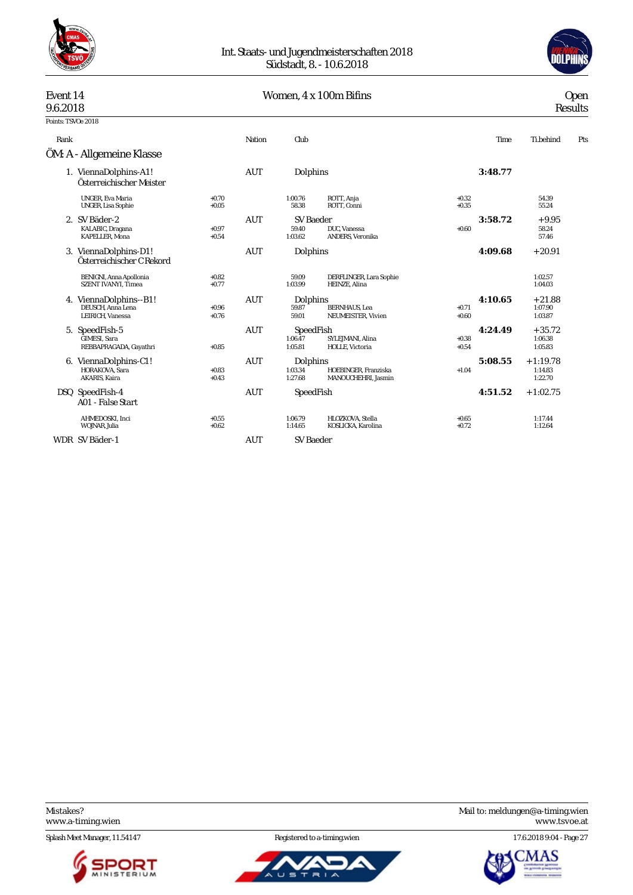



# Event 14 Women, 4 x 100m Bifins Open 9.6.2018 Results

# 9.6.2018 Results

| Points: TSVOe 2018 |                                                                  |                    |            |                                      |                                             |                    |         |                                  |     |
|--------------------|------------------------------------------------------------------|--------------------|------------|--------------------------------------|---------------------------------------------|--------------------|---------|----------------------------------|-----|
| Rank               |                                                                  |                    | Nation     | Club                                 |                                             |                    | Time    | Ti.behind                        | Pts |
|                    | ÖM: A - Allgemeine Klasse                                        |                    |            |                                      |                                             |                    |         |                                  |     |
|                    | 1. ViennaDolphins-A1!<br>Österreichischer Meister                |                    | AUT        | Dolphins                             |                                             |                    | 3:48.77 |                                  |     |
|                    | <b>UNGER, Eva Maria</b><br>UNGER, Lisa Sophie                    | $+0.70$<br>$+0.05$ |            | 1:00.76<br>58.38                     | ROTT, Anja<br>ROTT, Conni                   | $+0.32$<br>$+0.35$ |         | 54.39<br>55.24                   |     |
|                    | 2. SV Bäder-2<br>KALABIC, Dragana<br>KAPELLER, Mona              | $+0.97$<br>$+0.54$ | <b>AUT</b> | <b>SV</b> Baeder<br>59.40<br>1:03.62 | DUC. Vanessa<br>ANDERS, Veronika            | $+0.60$            | 3:58.72 | $+9.95$<br>58.24<br>57.46        |     |
|                    | 3. ViennaDolphins-D1!<br>Österreichischer C Rekord               |                    | <b>AUT</b> | Dolphins                             |                                             |                    | 4:09.68 | $+20.91$                         |     |
|                    | <b>BENIGNI, Anna Apollonia</b><br><b>SZENT IVANYI. Timea</b>     | $+0.82$<br>$+0.77$ |            | 59.09<br>1:03.99                     | DERFLINGER, Lara Sophie<br>HEINZE, Alina    |                    |         | 1:02.57<br>1:04.03               |     |
| 4.                 | ViennaDolphins--B1!<br>DEUSCH. Anna Lena<br>LEIRICH, Vanessa     | $+0.96$<br>$+0.76$ | AUT        | Dolphins<br>59.87<br>59.01           | <b>BERNHAUS</b> , Lea<br>NEUMEISTER, Vivien | $+0.71$<br>$+0.60$ | 4:10.65 | $+21.88$<br>1:07.90<br>1:03.87   |     |
|                    | 5. SpeedFish-5<br><b>GIMESI</b> . Sara<br>REBBAPRAGADA, Gayathri | $+0.85$            | <b>AUT</b> | SpeedFish<br>1:06.47<br>1:05.81      | SYLEJMANI, Alina<br>HOLLE, Victoria         | $+0.38$<br>$+0.54$ | 4:24.49 | $+35.72$<br>1:06.38<br>1:05.83   |     |
| 6.                 | ViennaDolphins-C1!<br>HORAKOVA, Sara<br>AKARIS, Kaira            | $+0.83$<br>$+0.43$ | <b>AUT</b> | Dolphins<br>1:03.34<br>1:27.68       | HOEBINGER, Franziska<br>MANOUCHEHRI, Jasmin | $+1.04$            | 5:08.55 | $+1:19.78$<br>1:14.83<br>1:22.70 |     |
|                    | DSQ SpeedFish-4<br>A01 - False Start                             |                    | <b>AUT</b> | SpeedFish                            |                                             |                    | 4:51.52 | $+1:02.75$                       |     |
|                    | AHMEDOSKI, Inci<br>WOJNAR, Julia                                 | $+0.55$<br>$+0.62$ |            | 1:06.79<br>1:14.65                   | HLOZKOVA, Stella<br>KOSLICKA, Karolina      | $+0.65$<br>$+0.72$ |         | 1:17.44<br>1:12.64               |     |
|                    | WDR SV Bäder-1                                                   |                    | <b>AUT</b> | <b>SV Baeder</b>                     |                                             |                    |         |                                  |     |

<www.a-timing.wien>

Splash Meet Manager, 11.54147 Registered to a-timing.wien 17.6.2018 9:04 - Page 27





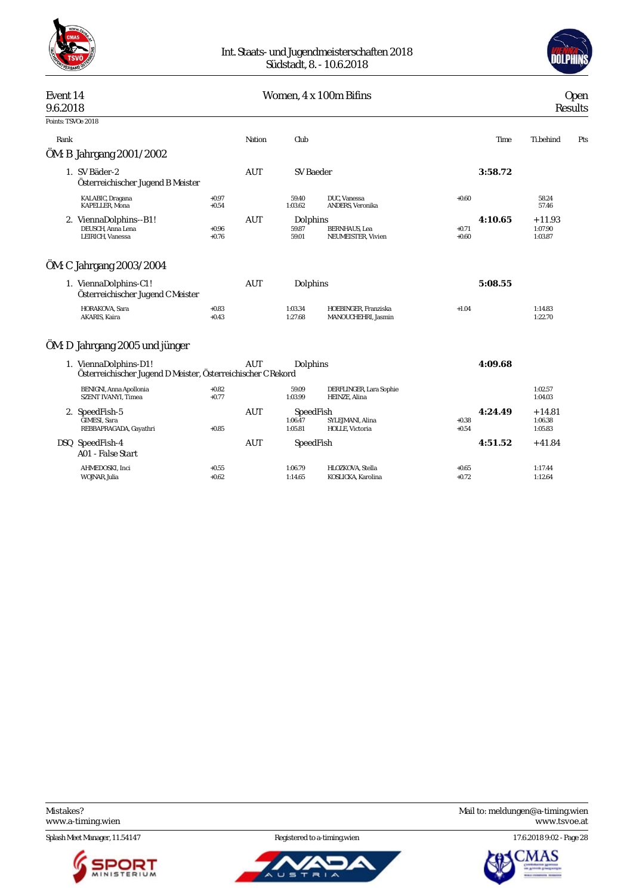



### Event 14 Communication Communication Communication Communication Communication Communication Communication Communication Communication Communication Communication Communication Communication Communication Communication Com 9.6.2018 Results Points: TSVOe 2018 Rank Nation Club Time Ti.behind Pts ÖM: B Jahrgang 2001/2002 1. SV Bäder-2 AUT SV Baeder **3:58.72** *Österreichischer Jugend B Meister* KALABIC, Dragana +0.97 59.40 DUC, Vanessa +0.60 58.24 KAPELLER, Mona +0.54 1:03.62 ANDERS, Veronika 57.46 2. ViennaDolphins--B1! **AUT** Dolphins **4:10.65** + 11.93<br>DEUSCH Anna Lena + 0.96 + 10.96 + 10.96 + 11.93 DEUSCH, Anna Lena +0.96 59.87 BERNHAUS, Lea +0.71 1:07.90 NEUMEISTER, Vivien ÖM: C Jahrgang 2003/2004 1. ViennaDolphins-C1! AUT Dolphins **5:08.55** *Österreichischer Jugend C Meister* HORAKOVA, Sara +0.83 1:03.34 HOEBINGER, Franziska +1.04 1:14.83 MANOUCHEHRI, Jasmin ÖM: D Jahrgang 2005 und jünger 1. ViennaDolphins-D1! AUT Dolphins **4:09.68** *Österreichischer Jugend D Meister, Österreichischer C Rekord* 0.82 59.09 DERFLINGER, Lara Sophie 1.02.57 1.02.57<br>+0.77 1.03.99 HEINZE, Alina BENIGNI, Anna Apollonia<br>SZENT IVANYI, Timea 2. SpeedFish-5 AUT SpeedFish **4:24.49** + 14.81 1.06.47 SYLEJMANI, Alina +0.38 1.06.38 1.06.38 1.06.38 1.06.38 1.06.38 1.06.38 1.06.38 1.05.83 REBBAPRAGADA, Gayathri DSQ SpeedFish-4 AUT SpeedFish **4:51.52** + 41.84 *A01 - False Start* AHMEDOSKI, Inci +0.55 1:06.79 HLOZKOVA, Stella +0.65 1:17.44 KOSLICKA, Karolina

Splash Meet Manager, 11.54147 **Registered to a-timing.wien** 17.6.2018 9:02 - Page 28





Mistakes? Mail to: [meldungen@a-timing.wien](mailto:meldungen@a-timing.wien) <www.a-timing.wien> <www.tsvoe.at>

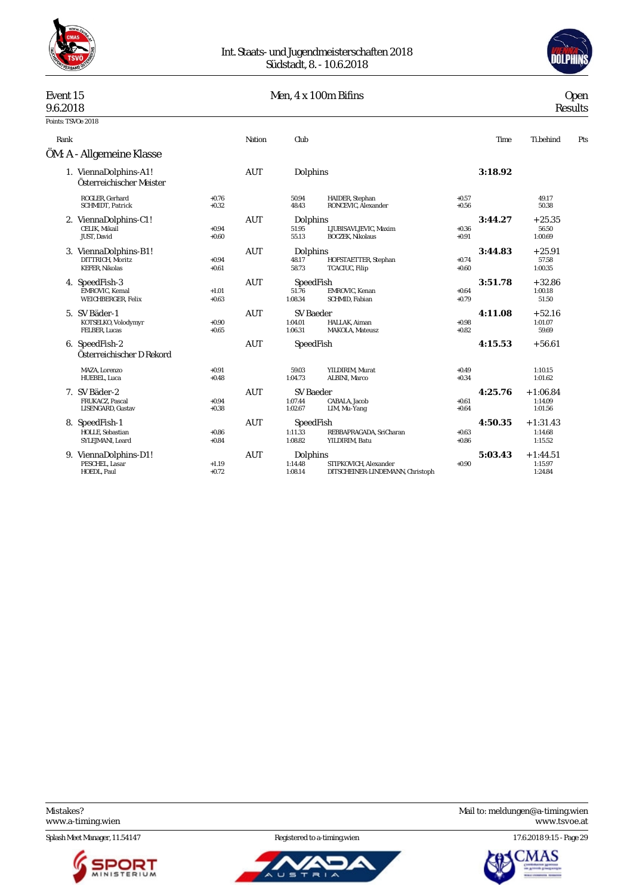



# Event 15 Men, 4 x 100m Bifins Open 9.6.2018 Results

9.6.2018 Results

| Points: TSVOe 2018 |                                                                    |                    |            |                                        |                                                           |                    |         |                                  |     |
|--------------------|--------------------------------------------------------------------|--------------------|------------|----------------------------------------|-----------------------------------------------------------|--------------------|---------|----------------------------------|-----|
| Rank               |                                                                    |                    | Nation     | Club                                   |                                                           |                    | Time    | Ti.behind                        | Pts |
|                    | ÖM: A - Allgemeine Klasse                                          |                    |            |                                        |                                                           |                    |         |                                  |     |
|                    | 1. ViennaDolphins-A1!<br>Österreichischer Meister                  |                    | <b>AUT</b> | Dolphins                               |                                                           |                    | 3:18.92 |                                  |     |
|                    | ROGLER, Gerhard<br>SCHMIDT, Patrick                                | $+0.76$<br>$+0.32$ |            | 50.94<br>48.43                         | HAIDER, Stephan<br>RONCEVIC, Alexander                    | $+0.57$<br>$+0.56$ |         | 49.17<br>50.38                   |     |
|                    | 2. ViennaDolphins-C1!<br>CELIK, Mikail<br>JUST, David              | $+0.94$<br>$+0.60$ | <b>AUT</b> | Dolphins<br>51.95<br>55.13             | LJUBISAVLJEVIC, Maxim<br><b>BOCZEK, Nikolaus</b>          | $+0.36$<br>$+0.91$ | 3:44.27 | $+25.35$<br>56.50<br>1:00.69     |     |
|                    | 3. ViennaDolphins-B1!<br>DITTRICH, Moritz<br><b>KEFER, Nikolas</b> | $+0.94$<br>$+0.61$ | <b>AUT</b> | Dolphins<br>48.17<br>58.73             | HOFSTAETTER, Stephan<br>TCACIUC, Filip                    | $+0.74$<br>$+0.60$ | 3:44.83 | $+25.91$<br>57.58<br>1:00.35     |     |
|                    | 4. SpeedFish-3<br>EMROVIC, Kemal<br>WEICHBERGER, Felix             | $+1.01$<br>$+0.63$ | <b>AUT</b> | SpeedFish<br>51.76<br>1:08.34          | EMROVIC, Kenan<br>SCHMID, Fabian                          | $+0.64$<br>$+0.79$ | 3:51.78 | $+32.86$<br>1:00.18<br>51.50     |     |
|                    | 5. SV Bäder-1<br>KOTSELKO, Volodymyr<br>FELBER, Lucas              | $+0.90$<br>$+0.65$ | <b>AUT</b> | SV Baeder<br>1:04.01<br>1:06.31        | HALLAK, Aiman<br>MAKOLA, Mateusz                          | $+0.98$<br>$+0.82$ | 4:11.08 | $+52.16$<br>1:01.07<br>59.69     |     |
|                    | 6. SpeedFish-2<br>Österreichischer D Rekord                        |                    | <b>AUT</b> | SpeedFish                              |                                                           |                    | 4:15.53 | $+56.61$                         |     |
|                    | MAZA, Lorenzo<br>HUEBEL, Luca                                      | $+0.91$<br>$+0.48$ |            | 59.03<br>1:04.73                       | YILDIRIM, Murat<br>ALBINI, Marco                          | $+0.49$<br>$+0.34$ |         | 1:10.15<br>1:01.62               |     |
|                    | 7. SV Bäder-2<br>FRUKACZ, Pascal<br>LISENGARD, Gustav              | $+0.94$<br>$+0.38$ | <b>AUT</b> | <b>SV Baeder</b><br>1:07.44<br>1:02.67 | CABALA, Jacob<br>LIM, Mu-Yang                             | $+0.61$<br>$+0.64$ | 4:25.76 | $+1:06.84$<br>1:14.09<br>1:01.56 |     |
|                    | 8. SpeedFish-1<br>HOLLE, Sebastian<br>SYLEJMANI. Leard             | $+0.86$<br>$+0.84$ | <b>AUT</b> | SpeedFish<br>1:11.33<br>1:08.82        | REBBAPRAGADA, SriCharan<br>YILDIRIM, Batu                 | $+0.63$<br>$+0.86$ | 4:50.35 | $+1:31.43$<br>1:14.68<br>1:15.52 |     |
|                    | 9. ViennaDolphins-D1!<br>PESCHEL. Lasar<br>HOEDL, Paul             | $+1.19$<br>$+0.72$ | <b>AUT</b> | Dolphins<br>1:14.48<br>1:08.14         | STIPKOVICH, Alexander<br>DITSCHEINER-LINDEMANN, Christoph | $+0.90$            | 5:03.43 | $+1:44.51$<br>1:15.97<br>1:24.84 |     |

<www.a-timing.wien>

Splash Meet Manager, 11.54147 Registered to a-timing.wien 17.6.2018 9:15 - Page 29





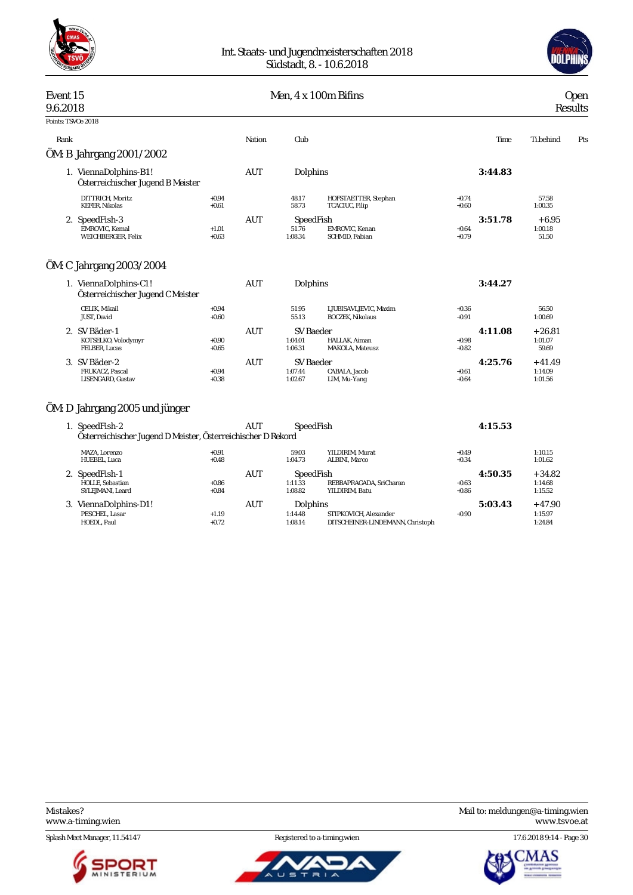



#### Event 15 Men, 4 x 100m Bifins Open

| 9.6.2018           |                                                            |                    |            |                               |                                                  | Results                       |                             |     |
|--------------------|------------------------------------------------------------|--------------------|------------|-------------------------------|--------------------------------------------------|-------------------------------|-----------------------------|-----|
| Points: TSVOe 2018 |                                                            |                    |            |                               |                                                  |                               |                             |     |
| Rank               |                                                            |                    | Nation     | Club                          |                                                  | Time                          | Ti.behind                   | Pts |
|                    | ÖM: B Jahrgang 2001/2002                                   |                    |            |                               |                                                  |                               |                             |     |
|                    | 1. ViennaDolphins-B1!<br>Österreichischer Jugend B Meister |                    | AUT        | Dolphins                      |                                                  | 3:44.83                       |                             |     |
|                    | DITTRICH, Moritz<br><b>KEFER, Nikolas</b>                  | $+0.94$<br>$+0.61$ |            | 48.17<br>58.73                | HOFSTAETTER, Stephan<br>TCACIUC, Filip           | $+0.74$<br>$+0.60$            | 57.58<br>1:00.35            |     |
|                    | 2. SpeedFish-3<br>EMROVIC, Kemal<br>WEICHBERGER, Felix     | $+1.01$<br>$+0.63$ | <b>AUT</b> | SpeedFish<br>51.76<br>1:08.34 | <b>EMROVIC.</b> Kenan<br>SCHMID, Fabian          | 3:51.78<br>$+0.64$<br>$+0.79$ | $+6.95$<br>1:00.18<br>51.50 |     |
|                    | ÖM: C Jahrgang 2003/2004                                   |                    |            |                               |                                                  |                               |                             |     |
|                    | 1. ViennaDolphins-C1!<br>Österreichischer Jugend C Meister |                    | <b>AUT</b> | Dolphins                      |                                                  | 3:44.27                       |                             |     |
|                    | CELIK, Mikail<br>JUST, David                               | $+0.94$<br>$+0.60$ |            | 51.95<br>55.13                | LJUBISAVLJEVIC, Maxim<br><b>BOCZEK, Nikolaus</b> | $+0.36$<br>$+0.91$            | 56.50<br>1:00.69            |     |

| 4:11.08 | $+26.81$                                 |
|---------|------------------------------------------|
|         |                                          |
|         | 1:01.07<br>59.69                         |
| 4:25.76 | $+41.49$                                 |
|         | 1:14.09<br>1:01.56                       |
|         | $+0.98$<br>$+0.82$<br>$+0.61$<br>$+0.64$ |

### ÖM: D Jahrgang 2005 und jünger

| 1. SpeedFish-2<br>Österreichischer Jugend D Meister, Österreichischer D Rekord |                    | AUT | SpeedFish                       |                                                           |                    | 4:15.53 |                                |
|--------------------------------------------------------------------------------|--------------------|-----|---------------------------------|-----------------------------------------------------------|--------------------|---------|--------------------------------|
| MAZA. Lorenzo<br>HUEBEL, Luca                                                  | $+0.91$<br>$+0.48$ |     | 59.03<br>1:04.73                | YILDIRIM. Murat<br><b>ALBINI, Marco</b>                   | $+0.49$<br>$+0.34$ |         | 1:10.15<br>1:01.62             |
| 2. SpeedFish-1<br>HOLLE, Sebastian<br>SYLEJMANI, Leard                         | $+0.86$<br>$+0.84$ | AUT | SpeedFish<br>1:11.33<br>1:08.82 | REBBAPRAGADA. SriCharan<br>YILDIRIM. Batu                 | $+0.63$<br>$+0.86$ | 4:50.35 | $+34.82$<br>1:14.68<br>1:15.52 |
| 3. ViennaDolphins-D1!<br>PESCHEL, Lasar<br>HOEDL. Paul                         | $+1.19$<br>$+0.72$ | AUT | Dolphins<br>1:14.48<br>1:08.14  | STIPKOVICH, Alexander<br>DITSCHEINER-LINDEMANN, Christoph | $+0.90$            | 5:03.43 | $+47.90$<br>1:15.97<br>1:24.84 |

Splash Meet Manager, 11.54147 Registered to a-timing.wien 17.6.2018 9:14 - Page 30





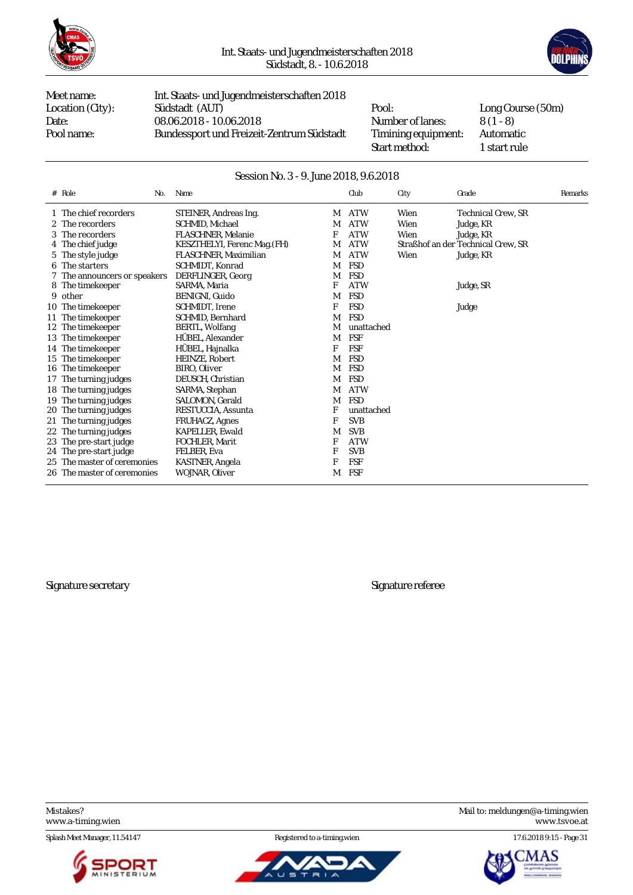



Meet name: Int. Staats- und Jugendmeisterschaften 2018 Location (City): Südstadt (AUT) Pool: Long Course (50m)<br>Date: 08.06.2018 - 10.06.2018 Number of lanes: 8 (1 - 8) Date: 08.06.2018 - 10.06.2018 Number of lanes: 8 (1 - 8)<br>Pool name: Bundessport und Freizeit-Zentrum Südstadt Timining equipment: Automatic Bundessport und Freizeit-Zentrum Südstadt Timining equipment:

Start method: 1 start rule

#### Session No. 3 - 9. June 2018, 9.6.2018

| $# \text{Role}$<br>No.       | Name                         |   | Club       | City | Grade                              | Remarks |
|------------------------------|------------------------------|---|------------|------|------------------------------------|---------|
| 1 The chief recorders        | STEINER, Andreas Ing.        | М | <b>ATW</b> | Wien | <b>Technical Crew. SR</b>          |         |
| 2 The recorders              | SCHMID, Michael              | М | <b>ATW</b> | Wien | Judge, KR                          |         |
| 3 The recorders              | <b>FLASCHNER.</b> Melanie    | F | <b>ATW</b> | Wien | Judge, KR                          |         |
| 4 The chief judge            | KESZTHELYI, Ferenc Mag. (FH) | М | <b>ATW</b> |      | Straßhof an der Technical Crew, SR |         |
| 5 The style judge            | FLASCHNER, Maximilian        | M | <b>ATW</b> | Wien | Judge, KR                          |         |
| 6 The starters               | SCHMIDT, Konrad              | M | <b>FSD</b> |      |                                    |         |
| 7 The announcers or speakers | DERFLINGER, Georg            | M | <b>FSD</b> |      |                                    |         |
| 8 The timekeeper             | SARMA, Maria                 | F | <b>ATW</b> |      | Judge, SR                          |         |
| 9 other                      | BENIGNI, Guido               | M | <b>FSD</b> |      |                                    |         |
| 10 The time keeper           | SCHMIDT, Irene               | F | <b>FSD</b> |      | Judge                              |         |
| 11 The timekeeper            | <b>SCHMID.</b> Bernhard      | M | <b>FSD</b> |      |                                    |         |
| 12 The timekeeper            | BERTL, Wolfang               | M | unattached |      |                                    |         |
| 13 The timekeeper            | HÜBEL, Alexander             | M | <b>FSF</b> |      |                                    |         |
| 14 The timekeeper            | HÜBEL, Hajnalka              | F | <b>FSF</b> |      |                                    |         |
| 15 The timekeeper            | HEINZE, Robert               | М | <b>FSD</b> |      |                                    |         |
| 16 The timekeeper            | BIRO, Oliver                 | М | <b>FSD</b> |      |                                    |         |
| 17 The turning judges        | DEUSCH, Christian            | М | <b>FSD</b> |      |                                    |         |
| 18 The turning judges        | SARMA, Stephan               | М | <b>ATW</b> |      |                                    |         |
| 19 The turning judges        | SALOMON, Gerald              | M | FSD        |      |                                    |         |
| 20 The turning judges        | RESTUCCIA, Assunta           | F | unattached |      |                                    |         |
| 21 The turning judges        | <b>FRUHACZ, Agnes</b>        | F | <b>SVB</b> |      |                                    |         |
| 22 The turning judges        | <b>KAPELLER, Ewald</b>       | M | <b>SVB</b> |      |                                    |         |
| 23 The pre-start judge       | FOCHLER, Marit               | F | <b>ATW</b> |      |                                    |         |
| 24 The pre-start judge       | FELBER, Eva                  | F | <b>SVB</b> |      |                                    |         |
| 25 The master of ceremonies  | KASTNER, Angela              | F | <b>FSF</b> |      |                                    |         |
| 26 The master of ceremonies  | WOJNAR, Oliver               | M | FSF        |      |                                    |         |

Signature secretary Signature referee

Splash Meet Manager, 11.54147 Registered to a-timing.wien 17.6.2018 9:15 - Page 31





Mistakes? Mail to: [meldungen@a-timing.wien](mailto:meldungen@a-timing.wien) <www.a-timing.wien> <www.tsvoe.at>

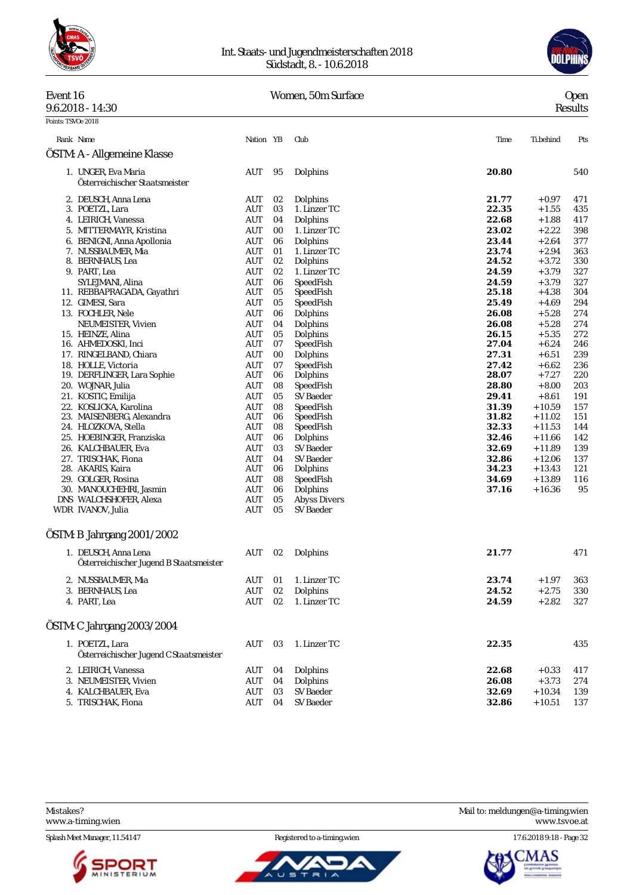

#### Int. Staats- und Jugendmeisterschaften 2018 Südstadt, 8. - 10.6.2018



#### Event 16 Women, 50m Surface

| ٧<br>×<br>۰, |
|--------------|
|              |

|                    | $9.6.2018 - 14:30$                                              |                    |          |                       |                |                    | Results    |
|--------------------|-----------------------------------------------------------------|--------------------|----------|-----------------------|----------------|--------------------|------------|
| Points: TSVOe 2018 |                                                                 |                    |          |                       |                |                    |            |
|                    | Rank Name                                                       | Nation YB          |          | Club                  | Time           | Ti.behind          | Pts        |
|                    | ÖSTM: A - Allgemeine Klasse                                     |                    |          |                       |                |                    |            |
|                    | 1. UNGER, Eva Maria<br>Österreichischer Staatsmeister           | AUT                | 95       | Dolphins              | 20.80          |                    | 540        |
|                    | 2. DEUSCH, Anna Lena                                            | AUT                | 02       | Dolphins              | 21.77          | $+0.97$            | 471        |
|                    | 3. POETZL, Lara                                                 | <b>AUT</b>         | 03       | 1. Linzer TC          | 22.35          | $+1.55$            | 435        |
|                    | 4. LEIRICH, Vanessa                                             | AUT                | 04       | Dolphins              | 22.68          | $+1.88$            | 417        |
|                    | 5. MITTERMAYR, Kristina                                         | AUT                | 00       | 1. Linzer TC          | 23.02          | $+2.22$            | 398        |
|                    | 6. BENIGNI, Anna Apollonia                                      | AUT                | 06       | Dolphins              | 23.44          | $+2.64$            | 377        |
|                    | 7. NUSSBAUMER, Mia                                              | AUT                | 01       | 1. Linzer TC          | 23.74          | $+2.94$            | 363        |
|                    | 8. BERNHAUS, Lea                                                | AUT                | 02       | Dolphins              | 24.52          | $+3.72$            | 330        |
|                    | 9. PART, Lea                                                    | AUT                | 02       | 1. Linzer TC          | 24.59          | $+3.79$            | 327        |
|                    | SYLEJMANI, Alina                                                | AUT                | 06       | SpeedFish             | 24.59          | $+3.79$            | 327        |
|                    | 11. REBBAPRAGADA, Gayathri                                      | AUT                | 05       | SpeedFish             | 25.18          | $+4.38$            | 304        |
|                    | 12. GIMESI, Sara                                                | AUT                | 05       | SpeedFish             | 25.49          | $+4.69$            | 294        |
|                    | 13. FOCHLER, Nele                                               | AUT                | 06       | Dolphins              | 26.08          | $+5.28$            | 274        |
|                    | NEUMEISTER, Vivien                                              | AUT                | 04       | Dolphins              | 26.08          | $+5.28$            | 274        |
|                    | 15. HEINZE, Alina                                               | AUT                | 05       | Dolphins              | 26.15          | $+5.35$            | 272        |
|                    | 16. AHMEDOSKI, Inci                                             | AUT                | 07       | SpeedFish             | 27.04          | $+6.24$            | 246        |
|                    | 17. RINGELBAND, Chiara                                          | AUT                | 00       | Dolphins              | 27.31          | $+6.51$            | 239        |
|                    | 18. HOLLE, Victoria<br>19. DERFLINGER, Lara Sophie              | AUT<br>AUT         | 07<br>06 | SpeedFish<br>Dolphins | 27.42<br>28.07 | $+6.62$<br>$+7.27$ | 236<br>220 |
|                    | 20. WOJNAR, Julia                                               | AUT                | 08       | SpeedFish             | 28.80          | $+8.00$            | 203        |
|                    | 21. KOSTIC, Emilija                                             | AUT                | 05       | <b>SV</b> Baeder      | 29.41          | $+8.61$            | 191        |
|                    | 22. KOSLICKA, Karolina                                          | AUT                | 08       | SpeedFish             | 31.39          | $+10.59$           | 157        |
|                    | 23. MAISENBERG, Alexandra                                       | AUT                | 06       | SpeedFish             | 31.82          | $+11.02$           | 151        |
|                    | 24. HLOZKOVA, Stella                                            | AUT                | 08       | SpeedFish             | 32.33          | $+11.53$           | 144        |
|                    | 25. HOEBINGER, Franziska                                        | AUT                | 06       | Dolphins              | 32.46          | $+11.66$           | 142        |
|                    | 26. KALCHBAUER, Eva                                             | AUT                | 03       | <b>SV</b> Baeder      | 32.69          | $+11.89$           | 139        |
|                    | 27. TRISCHAK, Fiona                                             | AUT                | 04       | SV Baeder             | 32.86          | $+12.06$           | 137        |
|                    | 28. AKARIS, Kaira                                               | AUT                | 06       | Dolphins              | 34.23          | $+13.43$           | 121        |
|                    | 29. GOLGER, Rosina                                              | AUT                | 08       | SpeedFish             | 34.69          | $+13.89$           | 116        |
|                    | 30. MANOUCHEHRI, Jasmin                                         | AUT                | 06       | Dolphins              | 37.16          | $+16.36$           | 95         |
|                    | DNS WALCHSHOFER, Alexa                                          | AUT                | 05       | <b>Abyss Divers</b>   |                |                    |            |
|                    | WDR IVANOV, Julia                                               | AUT                | 05       | <b>SV Baeder</b>      |                |                    |            |
|                    | ÖSTM: B Jahrgang 2001/2002                                      |                    |          |                       |                |                    |            |
|                    | 1. DEUSCH, Anna Lena<br>Österreichischer Jugend B Staatsmeister | AUT                | 02       | Dolphins              | 21.77          |                    | 471        |
|                    | 2. NUSSBAUMER, Mia                                              | $\mathop{\rm AUT}$ |          | 01 1. Linzer TC       | 23.74          | $+\,1.97$          | 363        |
|                    | 3. BERNHAUS, Lea                                                | AUT                | 02       | Dolphins              | 24.52          | $+2.75$            | 330        |
|                    | 4. PART, Lea                                                    | <b>AUT</b>         | 02       | 1. Linzer TC          | 24.59          | $+2.82$            | 327        |
|                    | ÖSTM: C Jahrgang 2003/2004                                      |                    |          |                       |                |                    |            |
|                    | 1. POETZL, Lara<br>Österreichischer Jugend C Staatsmeister      | AUT                | 03       | 1. Linzer TC          | 22.35          |                    | 435        |
|                    | 2. LEIRICH, Vanessa                                             | AUT                | 04       | Dolphins              | 22.68          | $+0.33$            | 417        |
|                    | 3. NEUMEISTER, Vivien                                           | AUT                | 04       | Dolphins              | 26.08          | $+3.73$            | 274        |
|                    | 4. KALCHBAUER, Eva                                              | AUT                | 03       | SV Baeder             | 32.69          | $+10.34$           | 139        |
|                    | 5. TRISCHAK, Fiona                                              | AUT                | 04       | SV Baeder             | 32.86          | $+10.51$           | 137        |



ັບ s



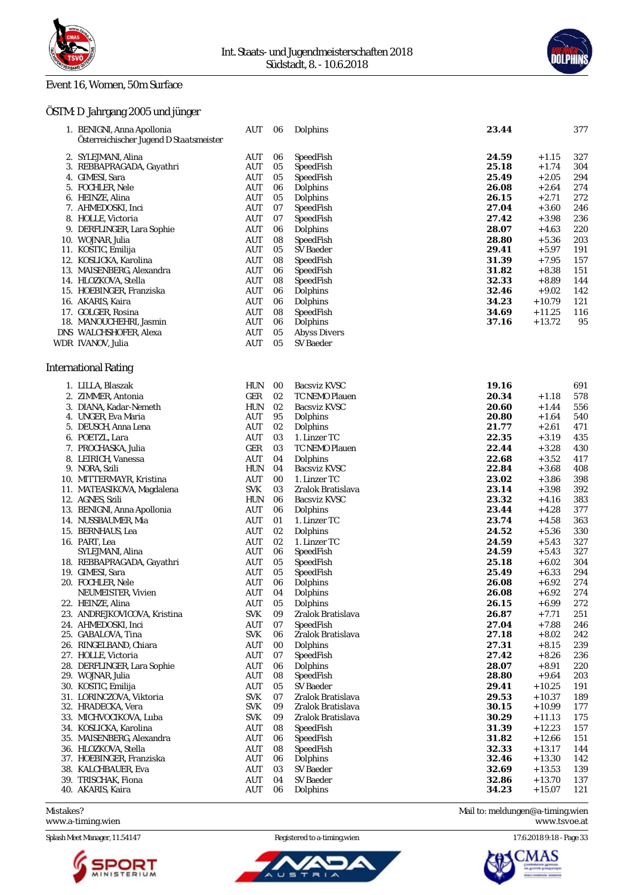

1. BENIGNI, Anna Apollonia AUT 06 Dolphins **23.44** 377

#### Event 16, Women, 50m Surface

### ÖSTM: D Jahrgang 2005 und jünger

| Österreichischer Jugend D Staatsmeister            |                          |            |                          |                |                      |            |
|----------------------------------------------------|--------------------------|------------|--------------------------|----------------|----------------------|------------|
| 2. SYLEJMANI, Alina                                | AUT                      | 06         | SpeedFish                | 24.59          | $+1.15$              | 327        |
| 3. REBBAPRAGADA, Gayathri                          | AUT                      | 05         | SpeedFish                | 25.18          | $+1.74$              | 304        |
| 4. GIMESI, Sara                                    | AUT                      | 05         | SpeedFish                | 25.49          | $+2.05$              | 294        |
| 5. FOCHLER, Nele                                   | AUT                      | 06         | Dolphins                 | 26.08          | $+2.64$              | 274        |
| 6. HEINZE, Alina                                   | <b>AUT</b>               | 05         | Dolphins                 | 26.15          | $+2.71$              | 272        |
| 7. AHMEDOSKI, Inci                                 | AUT                      | 07         | SpeedFish                | 27.04          | $+3.60$              | 246        |
| 8. HOLLE, Victoria                                 | AUT                      | 07         | SpeedFish                | 27.42          | $+3.98$              | 236        |
| 9. DERFLINGER, Lara Sophie                         | <b>AUT</b>               | 06         | Dolphins                 | 28.07          | $+4.63$              | 220        |
| 10. WOJNAR, Julia<br>11. KOSTIC, Emilija           | AUT<br>AUT               | 08<br>05   | SpeedFish<br>SV Baeder   | 28.80<br>29.41 | $+5.36$<br>$+5.97$   | 203<br>191 |
| 12. KOSLICKA, Karolina                             | AUT                      | 08         | SpeedFish                | 31.39          | $+7.95$              | 157        |
| 13. MAISENBERG, Alexandra                          | AUT                      | 06         | SpeedFish                | 31.82          | $+8.38$              | 151        |
| 14. HLOZKOVA, Stella                               | <b>AUT</b>               | 08         | SpeedFish                | 32.33          | $+8.89$              | 144        |
| 15. HOEBINGER, Franziska                           | AUT                      | 06         | Dolphins                 | 32.46          | $+9.02$              | 142        |
| 16. AKARIS, Kaira                                  | AUT                      | 06         | Dolphins                 | 34.23          | $+10.79$             | 121        |
| 17. GOLGER, Rosina                                 | AUT                      | 08         | SpeedFish                | 34.69          | $+11.25$             | 116        |
| 18. MANOUCHEHRI, Jasmin                            | <b>AUT</b>               | 06         | Dolphins                 | 37.16          | $+13.72$             | 95         |
| DNS WALCHSHOFER, Alexa                             | AUT                      | 05         | <b>Abyss Divers</b>      |                |                      |            |
| WDR IVANOV, Julia                                  | <b>AUT</b>               | 05         | <b>SV</b> Baeder         |                |                      |            |
| <b>International Rating</b>                        |                          |            |                          |                |                      |            |
| 1. LILLA, Blaszak                                  | HUN                      | 00         | <b>Bacsviz KVSC</b>      | 19.16          |                      | 691        |
| 2. ZIMMER, Antonia                                 | GER                      | 02         | TC NEMO Plauen           | 20.34          | $+1.18$              | 578        |
| 3. DIANA, Kadar-Nemeth                             | <b>HUN</b>               | 02         | <b>Bacsviz KVSC</b>      | 20.60          | $+1.44$              | 556        |
| 4. UNGER, Eva Maria                                | AUT                      | 95         | Dolphins                 | 20.80          | $+1.64$              | 540        |
| 5. DEUSCH, Anna Lena                               | AUT                      | 02         | Dolphins                 | 21.77          | $+2.61$              | 471        |
| 6. POETZL, Lara                                    | AUT                      | 03         | 1. Linzer TC             | 22.35          | $+3.19$              | 435        |
| 7. PROCHASKA, Julia                                | GER                      | 03         | TC NEMO Plauen           | 22.44          | $+3.28$              | 430        |
| 8. LEIRICH, Vanessa                                | AUT                      | 04         | Dolphins                 | 22.68          | $+3.52$              | 417        |
| 9. NORA, Szili                                     | <b>HUN</b>               | 04         | Bacsviz KVSC             | 22.84          | $+3.68$              | 408        |
| 10. MITTERMAYR, Kristina                           | AUT                      | 00         | 1. Linzer TC             | 23.02          | $+3.86$              | 398        |
| 11. MATEASIKOVA, Magdalena                         | <b>SVK</b>               | 03         | Zralok Bratislava        | 23.14          | $+3.98$              | 392        |
| 12. AGNES, Szili<br>13. BENIGNI, Anna Apollonia    | <b>HUN</b><br>AUT        | 06<br>06   | Bacsviz KVSC<br>Dolphins | 23.32<br>23.44 | $+4.16$<br>$+4.28$   | 383<br>377 |
| 14. NUSSBAUMER, Mia                                | AUT                      | 01         | 1. Linzer TC             | 23.74          | $+4.58$              | 363        |
| 15. BERNHAUS, Lea                                  | AUT                      | 02         | Dolphins                 | 24.52          | $+5.36$              | 330        |
| 16. PART, Lea                                      | AUT                      | 02         | 1. Linzer TC             | 24.59          | $+5.43$              | 327        |
| SYLEJMANI, Alina                                   | <b>AUT</b>               | 06         | SpeedFish                | 24.59          | $+5.43$              | 327        |
| 18. REBBAPRAGADA, Gayathri                         | AUT                      | 05         | SpeedFish                | 25.18          | $+6.02$              | 304        |
| 19. GIMESI, Sara                                   | AUT                      | 05         | SpeedFish                | 25.49          | $+6.33$              | 294        |
| 20. FOCHLER, Nele                                  | AUT                      | 06         | Dolphins                 | 26.08          | $+6.92$              | 274        |
| NEUMEISTER, Vivien                                 | <b>AUT</b>               | 04         | Dolphins                 | 26.08          | $+6.92$              | 274        |
| 22. HEINZE, Alina                                  | AUT                      | 05         | Dolphins                 | 26.15          | $+6.99$              | 272        |
| 23. ANDREJKOVICOVA, Kristina                       | <b>SVK</b>               | ${\bf 09}$ | Zralok Bratislava        | 26.87          | $+7.71$              | 251        |
| 24. AHMEDOSKI, Inci                                | AUT                      | 07         | SpeedFish                | 27.04          | $+7.88$              | 246        |
| 25. GABALOVA, Tina                                 | <b>SVK</b>               | 06         | Zralok Bratislava        | 27.18          | $+8.02$              | 242        |
| 26. RINGELBAND, Chiara                             | AUT                      | 00         | Dolphins                 | 27.31          | $+8.15$              | 239        |
| 27. HOLLE, Victoria<br>28. DERFLINGER, Lara Sophie | <b>AUT</b><br><b>AUT</b> | 07         | SpeedFish<br>Dolphins    | 27.42<br>28.07 | $+8.26$<br>$+8.91$   | 236<br>220 |
| 29. WOJNAR, Julia                                  | <b>AUT</b>               | 06<br>08   | SpeedFish                | 28.80          | $+9.64$              | 203        |
| 30. KOSTIC, Emilija                                | AUT                      | 05         | SV Baeder                | 29.41          | $+10.25$             | 191        |
| 31. LORINCZOVA, Viktoria                           | <b>SVK</b>               | 07         | Zralok Bratislava        | 29.53          | $+10.37$             | 189        |
| 32. HRADECKA, Vera                                 | <b>SVK</b>               | 09         | Zralok Bratislava        | 30.15          | $+10.99$             | 177        |
| 33. MICHVOCIKOVA, Luba                             | <b>SVK</b>               | 09         | Zralok Bratislava        | 30.29          | $+11.13$             | 175        |
| 34. KOSLICKA, Karolina                             | AUT                      | 08         | SpeedFish                | 31.39          | $+12.23$             | 157        |
| 35. MAISENBERG, Alexandra                          | <b>AUT</b>               | 06         | SpeedFish                | 31.82          | $+12.66$             | 151        |
| 36. HLOZKOVA, Stella                               | <b>AUT</b>               | 08         | SpeedFish                | 32.33          | $+13.17$             | 144        |
| 37. HOEBINGER, Franziska                           | <b>AUT</b>               | 06         | Dolphins                 | 32.46          | $+13.30$             | 142        |
| 38. KALCHBAUER, Eva                                | AUT                      | 03         | SV Baeder                | 32.69          | $+13.53$             | 139        |
| 39. TRISCHAK, Fiona<br>40. AKARIS, Kaira           | <b>AUT</b><br>AUT        | 04<br>06   | SV Baeder<br>Dolphins    | 32.86<br>34.23 | $+13.70$<br>$+15.07$ | 137<br>121 |
|                                                    |                          |            |                          |                |                      |            |
|                                                    |                          |            |                          |                |                      |            |

<www.a-timing.wien>

Splash Meet Manager, 11.54147 Registered to a-timing.wien 17.6.2018 9:18 - Page 33



ū

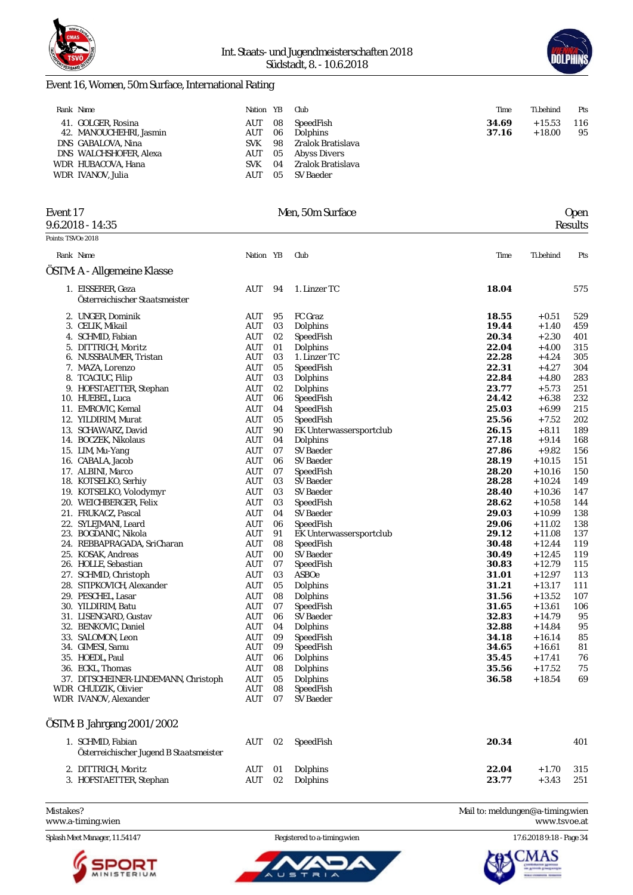



### Event 16, Women, 50m Surface, International Rating

| Rank Name                                     | Nation YB  |          | Club                  | Time           | Ti.behind            | Pts       |
|-----------------------------------------------|------------|----------|-----------------------|----------------|----------------------|-----------|
| 41. GOLGER, Rosina<br>42. MANOUCHEHRI, Jasmin | AUT<br>AUT | 08<br>06 | SpeedFish<br>Dolphins | 34.69<br>37.16 | $+15.53$<br>$+18.00$ | 116<br>95 |
| DNS GABALOVA, Nina                            | <b>SVK</b> | 98       | Zralok Bratislava     |                |                      |           |
| DNS WALCHSHOFER, Alexa                        | AUT        | 05       | Abyss Divers          |                |                      |           |
| WDR HUBACOVA, Hana                            | <b>SVK</b> | 04       | Zralok Bratislava     |                |                      |           |
| WDR IVANOV, Julia                             | AUT        | 05       | SV Baeder             |                |                      |           |

| Event 17<br>$9.6.2018 - 14:35$                      |                          |           | Men. 50m Surface                            |                | <b>Open</b><br>Results |            |  |  |
|-----------------------------------------------------|--------------------------|-----------|---------------------------------------------|----------------|------------------------|------------|--|--|
| Points: TSVOe 2018                                  |                          |           |                                             |                |                        |            |  |  |
| Rank Name                                           | Nation YB                |           | Club                                        | Time           | Ti.behind              | Pts        |  |  |
| ÖSTM: A - Allgemeine Klasse                         |                          |           |                                             |                |                        |            |  |  |
| 1. EISSERER, Geza<br>Österreichischer Staatsmeister | AUT                      | 94        | 1. Linzer TC                                | 18.04          |                        | 575        |  |  |
| 2. UNGER, Dominik<br>3. CELIK, Mikail               | AUT<br>AUT               | 95<br>03  | FC Graz<br>Dolphins                         | 18.55<br>19.44 | $+0.51$<br>$+1.40$     | 529<br>459 |  |  |
| SCHMID, Fabian<br>4.                                | AUT                      | 02        | SpeedFish                                   | 20.34          | $+2.30$                | 401        |  |  |
| DITTRICH, Moritz<br>5.<br>6. NUSSBAUMER, Tristan    | AUT<br>AUT               | 01<br>03  | Dolphins<br>1. Linzer TC                    | 22.04<br>22.28 | $+4.00$<br>$+4.24$     | 315<br>305 |  |  |
| 7. MAZA, Lorenzo                                    | AUT                      | 05        | SpeedFish                                   | 22.31          | $+4.27$                | 304        |  |  |
| 8. TCACIUC, Filip<br>9. HOFSTAETTER, Stephan        | AUT<br>AUT               | 03<br>02  | Dolphins<br>Dolphins                        | 22.84<br>23.77 | $+4.80$<br>$+5.73$     | 283<br>251 |  |  |
| 10. HUEBEL, Luca                                    | AUT                      | 06        | SpeedFish                                   | 24.42          | $+6.38$                | 232        |  |  |
| EMROVIC, Kemal<br>11.<br>12. YILDIRIM, Murat        | <b>AUT</b><br>AUT        | 04<br>05  | SpeedFish<br>SpeedFish                      | 25.03<br>25.56 | $+6.99$<br>$+7.52$     | 215<br>202 |  |  |
| 13. SCHAWARZ, David                                 | <b>AUT</b>               | 90        | EK Unterwassersportclub                     | 26.15          | $+8.11$                | 189        |  |  |
| 14. BOCZEK, Nikolaus                                | AUT                      | 04        | Dolphins                                    | 27.18          | $+9.14$                | 168        |  |  |
| 15. LIM, Mu-Yang                                    | AUT                      | 07        | <b>SV Baeder</b>                            | 27.86          | $+9.82$                | 156        |  |  |
| 16. CABALA, Jacob<br>17. ALBINI, Marco              | <b>AUT</b><br><b>AUT</b> | 06<br>07  | <b>SV Baeder</b><br>SpeedFish               | 28.19<br>28.20 | $+10.15$<br>$+10.16$   | 151<br>150 |  |  |
| 18. KOTSELKO, Serhiy                                | AUT                      | 03        | SV Baeder                                   | 28.28          | $+10.24$               | 149        |  |  |
| 19. KOTSELKO, Volodymyr                             | AUT                      | 03        | <b>SV Baeder</b>                            | 28.40          | $+10.36$               | 147        |  |  |
| 20. WEICHBERGER, Felix                              | AUT                      | 03        | SpeedFish                                   | 28.62          | $+10.58$               | 144        |  |  |
| 21. FRUKACZ, Pascal                                 | AUT                      | 04        | <b>SV Baeder</b>                            | 29.03          | $+10.99$               | 138        |  |  |
| 22. SYLEJMANI, Leard<br>23 ROCDANIC Nikola          | AUT<br><b>AIT</b>        | 06<br>Q 1 | SpeedFish<br><b>FK</b> Unterwassersportclub | 29.06<br>20 12 | $+11.02$<br>1108       | 138<br>137 |  |  |

| Mistakes? | www.a-timing.wien                                            |                          |          |                         | Mail to: meldungen@a-timing.wien | www.tsvoe.at         |          |
|-----------|--------------------------------------------------------------|--------------------------|----------|-------------------------|----------------------------------|----------------------|----------|
|           | 3. HOFSTAETTER, Stephan                                      | <b>AUT</b>               | 02       | Dolphins                | 23.77                            | $+3.43$              | 251      |
|           | 2. DITTRICH, Moritz                                          | AUT                      | 01       | Dolphins                | 22.04                            | $+1.70$              | 315      |
|           | Österreichischer Jugend B Staatsmeister                      |                          |          |                         |                                  |                      |          |
|           | 1. SCHMID, Fabian                                            | AUT                      | 02       | SpeedFish               | 20.34                            |                      | 401      |
|           | ÖSTM: B Jahrgang 2001/2002                                   |                          |          |                         |                                  |                      |          |
|           |                                                              |                          |          |                         |                                  |                      |          |
|           | WDR IVANOV, Alexander                                        | <b>AUT</b>               | 07       | <b>SV Baeder</b>        |                                  |                      |          |
|           | 37. DITSCHEINER-LINDEMANN, Christoph<br>WDR CHUDZIK, Olivier | <b>AUT</b>               | 08       | SpeedFish               |                                  |                      |          |
|           | 36. ECKL, Thomas                                             | <b>AUT</b>               | 05       | Dolphins<br>Dolphins    | 36.58                            | $+18.54$             | 75<br>69 |
|           | 35. HOEDL, Paul                                              | <b>AUT</b>               | 06<br>08 | Dolphins                | 35.56                            | $+17.52$             | 76       |
|           | 34. GIMESI, Samu                                             | <b>AUT</b><br><b>AUT</b> | 09       | SpeedFish               | 34.65<br>35.45                   | $+16.61$<br>$+17.41$ | 81       |
|           | 33. SALOMON, Leon                                            | <b>AUT</b>               | 09       | SpeedFish               | 34.18                            | $+16.14$             | 85       |
|           | 32. BENKOVIC, Daniel                                         | AUT                      | 04       | Dolphins                | 32.88                            | $+14.84$             | 95       |
|           | 31. LISENGARD, Gustav                                        | <b>AUT</b>               | 06       | SV Baeder               | 32.83                            | $+14.79$             | 95       |
|           | 30. YILDIRIM, Batu                                           | <b>AUT</b>               | 07       | SpeedFish               | 31.65                            | $+13.61$             | 106      |
|           | 29. PESCHEL, Lasar                                           | <b>AUT</b>               | 08       | Dolphins                | 31.56                            | $+13.52$             | 107      |
|           | 28. STIPKOVICH, Alexander                                    | <b>AUT</b>               | 05       | Dolphins                | 31.21                            | $+13.17$             | 111      |
|           | 27. SCHMID, Christoph                                        | <b>AUT</b>               | 03       | ASBOe                   | 31.01                            | $+12.97$             | 113      |
|           | 26. HOLLE, Sebastian                                         | <b>AUT</b>               | 07       | SpeedFish               | 30.83                            | $+12.79$             | 115      |
|           | 25. KOSAK, Andreas                                           | <b>AUT</b>               | 00       | SV Baeder               | 30.49                            | $+12.45$             | 119      |
|           | 24. REBBAPRAGADA, SriCharan                                  | <b>AUT</b>               | 08       | SpeedFish               | 30.48                            | $+12.44$             | 119      |
|           | 23. BOGDANIC, Nikola                                         | AUT                      | 91       | EK Unterwassersportclub | 29.12                            | $+11.08$             | 137      |
|           | 22. SYLEJMANI, Leard                                         | <b>AUT</b>               | 06       | SpeedFish               | 29.06                            | $+11.02$             | 138      |
|           | 21. FRUKACZ, Pascal                                          | <b>AUT</b>               | 04       | SV Baeder               | 29.03                            | $+10.99$             | 138      |
|           | 20. WEICHBERGER, Felix                                       | <b>AUT</b>               | 03       | SpeedFish               | 28.62                            | $+10.58$             | 144      |
|           | 19. KOTSELKO, Volodymyr                                      | <b>AUT</b>               | 03       | SV Baeder               | 28.40                            | $+10.36$             | 147      |
|           | 18. KOTSELKO, Serhiy                                         | <b>AUT</b>               | 03       | SV Baeder               | 28.28                            | $+10.24$             | 149      |
|           | 17. ALBINI, Marco                                            | <b>AUT</b>               | 07       | SpeedFish               | 28.20                            | $+10.16$             | 150      |
|           | 16. CABALA, Jacob                                            | <b>AUT</b>               | 06       | SV Baeder               | 28.19                            | $+10.15$             | 151      |
|           | 15. LIM, Mu-Yang                                             | <b>AUT</b>               | 07       | SV Baeder               | 27.86                            | $+9.82$              | 156      |
|           | 14. BOCZEK, Nikolaus                                         | <b>AUT</b>               | 04       | Dolphins                | 27.18                            | $+9.14$              | 168      |
|           | 13. SCHAWARZ, David                                          | <b>AUT</b>               | 90       | EK Unterwassersportclub | 26.15                            | $+8.11$              | 189      |
|           | 12. YILDIRIM, Murat                                          | AUT                      | 05       | SpeedFish               | 25.56                            | $+7.52$              | 202      |



 $\overline{a}$ 

ັບ ຣ

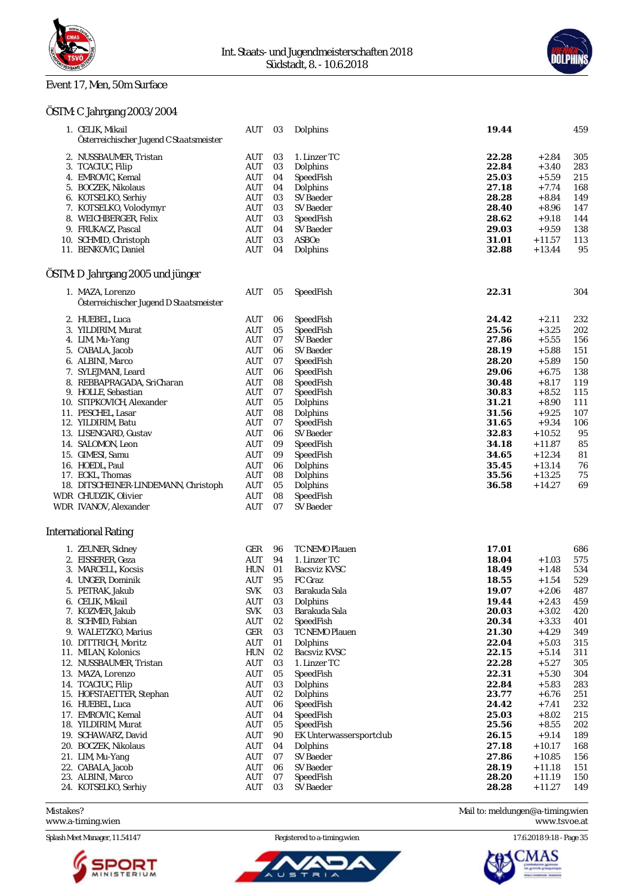

### Event 17, Men, 50m Surface



### ÖSTM: C Jahrgang 2003/2004

| 1. CELIK, Mikail                        | AUT        | 03 | Dolphins                | 19.44 |           | 459 |
|-----------------------------------------|------------|----|-------------------------|-------|-----------|-----|
| Österreichischer Jugend C Staatsmeister |            |    |                         |       |           |     |
| 2. NUSSBAUMER, Tristan                  | AUT        | 03 | 1. Linzer TC            | 22.28 | $+2.84$   | 305 |
| 3. TCACIUC, Filip                       | AUT        | 03 | Dolphins                | 22.84 | $+3.40$   | 283 |
| 4. EMROVIC, Kemal                       | AUT        | 04 | SpeedFish               | 25.03 | $+5.59$   | 215 |
| 5. BOCZEK, Nikolaus                     | AUT        | 04 | Dolphins                | 27.18 | $+7.74$   | 168 |
| 6. KOTSELKO, Serhiy                     | AUT        | 03 | SV Baeder               | 28.28 | $+8.84$   | 149 |
| 7. KOTSELKO, Volodymyr                  | AUT        | 03 | SV Baeder               | 28.40 | $+8.96$   | 147 |
| 8. WEICHBERGER, Felix                   | AUT        | 03 | SpeedFish               | 28.62 | $+9.18$   | 144 |
| 9. FRUKACZ, Pascal                      | AUT        | 04 | SV Baeder               | 29.03 | $+9.59$   | 138 |
| 10. SCHMID, Christoph                   | AUT        | 03 | ASBOe                   | 31.01 | $+11.57$  | 113 |
| 11. BENKOVIC, Daniel                    | AUT        | 04 | Dolphins                | 32.88 | $+13.44$  | 95  |
| ÖSTM: D Jahrgang 2005 und jünger        |            |    |                         |       |           |     |
| 1. MAZA, Lorenzo                        | AUT        | 05 | SpeedFish               | 22.31 |           | 304 |
| Österreichischer Jugend D Staatsmeister |            |    |                         |       |           |     |
| 2. HUEBEL, Luca                         | AUT        | 06 | SpeedFish               | 24.42 | $+2.11$   | 232 |
| 3. YILDIRIM, Murat                      | AUT        | 05 | SpeedFish               | 25.56 | $+3.25$   | 202 |
| 4. LIM, Mu-Yang                         | AUT        | 07 | SV Baeder               | 27.86 | $+5.55$   | 156 |
| 5. CABALA, Jacob                        | AUT        | 06 | SV Baeder               | 28.19 | $+5.88$   | 151 |
| 6. ALBINI, Marco                        | AUT        | 07 | SpeedFish               | 28.20 | $+5.89$   | 150 |
| 7. SYLEJMANI, Leard                     | AUT        | 06 | SpeedFish               | 29.06 | $+6.75$   | 138 |
| 8. REBBAPRAGADA, SriCharan              | AUT        | 08 | SpeedFish               | 30.48 | $+8.17$   | 119 |
| 9. HOLLE, Sebastian                     | AUT        | 07 | SpeedFish               | 30.83 | $+8.52$   | 115 |
| 10. STIPKOVICH, Alexander               | AUT        | 05 | Dolphins                | 31.21 | $+8.90$   | 111 |
| 11. PESCHEL, Lasar                      | AUT        | 08 | Dolphins                | 31.56 | $+9.25$   | 107 |
| 12. YILDIRIM, Batu                      | AUT        | 07 | SpeedFish               | 31.65 | $+9.34$   | 106 |
| 13. LISENGARD, Gustav                   | AUT        | 06 | SV Baeder               | 32.83 | $+10.52$  | 95  |
| 14. SALOMON, Leon                       | AUT        | 09 | SpeedFish               | 34.18 | $+11.87$  | 85  |
| 15. GIMESI, Samu                        | AUT        | 09 | SpeedFish               | 34.65 | $+12.34$  | 81  |
| 16. HOEDL, Paul                         | AUT        | 06 | Dolphins                | 35.45 | $+13.14$  | 76  |
| 17. ECKL, Thomas                        | AUT        | 08 | Dolphins                | 35.56 | $+13.25$  | 75  |
| 18. DITSCHEINER-LINDEMANN, Christoph    | AUT        | 05 | Dolphins                | 36.58 | $+14.27$  | 69  |
| WDR CHUDZIK, Olivier                    | AUT        | 08 | SpeedFish               |       |           |     |
| WDR IVANOV, Alexander                   | AUT        | 07 | SV Baeder               |       |           |     |
| International Rating                    |            |    |                         |       |           |     |
| 1. ZEUNER, Sidney                       | GER        | 96 | TC NEMO Plauen          | 17.01 |           | 686 |
| 2. EISSERER, Geza                       | AUT        | 94 | 1. Linzer TC            | 18.04 | $+1.03$   | 575 |
| 3. MARCELL, Kocsis                      | <b>HUN</b> | 01 | Bacsviz KVSC            | 18.49 | $+1.48$   | 534 |
| 4. UNGER, Dominik                       | AUT        | 95 | FC Graz                 | 18.55 | $+1.54$   | 529 |
| 5. PETRAK, Jakub                        | <b>SVK</b> | 03 | Barakuda Sala           | 19.07 | $+2.06$   | 487 |
| 6. CELIK, Mikail                        | AUT 03     |    | Dolphins                | 19.44 | $+2.43$   | 459 |
| 7. KOZMER, Jakub                        | <b>SVK</b> | 03 | Barakuda Sala           | 20.03 | $+3.02$   | 420 |
| 8. SCHMID, Fabian                       | AUT        | 02 | SpeedFish               | 20.34 | $+3.33$   | 401 |
| 9. WALETZKO, Marius                     | GER        | 03 | TC NEMO Plauen          | 21.30 | $+4.29$   | 349 |
| 10. DITTRICH, Moritz                    | AUT        | 01 | Dolphins                | 22.04 | $+5.03$   | 315 |
| 11. MILAN, Kolonics                     | <b>HUN</b> | 02 | Bacsviz KVSC            | 22.15 | $+5.14$   | 311 |
| 12. NUSSBAUMER, Tristan                 | AUT        | 03 | 1. Linzer TC            | 22.28 | $+5.27$   | 305 |
| 13. MAZA, Lorenzo                       | AUT        | 05 | SpeedFish               | 22.31 | $+5.30$   | 304 |
| 14. TCACIUC. Filip                      | AUT        | 03 | Dolphins                | 22.84 | $+5.83$   | 283 |
| 15. HOFSTAETTER, Stephan                | AUT        | 02 | Dolphins                | 23.77 | $+6.76$   | 251 |
| 16. HUEBEL, Luca                        | AUT        | 06 | SpeedFish               | 24.42 | $+7.41$   | 232 |
| 17. EMROVIC, Kemal                      | <b>AUT</b> | 04 | SpeedFish               | 25.03 | $+8.02$   | 215 |
| 18. YILDIRIM, Murat                     | AUT        | 05 | SpeedFish               | 25.56 | $+8.55$   | 202 |
| 19. SCHAWARZ, David                     | AUT        | 90 | EK Unterwassersportclub | 26.15 | $+\,9.14$ | 189 |
| 20. BOCZEK, Nikolaus                    | AUT        | 04 | Dolphins                | 27.18 | $+10.17$  | 168 |
| 21. LIM, Mu-Yang                        | AUT        | 07 | SV Baeder               | 27.86 | $+10.85$  | 156 |
| 22. CABALA, Jacob                       | AUT        | 06 | <b>SV</b> Baeder        | 28.19 | $+11.18$  | 151 |
| 23. ALBINI, Marco                       | AUT        | 07 | SpeedFish               | 28.20 | $+11.19$  | 150 |
| 24. KOTSELKO, Serhiy                    | AUT        | 03 | SV Baeder               | 28.28 | $+11.27$  | 149 |

<www.a-timing.wien>

Splash Meet Manager, 11.54147 Registered to a-timing.wien 17.6.2018 9:18 - Page 35



Ū  $\equiv$ 

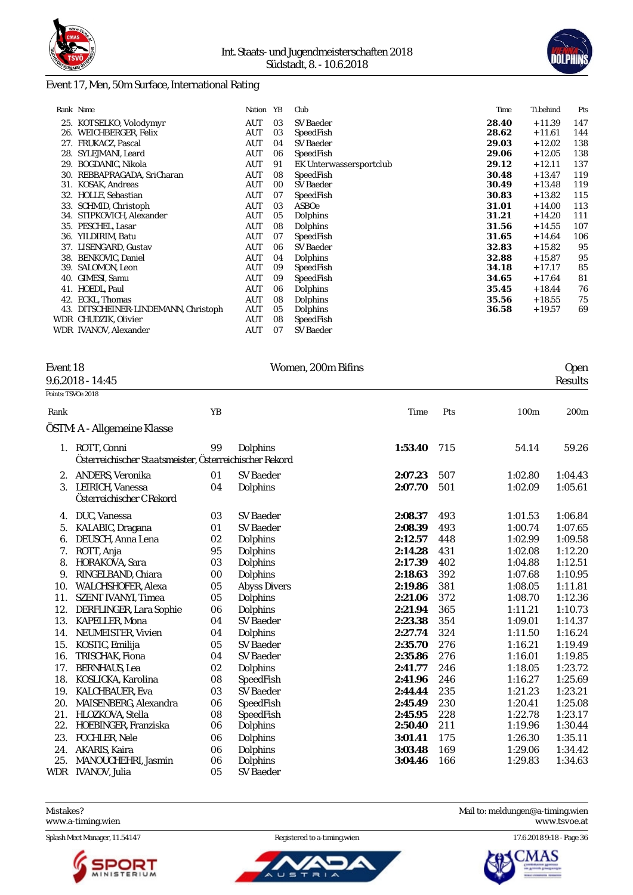



### Event 17, Men, 50m Surface, International Rating

|     | Rank Name                            | Nation     | YB | Club                    | Time  | Ti.behind | Pts |
|-----|--------------------------------------|------------|----|-------------------------|-------|-----------|-----|
|     | 25. KOTSELKO, Volodymyr              | AUT        | 03 | <b>SV Baeder</b>        | 28.40 | $+11.39$  | 147 |
| 26. | WEICHBERGER, Felix                   | AUT        | 03 | SpeedFish               | 28.62 | $+11.61$  | 144 |
|     | 27. FRUKACZ, Pascal                  | AUT        | 04 | SV Baeder               | 29.03 | $+12.02$  | 138 |
| 28. | SYLEJMANI, Leard                     | AUT        | 06 | SpeedFish               | 29.06 | $+12.05$  | 138 |
| 29. | <b>BOGDANIC. Nikola</b>              | <b>AUT</b> | 91 | EK Unterwassersportclub | 29.12 | $+12.11$  | 137 |
| 30. | REBBAPRAGADA, SriCharan              | AUT        | 08 | SpeedFish               | 30.48 | $+13.47$  | 119 |
| 31. | KOSAK, Andreas                       | AUT        | 00 | SV Baeder               | 30.49 | $+13.48$  | 119 |
| 32. | HOLLE, Sebastian                     | <b>AUT</b> | 07 | SpeedFish               | 30.83 | $+13.82$  | 115 |
|     | 33. SCHMID, Christoph                | AUT        | 03 | ASBOe                   | 31.01 | $+14.00$  | 113 |
|     | 34. STIPKOVICH, Alexander            | AUT        | 05 | Dolphins                | 31.21 | $+14.20$  | 111 |
|     | 35. PESCHEL, Lasar                   | AUT        | 08 | Dolphins                | 31.56 | $+14.55$  | 107 |
| 36. | YILDIRIM, Batu                       | <b>AUT</b> | 07 | SpeedFish               | 31.65 | $+14.64$  | 106 |
|     | 37. LISENGARD, Gustav                | AUT        | 06 | <b>SV Baeder</b>        | 32.83 | $+15.82$  | 95  |
|     | 38. BENKOVIC, Daniel                 | AUT        | 04 | Dolphins                | 32.88 | $+15.87$  | 95  |
| 39. | SALOMON, Leon                        | AUT        | 09 | SpeedFish               | 34.18 | $+17.17$  | 85  |
| 40. | GIMESI, Samu                         | AUT        | 09 | SpeedFish               | 34.65 | $+17.64$  | 81  |
|     | 41. HOEDL. Paul                      | <b>AUT</b> | 06 | Dolphins                | 35.45 | $+18.44$  | 76  |
| 42. | ECKL, Thomas                         | <b>AUT</b> | 08 | Dolphins                | 35.56 | $+18.55$  | 75  |
|     | 43. DITSCHEINER-LINDEMANN, Christoph | <b>AUT</b> | 05 | Dolphins                | 36.58 | $+19.57$  | 69  |
|     | WDR CHUDZIK, Olivier                 | AUT        | 08 | SpeedFish               |       |           |     |
|     | WDR IVANOV, Alexander                | AUT        | 07 | SV Baeder               |       |           |     |

| Event 18           |    | Women, 200m Bifins |      |     | Open                                 |
|--------------------|----|--------------------|------|-----|--------------------------------------|
| $9.6.2018 - 14.45$ |    |                    |      |     | Results                              |
| Points: TSVOe 2018 |    |                    |      |     |                                      |
| Rank<br>$\cdot$ .  | YΒ |                    | Time | Pts | 100 <sub>m</sub><br>200 <sub>m</sub> |

| Rank |                                                                           | YB |                     | Time    | Pts | 100m    | 200m    |
|------|---------------------------------------------------------------------------|----|---------------------|---------|-----|---------|---------|
|      | ÖSTM: A - Allgemeine Klasse                                               |    |                     |         |     |         |         |
|      | 1. ROTT, Conni<br>Österreichischer Staatsmeister, Österreichischer Rekord | 99 | Dolphins            | 1:53.40 | 715 | 54.14   | 59.26   |
| 2.   | ANDERS, Veronika                                                          | 01 | SV Baeder           | 2:07.23 | 507 | 1:02.80 | 1:04.43 |
| 3.   | LEIRICH, Vanessa<br>Österreichischer C Rekord                             | 04 | Dolphins            | 2:07.70 | 501 | 1:02.09 | 1:05.61 |
| 4.   | DUC, Vanessa                                                              | 03 | <b>SV Baeder</b>    | 2:08.37 | 493 | 1:01.53 | 1:06.84 |
| 5.   | KALABIC, Dragana                                                          | 01 | <b>SV Baeder</b>    | 2:08.39 | 493 | 1:00.74 | 1:07.65 |
| 6.   | DEUSCH, Anna Lena                                                         | 02 | Dolphins            | 2:12.57 | 448 | 1:02.99 | 1:09.58 |
| 7.   | ROTT, Anja                                                                | 95 | Dolphins            | 2:14.28 | 431 | 1:02.08 | 1:12.20 |
| 8.   | HORAKOVA, Sara                                                            | 03 | Dolphins            | 2:17.39 | 402 | 1:04.88 | 1:12.51 |
| 9.   | RINGELBAND, Chiara                                                        | 00 | Dolphins            | 2:18.63 | 392 | 1:07.68 | 1:10.95 |
| 10.  | WALCHSHOFER, Alexa                                                        | 05 | <b>Abyss Divers</b> | 2:19.86 | 381 | 1:08.05 | 1:11.81 |
| 11.  | <b>SZENT IVANYI, Timea</b>                                                | 05 | Dolphins            | 2:21.06 | 372 | 1:08.70 | 1:12.36 |
| 12.  | DERFLINGER, Lara Sophie                                                   | 06 | Dolphins            | 2:21.94 | 365 | 1:11.21 | 1:10.73 |
| 13.  | KAPELLER, Mona                                                            | 04 | <b>SV Baeder</b>    | 2:23.38 | 354 | 1:09.01 | 1:14.37 |
| 14.  | NEUMEISTER, Vivien                                                        | 04 | Dolphins            | 2:27.74 | 324 | 1:11.50 | 1:16.24 |
| 15.  | KOSTIC, Emilija                                                           | 05 | <b>SV Baeder</b>    | 2:35.70 | 276 | 1:16.21 | 1:19.49 |
| 16.  | TRISCHAK, Fiona                                                           | 04 | <b>SV Baeder</b>    | 2:35.86 | 276 | 1:16.01 | 1:19.85 |
| 17.  | <b>BERNHAUS, Lea</b>                                                      | 02 | Dolphins            | 2:41.77 | 246 | 1:18.05 | 1:23.72 |
| 18.  | KOSLICKA, Karolina                                                        | 08 | SpeedFish           | 2:41.96 | 246 | 1:16.27 | 1:25.69 |
| 19.  | KALCHBAUER, Eva                                                           | 03 | <b>SV Baeder</b>    | 2:44.44 | 235 | 1:21.23 | 1:23.21 |
| 20.  | MAISENBERG, Alexandra                                                     | 06 | SpeedFish           | 2:45.49 | 230 | 1:20.41 | 1:25.08 |
| 21.  | HLOZKOVA, Stella                                                          | 08 | SpeedFish           | 2:45.95 | 228 | 1:22.78 | 1:23.17 |
| 22.  | HOEBINGER, Franziska                                                      | 06 | Dolphins            | 2:50.40 | 211 | 1:19.96 | 1:30.44 |
| 23.  | <b>FOCHLER, Nele</b>                                                      | 06 | Dolphins            | 3:01.41 | 175 | 1:26.30 | 1:35.11 |
| 24.  | AKARIS, Kaira                                                             | 06 | Dolphins            | 3:03.48 | 169 | 1:29.06 | 1:34.42 |
| 25.  | MANOUCHEHRI, Jasmin                                                       | 06 | Dolphins            | 3:04.46 | 166 | 1:29.83 | 1:34.63 |
| WDR  | IVANOV, Julia                                                             | 05 | SV Baeder           |         |     |         |         |

Mistakes? Mail to: [meldungen@a-timing.wien](mailto:meldungen@a-timing.wien) <www.a-timing.wien>

Splash Meet Manager, 11.54147 Registered to a-timing.wien 17.6.2018 9:18 - Page 36



ັບ ຣ

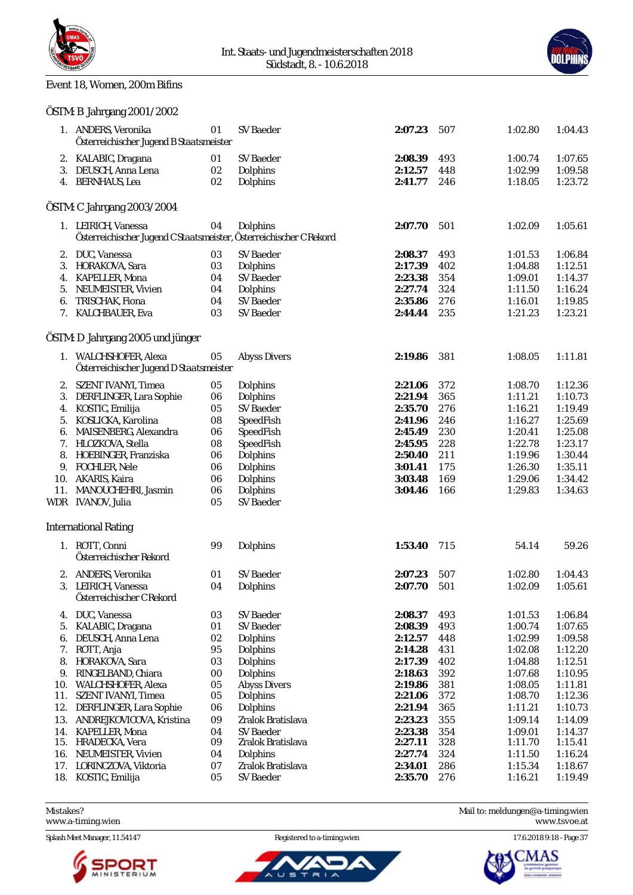



### Event 18, Women, 200m Bifins

|     | OSTM: B Jahrgang 2001/2002                                         |        |                     |         |     |         |         |
|-----|--------------------------------------------------------------------|--------|---------------------|---------|-----|---------|---------|
|     | 1. ANDERS, Veronika<br>Österreichischer Jugend B Staatsmeister     | 01     | SV Baeder           | 2:07.23 | 507 | 1:02.80 | 1:04.43 |
|     | 2. KALABIC, Dragana                                                | 01     | SV Baeder           | 2:08.39 | 493 | 1:00.74 | 1:07.65 |
|     | 3. DEUSCH, Anna Lena                                               | 02     | Dolphins            | 2:12.57 | 448 | 1:02.99 | 1:09.58 |
|     | 4. BERNHAUS, Lea                                                   | 02     | Dolphins            | 2:41.77 | 246 | 1:18.05 | 1:23.72 |
|     | ÖSTM: C Jahrgang 2003/2004                                         |        |                     |         |     |         |         |
|     | 1. LEIRICH, Vanessa                                                | 04     | Dolphins            | 2:07.70 | 501 | 1:02.09 | 1:05.61 |
|     | Österreichischer Jugend C Staatsmeister, Österreichischer C Rekord |        |                     |         |     |         |         |
|     | 2. DUC, Vanessa                                                    | 03     | SV Baeder           | 2:08.37 | 493 | 1:01.53 | 1:06.84 |
|     | 3. HORAKOVA, Sara                                                  | 03     | Dolphins            | 2:17.39 | 402 | 1:04.88 | 1:12.51 |
|     | 4. KAPELLER, Mona                                                  | 04     | SV Baeder           | 2:23.38 | 354 | 1:09.01 | 1:14.37 |
| 5.  | NEUMEISTER, Vivien                                                 | 04     | Dolphins            | 2:27.74 | 324 | 1:11.50 | 1:16.24 |
| 6.  | TRISCHAK, Fiona                                                    | 04     | SV Baeder           | 2:35.86 | 276 | 1:16.01 | 1:19.85 |
|     | 7. KALCHBAUER, Eva                                                 | 03     | <b>SV Baeder</b>    | 2:44.44 | 235 | 1:21.23 | 1:23.21 |
|     | ÖSTM: D Jahrgang 2005 und jünger                                   |        |                     |         |     |         |         |
|     | 1. WALCHSHOFER, Alexa<br>Österreichischer Jugend D Staatsmeister   | 05     | <b>Abyss Divers</b> | 2:19.86 | 381 | 1:08.05 | 1:11.81 |
|     | 2. SZENT IVANYI, Timea                                             | 05     | Dolphins            | 2:21.06 | 372 | 1:08.70 | 1:12.36 |
| 3.  | DERFLINGER, Lara Sophie                                            | 06     | Dolphins            | 2:21.94 | 365 | 1:11.21 | 1:10.73 |
|     | 4. KOSTIC, Emilija                                                 | 05     | <b>SV Baeder</b>    | 2:35.70 | 276 | 1:16.21 | 1:19.49 |
| 5.  | KOSLICKA, Karolina                                                 | 08     | SpeedFish           | 2:41.96 | 246 | 1:16.27 | 1:25.69 |
|     | 6. MAISENBERG, Alexandra                                           | 06     | SpeedFish           | 2:45.49 | 230 | 1:20.41 | 1:25.08 |
|     | 7. HLOZKOVA, Stella                                                | 08     | SpeedFish           | 2:45.95 | 228 | 1:22.78 | 1:23.17 |
| 8.  | HOEBINGER, Franziska                                               | 06     | Dolphins            | 2:50.40 | 211 | 1:19.96 | 1:30.44 |
| 9.  | FOCHLER, Nele                                                      | 06     | Dolphins            | 3:01.41 | 175 | 1:26.30 | 1:35.11 |
|     | 10. AKARIS, Kaira                                                  | 06     | Dolphins            | 3:03.48 | 169 | 1:29.06 | 1:34.42 |
| 11. | MANOUCHEHRI, Jasmin                                                | 06     | Dolphins            | 3:04.46 | 166 | 1:29.83 | 1:34.63 |
|     | WDR IVANOV, Julia                                                  | 05     | <b>SV Baeder</b>    |         |     |         |         |
|     | <b>International Rating</b>                                        |        |                     |         |     |         |         |
|     | 1. ROTT, Conni                                                     | 99     | Dolphins            | 1:53.40 | 715 | 54.14   |         |
|     | Österreichischer Rekord                                            |        |                     |         |     |         | 59.26   |
|     | 2. ANDERS, Veronika                                                | 01     | <b>SV Baeder</b>    | 2:07.23 | 507 | 1:02.80 | 1:04.43 |
|     | 3. LEIRICH, Vanessa                                                | 04     | Dolphins            | 2:07.70 | 501 | 1:02.09 | 1:05.61 |
|     | Österreichischer C Rekord                                          |        |                     |         |     |         |         |
| 4.  | DUC, Vanessa                                                       | 03     | <b>SV</b> Baeder    | 2:08.37 | 493 | 1:01.53 | 1:06.84 |
| 5.  | KALABIC, Dragana                                                   | 01     | <b>SV Baeder</b>    | 2:08.39 | 493 | 1:00.74 | 1:07.65 |
| 6.  | DEUSCH, Anna Lena                                                  | 02     | Dolphins            | 2:12.57 | 448 | 1:02.99 | 1:09.58 |
| 7.  | ROTT, Anja                                                         | 95     | Dolphins            | 2:14.28 | 431 | 1:02.08 | 1:12.20 |
| 8.  | HORAKOVA, Sara                                                     | 03     | Dolphins            | 2:17.39 | 402 | 1:04.88 | 1:12.51 |
| 9.  | RINGELBAND, Chiara                                                 | $00\,$ | Dolphins            | 2:18.63 | 392 | 1:07.68 | 1:10.95 |
| 10. | WALCHSHOFER, Alexa                                                 | 05     | <b>Abyss Divers</b> | 2:19.86 | 381 | 1:08.05 | 1:11.81 |
| 11. | SZENT IVANYI, Timea                                                | 05     | Dolphins            | 2:21.06 | 372 | 1:08.70 | 1:12.36 |
| 12. | DERFLINGER, Lara Sophie                                            | 06     | Dolphins            | 2:21.94 | 365 | 1:11.21 | 1:10.73 |
| 13. | ANDREJKOVICOVA, Kristina                                           | 09     | Zralok Bratislava   | 2:23.23 | 355 | 1:09.14 | 1:14.09 |
| 14. | KAPELLER, Mona                                                     | 04     | <b>SV Baeder</b>    | 2:23.38 | 354 | 1:09.01 | 1:14.37 |
| 15. | HRADECKA, Vera                                                     | 09     | Zralok Bratislava   | 2:27.11 | 328 | 1:11.70 | 1:15.41 |
| 16. | NEUMEISTER, Vivien                                                 | 04     | Dolphins            | 2:27.74 | 324 | 1:11.50 | 1:16.24 |
| 17. | LORINCZOVA, Viktoria                                               | 07     | Zralok Bratislava   | 2:34.01 | 286 | 1:15.34 | 1:18.67 |
| 18. | KOSTIC, Emilija                                                    | 05     | SV Baeder           | 2:35.70 | 276 | 1:16.21 | 1:19.49 |
|     |                                                                    |        |                     |         |     |         |         |

<www.a-timing.wien>



ū



Mistakes? Mail to: [meldungen@a-timing.wien](mailto:meldungen@a-timing.wien)

Splash Meet Manager, 11.54147 Registered to a-timing.wien 17.6.2018 9:18 - Page 37

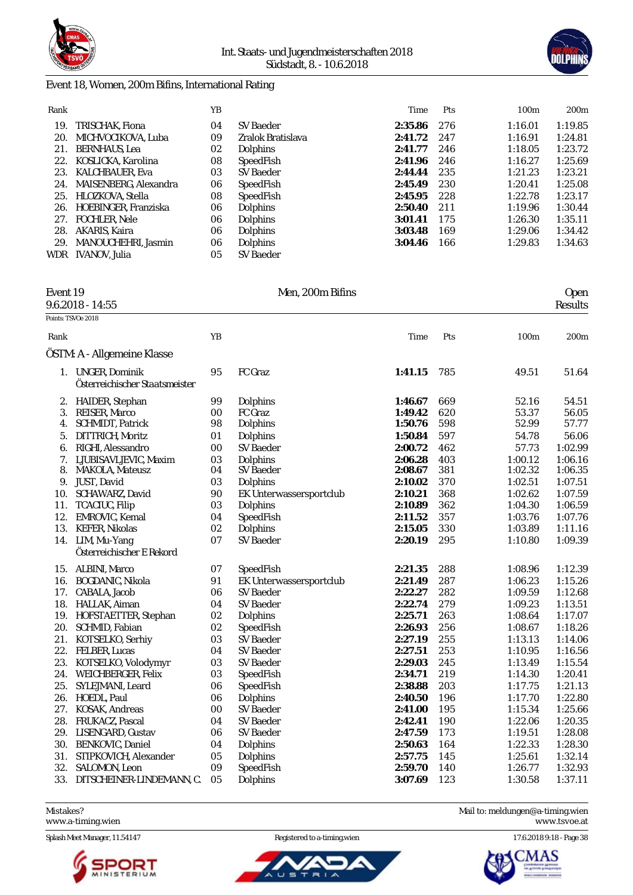



#### Event 18, Women, 200m Bifins, International Rating

| Rank |                        | YΒ |                   | Time    | <b>Pts</b> | 100 <sub>m</sub> | 200m    |
|------|------------------------|----|-------------------|---------|------------|------------------|---------|
| 19.  | TRISCHAK. Fiona        | 04 | SV Baeder         | 2:35.86 | 276        | 1:16.01          | 1:19.85 |
| 20.  | MICHVOCIKOVA, Luba     | 09 | Zralok Bratislava | 2:41.72 | 247        | 1:16.91          | 1:24.81 |
| 21.  | <b>BERNHAUS, Lea</b>   | 02 | <b>Dolphins</b>   | 2:41.77 | 246        | 1:18.05          | 1:23.72 |
| 22.  | KOSLICKA, Karolina     | 08 | SpeedFish         | 2:41.96 | 246        | 1:16.27          | 1:25.69 |
| 23.  | <b>KALCHBAUER, Eva</b> | 03 | SV Baeder         | 2:44.44 | 235        | 1:21.23          | 1:23.21 |
| 24.  | MAISENBERG, Alexandra  | 06 | SpeedFish         | 2:45.49 | 230        | 1:20.41          | 1:25.08 |
| 25.  | HLOZKOVA, Stella       | 08 | SpeedFish         | 2:45.95 | 228        | 1:22.78          | 1:23.17 |
| 26.  | HOEBINGER, Franziska   | 06 | <b>Dolphins</b>   | 2:50.40 | 211        | 1:19.96          | 1:30.44 |
| 27.  | FOCHLER, Nele          | 06 | <b>Dolphins</b>   | 3:01.41 | 175        | 1:26.30          | 1:35.11 |
| 28.  | AKARIS, Kaira          | 06 | <b>Dolphins</b>   | 3:03.48 | 169        | 1:29.06          | 1:34.42 |
| 29.  | MANOUCHEHRI, Jasmin    | 06 | <b>Dolphins</b>   | 3:04.46 | 166        | 1:29.83          | 1:34.63 |
| WDR  | IVANOV, Julia          | 05 | <b>SV Baeder</b>  |         |            |                  |         |

### Event 19 Men, 200m Bifins Open  $9.6.2018 - 14.55$

## $\overline{P_0}$

|      | 9.0.2018 - 14:55                                        |        |                         |         |     |         | Results          |
|------|---------------------------------------------------------|--------|-------------------------|---------|-----|---------|------------------|
|      | Points: TSVOe 2018                                      |        |                         |         |     |         |                  |
| Rank |                                                         | YB     |                         | Time    | Pts | 100m    | 200 <sub>m</sub> |
|      | ÖSTM: A - Allgemeine Klasse                             |        |                         |         |     |         |                  |
| 1.   | <b>UNGER, Dominik</b><br>Österreichischer Staatsmeister | 95     | FC Graz                 | 1:41.15 | 785 | 49.51   | 51.64            |
| 2.   | HAIDER, Stephan                                         | 99     | Dolphins                | 1:46.67 | 669 | 52.16   | 54.51            |
| 3.   | REISER, Marco                                           | 00     | FC Graz                 | 1:49.42 | 620 | 53.37   | 56.05            |
| 4.   | SCHMIDT, Patrick                                        | 98     | Dolphins                | 1:50.76 | 598 | 52.99   | 57.77            |
| 5.   | DITTRICH, Moritz                                        | 01     | Dolphins                | 1:50.84 | 597 | 54.78   | 56.06            |
| 6.   | RIGHI, Alessandro                                       | $00\,$ | SV Baeder               | 2:00.72 | 462 | 57.73   | 1:02.99          |
| 7.   | LJUBISAVLJEVIC, Maxim                                   | 03     | Dolphins                | 2:06.28 | 403 | 1:00.12 | 1:06.16          |
| 8.   | MAKOLA, Mateusz                                         | 04     | <b>SV Baeder</b>        | 2:08.67 | 381 | 1:02.32 | 1:06.35          |
| 9.   | JUST, David                                             | 03     | Dolphins                | 2:10.02 | 370 | 1:02.51 | 1:07.51          |
| 10.  | SCHAWARZ, David                                         | 90     | EK Unterwassersportclub | 2:10.21 | 368 | 1:02.62 | 1:07.59          |
| 11.  | TCACIUC, Filip                                          | 03     | Dolphins                | 2:10.89 | 362 | 1:04.30 | 1:06.59          |
| 12.  | EMROVIC, Kemal                                          | 04     | SpeedFish               | 2:11.52 | 357 | 1:03.76 | 1:07.76          |
| 13.  | <b>KEFER, Nikolas</b>                                   | 02     | Dolphins                | 2:15.05 | 330 | 1:03.89 | 1:11.16          |
|      | 14. LIM, Mu-Yang                                        | 07     | <b>SV</b> Baeder        | 2:20.19 | 295 | 1:10.80 | 1:09.39          |
|      | Österreichischer E Rekord                               |        |                         |         |     |         |                  |
| 15.  | <b>ALBINI, Marco</b>                                    | 07     | SpeedFish               | 2:21.35 | 288 | 1:08.96 | 1:12.39          |
| 16.  | BOGDANIC, Nikola                                        | 91     | EK Unterwassersportclub | 2:21.49 | 287 | 1:06.23 | 1:15.26          |
| 17.  | CABALA, Jacob                                           | 06     | <b>SV Baeder</b>        | 2:22.27 | 282 | 1:09.59 | 1:12.68          |
| 18.  | HALLAK, Aiman                                           | 04     | <b>SV Baeder</b>        | 2:22.74 | 279 | 1:09.23 | 1:13.51          |
| 19.  | HOFSTAETTER, Stephan                                    | 02     | Dolphins                | 2:25.71 | 263 | 1:08.64 | 1:17.07          |
| 20.  | SCHMID, Fabian                                          | 02     | SpeedFish               | 2:26.93 | 256 | 1:08.67 | 1:18.26          |
| 21.  | KOTSELKO, Serhiy                                        | 03     | <b>SV</b> Baeder        | 2:27.19 | 255 | 1:13.13 | 1:14.06          |
|      | 22. FELBER, Lucas                                       | 04     | <b>SV Baeder</b>        | 2:27.51 | 253 | 1:10.95 | 1:16.56          |
| 23.  | KOTSELKO, Volodymyr                                     | 03     | <b>SV Baeder</b>        | 2:29.03 | 245 | 1:13.49 | 1:15.54          |
| 24.  | WEICHBERGER, Felix                                      | 03     | SpeedFish               | 2:34.71 | 219 | 1:14.30 | 1:20.41          |
| 25.  | SYLEJMANI, Leard                                        | 06     | SpeedFish               | 2:38.88 | 203 | 1:17.75 | 1:21.13          |
| 26.  | HOEDL, Paul                                             | 06     | Dolphins                | 2:40.50 | 196 | 1:17.70 | 1:22.80          |
| 27.  | KOSAK, Andreas                                          | 00     | <b>SV Baeder</b>        | 2:41.00 | 195 | 1:15.34 | 1:25.66          |
| 28.  | FRUKACZ, Pascal                                         | 04     | <b>SV Baeder</b>        | 2:42.41 | 190 | 1:22.06 | 1:20.35          |
| 29.  | LISENGARD, Gustav                                       | 06     | <b>SV Baeder</b>        | 2:47.59 | 173 | 1:19.51 | 1:28.08          |
| 30.  | <b>BENKOVIC, Daniel</b>                                 | 04     | Dolphins                | 2:50.63 | 164 | 1:22.33 | 1:28.30          |
| 31.  | STIPKOVICH, Alexander                                   | 05     | Dolphins                | 2:57.75 | 145 | 1:25.61 | 1:32.14          |
| 32.  | SALOMON, Leon                                           | 09     | SpeedFish               | 2:59.70 | 140 | 1:26.77 | 1:32.93          |
| 33.  | DITSCHEINER-LINDEMANN, C.                               | 05     | Dolphins                | 3:07.69 | 123 | 1:30.58 | 1:37.11          |







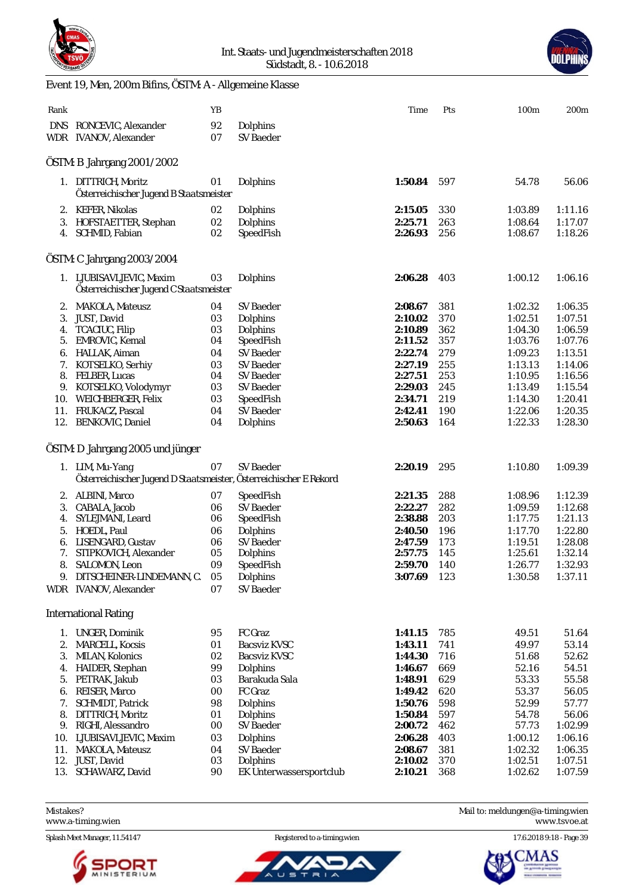

#### Int. Staats- und Jugendmeisterschaften 2018 Südstadt, 8. - 10.6.2018



# Event 19, Men, 200m Bifins, ÖSTM: A - Allgemeine Klasse

| Rank |                                                                                       | YB       |                              | Time               | Pts        | 100m               | 200 <sub>m</sub>   |
|------|---------------------------------------------------------------------------------------|----------|------------------------------|--------------------|------------|--------------------|--------------------|
|      | DNS RONCEVIC, Alexander<br>WDR IVANOV, Alexander                                      | 92<br>07 | Dolphins<br><b>SV Baeder</b> |                    |            |                    |                    |
|      | ÖSTM: B Jahrgang 2001/2002                                                            |          |                              |                    |            |                    |                    |
|      | 1. DITTRICH, Moritz<br>Österreichischer Jugend B Staatsmeister                        | 01       | Dolphins                     | 1:50.84            | 597        | 54.78              | 56.06              |
|      | 2. KEFER, Nikolas                                                                     | 02       | Dolphins                     | 2:15.05            | 330        | 1:03.89            | 1:11.16            |
| 3.   | HOFSTAETTER, Stephan<br>4. SCHMID, Fabian                                             | 02<br>02 | Dolphins<br>SpeedFish        | 2:25.71<br>2:26.93 | 263<br>256 | 1:08.64<br>1:08.67 | 1:17.07<br>1:18.26 |
|      | ÖSTM: C Jahrgang 2003/2004                                                            |          |                              |                    |            |                    |                    |
|      | 1. LJUBISAVLJEVIC, Maxim<br>Österreichischer Jugend C Staatsmeister                   | 03       | Dolphins                     | 2:06.28            | 403        | 1:00.12            | 1:06.16            |
|      | 2. MAKOLA, Mateusz                                                                    | 04       | SV Baeder                    | 2:08.67            | 381        | 1:02.32            | 1:06.35            |
| 3.   | JUST, David                                                                           | 03       | Dolphins                     | 2:10.02            | 370        | 1:02.51            | 1:07.51            |
| 4.   | <b>TCACIUC, Filip</b>                                                                 | 03       | Dolphins                     | 2:10.89            | 362        | 1:04.30            | 1:06.59            |
|      | 5. EMROVIC, Kemal                                                                     | 04       | SpeedFish                    | 2:11.52            | 357        | 1:03.76            | 1:07.76            |
| 6.   | HALLAK, Aiman                                                                         | 04       | <b>SV Baeder</b>             | 2:22.74            | 279        | 1:09.23            | 1:13.51            |
|      | 7. KOTSELKO, Serhiy                                                                   | 03       | <b>SV</b> Baeder             | 2:27.19            | 255        | 1:13.13            | 1:14.06            |
| 8.   | <b>FELBER, Lucas</b>                                                                  | 04       | SV Baeder                    | 2:27.51            | 253        | 1:10.95            | 1:16.56            |
| 9.   | KOTSELKO, Volodymyr                                                                   | 03       | SV Baeder                    | 2:29.03            | 245        | 1:13.49            | 1:15.54            |
| 10.  | <b>WEICHBERGER, Felix</b>                                                             | 03       | SpeedFish                    | 2:34.71            | 219        | 1:14.30            | 1:20.41            |
|      | 11. FRUKACZ, Pascal                                                                   | 04       | SV Baeder                    | 2:42.41            | 190        | 1:22.06            | 1:20.35            |
|      | 12. BENKOVIC, Daniel                                                                  | 04       | Dolphins                     | 2:50.63            | 164        | 1:22.33            | 1:28.30            |
|      | ÖSTM: D Jahrgang 2005 und jünger                                                      |          |                              |                    |            |                    |                    |
|      | 1. LIM, Mu-Yang<br>Österreichischer Jugend D Staatsmeister, Österreichischer E Rekord | 07       | SV Baeder                    | 2:20.19            | 295        | 1:10.80            | 1:09.39            |
|      | 2. ALBINI, Marco                                                                      | 07       | SpeedFish                    | 2:21.35            | 288        | 1:08.96            | 1:12.39            |
| 3.   | CABALA, Jacob                                                                         | 06       | SV Baeder                    | 2:22.27            | 282        | 1:09.59            | 1:12.68            |
| 4.   | SYLEJMANI, Leard                                                                      | 06       | SpeedFish                    | 2:38.88            | 203        | 1:17.75            | 1:21.13            |
| 5.   | HOEDL, Paul                                                                           | 06       | Dolphins                     | 2:40.50            | 196        | 1:17.70            | 1:22.80            |
| 6.   | LISENGARD, Gustav                                                                     | 06       | SV Baeder                    | 2:47.59            | 173        | 1:19.51            | 1:28.08            |
| 7.   | STIPKOVICH, Alexander                                                                 | 05       | Dolphins                     | 2:57.75            | 145        | 1:25.61            | 1:32.14            |
| 8.   | SALOMON, Leon                                                                         | 09       | SpeedFish                    | 2:59.70            | 140        | 1:26.77            | 1:32.93            |
| 9.   | DITSCHEINER-LINDEMANN, C.                                                             | 05       | Dolphins                     | 3:07.69            | 123        | 1:30.58            | 1:37.11            |
|      | WDR IVANOV, Alexander                                                                 | 07       | SV Baeder                    |                    |            |                    |                    |
|      | <b>International Rating</b>                                                           |          |                              |                    |            |                    |                    |
| 1.   | <b>UNGER, Dominik</b>                                                                 | 95       | FC Graz                      | 1:41.15            | 785        | 49.51              | 51.64              |
| 2.   | <b>MARCELL, Kocsis</b>                                                                | 01       | <b>Bacsviz KVSC</b>          | 1:43.11            | 741        | 49.97              | 53.14              |
| 3.   | MILAN, Kolonics                                                                       | 02       | <b>Bacsviz KVSC</b>          | 1:44.30            | 716        | 51.68              | 52.62              |
| 4.   | HAIDER, Stephan                                                                       | 99       | Dolphins                     | 1:46.67            | 669        | 52.16              | 54.51              |
|      | 5. PETRAK, Jakub                                                                      | 03       | Barakuda Sala                | 1:48.91            | 629        | 53.33              | 55.58              |
|      | 6. REISER, Marco                                                                      | 00       | FC Graz                      | 1:49.42            | 620        | 53.37              | 56.05              |
| 7.   | <b>SCHMIDT, Patrick</b>                                                               | 98       | Dolphins                     | 1:50.76            | 598        | 52.99              | 57.77              |
| 8.   | DITTRICH, Moritz                                                                      | 01       | Dolphins                     | 1:50.84            | 597        | 54.78              | 56.06              |
| 9.   | RIGHI, Alessandro                                                                     | 00       | SV Baeder                    | 2:00.72            | 462        | 57.73              | 1:02.99            |
| 10.  | LJUBISAVLJEVIC, Maxim                                                                 | 03       | Dolphins                     | 2:06.28            | 403        | 1:00.12            | 1:06.16            |
| 11.  | MAKOLA, Mateusz                                                                       | 04       | SV Baeder                    | 2:08.67            | 381        | 1:02.32            | 1:06.35            |
|      | 12. JUST, David                                                                       | 03       | Dolphins                     | 2:10.02            | 370        | 1:02.51            | 1:07.51            |
|      | 13. SCHAWARZ, David                                                                   | 90       | EK Unterwassersportclub      | 2:10.21            | 368        | 1:02.62            | 1:07.59            |

Mistakes? Mail to: [meldungen@a-timing.wien](mailto:meldungen@a-timing.wien) <www.a-timing.wien>

Splash Meet Manager, 11.54147 Registered to a-timing.wien 17.6.2018 9:18 - Page 39



ັບ ຣ

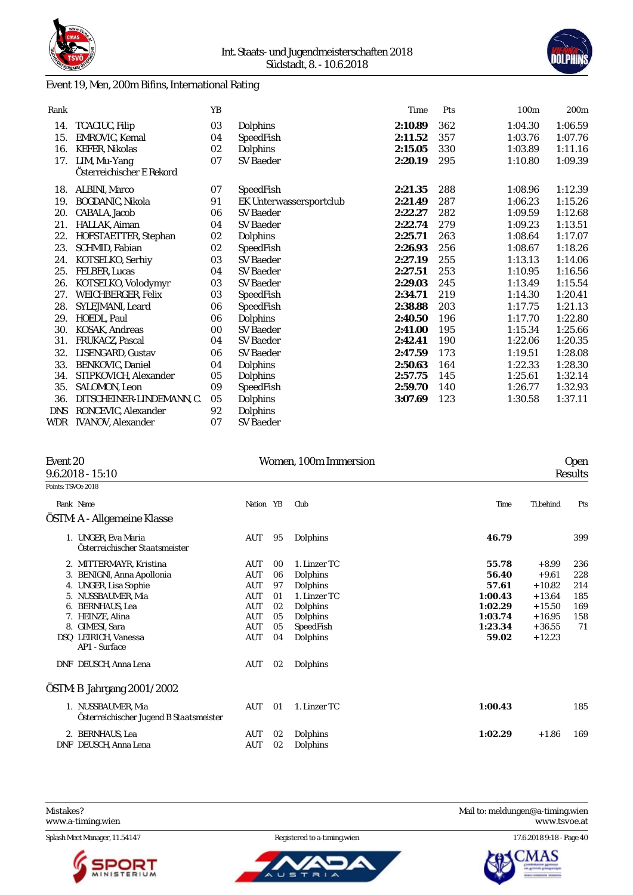

# Event 19, Men, 200m Bifins, International Rating



| Rank       |                           | YB |                         | Time    | Pts | 100m    | 200m    |
|------------|---------------------------|----|-------------------------|---------|-----|---------|---------|
| 14.        | TCACIUC, Filip            | 03 | Dolphins                | 2:10.89 | 362 | 1:04.30 | 1:06.59 |
| 15.        | EMROVIC. Kemal            | 04 | SpeedFish               | 2:11.52 | 357 | 1:03.76 | 1:07.76 |
| 16.        | <b>KEFER, Nikolas</b>     | 02 | Dolphins                | 2:15.05 | 330 | 1:03.89 | 1:11.16 |
| 17.        | LIM, Mu-Yang              | 07 | <b>SV Baeder</b>        | 2:20.19 | 295 | 1:10.80 | 1:09.39 |
|            | Österreichischer E Rekord |    |                         |         |     |         |         |
| 18.        | ALBINI, Marco             | 07 | SpeedFish               | 2:21.35 | 288 | 1:08.96 | 1:12.39 |
| 19.        | BOGDANIC, Nikola          | 91 | EK Unterwassersportclub | 2:21.49 | 287 | 1:06.23 | 1:15.26 |
| 20.        | CABALA, Jacob             | 06 | <b>SV Baeder</b>        | 2:22.27 | 282 | 1:09.59 | 1:12.68 |
| 21.        | HALLAK, Aiman             | 04 | SV Baeder               | 2:22.74 | 279 | 1:09.23 | 1:13.51 |
| 22.        | HOFSTAETTER, Stephan      | 02 | Dolphins                | 2:25.71 | 263 | 1:08.64 | 1:17.07 |
| 23.        | SCHMID, Fabian            | 02 | SpeedFish               | 2:26.93 | 256 | 1:08.67 | 1:18.26 |
| 24.        | KOTSELKO, Serhiy          | 03 | <b>SV Baeder</b>        | 2:27.19 | 255 | 1:13.13 | 1:14.06 |
| 25.        | FELBER, Lucas             | 04 | <b>SV Baeder</b>        | 2:27.51 | 253 | 1:10.95 | 1:16.56 |
| 26.        | KOTSELKO, Volodymyr       | 03 | SV Baeder               | 2:29.03 | 245 | 1:13.49 | 1:15.54 |
| 27.        | WEICHBERGER, Felix        | 03 | SpeedFish               | 2:34.71 | 219 | 1:14.30 | 1:20.41 |
| 28.        | SYLEJMANI, Leard          | 06 | SpeedFish               | 2:38.88 | 203 | 1:17.75 | 1:21.13 |
| 29.        | HOEDL, Paul               | 06 | Dolphins                | 2:40.50 | 196 | 1:17.70 | 1:22.80 |
| 30.        | KOSAK, Andreas            | 00 | <b>SV Baeder</b>        | 2:41.00 | 195 | 1:15.34 | 1:25.66 |
| 31.        | FRUKACZ, Pascal           | 04 | <b>SV Baeder</b>        | 2:42.41 | 190 | 1:22.06 | 1:20.35 |
| 32.        | LISENGARD, Gustav         | 06 | <b>SV Baeder</b>        | 2:47.59 | 173 | 1:19.51 | 1:28.08 |
| 33.        | BENKOVIC, Daniel          | 04 | Dolphins                | 2:50.63 | 164 | 1:22.33 | 1:28.30 |
| 34.        | STIPKOVICH, Alexander     | 05 | Dolphins                | 2:57.75 | 145 | 1:25.61 | 1:32.14 |
| 35.        | SALOMON, Leon             | 09 | SpeedFish               | 2:59.70 | 140 | 1:26.77 | 1:32.93 |
| 36.        | DITSCHEINER-LINDEMANN, C. | 05 | Dolphins                | 3:07.69 | 123 | 1:30.58 | 1:37.11 |
| <b>DNS</b> | RONCEVIC, Alexander       | 92 | Dolphins                |         |     |         |         |
| WDR        | <b>IVANOV, Alexander</b>  | 07 | <b>SV Baeder</b>        |         |     |         |         |

|                    | Event 20<br>$9.6.2018 - 15:10$                                |            |    | Women, 100m Immersion | <b>Open</b><br>Results |           |     |  |
|--------------------|---------------------------------------------------------------|------------|----|-----------------------|------------------------|-----------|-----|--|
| Points: TSVOe 2018 |                                                               |            |    |                       |                        |           |     |  |
|                    | Rank Name                                                     | Nation YB  |    | Club                  | Time                   | Ti.behind | Pts |  |
|                    | ÖSTM: A - Allgemeine Klasse                                   |            |    |                       |                        |           |     |  |
|                    | 1. UNGER, Eva Maria<br>Österreichischer Staatsmeister         | AUT        | 95 | Dolphins              | 46.79                  |           | 399 |  |
|                    | 2. MITTERMAYR, Kristina                                       | AUT        | 00 | 1. Linzer TC          | 55.78                  | $+8.99$   | 236 |  |
|                    | 3. BENIGNI, Anna Apollonia                                    | <b>AUT</b> | 06 | Dolphins              | 56.40                  | $+9.61$   | 228 |  |
|                    | 4. UNGER, Lisa Sophie                                         | AUT        | 97 | Dolphins              | 57.61                  | $+10.82$  | 214 |  |
| 5.                 | NUSSBAUMER, Mia                                               | AUT        | 01 | 1. Linzer TC          | 1:00.43                | $+13.64$  | 185 |  |
| 6.                 | <b>BERNHAUS, Lea</b>                                          | <b>AUT</b> | 02 | Dolphins              | 1:02.29                | $+15.50$  | 169 |  |
|                    | 7. HEINZE, Alina                                              | AUT        | 05 | Dolphins              | 1:03.74                | $+16.95$  | 158 |  |
|                    | 8. GIMESI, Sara                                               | <b>AUT</b> | 05 | SpeedFish             | 1:23.34                | $+36.55$  | 71  |  |
|                    | DSQ LEIRICH, Vanessa<br>AP1 - Surface                         | AUT        | 04 | Dolphins              | 59.02                  | $+12.23$  |     |  |
|                    | DNF DEUSCH, Anna Lena                                         | AUT        | 02 | Dolphins              |                        |           |     |  |
|                    | ÖSTM: B Jahrgang 2001/2002                                    |            |    |                       |                        |           |     |  |
|                    | 1. NUSSBAUMER, Mia<br>Österreichischer Jugend B Staatsmeister | AUT        | 01 | 1. Linzer TC          | 1:00.43                |           | 185 |  |
|                    | 2. BERNHAUS, Lea                                              | AUT        | 02 | Dolphins              | 1:02.29                | $+1.86$   | 169 |  |
| DNF                | DEUSCH, Anna Lena                                             | AUT        | 02 | Dolphins              |                        |           |     |  |

<www.a-timing.wien>

Splash Meet Manager, 11.54147 Registered to a-timing.wien 17.6.2018 9:18 - Page 40







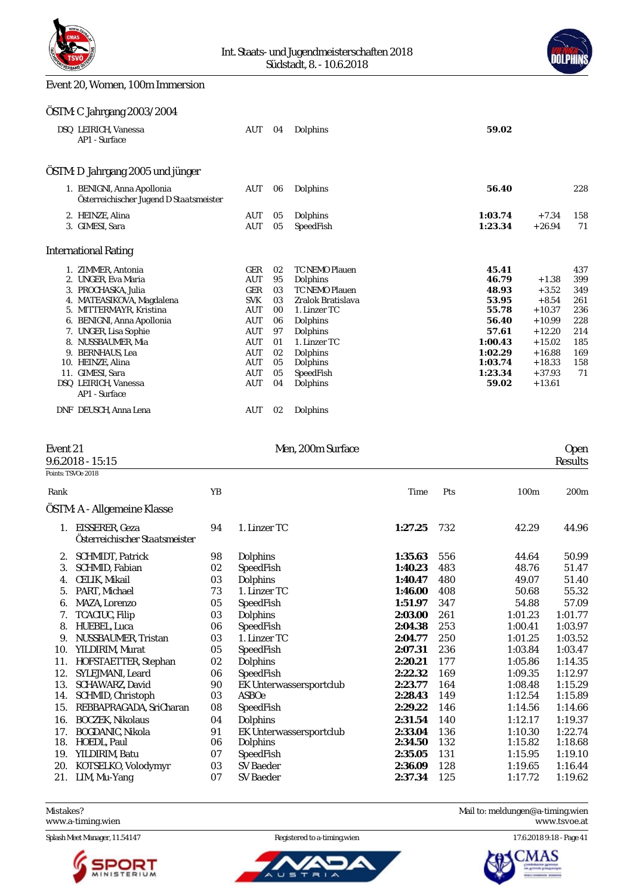



#### Event 20, Women, 100m Immersion

#### ÖSTM: C Jahrgang 2003/2004

| DSQ LEIRICH, Vanessa<br>AP1 - Surface                                 | AUT        | 04 | Dolphins              | 59.02   |          |     |
|-----------------------------------------------------------------------|------------|----|-----------------------|---------|----------|-----|
| ÖSTM: D Jahrgang 2005 und jünger                                      |            |    |                       |         |          |     |
| 1. BENIGNI, Anna Apollonia<br>Österreichischer Jugend D Staatsmeister | AUT        | 06 | Dolphins              | 56.40   |          | 228 |
| 2. HEINZE, Alina                                                      | <b>AUT</b> | 05 | Dolphins              | 1:03.74 | $+7.34$  | 158 |
| 3. GIMESI, Sara                                                       | <b>AUT</b> | 05 | SpeedFish             | 1:23.34 | $+26.94$ | 71  |
| <b>International Rating</b>                                           |            |    |                       |         |          |     |
| 1. ZIMMER, Antonia                                                    | GER        | 02 | <b>TC NEMO Plauen</b> | 45.41   |          | 437 |
| 2. UNGER, Eva Maria                                                   | <b>AUT</b> | 95 | Dolphins              | 46.79   | $+1.38$  | 399 |
| 3. PROCHASKA, Julia                                                   | GER        | 03 | <b>TC NEMO Plauen</b> | 48.93   | $+3.52$  | 349 |
| 4. MATEASIKOVA, Magdalena                                             | <b>SVK</b> | 03 | Zralok Bratislava     | 53.95   | $+8.54$  | 261 |
| 5. MITTERMAYR, Kristina                                               | AUT        | 00 | 1. Linzer TC          | 55.78   | $+10.37$ | 236 |
| 6. BENIGNI, Anna Apollonia                                            | AUT        | 06 | Dolphins              | 56.40   | $+10.99$ | 228 |
| 7. UNGER, Lisa Sophie                                                 | <b>AUT</b> | 97 | Dolphins              | 57.61   | $+12.20$ | 214 |
| 8. NUSSBAUMER, Mia                                                    | <b>AUT</b> | 01 | 1. Linzer TC          | 1:00.43 | $+15.02$ | 185 |
| 9. BERNHAUS, Lea                                                      | AUT        | 02 | Dolphins              | 1:02.29 | $+16.88$ | 169 |
| 10. HEINZE, Alina                                                     | AUT        | 05 | Dolphins              | 1:03.74 | $+18.33$ | 158 |
| 11. GIMESI, Sara                                                      | AUT        | 05 | SpeedFish             | 1:23.34 | $+37.93$ | 71  |
| DSQ LEIRICH, Vanessa<br>AP1 - Surface                                 | AUT        | 04 | Dolphins              | 59.02   | $+13.61$ |     |
| DNF DEUSCH, Anna Lena                                                 | <b>AUT</b> | 02 | Dolphins              |         |          |     |

#### Event 21 Deep Deep Men, 200m Surface Contract Contract Contract Contract Contract Contract Contract Contract Contract Contract Contract Contract Contract Contract Contract Contract Contract Contract Contract Contract Contr 9.6.2018 - 15:15 Results Points: TSVOe 2018 Rank YB Time Pts 100m 200m ÖSTM: A - Allgemeine Klasse 1. EISSERER, Geza 94 1. Linzer TC **1:27.25** 732 42.29 44.96 *Österreichischer Staatsmeister* 2. SCHMIDT, Patrick 98 Dolphins **1:35.63** 556 44.64 50.99 3. SCHMID, Fabian 02 SpeedFish **1:40.23** 483 48.76 51.47 4. CELIK, Mikail 03 Dolphins **1:40.47** 480 49.07 51.40 5. PART, Michael 73 1. Linzer TC **1:46.00** 408 50.68 55.32 6. MAZA, Lorenzo 05 SpeedFish **1:51.97** 347 54.88 57.09 7. TCACIUC, Filip 03 Dolphins **2:03.00** 261 1:01.23 1:01.77 8. HUEBEL, Luca 06 SpeedFish **2:04.38** 253 1:00.41 1:03.97 9. NUSSBAUMER, Tristan 03 1. Linzer TC **2:04.77** 250 1:01.25 1:03.52 10. YILDIRIM, Murat 05 SpeedFish **2:07.31** 236 1:03.84 1:03.47 11. HOFSTAETTER, Stephan 02 Dolphins **2:20.21** 177 1:05.86 1:14.35 12. SYLEJMANI, Leard 06 SpeedFish **2:22.32** 169 1:09.35 1:12.97 13. SCHAWARZ, David 90 EK Unterwassersportclub **2:23.77** 164 1:08.48 1:15.29 14. SCHMID, Christoph 15. REBBAPRAGADA, SriCharan 08 SpeedFish **2:29.22** 146 1:14.56 1:14.66 16. BOCZEK, Nikolaus 04 Dolphins **2:31.54** 140 1:12.17 1:19.37 17. BOGDANIC, Nikola 91 EK Unterwassersportclub **2:33.04** 136 1:10.30 1:22.74 18. HOEDL, Paul 06 Dolphins **2:34.50** 132 1:15.82 1:18.68 19. YILDIRIM, Batu 07 SpeedFish **2:35.05** 131 1:15.95 1:19.10



#### Mistakes? Mail to: [meldungen@a-timing.wien](mailto:meldungen@a-timing.wien)

<www.a-timing.wien> <www.tsvoe.at>

Splash Meet Manager, 11.54147 **Registered to a-timing.wien** 17.6.2018 9:18 - Page 41



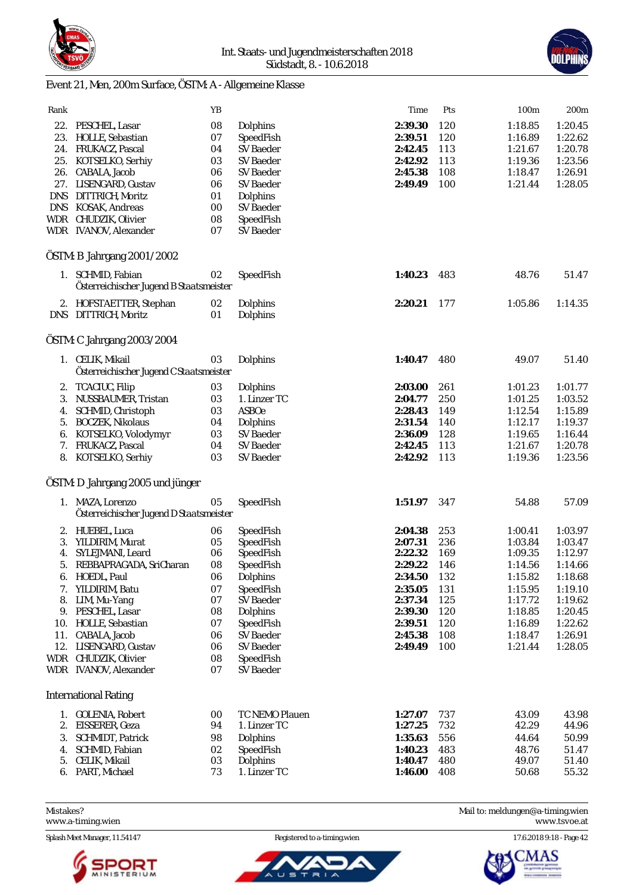



# Event 21, Men, 200m Surface, ÖSTM: A - Allgemeine Klasse

| Rank       |                                         | YB     |                  | Time        | Pts | 100m    | 200m    |
|------------|-----------------------------------------|--------|------------------|-------------|-----|---------|---------|
| 22.        | PESCHEL, Lasar                          | 08     | Dolphins         | 2:39.30     | 120 | 1:18.85 | 1:20.45 |
|            | 23. HOLLE, Sebastian                    | 07     | SpeedFish        | 2:39.51     | 120 | 1:16.89 | 1:22.62 |
|            | 24. FRUKACZ, Pascal                     | 04     | SV Baeder        | 2:42.45     | 113 | 1:21.67 | 1:20.78 |
|            | 25. KOTSELKO, Serhiy                    | 03     | <b>SV Baeder</b> | 2:42.92     | 113 | 1:19.36 | 1:23.56 |
|            | 26. CABALA, Jacob                       | 06     | SV Baeder        | 2:45.38     | 108 | 1:18.47 | 1:26.91 |
|            | 27. LISENGARD, Gustav                   | 06     | SV Baeder        | 2:49.49     | 100 | 1:21.44 | 1:28.05 |
|            | DNS DITTRICH, Moritz                    | 01     | Dolphins         |             |     |         |         |
|            | DNS KOSAK, Andreas                      | $00\,$ | SV Baeder        |             |     |         |         |
|            | WDR CHUDZIK, Olivier                    | 08     | SpeedFish        |             |     |         |         |
|            | WDR IVANOV, Alexander                   | 07     | SV Baeder        |             |     |         |         |
|            |                                         |        |                  |             |     |         |         |
|            | ÖSTM: B Jahrgang 2001/2002              |        |                  |             |     |         |         |
|            | 1. SCHMID, Fabian                       | 02     | SpeedFish        | 1:40.23     | 483 | 48.76   | 51.47   |
|            | Österreichischer Jugend B Staatsmeister |        |                  |             |     |         |         |
|            | 2. HOFSTAETTER, Stephan                 | 02     | Dolphins         | 2:20.21     | 177 | 1:05.86 | 1:14.35 |
|            | DNS DITTRICH, Moritz                    | 01     | Dolphins         |             |     |         |         |
|            |                                         |        |                  |             |     |         |         |
|            | ÖSTM: C Jahrgang 2003/2004              |        |                  |             |     |         |         |
|            | 1. CELIK, Mikail                        | 03     | Dolphins         | 1:40.47     | 480 | 49.07   | 51.40   |
|            | Österreichischer Jugend C Staatsmeister |        |                  |             |     |         |         |
|            |                                         |        |                  |             |     |         |         |
| 2.         | TCACIUC, Filip                          | 03     | Dolphins         | 2:03.00     | 261 | 1:01.23 | 1:01.77 |
| 3.         | NUSSBAUMER, Tristan                     | 03     | 1. Linzer TC     | 2:04.77     | 250 | 1:01.25 | 1:03.52 |
| 4.         | SCHMID, Christoph                       | 03     | <b>ASBOe</b>     | 2:28.43     | 149 | 1:12.54 | 1:15.89 |
| 5.         | <b>BOCZEK, Nikolaus</b>                 | 04     | Dolphins         | 2:31.54     | 140 | 1:12.17 | 1:19.37 |
| 6.         | KOTSELKO, Volodymyr                     | 03     | SV Baeder        | 2:36.09     | 128 | 1:19.65 | 1:16.44 |
|            | 7. FRUKACZ, Pascal                      | 04     | SV Baeder        | 2:42.45     | 113 | 1:21.67 | 1:20.78 |
|            | 8. KOTSELKO, Serhiy                     | 03     | SV Baeder        | 2:42.92     | 113 | 1:19.36 | 1:23.56 |
|            | ÖSTM: D Jahrgang 2005 und jünger        |        |                  |             |     |         |         |
|            |                                         |        |                  |             |     |         |         |
|            | 1. MAZA, Lorenzo                        | 05     | SpeedFish        | 1:51.97     | 347 | 54.88   | 57.09   |
|            | Österreichischer Jugend D Staatsmeister |        |                  |             |     |         |         |
|            | 2. HUEBEL, Luca                         | 06     | SpeedFish        | 2:04.38     | 253 | 1:00.41 | 1:03.97 |
| 3.         | YILDIRIM, Murat                         | 05     | SpeedFish        | 2:07.31     | 236 | 1:03.84 | 1:03.47 |
| 4.         | SYLEJMANI, Leard                        | 06     | SpeedFish        | 2:22.32     | 169 | 1:09.35 | 1:12.97 |
| 5.         | REBBAPRAGADA, SriCharan                 | 08     | SpeedFish        | 2:29.22     | 146 | 1:14.56 | 1:14.66 |
|            | 6. HOEDL, Paul                          | 06     | Dolphins         | 2:34.50 132 |     | 1:15.82 | 1:18.68 |
|            | 7. YILDIRIM, Batu                       | 07     | SpeedFish        | 2:35.05     | 131 | 1:15.95 | 1:19.10 |
|            | 8. LIM, Mu-Yang                         | 07     | SV Baeder        | 2:37.34     | 125 | 1:17.72 | 1:19.62 |
|            | 9. PESCHEL, Lasar                       | 08     | Dolphins         | 2:39.30     | 120 | 1:18.85 | 1:20.45 |
|            | 10. HOLLE, Sebastian                    | 07     | SpeedFish        | 2:39.51     | 120 | 1:16.89 | 1:22.62 |
|            | 11. CABALA, Jacob                       | 06     | <b>SV Baeder</b> | 2:45.38     | 108 | 1:18.47 | 1:26.91 |
|            | 12. LISENGARD, Gustav                   | 06     | SV Baeder        | 2:49.49     | 100 | 1:21.44 | 1:28.05 |
| <b>WDR</b> | CHUDZIK, Olivier                        | 08     | SpeedFish        |             |     |         |         |
|            | WDR IVANOV, Alexander                   | 07     | SV Baeder        |             |     |         |         |
|            |                                         |        |                  |             |     |         |         |
|            | <b>International Rating</b>             |        |                  |             |     |         |         |
|            | 1. GOLENIA, Robert                      | 00     | TC NEMO Plauen   | 1:27.07     | 737 | 43.09   | 43.98   |
| 2.         | EISSERER, Geza                          | 94     | 1. Linzer TC     | 1:27.25     | 732 | 42.29   | 44.96   |
| 3.         | <b>SCHMIDT, Patrick</b>                 | 98     | Dolphins         | 1:35.63     | 556 | 44.64   | 50.99   |
| 4.         | SCHMID, Fabian                          | 02     | SpeedFish        | 1:40.23     | 483 | 48.76   | 51.47   |
| 5.         | CELIK, Mikail                           | 03     | Dolphins         | 1:40.47     | 480 | 49.07   | 51.40   |
|            | 6. PART, Michael                        | 73     | 1. Linzer TC     | 1:46.00     | 408 | 50.68   | 55.32   |
|            |                                         |        |                  |             |     |         |         |

<www.a-timing.wien>

Splash Meet Manager, 11.54147 Registered to a-timing.wien 17.6.2018 9:18 - Page 42



ັບ ຣ



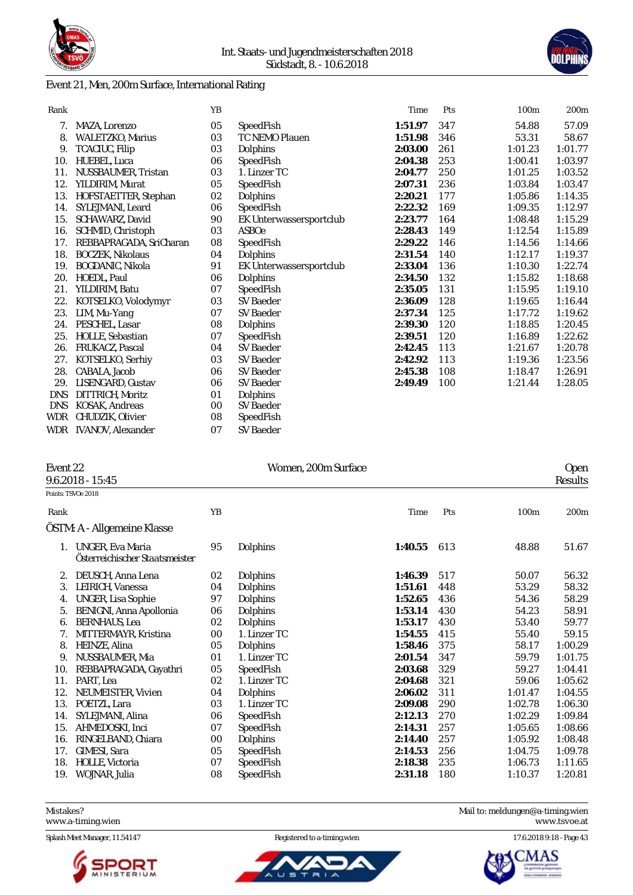

## Event 21, Men, 200m Surface, International Rating

| Rank       |                          | YB |                         | Time    | Pts | 100 <sub>m</sub> | 200m    |
|------------|--------------------------|----|-------------------------|---------|-----|------------------|---------|
| 7.         | MAZA, Lorenzo            | 05 | SpeedFish               | 1:51.97 | 347 | 54.88            | 57.09   |
| 8.         | <b>WALETZKO, Marius</b>  | 03 | TC NEMO Plauen          | 1:51.98 | 346 | 53.31            | 58.67   |
| 9.         | TCACIUC, Filip           | 03 | Dolphins                | 2:03.00 | 261 | 1:01.23          | 1:01.77 |
| 10.        | HUEBEL, Luca             | 06 | SpeedFish               | 2:04.38 | 253 | 1:00.41          | 1:03.97 |
| 11.        | NUSSBAUMER, Tristan      | 03 | 1. Linzer TC            | 2:04.77 | 250 | 1:01.25          | 1:03.52 |
| 12.        | YILDIRIM, Murat          | 05 | SpeedFish               | 2:07.31 | 236 | 1:03.84          | 1:03.47 |
| 13.        | HOFSTAETTER, Stephan     | 02 | Dolphins                | 2:20.21 | 177 | 1:05.86          | 1:14.35 |
| 14.        | SYLEJMANI, Leard         | 06 | SpeedFish               | 2:22.32 | 169 | 1:09.35          | 1:12.97 |
| 15.        | SCHAWARZ, David          | 90 | EK Unterwassersportclub | 2:23.77 | 164 | 1:08.48          | 1:15.29 |
| 16.        | SCHMID, Christoph        | 03 | <b>ASBOe</b>            | 2:28.43 | 149 | 1:12.54          | 1:15.89 |
| 17.        | REBBAPRAGADA, SriCharan  | 08 | SpeedFish               | 2:29.22 | 146 | 1:14.56          | 1:14.66 |
| 18.        | <b>BOCZEK, Nikolaus</b>  | 04 | Dolphins                | 2:31.54 | 140 | 1:12.17          | 1:19.37 |
| 19.        | BOGDANIC, Nikola         | 91 | EK Unterwassersportclub | 2:33.04 | 136 | 1:10.30          | 1:22.74 |
| 20.        | HOEDL, Paul              | 06 | Dolphins                | 2:34.50 | 132 | 1:15.82          | 1:18.68 |
| 21.        | YILDIRIM, Batu           | 07 | SpeedFish               | 2:35.05 | 131 | 1:15.95          | 1:19.10 |
| 22.        | KOTSELKO, Volodymyr      | 03 | <b>SV Baeder</b>        | 2:36.09 | 128 | 1:19.65          | 1:16.44 |
| 23.        | LIM, Mu-Yang             | 07 | SV Baeder               | 2:37.34 | 125 | 1:17.72          | 1:19.62 |
| 24.        | PESCHEL, Lasar           | 08 | Dolphins                | 2:39.30 | 120 | 1:18.85          | 1:20.45 |
| 25.        | HOLLE, Sebastian         | 07 | SpeedFish               | 2:39.51 | 120 | 1:16.89          | 1:22.62 |
| 26.        | FRUKACZ, Pascal          | 04 | <b>SV Baeder</b>        | 2:42.45 | 113 | 1:21.67          | 1:20.78 |
| 27.        | KOTSELKO, Serhiy         | 03 | SV Baeder               | 2:42.92 | 113 | 1:19.36          | 1:23.56 |
| 28.        | CABALA, Jacob            | 06 | <b>SV Baeder</b>        | 2:45.38 | 108 | 1:18.47          | 1:26.91 |
| 29.        | LISENGARD, Gustav        | 06 | SV Baeder               | 2:49.49 | 100 | 1:21.44          | 1:28.05 |
| <b>DNS</b> | DITTRICH, Moritz         | 01 | Dolphins                |         |     |                  |         |
| <b>DNS</b> | KOSAK, Andreas           | 00 | SV Baeder               |         |     |                  |         |
| WDR        | CHUDZIK, Olivier         | 08 | SpeedFish               |         |     |                  |         |
| WDR        | <b>IVANOV, Alexander</b> | 07 | SV Baeder               |         |     |                  |         |

| Event 22 |                                                    |    | Women, 200m Surface |         |     |                  | Open             |
|----------|----------------------------------------------------|----|---------------------|---------|-----|------------------|------------------|
|          | 9.6.2018 - 15:45                                   |    |                     |         |     |                  | Results          |
|          | Points: TSVOe 2018                                 |    |                     |         |     |                  |                  |
| Rank     |                                                    | YB |                     | Time    | Pts | 100 <sub>m</sub> | 200 <sub>m</sub> |
|          | ÖSTM: A - Allgemeine Klasse                        |    |                     |         |     |                  |                  |
|          | UNGER, Eva Maria<br>Österreichischer Staatsmeister | 95 | Dolphins            | 1:40.55 | 613 | 48.88            | 51.67            |
| 2.       | DEUSCH, Anna Lena                                  | 02 | Dolphins            | 1:46.39 | 517 | 50.07            | 56.32            |
| 3.       | LEIRICH, Vanessa                                   | 04 | Dolphins            | 1:51.61 | 448 | 53.29            | 58.32            |
| 4.       | UNGER, Lisa Sophie                                 | 97 | Dolphins            | 1:52.65 | 436 | 54.36            | 58.29            |
| 5.       | BENIGNI, Anna Apollonia                            | 06 | Dolphins            | 1:53.14 | 430 | 54.23            | 58.91            |
| 6.       | <b>BERNHAUS, Lea</b>                               | 02 | Dolphins            | 1:53.17 | 430 | 53.40            | 59.77            |
| 7.       | MITTERMAYR, Kristina                               | 00 | 1. Linzer TC        | 1:54.55 | 415 | 55.40            | 59.15            |
| 8.       | HEINZE, Alina                                      | 05 | Dolphins            | 1:58.46 | 375 | 58.17            | 1:00.29          |
| 9.       | NUSSBAUMER, Mia                                    | 01 | 1. Linzer TC        | 2:01.54 | 347 | 59.79            | 1:01.75          |
| 10.      | REBBAPRAGADA, Gayathri                             | 05 | SpeedFish           | 2:03.68 | 329 | 59.27            | 1:04.41          |
| 11.      | PART, Lea                                          | 02 | 1. Linzer TC        | 2:04.68 | 321 | 59.06            | 1:05.62          |
| 12.      | NEUMEISTER, Vivien                                 | 04 | Dolphins            | 2:06.02 | 311 | 1:01.47          | 1:04.55          |
| 13.      | POETZL, Lara                                       | 03 | 1. Linzer TC        | 2:09.08 | 290 | 1:02.78          | 1:06.30          |
| 14.      | SYLEJMANI, Alina                                   | 06 | SpeedFish           | 2:12.13 | 270 | 1:02.29          | 1:09.84          |
| 15.      | AHMEDOSKI, Inci                                    | 07 | SpeedFish           | 2:14.31 | 257 | 1:05.65          | 1:08.66          |
| 16.      | RINGELBAND, Chiara                                 | 00 | Dolphins            | 2:14.40 | 257 | 1:05.92          | 1:08.48          |
| 17.      | GIMESI, Sara                                       | 05 | SpeedFish           | 2:14.53 | 256 | 1:04.75          | 1:09.78          |
| 18.      | HOLLE, Victoria                                    | 07 | SpeedFish           | 2:18.38 | 235 | 1:06.73          | 1:11.65          |
| 19.      | WOJNAR, Julia                                      | 08 | SpeedFish           | 2:31.18 | 180 | 1:10.37          | 1:20.81          |

Mistakes? Mail to: [meldungen@a-timing.wien](mailto:meldungen@a-timing.wien) <www.a-timing.wien>

Splash Meet Manager, 11.54147 Registered to a-timing.wien 17.6.2018 9:18 - Page 43



ū  $\equiv$ 

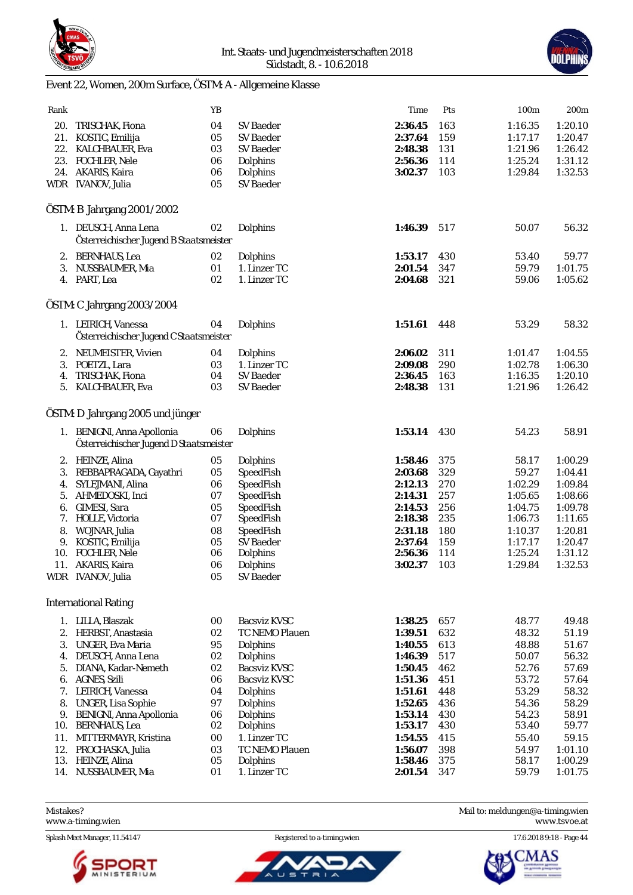



# Event 22, Women, 200m Surface, ÖSTM: A - Allgemeine Klasse

| Rank |                                         | YB     |                     | Time    | Pts | 100m    | 200 <sub>m</sub> |
|------|-----------------------------------------|--------|---------------------|---------|-----|---------|------------------|
| 20.  | TRISCHAK, Fiona                         | 04     | <b>SV Baeder</b>    | 2:36.45 | 163 | 1:16.35 | 1:20.10          |
|      | 21. KOSTIC, Emilija                     | 05     | <b>SV Baeder</b>    | 2:37.64 | 159 | 1:17.17 | 1:20.47          |
|      | 22. KALCHBAUER, Eva                     | 03     | SV Baeder           | 2:48.38 | 131 | 1:21.96 | 1:26.42          |
|      | 23. FOCHLER, Nele                       | 06     | Dolphins            | 2:56.36 | 114 | 1:25.24 | 1:31.12          |
|      | 24. AKARIS, Kaira                       | 06     | Dolphins            | 3:02.37 | 103 | 1:29.84 | 1:32.53          |
|      | WDR IVANOV, Julia                       | 05     | <b>SV</b> Baeder    |         |     |         |                  |
|      |                                         |        |                     |         |     |         |                  |
|      | ÖSTM: B Jahrgang 2001/2002              |        |                     |         |     |         |                  |
|      | 1. DEUSCH, Anna Lena                    | 02     | Dolphins            | 1:46.39 | 517 | 50.07   | 56.32            |
|      | Österreichischer Jugend B Staatsmeister |        |                     |         |     |         |                  |
|      | 2. BERNHAUS, Lea                        | 02     | Dolphins            | 1:53.17 | 430 | 53.40   | 59.77            |
|      | 3. NUSSBAUMER, Mia                      | 01     | 1. Linzer TC        | 2:01.54 | 347 | 59.79   | 1:01.75          |
|      | 4. PART, Lea                            | 02     | 1. Linzer TC        | 2:04.68 | 321 | 59.06   | 1:05.62          |
|      |                                         |        |                     |         |     |         |                  |
|      | ÖSTM: C Jahrgang 2003/2004              |        |                     |         |     |         |                  |
|      | 1. LEIRICH, Vanessa                     | 04     | Dolphins            | 1:51.61 | 448 | 53.29   | 58.32            |
|      | Österreichischer Jugend C Staatsmeister |        |                     |         |     |         |                  |
| 2.   | NEUMEISTER, Vivien                      | 04     | Dolphins            | 2:06.02 | 311 | 1:01.47 | 1:04.55          |
|      | 3. POETZL, Lara                         | 03     | 1. Linzer TC        | 2:09.08 | 290 | 1:02.78 | 1:06.30          |
| 4.   | TRISCHAK, Fiona                         | 04     | SV Baeder           | 2:36.45 | 163 | 1:16.35 | 1:20.10          |
|      | 5. KALCHBAUER, Eva                      | 03     | <b>SV Baeder</b>    | 2:48.38 | 131 | 1:21.96 | 1:26.42          |
|      |                                         |        |                     |         |     |         |                  |
|      | ÖSTM: D Jahrgang 2005 und jünger        |        |                     |         |     |         |                  |
|      | 1. BENIGNI, Anna Apollonia              | 06     | Dolphins            | 1:53.14 | 430 | 54.23   | 58.91            |
|      | Österreichischer Jugend D Staatsmeister |        |                     |         |     |         |                  |
| 2.   | HEINZE, Alina                           | 05     | Dolphins            | 1:58.46 | 375 | 58.17   | 1:00.29          |
| 3.   | REBBAPRAGADA, Gayathri                  | 05     | SpeedFish           | 2:03.68 | 329 | 59.27   | 1:04.41          |
| 4.   | SYLEJMANI, Alina                        | 06     | SpeedFish           | 2:12.13 | 270 | 1:02.29 | 1:09.84          |
| 5.   | AHMEDOSKI, Inci                         | 07     | SpeedFish           | 2:14.31 | 257 | 1:05.65 | 1:08.66          |
| 6.   | GIMESI, Sara                            | 05     | SpeedFish           | 2:14.53 | 256 | 1:04.75 | 1:09.78          |
|      | 7. HOLLE, Victoria                      | 07     | SpeedFish           | 2:18.38 | 235 | 1:06.73 | 1:11.65          |
| 8.   | WOJNAR, Julia                           | 08     | SpeedFish           | 2:31.18 | 180 | 1:10.37 | 1:20.81          |
|      | 9. KOSTIC, Emilija                      | 05     | <b>SV Baeder</b>    | 2:37.64 | 159 | 1:17.17 | 1:20.47          |
| 10.  | <b>FOCHLER, Nele</b>                    | 06     | Dolphins            | 2:56.36 | 114 | 1:25.24 | 1:31.12          |
|      | 11. AKARIS, Kaira                       | 06     | Dolphins            | 3:02.37 | 103 | 1:29.84 | 1:32.53          |
|      | WDR IVANOV, Julia                       | 05     | SV Baeder           |         |     |         |                  |
|      |                                         |        |                     |         |     |         |                  |
|      | <b>International Rating</b>             |        |                     |         |     |         |                  |
|      | 1. LILLA, Blaszak                       | $00\,$ | <b>Bacsviz KVSC</b> | 1:38.25 | 657 | 48.77   | 49.48            |
| 2.   | HERBST, Anastasia                       | 02     | TC NEMO Plauen      | 1:39.51 | 632 | 48.32   | 51.19            |
| 3.   | UNGER, Eva Maria                        | 95     | Dolphins            | 1:40.55 | 613 | 48.88   | 51.67            |
| 4.   | DEUSCH, Anna Lena                       | 02     | <b>Dolphins</b>     | 1:46.39 | 517 | 50.07   | 56.32            |
| 5.   | DIANA, Kadar-Nemeth                     | 02     | <b>Bacsviz KVSC</b> | 1:50.45 | 462 | 52.76   | 57.69            |
| 6.   | <b>AGNES, Szili</b>                     | 06     | Bacsviz KVSC        | 1:51.36 | 451 | 53.72   | 57.64            |
|      | 7. LEIRICH, Vanessa                     | 04     | Dolphins            | 1:51.61 | 448 | 53.29   | 58.32            |
| 8.   | UNGER, Lisa Sophie                      | 97     | Dolphins            | 1:52.65 | 436 | 54.36   | 58.29            |
| 9.   | <b>BENIGNI, Anna Apollonia</b>          | 06     | Dolphins            | 1:53.14 | 430 | 54.23   | 58.91            |
| 10.  | <b>BERNHAUS, Lea</b>                    | 02     | Dolphins            | 1:53.17 | 430 | 53.40   | 59.77            |
| 11.  | MITTERMAYR, Kristina                    | 00     | 1. Linzer TC        | 1:54.55 | 415 | 55.40   | 59.15            |
| 12.  | PROCHASKA, Julia                        | 03     | TC NEMO Plauen      | 1:56.07 | 398 | 54.97   | 1:01.10          |
| 13.  | HEINZE, Alina                           | 05     | Dolphins            | 1:58.46 | 375 | 58.17   | 1:00.29          |
|      | 14. NUSSBAUMER, Mia                     | 01     | 1. Linzer TC        | 2:01.54 | 347 | 59.79   | 1:01.75          |
|      |                                         |        |                     |         |     |         |                  |

<www.a-timing.wien>

Splash Meet Manager, 11.54147 Registered to a-timing.wien 17.6.2018 9:18 - Page 44



ັບ ຣ

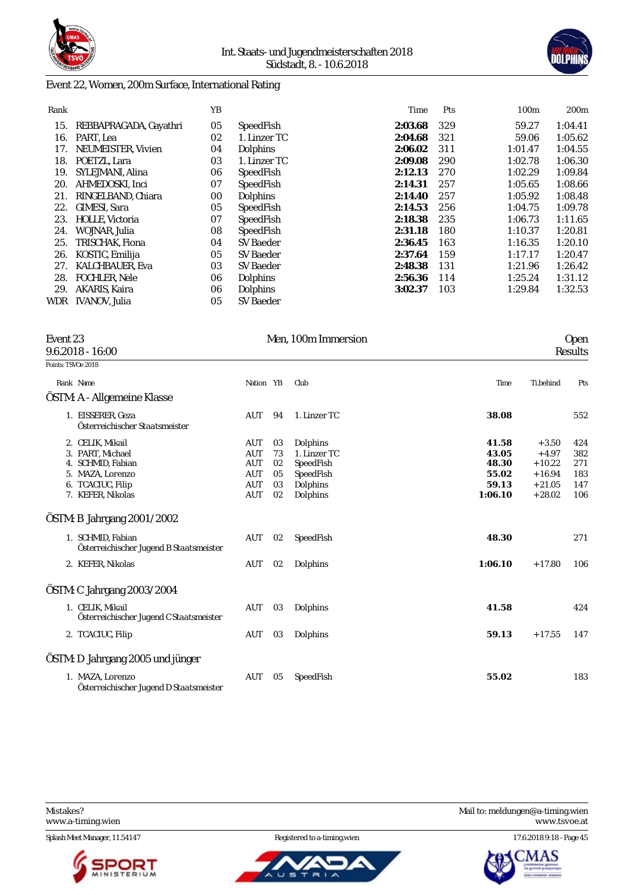



### Event 22, Women, 200m Surface, International Rating

| Rank |                        | YΒ |                  | Time    | Pts | 100 <sub>m</sub> | 200 <sub>m</sub> |
|------|------------------------|----|------------------|---------|-----|------------------|------------------|
| 15.  | REBBAPRAGADA, Gayathri | 05 | SpeedFish        | 2:03.68 | 329 | 59.27            | 1:04.41          |
| 16.  | PART, Lea              | 02 | 1. Linzer TC     | 2:04.68 | 321 | 59.06            | 1:05.62          |
| 17.  | NEUMEISTER, Vivien     | 04 | Dolphins         | 2:06.02 | 311 | 1:01.47          | 1:04.55          |
| 18.  | POETZL. Lara           | 03 | 1. Linzer TC     | 2:09.08 | 290 | 1:02.78          | 1:06.30          |
| 19.  | SYLEJMANI, Alina       | 06 | SpeedFish        | 2:12.13 | 270 | 1:02.29          | 1:09.84          |
| 20.  | AHMEDOSKI, Inci        | 07 | SpeedFish        | 2:14.31 | 257 | 1:05.65          | 1:08.66          |
| 21.  | RINGELBAND, Chiara     | 00 | Dolphins         | 2:14.40 | 257 | 1:05.92          | 1:08.48          |
| 22.  | <b>GIMESI, Sara</b>    | 05 | SpeedFish        | 2:14.53 | 256 | 1:04.75          | 1:09.78          |
| 23.  | <b>HOLLE, Victoria</b> | 07 | SpeedFish        | 2:18.38 | 235 | 1:06.73          | 1:11.65          |
| 24.  | WOJNAR, Julia          | 08 | SpeedFish        | 2:31.18 | 180 | 1:10.37          | 1:20.81          |
| 25.  | TRISCHAK, Fiona        | 04 | <b>SV Baeder</b> | 2:36.45 | 163 | 1:16.35          | 1:20.10          |
| 26.  | KOSTIC, Emilija        | 05 | <b>SV Baeder</b> | 2:37.64 | 159 | 1:17.17          | 1:20.47          |
| 27.  | <b>KALCHBAUER, Eva</b> | 03 | SV Baeder        | 2:48.38 | 131 | 1:21.96          | 1:26.42          |
| 28.  | <b>FOCHLER. Nele</b>   | 06 | Dolphins         | 2:56.36 | 114 | 1:25.24          | 1:31.12          |
| 29.  | AKARIS, Kaira          | 06 | Dolphins         | 3:02.37 | 103 | 1:29.84          | 1:32.53          |
| WDR  | IVANOV, Julia          | 05 | <b>SV Baeder</b> |         |     |                  |                  |

| Event 23<br>$9.6.2018 - 16:00$                               |            |    | Men, 100m Immersion |         |           | <b>Open</b><br>Results |
|--------------------------------------------------------------|------------|----|---------------------|---------|-----------|------------------------|
| Points: TSVOe 2018                                           |            |    |                     |         |           |                        |
| Rank Name                                                    | Nation YB  |    | Club                | Time    | Ti.behind | Pts                    |
| ÖSTM: A - Allgemeine Klasse                                  |            |    |                     |         |           |                        |
| 1. EISSERER, Geza<br>Österreichischer Staatsmeister          | AUT        | 94 | 1. Linzer TC        | 38.08   |           | 552                    |
| 2. CELIK, Mikail                                             | <b>AUT</b> | 03 | Dolphins            | 41.58   | $+3.50$   | 424                    |
| 3. PART, Michael                                             | <b>AUT</b> | 73 | 1. Linzer TC        | 43.05   | $+4.97$   | 382                    |
| 4. SCHMID, Fabian                                            | <b>AUT</b> | 02 | SpeedFish           | 48.30   | $+10.22$  | 271                    |
| 5. MAZA, Lorenzo                                             | <b>AUT</b> | 05 | SpeedFish           | 55.02   | $+16.94$  | 183                    |
| 6. TCACIUC, Filip                                            | <b>AUT</b> | 03 | Dolphins            | 59.13   | $+21.05$  | 147                    |
| 7. KEFER, Nikolas                                            | <b>AUT</b> | 02 | Dolphins            | 1:06.10 | $+28.02$  | 106                    |
| ÖSTM: B Jahrgang 2001/2002                                   |            |    |                     |         |           |                        |
| 1. SCHMID, Fabian<br>Österreichischer Jugend B Staatsmeister | AUT        | 02 | SpeedFish           | 48.30   |           | 271                    |
| 2. KEFER, Nikolas                                            | AUT        | 02 | Dolphins            | 1:06.10 | $+17.80$  | 106                    |
| ÖSTM: C Jahrgang 2003/2004                                   |            |    |                     |         |           |                        |
| 1. CELIK, Mikail<br>Österreichischer Jugend C Staatsmeister  | AUT        | 03 | Dolphins            | 41.58   |           | 424                    |
| 2. TCACIUC, Filip                                            | AUT        | 03 | Dolphins            | 59.13   | $+17.55$  | 147                    |
| ÖSTM: D Jahrgang 2005 und jünger                             |            |    |                     |         |           |                        |
| 1. MAZA, Lorenzo<br>Österreichischer Jugend D Staatsmeister  | AUT        | 05 | SpeedFish           | 55.02   |           | 183                    |



ັບ ຣ



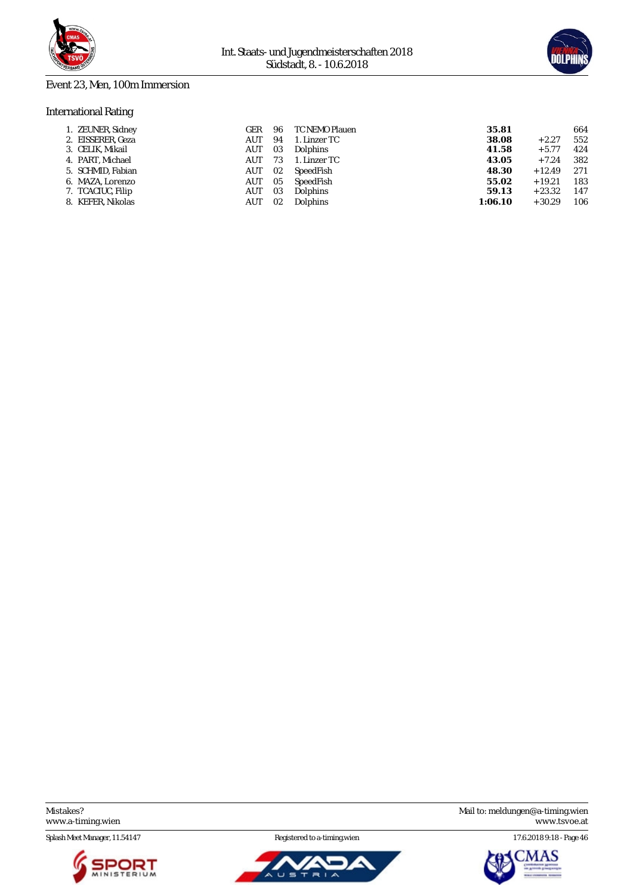



### Event 23, Men, 100m Immersion

### International Rating

| 1. ZEUNER, Sidney | GER | 96 | TC NEMO Plauen  | 35.81   |          | 664 |
|-------------------|-----|----|-----------------|---------|----------|-----|
| 2. EISSERER, Geza | AUT | 94 | 1. Linzer TC    | 38.08   | $+2.27$  | 552 |
| 3. CELIK, Mikail  | AUT | 03 | Dolphins        | 41.58   | $+5.77$  | 424 |
| 4. PART. Michael  | AUT | 73 | 1. Linzer TC    | 43.05   | $+7.24$  | 382 |
| 5. SCHMID, Fabian | AUT | 02 | SpeedFish       | 48.30   | $+12.49$ | 271 |
| 6. MAZA, Lorenzo  | AUT | 05 | SpeedFish       | 55.02   | $+19.21$ | 183 |
| 7. TCACIUC, Filip | AUT | 03 | Dolphins        | 59.13   | $+23.32$ | 147 |
| 8. KEFER, Nikolas | AUT | 02 | <b>Dolphins</b> | 1:06.10 | $+30.29$ | 106 |
|                   |     |    |                 |         |          |     |

Splash Meet Manager, 11.54147 Registered to a-timing.wien 17.6.2018 9:18 - Page 46





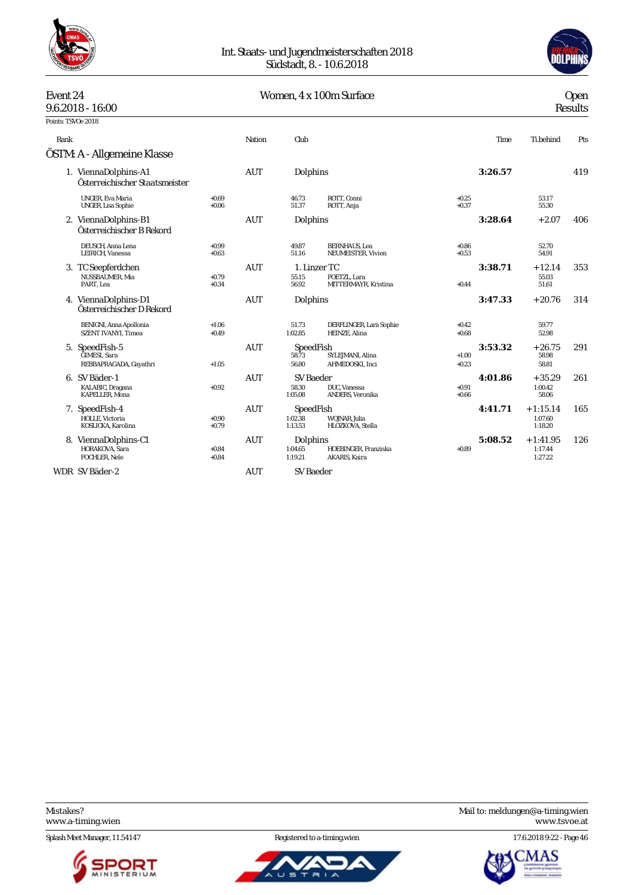



# Women, 4 x 100m Surface Open Results

| Event 24           |                                                          |                    | Women, 4 x 100m Surface<br>$9.6.2018 - 16:00$ |                                 |                                             |                    |         |                                  |     | Open<br><b>Results</b> |  |
|--------------------|----------------------------------------------------------|--------------------|-----------------------------------------------|---------------------------------|---------------------------------------------|--------------------|---------|----------------------------------|-----|------------------------|--|
| Points: TSVOe 2018 |                                                          |                    |                                               |                                 |                                             |                    |         |                                  |     |                        |  |
| Rank               |                                                          |                    | Nation                                        | Club                            |                                             |                    | Time    | Ti.behind                        | Pts |                        |  |
|                    | ÖSTM: A - Allgemeine Klasse                              |                    |                                               |                                 |                                             |                    |         |                                  |     |                        |  |
|                    | 1. ViennaDolphins-A1<br>Österreichischer Staatsmeister   |                    | <b>AUT</b>                                    | Dolphins                        |                                             |                    | 3:26.57 |                                  | 419 |                        |  |
|                    | <b>UNGER, Eva Maria</b><br>UNGER, Lisa Sophie            | $+0.69$<br>$+0.06$ |                                               | 46.73<br>51.37                  | ROTT, Conni<br>ROTT, Anja                   | $+0.25$<br>$+0.37$ |         | 53.17<br>55.30                   |     |                        |  |
|                    | 2. ViennaDolphins-B1<br>Österreichischer B Rekord        |                    | <b>AUT</b>                                    | Dolphins                        |                                             |                    | 3:28.64 | $+2.07$                          | 406 |                        |  |
|                    | DEUSCH, Anna Lena<br>LEIRICH, Vanessa                    | $+0.99$<br>$+0.63$ |                                               | 49.87<br>51.16                  | <b>BERNHAUS</b> , Lea<br>NEUMEISTER, Vivien | $+0.86$<br>$+0.53$ |         | 52.70<br>54.91                   |     |                        |  |
|                    | 3. TC Seepferdchen<br>NUSSBAUMER, Mia<br>PART, Lea       | $+0.79$<br>$+0.34$ | <b>AUT</b>                                    | 1. Linzer TC<br>55.15<br>56.92  | POETZL, Lara<br>MITTERMAYR, Kristina        | $+0.44$            | 3:38.71 | $+12.14$<br>55.03<br>51.61       | 353 |                        |  |
|                    | 4. ViennaDolphins-D1<br>Österreichischer D Rekord        |                    | AUT                                           | Dolphins                        |                                             |                    | 3:47.33 | $+20.76$                         | 314 |                        |  |
|                    | BENIGNI, Anna Apollonia<br>SZENT IVANYI, Timea           | $+1.06$<br>$+0.49$ |                                               | 51.73<br>1:02.85                | DERFLINGER, Lara Sophie<br>HEINZE, Alina    | $+0.42$<br>$+0.68$ |         | 59.77<br>52.98                   |     |                        |  |
|                    | 5. SpeedFish-5<br>GIMESI, Sara<br>REBBAPRAGADA, Gayathri | $+1.05$            | <b>AUT</b>                                    | SpeedFish<br>58.73<br>56.80     | SYLEJMANI, Alina<br>AHMEDOSKI, Inci         | $+1.00$<br>$+0.23$ | 3:53.32 | $+26.75$<br>58.98<br>58.81       | 291 |                        |  |
|                    | 6. SV Bäder-1<br>KALABIC, Dragana<br>KAPELLER, Mona      | $+0.92$            | <b>AUT</b>                                    | SV Baeder<br>58.30<br>1:05.08   | DUC. Vanessa<br>ANDERS, Veronika            | $+0.91$<br>$+0.66$ | 4:01.86 | $+35.29$<br>1:00.42<br>58.06     | 261 |                        |  |
|                    | 7. SpeedFish-4<br>HOLLE, Victoria<br>KOSLICKA, Karolina  | $+0.90$<br>$+0.79$ | <b>AUT</b>                                    | SpeedFish<br>1:02.38<br>1:13.53 | WOJNAR, Julia<br>HLOZKOVA, Stella           |                    | 4:41.71 | $+1:15.14$<br>1:07.60<br>1:18.20 | 165 |                        |  |
|                    | 8. ViennaDolphins-C1<br>HORAKOVA, Sara<br>FOCHLER, Nele  | $+0.84$<br>$+0.84$ | <b>AUT</b>                                    | Dolphins<br>1:04.65<br>1:19.21  | HOEBINGER, Franziska<br>AKARIS, Kaira       | $+0.89$            | 5:08.52 | $+1:41.95$<br>1:17.44<br>1:27.22 | 126 |                        |  |
|                    | WDR SV Bäder-2                                           |                    | <b>AUT</b>                                    | <b>SV Baeder</b>                |                                             |                    |         |                                  |     |                        |  |

Splash Meet Manager, 11.54147 Registered to a-timing.wien 17.6.2018 9:22 - Page 46





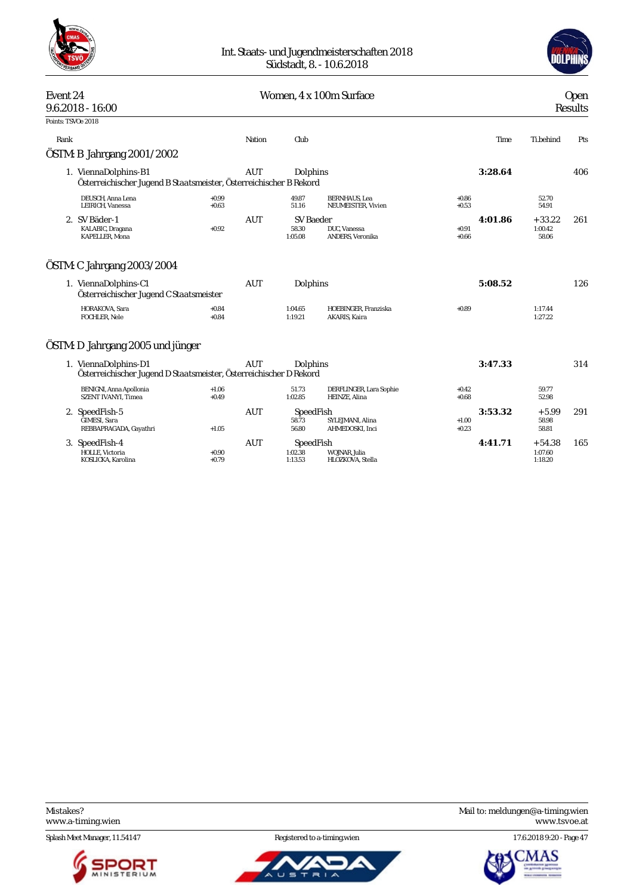



# Event 24 Communication Communication Communication Communication Communication Communication Communication Communication Communication Communication Communication Communication Communication Communication Communication Com 9.6.2018 - 16:00 Results Points: TSVOe 2018 Rank Nation Club Time Ti.behind Pts ÖSTM: B Jahrgang 2001/2002 1. ViennaDolphins-B1 AUT Dolphins **3:28.64** 406 *Österreichischer Jugend B Staatsmeister, Österreichischer B Rekord* DEUSCH, Anna Lena +0.99 49.87 BERNHAUS, Lea +0.86 52.70 LEIRICH, Vanessa +0.63 51.16 NEUMEISTER, Vivien +0.53 54.91 2. SV Bäder-1 AUT SV Baeder **4:01.86** + 33.22 261 KALABIC, Dragana +0.92 58.30 DUC, Vanessa +0.91 1:00.42 KAPELLER, Mona 1:05.08 ANDERS, Veronika +0.66 58.06 ÖSTM: C Jahrgang 2003/2004 1. ViennaDolphins-C1 AUT Dolphins **5:08.52** 126 *Österreichischer Jugend C Staatsmeister* HORAKOVA, Sara +0.84 1:04.65 HOEBINGER, Franziska +0.89 1:17.44 FOCHLER, Nele +0.84 1:19.21 AKARIS, Kaira 1:27.22 ÖSTM: D Jahrgang 2005 und jünger 1. ViennaDolphins-D1 AUT Dolphins **3:47.33** 314 *Österreichischer Jugend D Staatsmeister, Österreichischer D Rekord* 8 1.06 51.73 DERFLINGER, Lara Sophie +0.42 59.77 <br>+0.49 1.02.85 HEINZE, Alina +0.68 +0.68 52.98 BENIGNI, Anna Apollonia<br>SZENT IVANYI, Timea 2. SpeedFish-5 AUT SpeedFish **3:53.32** + 5.99 291 GIMESI, Sara 58.73 SYLEJMANI, Alina +1.00 58.98<br>
REBBAPRAGADA. Gavathri +1.05 56.80 AHMEDOSKI. Inci +0.23 58.81 58.81 58.81 REBBAPRAGADA, Gayathri 3. SpeedFish-4 **AUT** SpeedFish <br>
HOLLE, Victoria + 54.38 165<br>
KOSLICKA, Karolina + 0.79 + 0.79 1:13.53 HLOZKOVA, Stella + 1.71 + 54.38 165<br>
1:13.53 HLOZKOVA, Stella + 1.18.20 1:13.50 HOLLE, Victoria +0.90 1:02.38 WOJNAR, Julia 1:07.60 KOSLICKA, Karolina +0.79 1:13.53 HLOZKOVA, Stella 1:18.20

Splash Meet Manager, 11.54147 **Registered to a-timing.wien** 17.6.2018 9:20 - Page 47







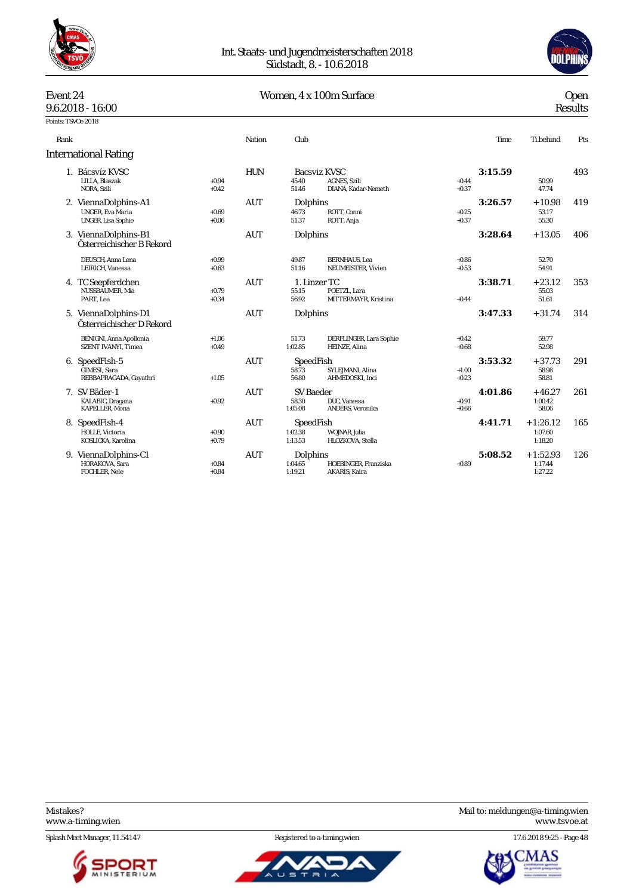



| Event 24           |                                                                |                    |            |                                      | Women, 4 x 100m Surface                                           |                    |         |                                  | <b>Open</b>    |
|--------------------|----------------------------------------------------------------|--------------------|------------|--------------------------------------|-------------------------------------------------------------------|--------------------|---------|----------------------------------|----------------|
|                    | $9.6.2018 - 16:00$                                             |                    |            |                                      |                                                                   |                    |         |                                  | <b>Results</b> |
| Points: TSVOe 2018 |                                                                |                    |            |                                      |                                                                   |                    |         |                                  |                |
| Rank               |                                                                |                    | Nation     | Club                                 |                                                                   |                    | Time    | Ti.behind                        | Pts            |
|                    | <b>International Rating</b>                                    |                    |            |                                      |                                                                   |                    |         |                                  |                |
|                    | 1. Bácsvíz KVSC<br>LILLA. Blaszak<br>NORA, Szili               | $+0.94$<br>$+0.42$ | <b>HUN</b> | 45.40<br>51.46                       | <b>Bacsviz KVSC</b><br><b>AGNES, Szili</b><br>DIANA, Kadar-Nemeth | $+0.44$<br>$+0.37$ | 3:15.59 | 50.99<br>47.74                   | 493            |
|                    | 2. ViennaDolphins-A1<br>UNGER, Eva Maria<br>UNGER, Lisa Sophie | $+0.69$<br>$+0.06$ | <b>AUT</b> | Dolphins<br>46.73<br>51.37           | ROTT, Conni<br>ROTT, Anja                                         | $+0.25$<br>$+0.37$ | 3:26.57 | $+10.98$<br>53.17<br>55.30       | 419            |
|                    | 3. ViennaDolphins-B1<br>Österreichischer B Rekord              |                    | <b>AUT</b> | Dolphins                             |                                                                   |                    | 3:28.64 | $+13.05$                         | 406            |
|                    | DEUSCH, Anna Lena<br>LEIRICH. Vanessa                          | $+0.99$<br>$+0.63$ |            | 49.87<br>51.16                       | <b>BERNHAUS</b> , Lea<br>NEUMEISTER, Vivien                       | $+0.86$<br>$+0.53$ |         | 52.70<br>54.91                   |                |
|                    | 4. TC Seepferdchen<br>NUSSBAUMER, Mia<br>PART. Lea             | $+0.79$<br>$+0.34$ | AUT        | 1. Linzer TC<br>55.15<br>56.92       | POETZL, Lara<br>MITTERMAYR, Kristina                              | $+0.44$            | 3:38.71 | $+23.12$<br>55.03<br>51.61       | 353            |
|                    | 5. ViennaDolphins-D1<br>Österreichischer D Rekord              |                    | <b>AUT</b> | Dolphins                             |                                                                   |                    | 3:47.33 | $+31.74$                         | 314            |
|                    | <b>BENIGNI, Anna Apollonia</b><br><b>SZENT IVANYI. Timea</b>   | $+1.06$<br>$+0.49$ |            | 51.73<br>1:02.85                     | DERFLINGER, Lara Sophie<br>HEINZE, Alina                          | $+0.42$<br>$+0.68$ |         | 59.77<br>52.98                   |                |
|                    | 6. SpeedFish-5<br>GIMESI, Sara<br>REBBAPRAGADA, Gayathri       | $+1.05$            | <b>AUT</b> | SpeedFish<br>58.73<br>56.80          | SYLEJMANI, Alina<br>AHMEDOSKI, Inci                               | $+1.00$<br>$+0.23$ | 3:53.32 | $+37.73$<br>58.98<br>58.81       | 291            |
|                    | 7. SV Bäder-1<br>KALABIC, Dragana<br>KAPELLER, Mona            | $+0.92$            | <b>AUT</b> | <b>SV Baeder</b><br>58.30<br>1:05.08 | DUC, Vanessa<br>ANDERS, Veronika                                  | $+0.91$<br>$+0.66$ | 4:01.86 | $+46.27$<br>1:00.42<br>58.06     | 261            |
|                    | 8. SpeedFish-4<br>HOLLE, Victoria<br>KOSLICKA, Karolina        | $+0.90$<br>$+0.79$ | AUT        | SpeedFish<br>1:02.38<br>1:13.53      | WOJNAR, Julia<br>HLOZKOVA, Stella                                 |                    | 4:41.71 | $+1:26.12$<br>1:07.60<br>1:18.20 | 165            |
|                    | 9. ViennaDolphins-C1<br>HORAKOVA, Sara<br><b>FOCHLER, Nele</b> | $+0.84$<br>$+0.84$ | <b>AUT</b> | Dolphins<br>1:04.65<br>1:19.21       | HOEBINGER, Franziska<br>AKARIS, Kaira                             | $+0.89$            | 5:08.52 | $+1:52.93$<br>1:17.44<br>1:27.22 | 126            |

Splash Meet Manager, 11.54147 Registered to a-timing.wien 17.6.2018 9:25 - Page 48





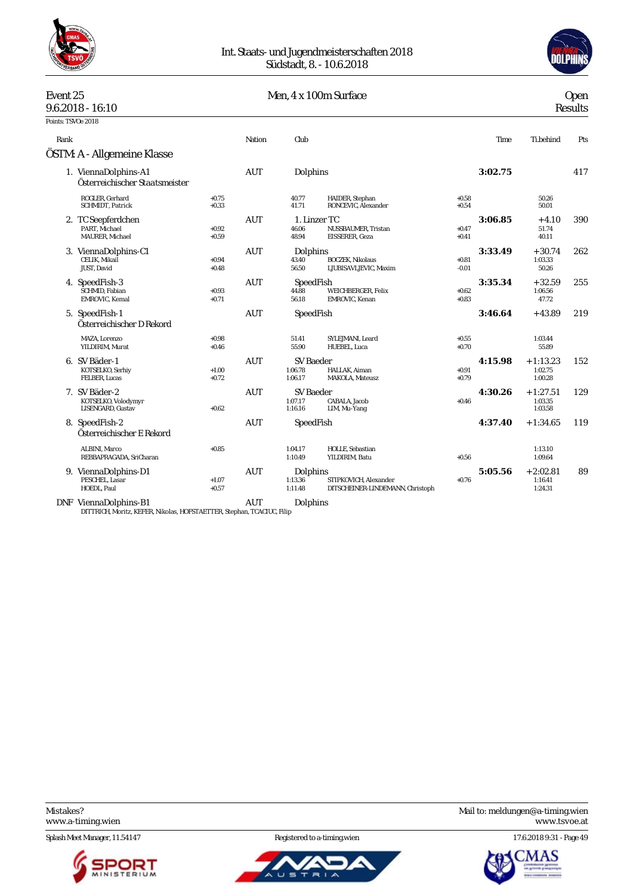



|                    | Event 25<br>$9.6.2018 - 16:10$                            |                    | Men, 4 x 100m Surface |                                        |                                                           |                    | <b>Open</b><br><b>Results</b> |                                  |     |
|--------------------|-----------------------------------------------------------|--------------------|-----------------------|----------------------------------------|-----------------------------------------------------------|--------------------|-------------------------------|----------------------------------|-----|
| Points: TSVOe 2018 |                                                           |                    |                       |                                        |                                                           |                    |                               |                                  |     |
| Rank               |                                                           |                    | Nation                | Club                                   |                                                           |                    | Time                          | Ti.behind                        | Pts |
|                    | ÖSTM: A - Allgemeine Klasse                               |                    |                       |                                        |                                                           |                    |                               |                                  |     |
|                    | 1. ViennaDolphins-A1<br>Österreichischer Staatsmeister    |                    | <b>AUT</b>            | Dolphins                               |                                                           |                    | 3:02.75                       |                                  | 417 |
|                    | ROGLER, Gerhard<br>SCHMIDT, Patrick                       | $+0.75$<br>$+0.33$ |                       | 40.77<br>41.71                         | HAIDER, Stephan<br>RONCEVIC, Alexander                    | $+0.58$<br>$+0.54$ |                               | 50.26<br>50.01                   |     |
|                    | 2. TC Seepferdchen<br>PART. Michael<br>MAURER, Michael    | $+0.92$<br>$+0.59$ | <b>AUT</b>            | 1. Linzer TC<br>46.06<br>48.94         | NUSSBAUMER, Tristan<br>EISSERER, Geza                     | $+0.47$<br>$+0.41$ | 3:06.85                       | $+4.10$<br>51.74<br>40.11        | 390 |
|                    | 3. ViennaDolphins-C1<br>CELIK, Mikail<br>JUST, David      | $+0.94$<br>$+0.48$ | <b>AUT</b>            | Dolphins<br>43.40<br>56.50             | <b>BOCZEK, Nikolaus</b><br>LJUBISAVLJEVIC, Maxim          | $+0.81$<br>$-0.01$ | 3:33.49                       | $+30.74$<br>1:03.33<br>50.26     | 262 |
|                    | 4. SpeedFish-3<br>SCHMID, Fabian<br>EMROVIC, Kemal        | $+0.93$<br>$+0.71$ | <b>AUT</b>            | SpeedFish<br>44.88<br>56.18            | <b>WEICHBERGER, Felix</b><br>EMROVIC, Kenan               | $+0.62$<br>$+0.83$ | 3:35.34                       | $+32.59$<br>1:06.56<br>47.72     | 255 |
|                    | 5. SpeedFish-1<br>Österreichischer D Rekord               |                    | <b>AUT</b>            | SpeedFish                              |                                                           |                    | 3:46.64                       | $+43.89$                         | 219 |
|                    | MAZA, Lorenzo<br>YILDIRIM, Murat                          | $+0.98$<br>$+0.46$ |                       | 51.41<br>55.90                         | SYLEJMANI, Leard<br>HUEBEL, Luca                          | $+0.55$<br>$+0.70$ |                               | 1:03.44<br>55.89                 |     |
|                    | 6. SV Bäder-1<br>KOTSELKO, Serhiy<br>FELBER, Lucas        | $+1.00$<br>$+0.72$ | AUT                   | <b>SV Baeder</b><br>1:06.78<br>1:06.17 | HALLAK. Aiman<br><b>MAKOLA, Mateusz</b>                   | $+0.91$<br>$+0.79$ | 4:15.98                       | $+1:13.23$<br>1:02.75<br>1:00.28 | 152 |
|                    | 7. SV Bäder-2<br>KOTSELKO, Volodymyr<br>LISENGARD, Gustav | $+0.62$            | <b>AUT</b>            | SV Baeder<br>1:07.17<br>1:16.16        | CABALA, Jacob<br>LIM, Mu-Yang                             | $+0.46$            | 4:30.26                       | $+1:27.51$<br>1:03.35<br>1:03.58 | 129 |
|                    | 8. SpeedFish-2<br>Österreichischer E Rekord               |                    | AUT                   | SpeedFish                              |                                                           |                    | 4:37.40                       | $+1:34.65$                       | 119 |
|                    | ALBINI, Marco<br>REBBAPRAGADA, SriCharan                  | $+0.85$            |                       | 1:04.17<br>1:10.49                     | HOLLE, Sebastian<br>YILDIRIM, Batu                        | $+0.56$            |                               | 1:13.10<br>1:09.64               |     |
|                    | 9. ViennaDolphins-D1<br>PESCHEL, Lasar<br>HOEDL, Paul     | $+1.07$<br>$+0.57$ | <b>AUT</b>            | Dolphins<br>1:13.36<br>1:11.48         | STIPKOVICH, Alexander<br>DITSCHEINER-LINDEMANN, Christoph | $+0.76$            | 5:05.56                       | $+2:02.81$<br>1:16.41<br>1:24.31 | 89  |
|                    |                                                           |                    |                       |                                        |                                                           |                    |                               |                                  |     |

DNF ViennaDolphins-B1 AUT Dolphins DITTRICH, Moritz, KEFER, Nikolas, HOFSTAETTER, Stephan, TCACIUC, Filip

Splash Meet Manager, 11.54147 Registered to a-timing.wien 17.6.2018 9:31 - Page 49





Mistakes? Mail to: [meldungen@a-timing.wien](mailto:meldungen@a-timing.wien) <www.a-timing.wien> <www.tsvoe.at>

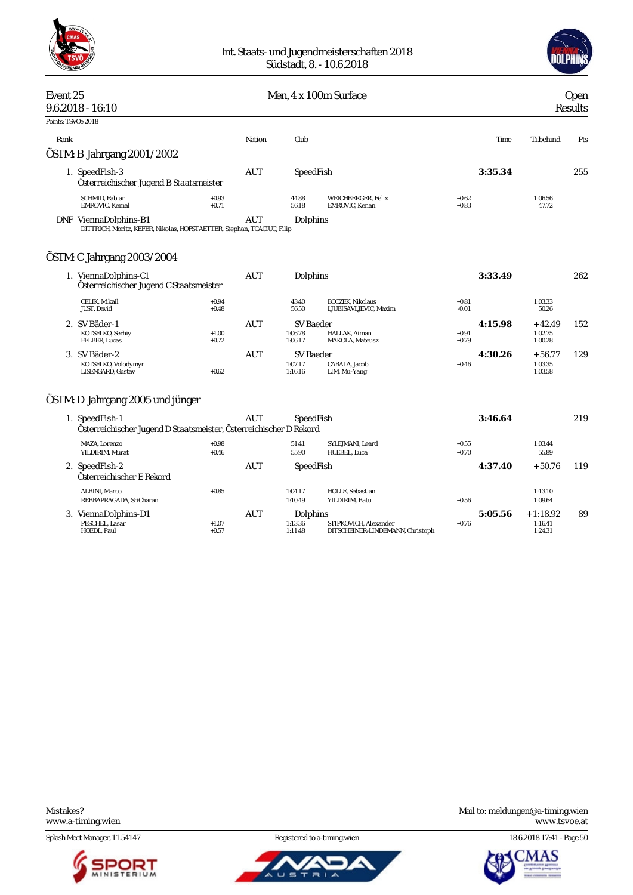



# Event 25 Deep Nen, 4 x 100m Surface Area open 9.6.2018 - 16:10 Results Points: TSVOe 2018 Rank Nation Club Time Ti.behind Pts ÖSTM: B Jahrgang 2001/2002 1. SpeedFish-3 AUT SpeedFish **3:35.34** 255 *Österreichischer Jugend B Staatsmeister* 0.93 44.88 WEICHBERGER, Felix +0.62 +0.71 56.18 EMROVIC, Kenan +1.062 +0.71 56.18 56.18 +0.83 +1.772 SCHMID, Fabian<br>EMROVIC, Kemal DNF ViennaDolphins-B1 AUT Dolphins DITTRICH, Moritz, KEFER, Nikolas, HOFSTAETTER, Stephan, TCACIUC, Filip ÖSTM: C Jahrgang 2003/2004 1. ViennaDolphins-C1 AUT Dolphins **3:33.49** 262

| 1. VIUIIIKUUIDIIIIIS-UI<br>Österreichischer Jugend C Staatsmeister |                    | AV 1 | DUIDILIUS                       |                                                  |                    | <u>J.JJ.TJ</u> |                                | $\sim$ $\sim$ |
|--------------------------------------------------------------------|--------------------|------|---------------------------------|--------------------------------------------------|--------------------|----------------|--------------------------------|---------------|
| CELIK. Mikail<br>JUST. David                                       | $+0.94$<br>$+0.48$ |      | 43.40<br>56.50                  | <b>BOCZEK. Nikolaus</b><br>LJUBISAVLJEVIC. Maxim | $+0.81$<br>$-0.01$ |                | 1:03.33<br>50.26               |               |
| 2. SV Bäder-1                                                      |                    | AUT  | SV Baeder                       |                                                  |                    | 4:15.98        | $+42.49$                       | 152           |
| KOTSELKO, Serhiy<br>FELBER, Lucas                                  | $+1.00$<br>$+0.72$ |      | 1:06.78<br>1:06.17              | HALLAK, Aiman<br>MAKOLA, Mateusz                 | $+0.91$<br>$+0.79$ |                | 1:02.75<br>1:00.28             |               |
| 3. SV Bäder-2<br>KOTSELKO, Volodymyr<br>LISENGARD, Gustav          | $+0.62$            | AUT  | SV Baeder<br>1:07.17<br>1:16.16 | CABALA. Jacob<br>LIM, Mu-Yang                    | $+0.46$            | 4:30.26        | $+56.77$<br>1:03.35<br>1:03.58 | 129           |

### ÖSTM: D Jahrgang 2005 und jünger

|    | 1. SpeedFish-1                                                     |                    | AUT | SpeedFish                      |                                                           |                    | 3:46.64 |                                  | 219 |
|----|--------------------------------------------------------------------|--------------------|-----|--------------------------------|-----------------------------------------------------------|--------------------|---------|----------------------------------|-----|
|    | Österreichischer Jugend D Staatsmeister, Österreichischer D Rekord |                    |     |                                |                                                           |                    |         |                                  |     |
|    | MAZA. Lorenzo<br>YILDIRIM. Murat                                   | $+0.98$<br>$+0.46$ |     | 51.41<br>55.90                 | SYLEJMANI, Leard<br>HUEBEL, Luca                          | $+0.55$<br>$+0.70$ |         | 1:03.44<br>55.89                 |     |
|    | 2. SpeedFish-2<br>Österreichischer E Rekord                        |                    | AUT | SpeedFish                      |                                                           |                    | 4:37.40 | $+50.76$                         | 119 |
|    | ALBINI, Marco<br>REBBAPRAGADA. SriCharan                           | $+0.85$            |     | 1:04.17<br>1:10.49             | HOLLE, Sebastian<br>YILDIRIM. Batu                        | $+0.56$            |         | 1:13.10<br>1:09.64               |     |
| 3. | ViennaDolphins-D1<br>PESCHEL, Lasar<br>HOEDL, Paul                 | $+1.07$<br>$+0.57$ | AUT | Dolphins<br>1:13.36<br>1:11.48 | STIPKOVICH, Alexander<br>DITSCHEINER-LINDEMANN, Christoph | $+0.76$            | 5:05.56 | $+1:18.92$<br>1:16.41<br>1:24.31 | 89  |

Splash Meet Manager, 11.54147 **Registered to a-timing.wien** 18.6.2018 17:41 - Page 50





Mistakes? Mail to: [meldungen@a-timing.wien](mailto:meldungen@a-timing.wien) <www.a-timing.wien> <www.tsvoe.at>

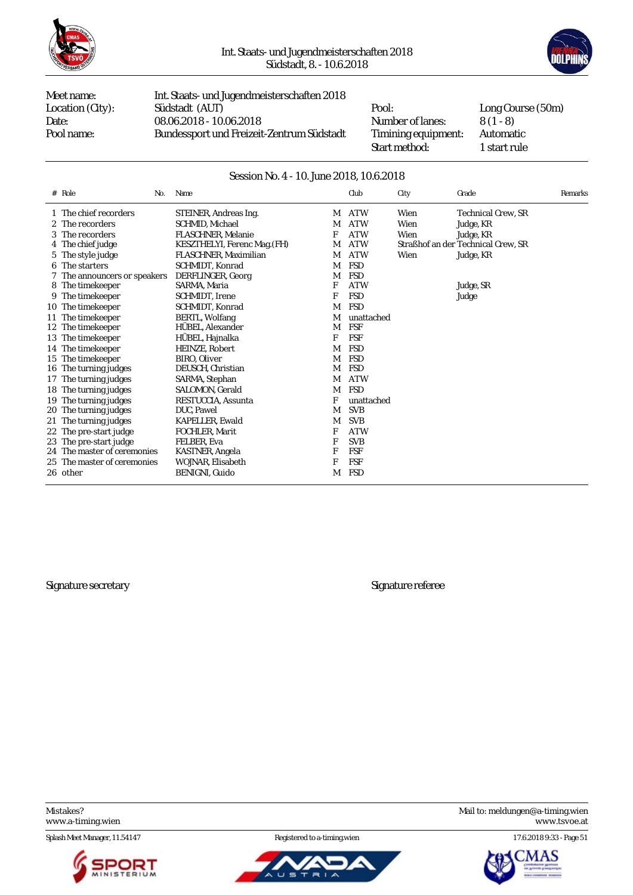



Meet name: Int. Staats- und Jugendmeisterschaften 2018 Location (City): Südstadt (AUT) Pool: Long Course (50m)<br>Date: 08.06.2018 - 10.06.2018 Number of lanes: 8 (1 - 8) Date: 08.06.2018 - 10.06.2018 Number of lanes: 8 (1 - 8)<br>Pool name: Bundessport und Freizeit-Zentrum Südstadt Timining equipment: Automatic Bundessport und Freizeit-Zentrum Südstadt Timining equipment:

Start method: 1 start rule

#### Session No. 4 - 10. June 2018, 10.6.2018

| # Role<br>No.                | Name                         |   | Club       | City | Grade                              | Remarks |
|------------------------------|------------------------------|---|------------|------|------------------------------------|---------|
| 1 The chief recorders        | STEINER, Andreas Ing.        | M | <b>ATW</b> | Wien | Technical Crew. SR                 |         |
| 2 The recorders              | SCHMID, Michael              | M | <b>ATW</b> | Wien | Judge, KR                          |         |
| 3 The recorders              | <b>FLASCHNER.</b> Melanie    | F | <b>ATW</b> | Wien | Judge, KR                          |         |
| 4 The chief judge            | KESZTHELYI, Ferenc Mag. (FH) | М | <b>ATW</b> |      | Straßhof an der Technical Crew. SR |         |
| 5 The style judge            | FLASCHNER, Maximilian        | М | <b>ATW</b> | Wien | Judge, KR                          |         |
| 6 The starters               | SCHMIDT, Konrad              | М | <b>FSD</b> |      |                                    |         |
| 7 The announcers or speakers | DERFLINGER, Georg            | M | <b>FSD</b> |      |                                    |         |
| 8 The time keeper            | SARMA, Maria                 | F | <b>ATW</b> |      | Judge, SR                          |         |
| 9 The timekeeper             | SCHMIDT, Irene               | F | <b>FSD</b> |      | Judge                              |         |
| 10 The timekeeper            | SCHMIDT, Konrad              | M | <b>FSD</b> |      |                                    |         |
| 11 The timekeeper            | <b>BERTL, Wolfang</b>        | M | unattached |      |                                    |         |
| 12 The timekeeper            | HÜBEL, Alexander             | M | FSF        |      |                                    |         |
| 13 The timekeeper            | HÜBEL, Hajnalka              | F | <b>FSF</b> |      |                                    |         |
| 14 The timekeeper            | HEINZE, Robert               | M | <b>FSD</b> |      |                                    |         |
| 15 The timekeeper            | BIRO. Oliver                 | М | <b>FSD</b> |      |                                    |         |
| 16 The turning judges        | DEUSCH, Christian            | М | <b>FSD</b> |      |                                    |         |
| 17 The turning judges        | SARMA, Stephan               | М | <b>ATW</b> |      |                                    |         |
| 18 The turning judges        | SALOMON, Gerald              | M | <b>FSD</b> |      |                                    |         |
| 19 The turning judges        | RESTUCCIA, Assunta           | F | unattached |      |                                    |         |
| 20 The turning judges        | DUC, Pawel                   | М | <b>SVB</b> |      |                                    |         |
| 21 The turning judges        | <b>KAPELLER, Ewald</b>       | M | <b>SVB</b> |      |                                    |         |
| 22 The pre-start judge       | FOCHLER, Marit               | F | <b>ATW</b> |      |                                    |         |
| 23 The pre-start judge       | FELBER. Eva                  | F | <b>SVB</b> |      |                                    |         |
| 24 The master of ceremonies  | KASTNER, Angela              | F | FSF        |      |                                    |         |
| 25 The master of ceremonies  | WOJNAR. Elisabeth            | F | <b>FSF</b> |      |                                    |         |
| 26 other                     | BENIGNI, Guido               | M | <b>FSD</b> |      |                                    |         |

Signature secretary Signature referee

Splash Meet Manager, 11.54147 Registered to a-timing.wien 17.6.2018 9:33 - Page 51





Mistakes? Mail to: [meldungen@a-timing.wien](mailto:meldungen@a-timing.wien) <www.a-timing.wien> <www.tsvoe.at>

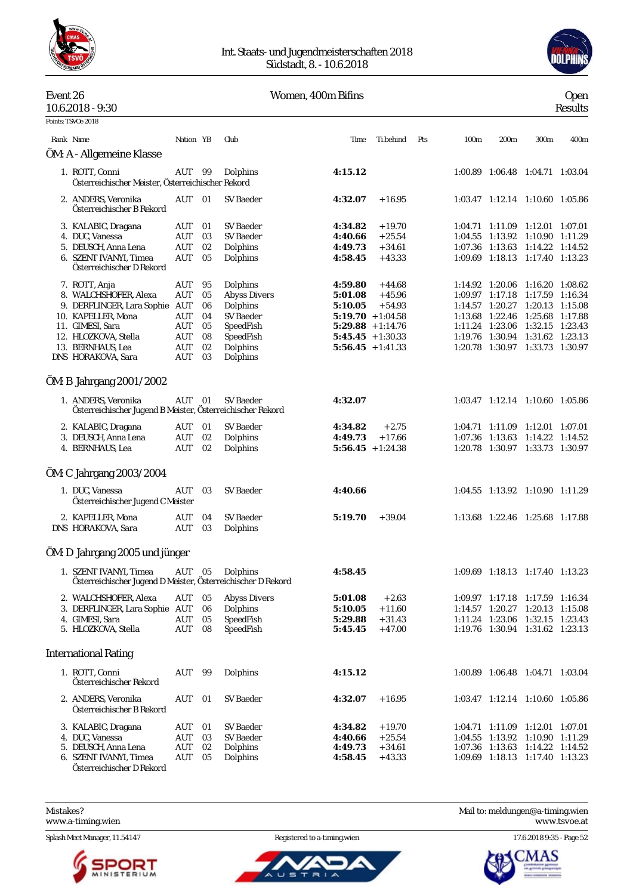

#### Int. Staats- und Jugendmeisterschaften 2018 Südstadt, 8. - 10.6.2018



### Event 26 Women, 400m Bifins Open

| 10.6.2018 - 9:30                                                                                                      |                          |                      |                                                              |                                                                   |                                              |     |                  |                                    |                                                                                                                          | ՟՟<br>Results |
|-----------------------------------------------------------------------------------------------------------------------|--------------------------|----------------------|--------------------------------------------------------------|-------------------------------------------------------------------|----------------------------------------------|-----|------------------|------------------------------------|--------------------------------------------------------------------------------------------------------------------------|---------------|
| Points: TSVOe 2018                                                                                                    |                          |                      |                                                              |                                                                   |                                              |     |                  |                                    |                                                                                                                          |               |
| Rank Name                                                                                                             | Nation YB                |                      | Club                                                         | Time                                                              | Ti.behind                                    | Pts | 100 <sub>m</sub> | 200m                               | 300m                                                                                                                     | 400m          |
| ÖM: A - Allgemeine Klasse                                                                                             |                          |                      |                                                              |                                                                   |                                              |     |                  |                                    |                                                                                                                          |               |
| 1. ROTT, Conni<br>Österreichischer Meister, Österreichischer Rekord                                                   | AUT 99                   |                      | Dolphins                                                     | 4:15.12                                                           |                                              |     |                  |                                    | 1:00.89 1:06.48 1:04.71 1:03.04                                                                                          |               |
| 2. ANDERS, Veronika<br>Österreichischer B Rekord                                                                      | AUT 01                   |                      | <b>SV Baeder</b>                                             | 4:32.07                                                           | $+16.95$                                     |     |                  |                                    | 1:03.47 1:12.14 1:10.60 1:05.86                                                                                          |               |
| 3. KALABIC, Dragana<br>4. DUC, Vanessa                                                                                | AUT<br>AUT               | 01<br>03             | SV Baeder<br>SV Baeder                                       | 4:34.82<br>4:40.66                                                | $+19.70$<br>$+25.54$                         |     |                  | 1:04.55 1:13.92                    | 1:04.71 1:11.09 1:12.01 1:07.01<br>1:10.90 1:11.29                                                                       |               |
| 5. DEUSCH, Anna Lena<br>6. SZENT IVANYI, Timea<br>Österreichischer D Rekord                                           | AUT<br>AUT               | 02<br>05             | Dolphins<br>Dolphins                                         | 4:49.73<br>4:58.45                                                | $+34.61$<br>$+43.33$                         |     |                  |                                    | 1:07.36 1:13.63 1:14.22 1:14.52<br>1:09.69 1:18.13 1:17.40 1:13.23                                                       |               |
| 7. ROTT, Anja<br>8. WALCHSHOFER, Alexa<br>9. DERFLINGER, Lara Sophie AUT                                              | AUT<br><b>AUT</b>        | 95<br>05<br>06       | Dolphins<br><b>Abyss Divers</b><br>Dolphins                  | 4:59.80<br>5:01.08<br>5:10.05                                     | $+44.68$<br>$+45.96$<br>$+54.93$             |     |                  |                                    | 1:14.92 1:20.06 1:16.20 1:08.62<br>1:09.97 1:17.18 1:17.59 1:16.34<br>1:14.57 1:20.27 1:20.13 1:15.08                    |               |
| 10. KAPELLER, Mona<br>11. GIMESI, Sara<br>12. HLOZKOVA, Stella                                                        | AUT<br>AUT<br>AUT        | 04<br>05<br>08       | <b>SV</b> Baeder<br>SpeedFish<br>SpeedFish                   | $5:19.70 + 1:04.58$<br>$5:29.88 + 1:14.76$<br>$5:45.45 + 1:30.33$ |                                              |     |                  | 1:13.68 1:22.46                    | 1:25.68 1:17.88<br>1:11.24 1:23.06 1:32.15 1:23.43<br>1:19.76 1:30.94 1:31.62 1:23.13                                    |               |
| 13. BERNHAUS, Lea<br>DNS HORAKOVA, Sara                                                                               | <b>AUT</b><br>AUT        | 02<br>03             | Dolphins<br>Dolphins                                         | $5:56.45 + 1:41.33$                                               |                                              |     |                  |                                    | 1:20.78 1:30.97 1:33.73 1:30.97                                                                                          |               |
| OM: B Jahrgang 2001/2002                                                                                              |                          |                      |                                                              |                                                                   |                                              |     |                  |                                    |                                                                                                                          |               |
| 1. ANDERS, Veronika<br>Österreichischer Jugend B Meister, Österreichischer Rekord                                     | AUT                      | - 01                 | <b>SV Baeder</b>                                             | 4:32.07                                                           |                                              |     |                  |                                    | 1:03.47 1:12.14 1:10.60 1:05.86                                                                                          |               |
| 2. KALABIC, Dragana<br>3. DEUSCH, Anna Lena                                                                           | AUT<br>AUT               | 01<br>02             | SV Baeder<br>Dolphins                                        | 4:34.82<br>4:49.73                                                | $+2.75$<br>$+17.66$                          |     |                  |                                    | 1:04.71 1:11.09 1:12.01 1:07.01<br>1:07.36 1:13.63 1:14.22 1:14.52                                                       |               |
| 4. BERNHAUS, Lea                                                                                                      | AUT                      | 02                   | Dolphins                                                     | $5:56.45 + 1:24.38$                                               |                                              |     |                  |                                    | 1:20.78 1:30.97 1:33.73 1:30.97                                                                                          |               |
| OM: C Jahrgang 2003/2004                                                                                              |                          |                      |                                                              |                                                                   |                                              |     |                  |                                    |                                                                                                                          |               |
| 1. DUC, Vanessa<br>Österreichischer Jugend C Meister                                                                  | AUT                      | 03                   | <b>SV Baeder</b>                                             | 4:40.66                                                           |                                              |     |                  |                                    | 1:04.55 1:13.92 1:10.90 1:11.29                                                                                          |               |
| 2. KAPELLER, Mona<br>DNS HORAKOVA, Sara                                                                               | AUT<br>AUT               | 04<br>03             | <b>SV</b> Baeder<br>Dolphins                                 | 5:19.70                                                           | $+39.04$                                     |     |                  |                                    | 1:13.68 1:22.46 1:25.68 1:17.88                                                                                          |               |
| ÖM: D Jahrgang 2005 und jünger                                                                                        |                          |                      |                                                              |                                                                   |                                              |     |                  |                                    |                                                                                                                          |               |
| 1. SZENT IVANYI, Timea<br>Österreichischer Jugend D Meister, Österreichischer D Rekord                                | AUT                      | 05                   | Dolphins                                                     | 4:58.45                                                           |                                              |     |                  |                                    | 1:09.69 1:18.13 1:17.40 1:13.23                                                                                          |               |
| 2. WALCHSHOFER, Alexa<br>3. DERFLINGER, Lara Sophie AUT<br>4. GIMESI, Sara<br>5. HLOZKOVA, Stella                     | AUT<br>AUT<br>AUT        | 05<br>06<br>05<br>08 | <b>Abyss Divers</b><br>Dolphins<br>SpeedFish<br>SpeedFish    | 5:01.08<br>5:10.05<br>5:29.88<br>5:45.45                          | $+2.63$<br>$+11.60$<br>$+31.43$<br>$+47.00$  |     |                  | 1:14.57 1:20.27<br>1:11.24 1:23.06 | 1:09.97 1:17.18 1:17.59 1:16.34<br>1:20.13 1:15.08<br>1:32.15 1:23.43<br>1:19.76 1:30.94 1:31.62 1:23.13                 |               |
| <b>International Rating</b>                                                                                           |                          |                      |                                                              |                                                                   |                                              |     |                  |                                    |                                                                                                                          |               |
| 1. ROTT, Conni<br>Österreichischer Rekord                                                                             | AUT                      | 99                   | Dolphins                                                     | 4:15.12                                                           |                                              |     |                  |                                    | 1:00.89 1:06.48 1:04.71 1:03.04                                                                                          |               |
| 2. ANDERS, Veronika<br>Österreichischer B Rekord                                                                      | AUT                      | 01                   | <b>SV</b> Baeder                                             | 4:32.07                                                           | $+16.95$                                     |     |                  |                                    | 1:03.47 1:12.14 1:10.60 1:05.86                                                                                          |               |
| 3. KALABIC, Dragana<br>4. DUC, Vanessa<br>5. DEUSCH, Anna Lena<br>6. SZENT IVANYI, Timea<br>Österreichischer D Rekord | AUT<br>AUT<br>AUT<br>AUT | 01<br>03<br>02<br>05 | <b>SV Baeder</b><br><b>SV</b> Baeder<br>Dolphins<br>Dolphins | 4:34.82<br>4:40.66<br>4:49.73<br>4:58.45                          | $+19.70$<br>$+25.54$<br>$+34.61$<br>$+43.33$ |     |                  | 1:04.55 1:13.92                    | 1:04.71 1:11.09 1:12.01 1:07.01<br>1:10.90 1:11.29<br>1:07.36 1:13.63 1:14.22 1:14.52<br>1:09.69 1:18.13 1:17.40 1:13.23 |               |

<www.a-timing.wien>



ū  $\equiv$ 



ĀŚ 'M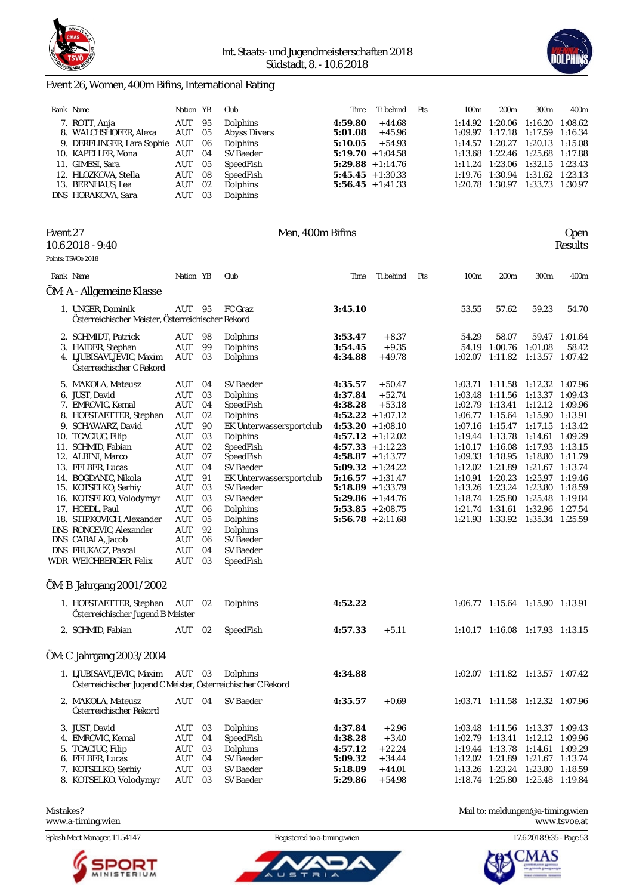



#### Event 26, Women, 400m Bifins, International Rating

| Rank Name                      | Nation YB |      | Club            | Time                | Ti.behind | Pts | 100 <sub>m</sub>    | 200 <sub>m</sub>                | 300 <sub>m</sub> | 400m    |
|--------------------------------|-----------|------|-----------------|---------------------|-----------|-----|---------------------|---------------------------------|------------------|---------|
| 7. ROTT, Anja                  | AUT       | 95   | <b>Dolphins</b> | 4:59.80             | $+44.68$  |     | 1:14.92             | 1:20.06                         | 1:16.20          | 1:08.62 |
| 8. WALCHSHOFER, Alexa          | AUT       | - 05 | Abyss Divers    | 5:01.08             | + 45.96   |     |                     | 1:09.97 1:17.18 1:17.59 1:16.34 |                  |         |
| 9. DERFLINGER, Lara Sophie AUT |           | -06  | <b>Dolphins</b> | 5:10.05             | $+54.93$  |     |                     | $1:14.57$ $1:20.27$             | 1:20.13 1:15.08  |         |
| 10. KAPELLER, Mona             | AUT       | -04  | SV Baeder       | $5:19.70 + 1:04.58$ |           |     |                     | 1:13.68 1:22.46 1:25.68 1:17.88 |                  |         |
| 11. GIMESI, Sara               | AUT       | 05   | SpeedFish       | $5:29.88 + 1:14.76$ |           |     | 1:11.24             | 1:23.06                         | 1:32.15 1:23.43  |         |
| 12. HLOZKOVA, Stella           | AUT       | 08   | SpeedFish       | $5:45.45 + 1:30.33$ |           |     | 1:19.76             | 1:30.94                         | 1:31.62          | 1:23.13 |
| 13. BERNHAUS, Lea              | AUT       | 02   | Dolphins        | $5:56.45 + 1:41.33$ |           |     | $1:20.78$ $1:30.97$ |                                 | 1:33.73 1:30.97  |         |
| DNS HORAKOVA, Sara             | AUT       | 03   | Dolphins        |                     |           |     |                     |                                 |                  |         |

| Event 27 | 10.6.2018 - 9:40                                             |            |      | Men, 400m Bifins        |         |                     |     |       |                                 |                 | <b>Open</b><br>Results |
|----------|--------------------------------------------------------------|------------|------|-------------------------|---------|---------------------|-----|-------|---------------------------------|-----------------|------------------------|
|          | Points: TSVOe 2018                                           |            |      |                         |         |                     |     |       |                                 |                 |                        |
|          | Rank Name                                                    | Nation YB  |      | Club                    | Time    | Ti.behind           | Pts | 100m  | 200m                            | 300m            | 400m                   |
|          | ÖM: A - Allgemeine Klasse                                    |            |      |                         |         |                     |     |       |                                 |                 |                        |
|          | 1. UNGER, Dominik                                            | AUT        | - 95 | FC Graz                 | 3:45.10 |                     |     | 53.55 | 57.62                           | 59.23           | 54.70                  |
|          | Österreichischer Meister, Österreichischer Rekord            |            |      |                         |         |                     |     |       |                                 |                 |                        |
|          | 2. SCHMIDT, Patrick                                          | AUT        | 98   | Dolphins                | 3:53.47 | $+8.37$             |     | 54.29 | 58.07                           |                 | 59.47 1:01.64          |
|          | 3. HAIDER, Stephan                                           | AUT        | 99   | Dolphins                | 3:54.45 | $+9.35$             |     |       | 54.19 1:00.76                   | 1:01.08         | 58.42                  |
|          | 4. LJUBISAVLJEVIC, Maxim                                     | AUT        | 03   | Dolphins                | 4:34.88 | $+49.78$            |     |       | $1:02.07$ $1:11.82$             | 1:13.57 1:07.42 |                        |
|          | Österreichischer C Rekord                                    |            |      |                         |         |                     |     |       |                                 |                 |                        |
|          | 5. MAKOLA, Mateusz                                           | AUT        | 04   | <b>SV</b> Baeder        | 4:35.57 | $+50.47$            |     |       | 1:03.71 1:11.58                 | 1:12.32 1:07.96 |                        |
|          | 6. JUST, David                                               | AUT        | 03   | Dolphins                | 4:37.84 | $+52.74$            |     |       | 1:03.48 1:11.56                 | 1:13.37 1:09.43 |                        |
|          | 7. EMROVIC, Kemal                                            | <b>AUT</b> | 04   | SpeedFish               | 4:38.28 | $+53.18$            |     |       | 1:02.79 1:13.41                 | 1:12.12 1:09.96 |                        |
|          | 8. HOFSTAETTER, Stephan                                      | AUT        | 02   | Dolphins                |         | $4:52.22 + 1:07.12$ |     |       | 1:06.77 1:15.64                 | 1:15.90 1:13.91 |                        |
|          | 9. SCHAWARZ, David                                           | <b>AUT</b> | 90   | EK Unterwassersportclub |         | $4:53.20 + 1:08.10$ |     |       | 1:07.16 1:15.47                 | 1:17.15         | 1:13.42                |
|          | 10. TCACIUC, Filip                                           | AUT        | 03   | Dolphins                |         | $4:57.12 + 1:12.02$ |     |       | 1:19.44 1:13.78                 | 1:14.61 1:09.29 |                        |
|          | 11. SCHMID, Fabian                                           | <b>AUT</b> | 02   | SpeedFish               |         | $4:57.33 + 1:12.23$ |     |       | 1:10.17 1:16.08                 | 1:17.93         | 1:13.15                |
|          | 12. ALBINI, Marco                                            | AUT        | 07   | SpeedFish               |         | $4:58.87 + 1:13.77$ |     |       | 1:09.33 1:18.95                 | 1:18.80 1:11.79 |                        |
|          | 13. FELBER, Lucas                                            | AUT        | 04   | <b>SV Baeder</b>        |         | $5:09.32 + 1:24.22$ |     |       | 1:12.02 1:21.89                 | 1:21.67 1:13.74 |                        |
|          | 14. BOGDANIC, Nikola                                         | AUT        | 91   | EK Unterwassersportclub |         | $5:16.57 + 1:31.47$ |     |       | 1:10.91 1:20.23                 | 1:25.97 1:19.46 |                        |
|          | 15. KOTSELKO, Serhiy                                         | AUT        | 03   | <b>SV Baeder</b>        |         | $5:18.89 + 1:33.79$ |     |       | 1:13.26 1:23.24                 | 1:23.80 1:18.59 |                        |
|          | 16. KOTSELKO, Volodymyr                                      | <b>AUT</b> | 03   | SV Baeder               |         | $5:29.86 + 1:44.76$ |     |       | 1:18.74 1:25.80                 | 1:25.48 1:19.84 |                        |
|          | 17. HOEDL, Paul                                              | <b>AUT</b> | 06   | Dolphins                |         | $5:53.85 + 2:08.75$ |     |       | 1:21.74 1:31.61                 | 1:32.96 1:27.54 |                        |
|          | 18. STIPKOVICH, Alexander                                    | <b>AUT</b> | 05   | Dolphins                |         | $5:56.78 + 2:11.68$ |     |       | 1:21.93 1:33.92 1:35.34 1:25.59 |                 |                        |
|          | DNS RONCEVIC, Alexander                                      | <b>AUT</b> | 92   | Dolphins                |         |                     |     |       |                                 |                 |                        |
|          | DNS CABALA, Jacob                                            | AUT        | 06   | <b>SV</b> Baeder        |         |                     |     |       |                                 |                 |                        |
|          | DNS FRUKACZ, Pascal                                          | <b>AUT</b> | 04   | <b>SV</b> Baeder        |         |                     |     |       |                                 |                 |                        |
|          | WDR WEICHBERGER, Felix                                       | <b>AUT</b> | 03   | SpeedFish               |         |                     |     |       |                                 |                 |                        |
|          | ÖM: B Jahrgang 2001/2002                                     |            |      |                         |         |                     |     |       |                                 |                 |                        |
|          | 1. HOFSTAETTER, Stephan<br>Österreichischer Jugend B Meister | AUT        | 02   | Dolphins                | 4:52.22 |                     |     |       | 1:06.77 1:15.64 1:15.90 1:13.91 |                 |                        |
|          | 2. SCHMID, Fabian                                            | AUT        | 02   | SpeedFish               | 4:57.33 | $+5.11$             |     |       | 1:10.17 1:16.08 1:17.93 1:13.15 |                 |                        |
|          | ÖM: C Jahrgang 2003/2004                                     |            |      |                         |         |                     |     |       |                                 |                 |                        |
|          | 1. LJUBISAVLJEVIC, Maxim                                     | AUT        | 03   | Dolphins                | 4:34.88 |                     |     |       | 1:02.07 1:11.82 1:13.57 1:07.42 |                 |                        |
|          | Österreichischer Jugend C Meister, Österreichischer C Rekord |            |      |                         |         |                     |     |       |                                 |                 |                        |
|          | 2. MAKOLA, Mateusz<br>Österreichischer Rekord                | AUT        | 04   | <b>SV Baeder</b>        | 4:35.57 | $+0.69$             |     |       | 1:03.71 1:11.58 1:12.32 1:07.96 |                 |                        |
|          | 3. JUST, David                                               | AUT        | 03   | Dolphins                | 4:37.84 | $+2.96$             |     |       | 1:03.48 1:11.56                 | 1:13.37 1:09.43 |                        |
|          | 4. EMROVIC, Kemal                                            | AUT        | 04   | SpeedFish               | 4:38.28 | $+3.40$             |     |       | 1:02.79 1:13.41                 | 1:12.12 1:09.96 |                        |
|          | 5. TCACIUC, Filip                                            | AUT        | 03   | Dolphins                | 4:57.12 | $+22.24$            |     |       | 1:19.44 1:13.78                 | 1:14.61 1:09.29 |                        |
|          | 6. FELBER, Lucas                                             | AUT        | 04   | SV Baeder               | 5:09.32 | $+34.44$            |     |       | 1:12.02 1:21.89 1:21.67 1:13.74 |                 |                        |

### 7. KOTSELKO, Serhiy AUT 03 SV Baeder **5:18.89** + 44.01 1:13.26 1:23.24 1:23.80 1:18.59 8. KOTSELKO, Volodymyr AUT 03 SV Baeder **5:29.86** + 54.98 1:18.74 1:25.80 1:25.48 1:19.84

<www.a-timing.wien> <www.tsvoe.at>

Splash Meet Manager, 11.54147 **Registered to a-timing.wien** 17.6.2018 9:35 - Page 53





Mistakes? Mail to: [meldungen@a-timing.wien](mailto:meldungen@a-timing.wien)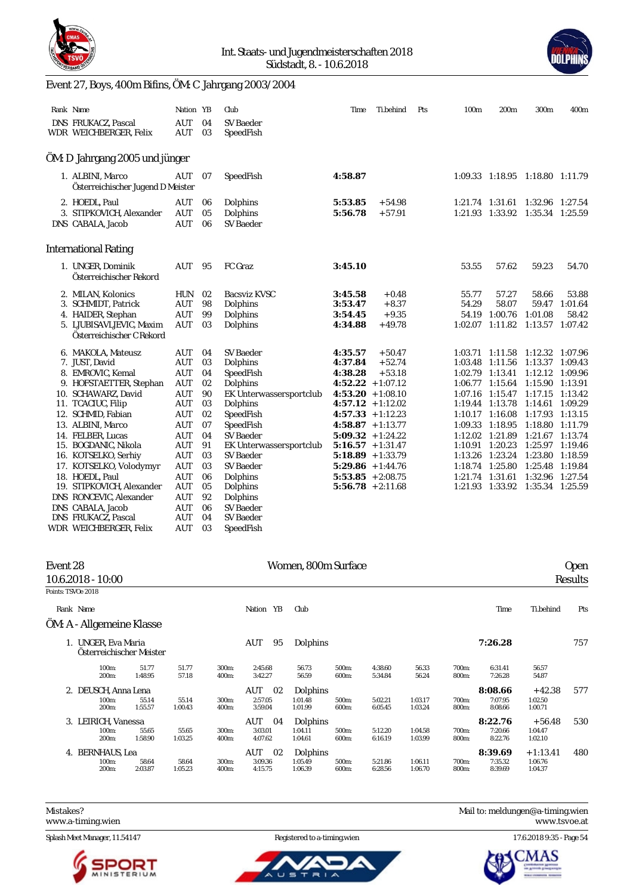

#### Int. Staats- und Jugendmeisterschaften 2018 Südstadt, 8. - 10.6.2018



# Event 27, Boys, 400m Bifins, ÖM: C Jahrgang 2003/2004

WDR WEICHBERGER, Felix AUT 03 SpeedFish

| Rank Name                                                                                                                                                                                                                                                                                                                    | Nation YB                                                                                                                                              |                                                                                  | Club                                                                                                                                                                                                                           | Time                                                                                                                                                                                                                                                                                       | Ti.behind                                 | Pts | 100 <sub>m</sub>        | 200 <sub>m</sub>                                                                                                                                                                                                                                                                                   | 300m                                                                                                                                                                                     | 400m                                                |
|------------------------------------------------------------------------------------------------------------------------------------------------------------------------------------------------------------------------------------------------------------------------------------------------------------------------------|--------------------------------------------------------------------------------------------------------------------------------------------------------|----------------------------------------------------------------------------------|--------------------------------------------------------------------------------------------------------------------------------------------------------------------------------------------------------------------------------|--------------------------------------------------------------------------------------------------------------------------------------------------------------------------------------------------------------------------------------------------------------------------------------------|-------------------------------------------|-----|-------------------------|----------------------------------------------------------------------------------------------------------------------------------------------------------------------------------------------------------------------------------------------------------------------------------------------------|------------------------------------------------------------------------------------------------------------------------------------------------------------------------------------------|-----------------------------------------------------|
| DNS FRUKACZ, Pascal<br>WDR WEICHBERGER, Felix                                                                                                                                                                                                                                                                                | AUT<br>AUT                                                                                                                                             | 04<br>03                                                                         | <b>SV</b> Baeder<br>SpeedFish                                                                                                                                                                                                  |                                                                                                                                                                                                                                                                                            |                                           |     |                         |                                                                                                                                                                                                                                                                                                    |                                                                                                                                                                                          |                                                     |
| ÖM: D Jahrgang 2005 und jünger                                                                                                                                                                                                                                                                                               |                                                                                                                                                        |                                                                                  |                                                                                                                                                                                                                                |                                                                                                                                                                                                                                                                                            |                                           |     |                         |                                                                                                                                                                                                                                                                                                    |                                                                                                                                                                                          |                                                     |
| 1. ALBINI, Marco<br>Österreichischer Jugend D Meister                                                                                                                                                                                                                                                                        | AUT                                                                                                                                                    | 07                                                                               | SpeedFish                                                                                                                                                                                                                      | 4:58.87                                                                                                                                                                                                                                                                                    |                                           |     |                         | 1:09.33 1:18.95 1:18.80 1:11.79                                                                                                                                                                                                                                                                    |                                                                                                                                                                                          |                                                     |
| 2. HOEDL, Paul<br>3. STIPKOVICH, Alexander<br>DNS CABALA, Jacob                                                                                                                                                                                                                                                              | AUT<br>AUT<br>AUT                                                                                                                                      | 06<br>05<br>06                                                                   | Dolphins<br>Dolphins<br>SV Baeder                                                                                                                                                                                              | 5:53.85<br>5:56.78                                                                                                                                                                                                                                                                         | $+54.98$<br>$+57.91$                      |     |                         | 1:21.74 1:31.61<br>$1:21.93$ $1:33.92$                                                                                                                                                                                                                                                             | 1:32.96 1:27.54<br>1:35.34 1:25.59                                                                                                                                                       |                                                     |
| <b>International Rating</b>                                                                                                                                                                                                                                                                                                  |                                                                                                                                                        |                                                                                  |                                                                                                                                                                                                                                |                                                                                                                                                                                                                                                                                            |                                           |     |                         |                                                                                                                                                                                                                                                                                                    |                                                                                                                                                                                          |                                                     |
| 1. UNGER, Dominik<br>Österreichischer Rekord                                                                                                                                                                                                                                                                                 | AUT                                                                                                                                                    | 95                                                                               | FC Graz                                                                                                                                                                                                                        | 3:45.10                                                                                                                                                                                                                                                                                    |                                           |     | 53.55                   | 57.62                                                                                                                                                                                                                                                                                              | 59.23                                                                                                                                                                                    | 54.70                                               |
| 2. MILAN, Kolonics<br>3. SCHMIDT, Patrick<br>4. HAIDER, Stephan<br>5. LJUBISAVLJEVIC, Maxim<br>Österreichischer C Rekord                                                                                                                                                                                                     | <b>HUN</b><br><b>AUT</b><br>AUT<br><b>AUT</b>                                                                                                          | 02<br>98<br>99<br>03                                                             | Bacsviz KVSC<br>Dolphins<br>Dolphins<br>Dolphins                                                                                                                                                                               | 3:45.58<br>3:53.47<br>3:54.45<br>4:34.88                                                                                                                                                                                                                                                   | $+0.48$<br>$+8.37$<br>$+9.35$<br>$+49.78$ |     | 55.77<br>54.29<br>54.19 | 57.27<br>58.07<br>1:00.76<br>1:02.07 1:11.82 1:13.57 1:07.42                                                                                                                                                                                                                                       | 58.66<br>59.47<br>1:01.08                                                                                                                                                                | 53.88<br>1:01.64<br>58.42                           |
| 6. MAKOLA, Mateusz<br>7. JUST, David<br>8. EMROVIC, Kemal<br>9. HOFSTAETTER, Stephan<br>10. SCHAWARZ, David<br>11. TCACIUC, Filip<br>12. SCHMID, Fabian<br>13. ALBINI, Marco<br>14. FELBER, Lucas<br>15. BOGDANIC, Nikola<br>16. KOTSELKO, Serhiy<br>17. KOTSELKO, Volodymyr<br>18. HOEDL, Paul<br>19. STIPKOVICH, Alexander | AUT<br>AUT<br>AUT<br><b>AUT</b><br>AUT<br>AUT<br><b>AUT</b><br><b>AUT</b><br><b>AUT</b><br><b>AUT</b><br><b>AUT</b><br><b>AUT</b><br><b>AUT</b><br>AUT | 04<br>03<br>04<br>02<br>90<br>03<br>02<br>07<br>04<br>91<br>03<br>03<br>06<br>05 | <b>SV Baeder</b><br>Dolphins<br>SpeedFish<br>Dolphins<br>EK Unterwassersportclub<br>Dolphins<br>SpeedFish<br>SpeedFish<br><b>SV Baeder</b><br>EK Unterwassersportclub<br>SV Baeder<br><b>SV Baeder</b><br>Dolphins<br>Dolphins | 4:35.57<br>4:37.84<br>4:38.28<br>$4:52.22 + 1:07.12$<br>$4:53.20 + 1:08.10$<br>$4:57.12 + 1:12.02$<br>$4:57.33 + 1:12.23$<br>$4:58.87 + 1:13.77$<br>$5:09.32 + 1:24.22$<br>$5:16.57 + 1:31.47$<br>$5:18.89 + 1:33.79$<br>$5:29.86 + 1:44.76$<br>$5:53.85 + 2:08.75$<br>$5:56.78 + 2:11.68$ | $+50.47$<br>$+52.74$<br>$+53.18$          |     | 1:13.26                 | $1:03.71$ $1:11.58$<br>1:03.48 1:11.56<br>1:02.79 1:13.41<br>1:06.77 1:15.64<br>1:07.16 1:15.47 1:17.15 1:13.42<br>1:19.44 1:13.78<br>1:10.17 1:16.08<br>1:09.33 1:18.95<br>1:12.02 1:21.89<br>1:10.91 1:20.23<br>1:23.24<br>1:18.74 1:25.80<br>1:21.74 1:31.61<br>1:21.93 1:33.92 1:35.34 1:25.59 | 1:12.32 1:07.96<br>1:13.37 1:09.43<br>1:12.12 1:09.96<br>1:15.90 1:13.91<br>1:14.61 1:09.29<br>1:17.93<br>1:18.80<br>1:21.67<br>1:25.97 1:19.46<br>1:23.80<br>1:25.48 1:19.84<br>1:32.96 | 1:13.15<br>1:11.79<br>1:13.74<br>1:18.59<br>1:27.54 |
| DNS RONCEVIC, Alexander<br>DNS CABALA, Jacob<br>DNS FRUKACZ, Pascal                                                                                                                                                                                                                                                          | <b>AUT</b><br><b>AUT</b><br><b>AUT</b>                                                                                                                 | 92<br>06<br>04                                                                   | Dolphins<br><b>SV Baeder</b><br><b>SV</b> Baeder                                                                                                                                                                               |                                                                                                                                                                                                                                                                                            |                                           |     |                         |                                                                                                                                                                                                                                                                                                    |                                                                                                                                                                                          |                                                     |

| Event 28           | 10.6.2018 - 10:00                                                          |                  | Women, 800m Surface |                |                                 |                                |                |                    |                    | <b>Open</b><br>Results |                               |                                  |     |
|--------------------|----------------------------------------------------------------------------|------------------|---------------------|----------------|---------------------------------|--------------------------------|----------------|--------------------|--------------------|------------------------|-------------------------------|----------------------------------|-----|
| Points: TSVOe 2018 |                                                                            |                  |                     |                |                                 |                                |                |                    |                    |                        |                               |                                  |     |
|                    | Rank Name                                                                  |                  |                     |                | YB<br>Nation                    | Club                           |                |                    |                    |                        | Time                          | Ti.behind                        | Pts |
|                    | ÖM: A - Allgemeine Klasse                                                  |                  |                     |                |                                 |                                |                |                    |                    |                        |                               |                                  |     |
|                    | 1. UNGER, Eva Maria<br>Österreichischer Meister<br>100m:<br>51.77<br>51.77 |                  |                     |                | AUT<br>95                       | Dolphins                       |                |                    |                    |                        | 7:26.28                       |                                  | 757 |
|                    | 200m:                                                                      | 1:48.95          | 57.18               | 300m:<br>400m: | 2:45.68<br>3:42.27              | 56.73<br>56.59                 | 500m:<br>600m: | 4:38.60<br>5:34.84 | 56.33<br>56.24     | 700m:<br>800m:         | 6:31.41<br>7:26.28            | 56.57<br>54.87                   |     |
|                    | 2. DEUSCH, Anna Lena<br>100m:<br>200 <sub>m</sub>                          | 55.14<br>1:55.57 | 55.14<br>1:00.43    | 300m:<br>400m: | AUT<br>02<br>2:57.05<br>3:59.04 | Dolphins<br>1:01.48<br>1:01.99 | 500m:<br>600m: | 5:02.21<br>6:05.45 | 1:03.17<br>1:03.24 | 700m:<br>800m:         | 8:08.66<br>7:07.95<br>8:08.66 | $+42.38$<br>1:02.50<br>1:00.71   | 577 |
|                    | 3. LEIRICH, Vanessa<br>100m:<br>200 <sub>m</sub>                           | 55.65<br>1:58.90 | 55.65<br>1:03.25    | 300m:<br>400m: | AUT<br>04<br>3:03.01<br>4:07.62 | Dolphins<br>1:04.11<br>1:04.61 | 500m:<br>600m: | 5:12.20<br>6:16.19 | 1:04.58<br>1:03.99 | 700m:<br>800m:         | 8:22.76<br>7:20.66<br>8:22.76 | $+56.48$<br>1:04.47<br>1:02.10   | 530 |
|                    | 4. BERNHAUS, Lea<br>100m:<br>200m:                                         | 58.64<br>2:03.87 | 58.64<br>1:05.23    | 300m:<br>400m: | AUT<br>02<br>3:09.36<br>4:15.75 | Dolphins<br>1:05.49<br>1:06.39 | 500m:<br>600m: | 5:21.86<br>6:28.56 | 1:06.11<br>1:06.70 | 700m:<br>800m:         | 8:39.69<br>7:35.32<br>8:39.69 | $+1:13.41$<br>1:06.76<br>1:04.37 | 480 |

<www.a-timing.wien>

Splash Meet Manager, 11.54147 Registered to a-timing.wien 17.6.2018 9:35 - Page 54







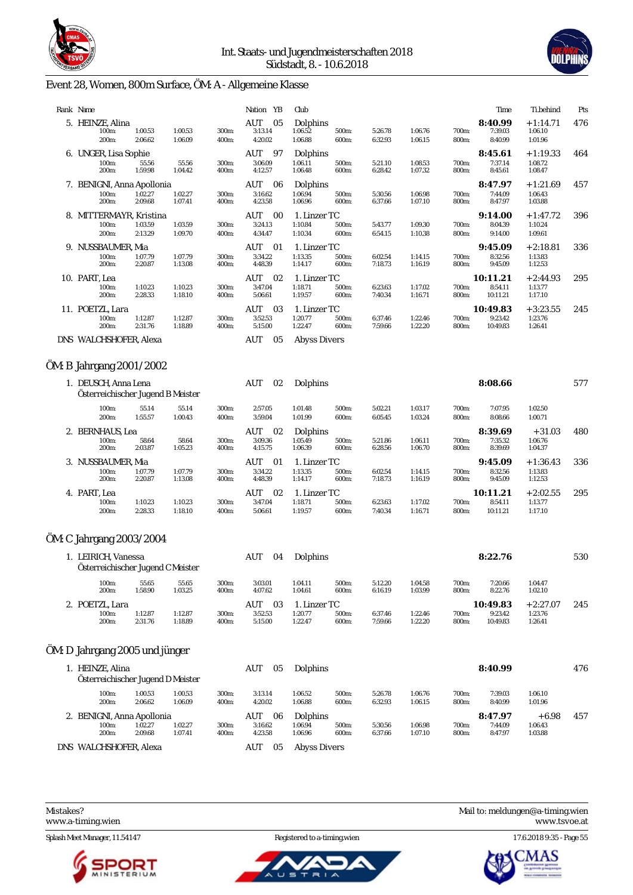



# Event 28, Women, 800m Surface, ÖM: A - Allgemeine Klasse

| Rank Name                                                 |                    |                    |                | Nation YB                       | Club                               |                |                    |                    |                | Time                            | Ti.behind                        | Pts |
|-----------------------------------------------------------|--------------------|--------------------|----------------|---------------------------------|------------------------------------|----------------|--------------------|--------------------|----------------|---------------------------------|----------------------------------|-----|
| 5. HEINZE, Alina<br>100m:<br>200m:                        | 1:00.53<br>2:06.62 | 1:00.53<br>1:06.09 | 300m:<br>400m: | AUT<br>05<br>3:13.14<br>4:20.02 | Dolphins<br>1:06.52<br>1:06.88     | 500m:<br>600m: | 5:26.78<br>6:32.93 | 1:06.76<br>1:06.15 | 700m:<br>800m: | 8:40.99<br>7:39.03<br>8:40.99   | $+1:14.71$<br>1:06.10<br>1:01.96 | 476 |
| 6. UNGER, Lisa Sophie<br>100m:<br>200m:                   | 55.56<br>1:59.98   | 55.56<br>1:04.42   | 300m:<br>400m: | AUT<br>97<br>3:06.09<br>4:12.57 | Dolphins<br>1:06.11<br>1:06.48     | 500m:<br>600m: | 5:21.10<br>6:28.42 | 1:08.53<br>1:07.32 | 700m:<br>800m: | 8:45.61<br>7:37.14<br>8:45.61   | $+1:19.33$<br>1:08.72<br>1:08.47 | 464 |
| 7. BENIGNI, Anna Apollonia<br>100m:<br>200m:              | 1:02.27<br>2:09.68 | 1:02.27<br>1:07.41 | 300m:<br>400m: | AUT<br>06<br>3:16.62<br>4:23.58 | Dolphins<br>1:06.94<br>1:06.96     | 500m:<br>600m: | 5:30.56<br>6:37.66 | 1:06.98<br>1:07.10 | 700m:<br>800m: | 8:47.97<br>7:44.09<br>8:47.97   | $+1:21.69$<br>1:06.43<br>1:03.88 | 457 |
| 8. MITTERMAYR, Kristina<br>100m:<br>200m:                 | 1:03.59<br>2:13.29 | 1:03.59<br>1:09.70 | 300m:<br>400m: | AUT<br>00<br>3:24.13<br>4:34.47 | 1. Linzer TC<br>1:10.84<br>1:10.34 | 500m:<br>600m: | 5:43.77<br>6:54.15 | 1:09.30<br>1:10.38 | 700m:<br>800m: | 9:14.00<br>8:04.39<br>9:14.00   | $+1:47.72$<br>1:10.24<br>1:09.61 | 396 |
| 9. NUSSBAUMER, Mia<br>100m:<br>200m:                      | 1:07.79<br>2:20.87 | 1:07.79<br>1:13.08 | 300m:<br>400m: | AUT<br>01<br>3:34.22<br>4:48.39 | 1. Linzer TC<br>1:13.35<br>1:14.17 | 500m:<br>600m: | 6:02.54<br>7:18.73 | 1:14.15<br>1:16.19 | 700m:<br>800m: | 9:45.09<br>8:32.56<br>9:45.09   | $+2:18.81$<br>1:13.83<br>1:12.53 | 336 |
| 10. PART, Lea<br>100m:<br>200m:                           | 1:10.23<br>2:28.33 | 1:10.23<br>1:18.10 | 300m:<br>400m: | AUT<br>02<br>3:47.04<br>5:06.61 | 1. Linzer TC<br>1:18.71<br>1:19.57 | 500m:<br>600m: | 6:23.63<br>7:40.34 | 1:17.02<br>1:16.71 | 700m:<br>800m: | 10:11.21<br>8:54.11<br>10:11.21 | $+2:44.93$<br>1:13.77<br>1:17.10 | 295 |
| 11. POETZL, Lara<br>100m:<br>200m:                        | 1:12.87<br>2:31.76 | 1:12.87<br>1:18.89 | 300m:<br>400m: | AUT<br>03<br>3:52.53<br>5:15.00 | 1. Linzer TC<br>1:20.77<br>1:22.47 | 500m:<br>600m: | 6:37.46<br>7:59.66 | 1:22.46<br>1:22.20 | 700m:<br>800m: | 10:49.83<br>9:23.42<br>10:49.83 | $+3:23.55$<br>1:23.76<br>1:26.41 | 245 |
| DNS WALCHSHOFER, Alexa                                    |                    |                    |                | <b>AUT</b><br>05                | <b>Abyss Divers</b>                |                |                    |                    |                |                                 |                                  |     |
| ÖM: B Jahrgang 2001/2002                                  |                    |                    |                |                                 |                                    |                |                    |                    |                |                                 |                                  |     |
| 1. DEUSCH, Anna Lena<br>Österreichischer Jugend B Meister |                    |                    |                | AUT<br>02                       | Dolphins                           |                |                    |                    |                | 8:08.66                         |                                  | 577 |
| 100m:<br>200m:                                            | 55.14<br>1:55.57   | 55.14<br>1:00.43   | 300m:<br>400m: | 2:57.05<br>3:59.04              | 1:01.48<br>1:01.99                 | 500m:<br>600m: | 5:02.21<br>6:05.45 | 1:03.17<br>1:03.24 | 700m:<br>800m: | 7:07.95<br>8:08.66              | 1:02.50<br>1:00.71               |     |
| 2. BERNHAUS, Lea<br>100m:<br>200m:                        | 58.64<br>2:03.87   | 58.64<br>1:05.23   | 300m:<br>400m: | AUT<br>02<br>3:09.36<br>4:15.75 | Dolphins<br>1:05.49<br>1:06.39     | 500m:<br>600m: | 5:21.86<br>6:28.56 | 1:06.11<br>1:06.70 | 700m:<br>800m: | 8:39.69<br>7:35.32<br>8:39.69   | $+31.03$<br>1:06.76<br>1:04.37   | 480 |
| 3. NUSSBAUMER, Mia<br>100m:<br>200m:                      | 1:07.79<br>2:20.87 | 1:07.79<br>1:13.08 | 300m:<br>400m: | AUT<br>01<br>3:34.22<br>4:48.39 | 1. Linzer TC<br>1:13.35<br>1:14.17 | 500m:<br>600m: | 6:02.54<br>7:18.73 | 1:14.15<br>1:16.19 | 700m:<br>800m: | 9:45.09<br>8:32.56<br>9:45.09   | $+1:36.43$<br>1:13.83<br>1:12.53 | 336 |
| 4. PART, Lea<br>100m:<br>200m:                            | 1:10.23<br>2:28.33 | 1:10.23<br>1:18.10 | 300m:<br>400m: | AUT<br>02<br>3:47.04<br>5:06.61 | 1. Linzer TC<br>1:18.71<br>1:19.57 | 500m:<br>600m: | 6:23.63<br>7:40.34 | 1:17.02<br>1:16.71 | 700m:<br>800m: | 10:11.21<br>8:54.11<br>10:11.21 | $+2:02.55$<br>1:13.77<br>1:17.10 | 295 |

# ÖM: C Jahrgang 2003/2004

| 1. LEIRICH, Vanessa<br>Österreichischer Jugend C Meister |                    |                    |                | AUT<br>04                       | Dolphins                           |                |                    |                    |                | 8:22.76                         |                                  | 530 |
|----------------------------------------------------------|--------------------|--------------------|----------------|---------------------------------|------------------------------------|----------------|--------------------|--------------------|----------------|---------------------------------|----------------------------------|-----|
| 100m:<br>200 <sub>m</sub> :                              | 55.65<br>1:58.90   | 55.65<br>1:03.25   | 300m:<br>400m: | 3:03.01<br>4:07.62              | 1:04.11<br>1:04.61                 | 500m:<br>600m: | 5:12.20<br>6:16.19 | 1:04.58<br>1:03.99 | 700m:<br>800m: | 7:20.66<br>8:22.76              | 1:04.47<br>1:02.10               |     |
| 2. POETZL, Lara<br>100m:<br>200 <sub>m</sub> :           | 1:12.87<br>2:31.76 | 1:12.87<br>1:18.89 | 300m:<br>400m: | AUT<br>03<br>3:52.53<br>5:15.00 | 1. Linzer TC<br>1:20.77<br>1:22.47 | 500m:<br>600m: | 6:37.46<br>7:59.66 | 1:22.46<br>1:22.20 | 700m:<br>800m: | 10:49.83<br>9:23.42<br>10:49.83 | $+2:27.07$<br>1:23.76<br>1:26.41 | 245 |

# ÖM: D Jahrgang 2005 und jünger

| 1. HEINZE, Alina<br>Österreichischer Jugend D Meister                                                                   |                    |                    |                | AUT<br>05                       | <b>Dolphins</b>                |                |                    |                    |                | 8:40.99                       |                               | 476 |
|-------------------------------------------------------------------------------------------------------------------------|--------------------|--------------------|----------------|---------------------------------|--------------------------------|----------------|--------------------|--------------------|----------------|-------------------------------|-------------------------------|-----|
| 100m:<br>200 <sub>m</sub> :                                                                                             | 1:00.53<br>2:06.62 | 1:00.53<br>1:06.09 | 300m:<br>400m: | 3:13.14<br>4:20.02              | 1:06.52<br>1:06.88             | 500m:<br>600m: | 5:26.78<br>6:32.93 | 1:06.76<br>1:06.15 | 700m:<br>800m: | 7:39.03<br>8:40.99            | 1:06.10<br>1:01.96            |     |
| 2. BENIGNI, Anna Apollonia<br>1:02.27<br>1:02.27<br>300m:<br>100m:<br>2:09.68<br>200 <sub>m</sub> :<br>1:07.41<br>400m: |                    |                    |                | AUT<br>06<br>3:16.62<br>4:23.58 | Dolphins<br>1:06.94<br>1:06.96 | 500m:<br>600m: | 5:30.56<br>6:37.66 | 1:06.98<br>1:07.10 | 700m:<br>800m: | 8:47.97<br>7:44.09<br>8:47.97 | $+6.98$<br>1:06.43<br>1:03.88 | 457 |
| DNS WALCHSHOFER, Alexa                                                                                                  |                    |                    |                | AUT<br>05                       | Abyss Divers                   |                |                    |                    |                |                               |                               |     |

Splash Meet Manager, 11.54147 Registered to a-timing.wien 17.6.2018 9:35 - Page 55





Mistakes? Mail to: [meldungen@a-timing.wien](mailto:meldungen@a-timing.wien) <www.a-timing.wien> <www.tsvoe.at>

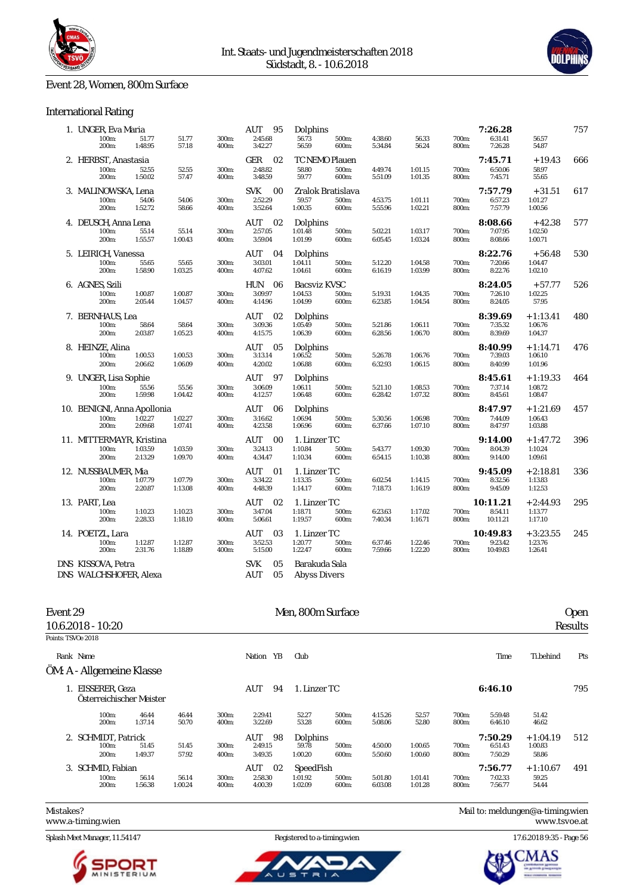

### Event 28, Women, 800m Surface

### International Rating

| 1. UNGER, Eva Maria                           |                    |                    |                | AUT<br>95                               | Dolphins                              |                |                    |                    |                | 7:26.28                         |                                  | 757 |
|-----------------------------------------------|--------------------|--------------------|----------------|-----------------------------------------|---------------------------------------|----------------|--------------------|--------------------|----------------|---------------------------------|----------------------------------|-----|
| 100m:<br>200 <sub>m</sub> :                   | 51.77<br>1:48.95   | 51.77<br>57.18     | 300m:<br>400m: | 2:45.68<br>3:42.27                      | 56.73<br>56.59                        | 500m:<br>600m: | 4:38.60<br>5:34.84 | 56.33<br>56.24     | 700m:<br>800m: | 6:31.41<br>7:26.28              | 56.57<br>54.87                   |     |
| 2. HERBST, Anastasia<br>100m:<br>200m:        | 52.55<br>1:50.02   | 52.55<br>57.47     | 300m:<br>400m: | 02<br>GER<br>2:48.82<br>3:48.59         | TC NEMO Plauen<br>58.80<br>59.77      | 500m:<br>600m: | 4:49.74<br>5:51.09 | 1:01.15<br>1:01.35 | 700m:<br>800m: | 7:45.71<br>6:50.06<br>7:45.71   | $+19.43$<br>58.97<br>55.65       | 666 |
| 3. MALINOWSKA, Lena<br>100m:<br>200m:         | 54.06<br>1:52.72   | 54.06<br>58.66     | 300m:<br>400m: | <b>SVK</b><br>00<br>$2:52.29$ $3:52.64$ | Zralok Bratislava<br>59.57<br>1:00.35 | 500m:<br>600m: | 4:53.75<br>5:55.96 | 1:01.11<br>1:02.21 | 700m:<br>800m: | 7:57.79<br>6:57.23<br>7:57.79   | $+31.51$<br>1:01.27<br>1:00.56   | 617 |
| 4. DEUSCH, Anna Lena<br>100m:<br>200m:        | 55.14<br>1:55.57   | 55.14<br>1:00.43   | 300m:<br>400m: | AUT<br>02<br>2:57.05<br>3:59.04         | Dolphins<br>1:01.48<br>1:01.99        | 500m:<br>600m: | 5:02.21<br>6:05.45 | 1:03.17<br>1:03.24 | 700m:<br>800m: | 8:08.66<br>7:07.95<br>8:08.66   | $+42.38$<br>1:02.50<br>1:00.71   | 577 |
| 5. LEIRICH, Vanessa<br>100m:<br>200m:         | 55.65<br>1:58.90   | 55.65<br>1:03.25   | 300m:<br>400m: | AUT<br>04<br>3:03.01<br>4:07.62         | Dolphins<br>1:04.11<br>1:04.61        | 500m:<br>600m: | 5:12.20<br>6:16.19 | 1:04.58<br>1:03.99 | 700m:<br>800m: | 8:22.76<br>7:20.66<br>8:22.76   | $+56.48$<br>1:04.47<br>1:02.10   | 530 |
| 6. AGNES, Szili<br>100m:<br>200m:             | 1:00.87<br>2:05.44 | 1:00.87<br>1:04.57 | 300m:<br>400m: | HUN<br>06<br>3:09.97<br>4:14.96         | Bacsviz KVSC<br>1:04.53<br>1:04.99    | 500m:<br>600m: | 5:19.31<br>6:23.85 | 1:04.35<br>1:04.54 | 700m:<br>800m: | 8:24.05<br>7:26.10<br>8:24.05   | $+57.77$<br>1:02.25<br>57.95     | 526 |
| 7. BERNHAUS, Lea<br>100m:<br>200m:            | 58.64<br>2:03.87   | 58.64<br>1:05.23   | 300m:<br>400m: | AUT<br>02<br>3:09.36<br>4:15.75         | Dolphins<br>1:05.49<br>1:06.39        | 500m:<br>600m: | 5:21.86<br>6:28.56 | 1:06.11<br>1:06.70 | 700m:<br>800m: | 8:39.69<br>7:35.32<br>8:39.69   | $+1:13.41$<br>1:06.76<br>1:04.37 | 480 |
| 8. HEINZE, Alina<br>100m:<br>200m:            | 1:00.53<br>2:06.62 | 1:00.53<br>1:06.09 | 300m:<br>400m: | AUT<br>05<br>3:13.14<br>4:20.02         | Dolphins<br>1:06.52<br>1:06.88        | 500m:<br>600m: | 5:26.78<br>6:32.93 | 1:06.76<br>1:06.15 | 700m:<br>800m: | 8:40.99<br>7:39.03<br>8:40.99   | $+1:14.71$<br>1:06.10<br>1:01.96 | 476 |
| 9. UNGER, Lisa Sophie<br>100m:<br>200m:       | 55.56<br>1:59.98   | 55.56<br>1:04.42   | 300m:<br>400m: | AUT<br>97<br>3:06.09<br>4:12.57         | Dolphins<br>1:06.11<br>1:06.48        | 500m:<br>600m: | 5:21.10<br>6:28.42 | 1:08.53<br>1:07.32 | 700m:<br>800m: | 8:45.61<br>7:37.14<br>8:45.61   | $+1:19.33$<br>1:08.72<br>1:08.47 | 464 |
| 10. BENIGNI, Anna Apollonia<br>100m:<br>200m: | 1:02.27<br>2:09.68 | 1:02.27<br>1:07.41 | 300m:<br>400m: | 06<br>AUT<br>3:16.62<br>4:23.58         | Dolphins<br>1:06.94<br>1:06.96        | 500m:<br>600m: | 5:30.56<br>6:37.66 | 1:06.98<br>1:07.10 | 700m:<br>800m: | 8:47.97<br>7:44.09<br>8:47.97   | $+1:21.69$<br>1:06.43<br>1:03.88 | 457 |
| 11. MITTERMAYR, Kristina<br>100m:<br>200m:    | 1:03.59<br>2:13.29 | 1:03.59<br>1:09.70 | 300m:<br>400m: | AUT<br>00<br>3:24.13<br>4:34.47         | 1. Linzer TC<br>1:10.84<br>1:10.34    | 500m:<br>600m: | 5:43.77<br>6:54.15 | 1:09.30<br>1:10.38 | 700m:<br>800m: | 9:14.00<br>8:04.39<br>9:14.00   | $+1:47.72$<br>1:10.24<br>1:09.61 | 396 |
| 12. NUSSBAUMER, Mia<br>100m:<br>200m:         | 1:07.79<br>2:20.87 | 1:07.79<br>1:13.08 | 300m:<br>400m: | AUT<br>01<br>3:34.22<br>4:48.39         | 1. Linzer TC<br>1:13.35<br>1:14.17    | 500m:<br>600m: | 6:02.54<br>7:18.73 | 1:14.15<br>1:16.19 | 700m:<br>800m: | 9:45.09<br>8:32.56<br>9:45.09   | $+2:18.81$<br>1:13.83<br>1:12.53 | 336 |
| 13. PART, Lea<br>100m:<br>200m:               | 1:10.23<br>2:28.33 | 1:10.23<br>1:18.10 | 300m:<br>400m: | <b>AUT</b><br>02<br>3:47.04<br>5:06.61  | 1. Linzer TC<br>1:18.71<br>1:19.57    | 500m:<br>600m: | 6:23.63<br>7:40.34 | 1:17.02<br>1:16.71 | 700m:<br>800m: | 10:11.21<br>8:54.11<br>10:11.21 | $+2:44.93$<br>1:13.77<br>1:17.10 | 295 |
| 14. POETZL, Lara<br>100m:<br>200m:            | 1:12.87<br>2:31.76 | 1:12.87<br>1:18.89 | 300m:<br>400m: | <b>AUT</b><br>03<br>3:52.53<br>5:15.00  | 1. Linzer TC<br>1:20.77<br>1:22.47    | 500m:<br>600m: | 6:37.46<br>7:59.66 | 1:22.46<br>1:22.20 | 700m:<br>800m: | 10:49.83<br>9:23.42<br>10:49.83 | $+3:23.55$<br>1:23.76<br>1:26.41 | 245 |
| DNS KISSOVA, Petra<br>DNS WALCHSHOFER, Alexa  |                    |                    |                | <b>SVK</b><br>05<br>AUT<br>05           | Barakuda Sala<br>Abyss Divers         |                |                    |                    |                |                                 |                                  |     |

| Event 29           |                                            |                  |                  |                |                                 | Men, 800m Surface               |                |                    |                    |                |                               |                              | Open    |
|--------------------|--------------------------------------------|------------------|------------------|----------------|---------------------------------|---------------------------------|----------------|--------------------|--------------------|----------------|-------------------------------|------------------------------|---------|
|                    | $10.6.2018 - 10.20$                        |                  |                  |                |                                 |                                 |                |                    |                    |                |                               |                              | Results |
| Points: TSVOe 2018 |                                            |                  |                  |                |                                 |                                 |                |                    |                    |                |                               |                              |         |
|                    | Rank Name                                  |                  |                  |                | Nation YB                       | Club                            |                |                    |                    |                | Time                          | Ti.behind                    | Pts     |
|                    | ÖM: A - Allgemeine Klasse                  |                  |                  |                |                                 |                                 |                |                    |                    |                |                               |                              |         |
|                    | EISSERER, Geza<br>Österreichischer Meister |                  |                  |                | AUT<br>94                       | 1. Linzer TC                    |                |                    |                    |                | 6:46.10                       |                              | 795     |
|                    | 100m:<br>200 <sub>m</sub> :                | 46.44<br>1:37.14 | 46.44<br>50.70   | 300m:<br>400m: | 2:29.41<br>3:22.69              | 52.27<br>53.28                  | 500m:<br>600m: | 4:15.26<br>5:08.06 | 52.57<br>52.80     | 700m:<br>800m: | 5:59.48<br>6:46.10            | 51.42<br>46.62               |         |
|                    | 2. SCHMIDT, Patrick<br>100m:               | 51.45            | 51.45            | 300m:          | AUT<br>98<br>2:49.15            | Dolphins<br>59.78               | 500m:          | 4:50.00            | 1:00.65            | 700m:          | 7:50.29<br>6:51.43            | $+1:04.19$<br>1:00.83        | 512     |
|                    | 200 <sub>m</sub> :                         | 1:49.37          | 57.92            | 400m:          | 3:49.35                         | 1:00.20                         | 600m:          | 5:50.60            | 1:00.60            | 800m:          | 7:50.29                       | 58.86                        |         |
|                    | 3. SCHMID, Fabian<br>100m:<br>200m:        | 56.14<br>1:56.38 | 56.14<br>1:00.24 | 300m:<br>400m: | AUT<br>02<br>2:58.30<br>4:00.39 | SpeedFish<br>1:01.92<br>1:02.09 | 500m:<br>600m: | 5:01.80<br>6:03.08 | 1:01.41<br>1:01.28 | 700m:<br>800m: | 7:56.77<br>7:02.33<br>7:56.77 | $+1:10.67$<br>59.25<br>54.44 | 491     |
|                    |                                            |                  |                  |                |                                 |                                 |                |                    |                    |                |                               |                              |         |

<www.a-timing.wien>



ັບ ຣ







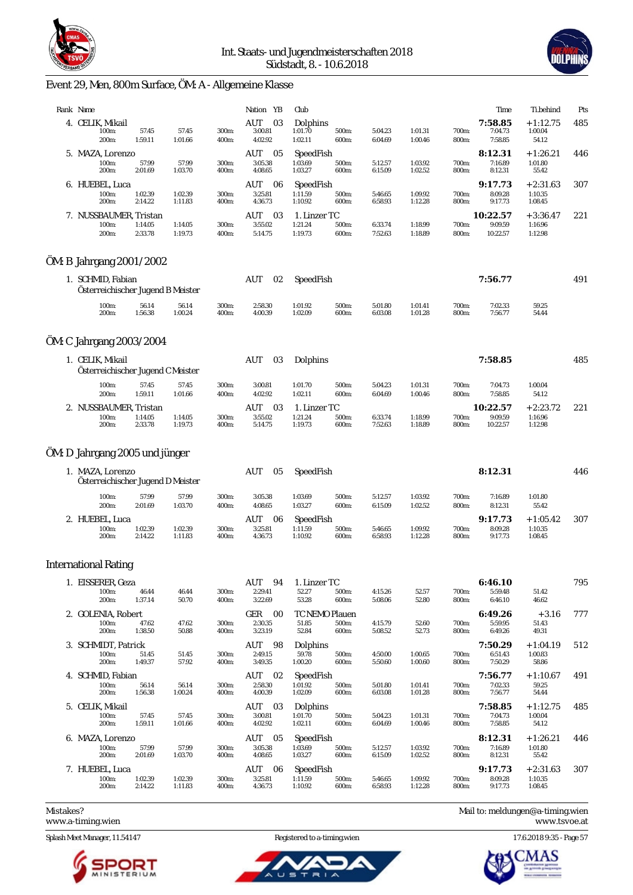



# Event 29, Men, 800m Surface, ÖM: A - Allgemeine Klasse

| Rank Name                                              |                    |                    |                | Nation YB                        | Club                               |                |                    |                    |                | Time                            | Ti.behind                        | Pts |
|--------------------------------------------------------|--------------------|--------------------|----------------|----------------------------------|------------------------------------|----------------|--------------------|--------------------|----------------|---------------------------------|----------------------------------|-----|
| 4. CELIK, Mikail<br>100m:<br>200m:                     | 57.45<br>1:59.11   | 57.45<br>1:01.66   | 300m:<br>400m: | 03<br>AUT<br>3:00.81<br>4:02.92  | Dolphins<br>1:01.70<br>1:02.11     | 500m:<br>600m: | 5:04.23<br>6:04.69 | 1:01.31<br>1:00.46 | 700m:<br>800m: | 7:58.85<br>7:04.73<br>7:58.85   | $+1:12.75$<br>1:00.04<br>54.12   | 485 |
| 5. MAZA, Lorenzo<br>100m:<br>200m:                     | 57.99<br>2:01.69   | 57.99<br>1:03.70   | 300m:<br>400m: | AUT<br>05<br>3:05.38<br>4:08.65  | SpeedFish<br>1:03.69<br>1:03.27    | 500m:<br>600m: | 5:12.57<br>6:15.09 | 1:03.92<br>1:02.52 | 700m:<br>800m: | 8:12.31<br>7:16.89<br>8:12.31   | $+1:26.21$<br>1:01.80<br>55.42   | 446 |
| 6. HUEBEL, Luca<br>100m:<br>200m:                      | 1:02.39<br>2:14.22 | 1:02.39<br>1:11.83 | 300m:<br>400m: | AUT<br>-06<br>3:25.81<br>4:36.73 | SpeedFish<br>1:11.59<br>1:10.92    | 500m:<br>600m: | 5:46.65<br>6:58.93 | 1:09.92<br>1:12.28 | 700m:<br>800m: | 9:17.73<br>8:09.28<br>9:17.73   | $+2:31.63$<br>1:10.35<br>1:08.45 | 307 |
| 7. NUSSBAUMER, Tristan<br>100m:<br>200m:               | 1:14.05<br>2:33.78 | 1:14.05<br>1:19.73 | 300m:<br>400m: | AUT<br>03<br>3:55.02<br>5:14.75  | 1. Linzer TC<br>1:21.24<br>1:19.73 | 500m:<br>600m: | 6:33.74<br>7:52.63 | 1:18.99<br>1:18.89 | 700m:<br>800m: | 10:22.57<br>9:09.59<br>10:22.57 | $+3:36.47$<br>1:16.96<br>1:12.98 | 221 |
| ÖM: B Jahrgang 2001/2002                               |                    |                    |                |                                  |                                    |                |                    |                    |                |                                 |                                  |     |
| 1. SCHMID, Fabian<br>Österreichischer Jugend B Meister |                    |                    |                | AUT<br>02                        | SpeedFish                          |                |                    |                    |                | 7:56.77                         |                                  | 491 |
| 100m:<br>200m:                                         | 56.14<br>1:56.38   | 56.14<br>1:00.24   | 300m:<br>400m: | 2:58.30<br>4:00.39               | 1:01.92<br>1:02.09                 | 500m:<br>600m: | 5:01.80<br>6:03.08 | 1:01.41<br>1:01.28 | 700m:<br>800m: | 7:02.33<br>7:56.77              | 59.25<br>54.44                   |     |
| ÖM: C Jahrgang 2003/2004                               |                    |                    |                |                                  |                                    |                |                    |                    |                |                                 |                                  |     |
| 1. CELIK, Mikail<br>Österreichischer Jugend C Meister  |                    |                    |                | AUT<br>03                        | Dolphins                           |                |                    |                    |                | 7:58.85                         |                                  | 485 |
| 100m:<br>200m:                                         | 57.45<br>1:59.11   | 57.45<br>1:01.66   | 300m:<br>400m: | 3:00.81<br>4:02.92               | 1:01.70<br>1:02.11                 | 500m:<br>600m: | 5:04.23<br>6:04.69 | 1:01.31<br>1:00.46 | 700m:<br>800m: | 7:04.73<br>7:58.85              | 1:00.04<br>54.12                 |     |
| 2. NUSSBAUMER, Tristan<br>100m:<br>200m:               | 1:14.05<br>2:33.78 | 1:14.05<br>1:19.73 | 300m:<br>400m: | AUT<br>03<br>3:55.02<br>5:14.75  | 1. Linzer TC<br>1:21.24<br>1:19.73 | 500m:<br>600m: | 6:33.74<br>7:52.63 | 1:18.99<br>1:18.89 | 700m:<br>800m: | 10:22.57<br>9:09.59<br>10:22.57 | $+2:23.72$<br>1:16.96<br>1:12.98 | 221 |
| ÖM: D Jahrgang 2005 und jünger                         |                    |                    |                |                                  |                                    |                |                    |                    |                |                                 |                                  |     |
| 1. MAZA, Lorenzo<br>Österreichischer Jugend D Meister  |                    |                    |                | AUT<br>05                        | SpeedFish                          |                |                    |                    |                | 8:12.31                         |                                  | 446 |
| 100m:<br>200m:                                         | 57.99<br>2:01.69   | 57.99<br>1:03.70   | 300m:<br>400m: | 3:05.38<br>4:08.65               | 1:03.69<br>1:03.27                 | 500m:<br>600m: | 5:12.57<br>6:15.09 | 1:03.92<br>1:02.52 | 700m:<br>800m: | 7:16.89<br>8:12.31              | 1:01.80<br>55.42                 |     |
| 2. HUEBEL, Luca<br>100m:<br>200m:                      | 1:02.39<br>2:14.22 | 1:02.39<br>1:11.83 | 300m:<br>400m: | AUT<br>06<br>3:25.81<br>4:36.73  | SpeedFish<br>1:11.59<br>1:10.92    | 500m:<br>600m: | 5:46.65<br>6:58.93 | 1:09.92<br>1:12.28 | 700m:<br>800m: | 9:17.73<br>8:09.28<br>9:17.73   | $+1:05.42$<br>1:10.35<br>1:08.45 | 307 |
| <b>International Rating</b>                            |                    |                    |                |                                  |                                    |                |                    |                    |                |                                 |                                  |     |
| 1. EISSERER, Geza<br>100m:<br>200m:                    | 46.44<br>1:37.14   | 46.44<br>50.70     | 300m:<br>400m: | 94<br>AUT<br>2:29.41<br>3:22.69  | 1. Linzer TC<br>52.27<br>53.28     | 500m:<br>600m: | 4:15.26<br>5:08.06 | 52.57<br>52.80     | 700m:<br>800m: | 6:46.10<br>5:59.48<br>6:46.10   | 51.42<br>46.62                   | 795 |
| 2. GOLENIA, Robert<br>100m:<br>200m:                   | 47.62<br>1:38.50   | 47.62<br>50.88     | 300m:<br>400m: | GER<br>00<br>2:30.35<br>3:23.19  | TC NEMO Plauen<br>51.85<br>52.84   | 500m:<br>600m: | 4:15.79<br>5:08.52 | 52.60<br>52.73     | 700m:<br>800m: | 6:49.26<br>5:59.95<br>6:49.26   | $+3.16$<br>51.43<br>49.31        | 777 |
| 3. SCHMIDT, Patrick<br>100m:<br>200m:                  | 51.45<br>1:49.37   | 51.45<br>57.92     | 300m:<br>400m: | AUT 98<br>2:49.15<br>3:49.35     | Dolphins<br>59.78<br>1:00.20       | 500m:<br>600m: | 4:50.00<br>5:50.60 | 1:00.65<br>1:00.60 | 700m:<br>800m: | 7:50.29<br>6:51.43<br>7:50.29   | $+1:04.19$<br>1:00.83<br>58.86   | 512 |
| 4. SCHMID, Fabian<br>100m:<br>200m:                    | 56.14<br>1:56.38   | 56.14<br>1:00.24   | 300m:<br>400m: | AUT 02<br>2:58.30<br>4:00.39     | SpeedFish<br>1:01.92<br>1:02.09    | 500m:<br>600m: | 5:01.80<br>6:03.08 | 1:01.41<br>1:01.28 | 700m:<br>800m: | 7:56.77<br>7:02.33<br>7:56.77   | $+1:10.67$<br>59.25<br>54.44     | 491 |
| 5. CELIK, Mikail<br>100m:<br>200m:                     | 57.45<br>1:59.11   | 57.45<br>1:01.66   | 300m:<br>400m: | AUT 03<br>3:00.81<br>4:02.92     | Dolphins<br>1:01.70<br>1:02.11     | 500m:<br>600m: | 5:04.23<br>6:04.69 | 1:01.31<br>1:00.46 | 700m:<br>800m: | 7:58.85<br>7:04.73<br>7:58.85   | $+1:12.75$<br>1:00.04<br>54.12   | 485 |
| 6. MAZA, Lorenzo<br>100m:<br>200m:                     | 57.99<br>2:01.69   | 57.99<br>1:03.70   | 300m:<br>400m: | AUT<br>05<br>3:05.38<br>4:08.65  | SpeedFish<br>1:03.69<br>1:03.27    | 500m:<br>600m: | 5:12.57<br>6:15.09 | 1:03.92<br>1:02.52 | 700m:<br>800m: | 8:12.31<br>7:16.89<br>8:12.31   | $+1:26.21$<br>1:01.80<br>55.42   | 446 |
| 7. HUEBEL, Luca<br>100m:<br>200m:                      | 1:02.39<br>2:14.22 | 1:02.39<br>1:11.83 | 300m:<br>400m: | AUT<br>06<br>3:25.81<br>4:36.73  | SpeedFish<br>1:11.59<br>1:10.92    | 500m:<br>600m: | 5:46.65<br>6:58.93 | 1:09.92<br>1:12.28 | 700m:<br>800m: | 9:17.73<br>8:09.28<br>9:17.73   | $+2:31.63$<br>1:10.35<br>1:08.45 | 307 |
|                                                        |                    |                    |                |                                  |                                    |                |                    |                    |                |                                 |                                  |     |

<www.a-timing.wien>

Splash Meet Manager, 11.54147 Registered to a-timing.wien 17.6.2018 9:35 - Page 57



ū

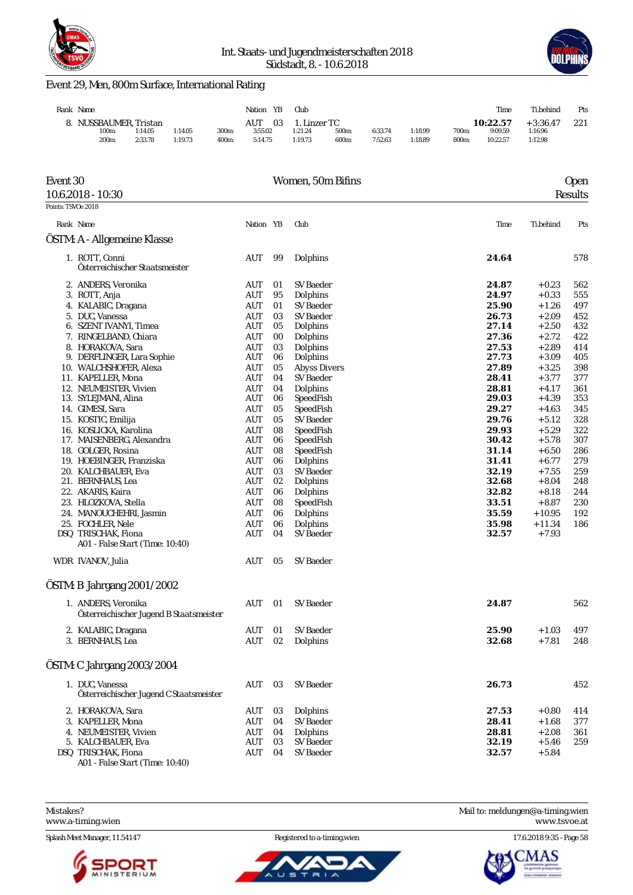



### Event 29, Men, 800m Surface, International Rating

| Rank Name           |         |         |       | YB<br>Nation | Club      |       |         |         |       | Time     | Ti.behind  | Pts |
|---------------------|---------|---------|-------|--------------|-----------|-------|---------|---------|-------|----------|------------|-----|
| NUSSBAUMER. Tristan |         |         |       | AUT<br>03    | Linzer TC |       |         |         |       | 10:22.57 | $+3:36.47$ | 221 |
| 100m:               | 1:14.05 | 1:14.05 | 300m: | 3:55.02      | 1:21.24   | 500m: | 6:33.74 | 1:18.99 | 700m: | 9:09.59  | 1:16.96    |     |
| 200 <sub>m</sub> :  | 2:33.78 | 1:19.73 | 400m: | 5:14.75      | 1:19.73   | 600m: | 7:52.63 | 1:18.89 | 800m: | 10:22.57 | 1:12.98    |     |

| Event 30           |                                                            |            |    | Women, 50m Bifins   |       |           | <b>Open</b> |
|--------------------|------------------------------------------------------------|------------|----|---------------------|-------|-----------|-------------|
|                    | 10.6.2018 - 10:30                                          |            |    |                     |       |           | Results     |
| Points: TSVOe 2018 |                                                            |            |    |                     |       |           |             |
|                    | Rank Name                                                  | Nation YB  |    | Club                | Time  | Ti.behind | Pts         |
|                    | OSTM: A - Allgemeine Klasse                                |            |    |                     |       |           |             |
|                    | 1. ROTT, Conni<br>Österreichischer Staatsmeister           | AUT        | 99 | Dolphins            | 24.64 |           | 578         |
|                    | 2. ANDERS, Veronika                                        | AUT        | 01 | SV Baeder           | 24.87 | $+0.23$   | 562         |
|                    | 3. ROTT, Anja                                              | AUT        | 95 | Dolphins            | 24.97 | $+0.33$   | 555         |
|                    | 4. KALABIC, Dragana                                        | <b>AUT</b> | 01 | SV Baeder           | 25.90 | $+1.26$   | 497         |
|                    | 5. DUC, Vanessa                                            | AUT        | 03 | SV Baeder           | 26.73 | $+2.09$   | 452         |
|                    | 6. SZENT IVANYI, Timea                                     | AUT        | 05 | Dolphins            | 27.14 | $+2.50$   | 432         |
|                    | 7. RINGELBAND, Chiara                                      | AUT        | 00 | Dolphins            | 27.36 | $+2.72$   | 422         |
|                    | 8. HORAKOVA, Sara                                          | AUT        | 03 | Dolphins            | 27.53 | $+2.89$   | 414         |
|                    | 9. DERFLINGER, Lara Sophie                                 | <b>AUT</b> | 06 | Dolphins            | 27.73 | $+3.09$   | 405         |
|                    | 10. WALCHSHOFER, Alexa                                     | AUT        | 05 | <b>Abyss Divers</b> | 27.89 | $+3.25$   | 398         |
|                    | 11. KAPELLER, Mona                                         | AUT        | 04 | <b>SV Baeder</b>    | 28.41 | $+3.77$   | 377         |
|                    | 12. NEUMEISTER, Vivien                                     | AUT        | 04 | Dolphins            | 28.81 | $+4.17$   | 361         |
|                    | 13. SYLEJMANI, Alina                                       | <b>AUT</b> | 06 | SpeedFish           | 29.03 | $+4.39$   | 353         |
|                    | 14. GIMESI, Sara                                           | AUT        | 05 | SpeedFish           | 29.27 | $+4.63$   | 345         |
|                    | 15. KOSTIC, Emilija                                        | AUT        | 05 | SV Baeder           | 29.76 | $+5.12$   | 328         |
|                    | 16. KOSLICKA, Karolina                                     | <b>AUT</b> | 08 | SpeedFish           | 29.93 | $+5.29$   | 322         |
|                    | 17. MAISENBERG, Alexandra                                  | <b>AUT</b> | 06 | SpeedFish           | 30.42 | $+5.78$   | 307         |
|                    | 18. GOLGER, Rosina                                         | AUT        | 08 | SpeedFish           | 31.14 | $+6.50$   | 286         |
|                    | 19. HOEBINGER, Franziska                                   | AUT        | 06 | Dolphins            | 31.41 | $+6.77$   | 279         |
|                    | 20. KALCHBAUER, Eva                                        | AUT        | 03 | <b>SV Baeder</b>    | 32.19 | $+7.55$   | 259         |
|                    | 21. BERNHAUS, Lea                                          | <b>AUT</b> | 02 | Dolphins            | 32.68 | $+8.04$   | 248         |
|                    | 22. AKARIS, Kaira                                          | <b>AUT</b> | 06 | Dolphins            | 32.82 | $+8.18$   | 244         |
|                    | 23. HLOZKOVA, Stella                                       | AUT        | 08 | SpeedFish           | 33.51 | $+8.87$   | 230         |
|                    | 24. MANOUCHEHRI, Jasmin                                    | <b>AUT</b> | 06 | Dolphins            | 35.59 | $+10.95$  | 192         |
|                    | 25. FOCHLER, Nele                                          | <b>AUT</b> | 06 | Dolphins            | 35.98 | $+11.34$  | 186         |
|                    | DSQ TRISCHAK, Fiona                                        | AUT        | 04 | SV Baeder           | 32.57 | $+7.93$   |             |
|                    | A01 - False Start (Time: 10:40)                            |            |    |                     |       |           |             |
|                    | WDR IVANOV, Julia                                          | AUT        | 05 | SV Baeder           |       |           |             |
|                    | ÖSTM: B Jahrgang 2001/2002                                 |            |    |                     |       |           |             |
|                    | 1. ANDERS, Veronika                                        | AUT        | 01 | <b>SV Baeder</b>    | 24.87 |           | 562         |
|                    | Österreichischer Jugend B Staatsmeister                    |            |    |                     |       |           |             |
|                    | 2. KALABIC, Dragana                                        | AUT        | 01 | <b>SV Baeder</b>    | 25.90 | $+1.03$   | 497         |
|                    | 3. BERNHAUS, Lea                                           | <b>AUT</b> | 02 | Dolphins            | 32.68 | $+7.81$   | 248         |
|                    | ÖSTM: C Jahrgang 2003/2004                                 |            |    |                     |       |           |             |
|                    | 1. DUC. Vanessa<br>Österreichischer Jugend C Staatsmeister | AUT        | 03 | SV Baeder           | 26.73 |           | 452         |
|                    | 2. HORAKOVA, Sara                                          | AUT        | 03 | Dolphins            | 27.53 | $+0.80$   | 414         |
|                    | 3. KAPELLER, Mona                                          | <b>AUT</b> | 04 | SV Baeder           | 28.41 | $+1.68$   | 377         |
|                    | 4. NEUMEISTER, Vivien                                      | AUT        | 04 | Dolphins            | 28.81 | $+2.08$   | 361         |
|                    | 5. KALCHBAUER, Eva                                         | <b>AUT</b> | 03 | SV Baeder           | 32.19 | $+5.46$   | 259         |
|                    | DSQ TRISCHAK, Fiona<br>A01 - False Start (Time: 10:40)     | AUT        | 04 | <b>SV Baeder</b>    | 32.57 | $+5.84$   |             |

<www.a-timing.wien>

Splash Meet Manager, 11.54147 Registered to a-timing.wien 17.6.2018 9:35 - Page 58



Ъ



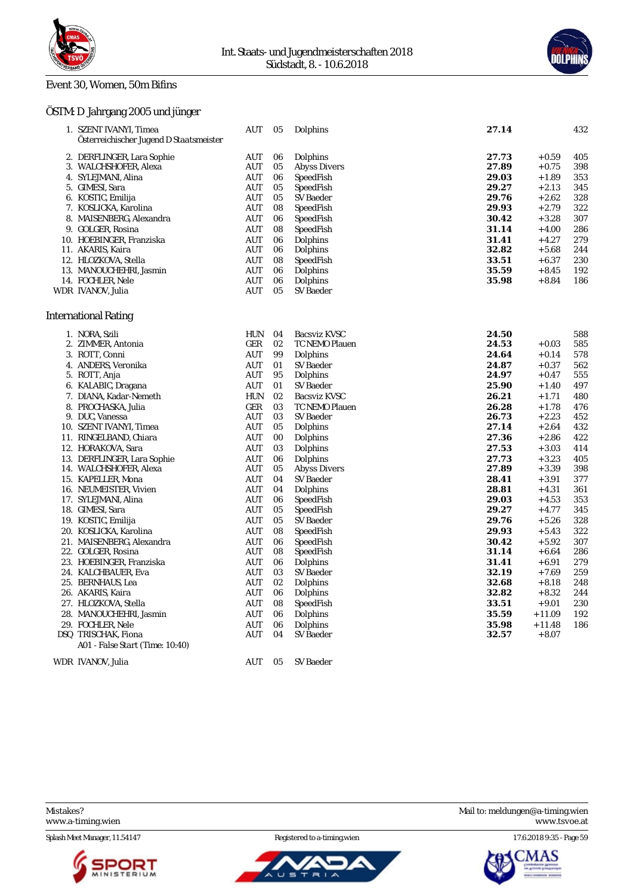

#### Event 30, Women, 50m Bifins

### ÖSTM: D Jahrgang 2005 und jünger

| 1. SZENT IVANYI, Timea                  | AUT                              | 05 | Dolphins              | 27.14 |          | 432 |
|-----------------------------------------|----------------------------------|----|-----------------------|-------|----------|-----|
| Österreichischer Jugend D Staatsmeister |                                  |    |                       |       |          |     |
| 2. DERFLINGER, Lara Sophie              | <b>AUT</b>                       | 06 | Dolphins              | 27.73 | $+0.59$  | 405 |
| 3. WALCHSHOFER, Alexa                   | AUT                              | 05 | <b>Abyss Divers</b>   | 27.89 | $+0.75$  | 398 |
| 4. SYLEJMANI, Alina                     | AUT                              | 06 | SpeedFish             | 29.03 | $+1.89$  | 353 |
| 5. GIMESI, Sara                         | <b>AUT</b>                       | 05 | SpeedFish             | 29.27 | $+2.13$  | 345 |
| 6. KOSTIC, Emilija                      | AUT                              | 05 | SV Baeder             | 29.76 | $+2.62$  | 328 |
| 7. KOSLICKA, Karolina                   | AUT                              | 08 | SpeedFish             | 29.93 | $+2.79$  | 322 |
| 8. MAISENBERG, Alexandra                | AUT                              | 06 | SpeedFish             | 30.42 | $+3.28$  | 307 |
| 9. GOLGER, Rosina                       | AUT                              | 08 | SpeedFish             | 31.14 | $+4.00$  | 286 |
| 10. HOEBINGER, Franziska                | AUT                              | 06 | Dolphins              | 31.41 | $+4.27$  | 279 |
| 11. AKARIS, Kaira                       | AUT                              | 06 | Dolphins              | 32.82 | $+5.68$  | 244 |
| 12. HLOZKOVA, Stella                    | AUT                              | 08 | SpeedFish             | 33.51 | $+6.37$  | 230 |
| 13. MANOUCHEHRI, Jasmin                 | AUT                              | 06 | Dolphins              | 35.59 | $+8.45$  | 192 |
| 14. FOCHLER, Nele                       | <b>AUT</b>                       | 06 | Dolphins              | 35.98 | $+8.84$  | 186 |
| WDR IVANOV, Julia                       | <b>AUT</b>                       | 05 | <b>SV</b> Baeder      |       |          |     |
|                                         |                                  |    |                       |       |          |     |
| <b>International Rating</b>             |                                  |    |                       |       |          |     |
| 1. NORA, Szili                          | <b>HUN</b>                       | 04 | <b>Bacsviz KVSC</b>   | 24.50 |          | 588 |
| 2. ZIMMER, Antonia                      | GER                              | 02 | <b>TC NEMO Plauen</b> | 24.53 | $+0.03$  | 585 |
| 3. ROTT, Conni                          | AUT                              | 99 | Dolphins              | 24.64 | $+0.14$  | 578 |
| 4. ANDERS, Veronika                     | <b>AUT</b>                       | 01 | <b>SV Baeder</b>      | 24.87 | $+0.37$  | 562 |
| 5. ROTT, Anja                           | AUT                              | 95 | Dolphins              | 24.97 | $+0.47$  | 555 |
| 6. KALABIC, Dragana                     | AUT                              | 01 | SV Baeder             | 25.90 | $+1.40$  | 497 |
| 7. DIANA, Kadar-Nemeth                  | HUN                              | 02 | Bacsviz KVSC          | 26.21 | $+1.71$  | 480 |
| 8. PROCHASKA, Julia                     | GER                              | 03 | TC NEMO Plauen        | 26.28 | $+1.78$  | 476 |
| 9. DUC, Vanessa                         | AUT                              | 03 | SV Baeder             | 26.73 | $+2.23$  | 452 |
| 10. SZENT IVANYI, Timea                 | AUT                              | 05 | Dolphins              | 27.14 | $+2.64$  | 432 |
| 11. RINGELBAND, Chiara                  | <b>AUT</b>                       | 00 | Dolphins              | 27.36 | $+2.86$  | 422 |
| 12. HORAKOVA, Sara                      | <b>AUT</b>                       | 03 | Dolphins              | 27.53 | $+3.03$  | 414 |
| 13. DERFLINGER, Lara Sophie             | <b>AUT</b>                       | 06 | Dolphins              | 27.73 | $+3.23$  | 405 |
| 14. WALCHSHOFER, Alexa                  | AUT                              | 05 | <b>Abyss Divers</b>   | 27.89 | $+3.39$  | 398 |
| 15. KAPELLER, Mona                      | <b>AUT</b>                       | 04 | <b>SV</b> Baeder      | 28.41 | $+3.91$  | 377 |
| 16. NEUMEISTER, Vivien                  | <b>AUT</b>                       | 04 | Dolphins              | 28.81 | $+4.31$  | 361 |
| 17. SYLEJMANI, Alina                    | AUT                              | 06 | SpeedFish             | 29.03 | $+4.53$  | 353 |
| 18. GIMESI, Sara                        | AUT                              | 05 | SpeedFish             | 29.27 | $+4.77$  | 345 |
| 19. KOSTIC, Emilija                     | <b>AUT</b>                       | 05 | SV Baeder             | 29.76 | $+5.26$  | 328 |
| 20. KOSLICKA, Karolina                  | AUT                              | 08 | SpeedFish             | 29.93 | $+5.43$  | 322 |
| 21. MAISENBERG, Alexandra               | <b>AUT</b>                       | 06 | SpeedFish             | 30.42 | $+5.92$  | 307 |
| 22. GOLGER, Rosina                      | <b>AUT</b>                       | 08 | SpeedFish             | 31.14 | $+6.64$  | 286 |
| 23. HOEBINGER, Franziska                | AUT                              | 06 | Dolphins              | 31.41 | $+6.91$  | 279 |
| 24. KALCHBAUER, Eva                     | <b>AUT</b>                       | 03 | <b>SV Baeder</b>      | 32.19 | $+7.69$  | 259 |
| 25. BERNHAUS, Lea                       | AUT                              | 02 | Dolphins              | 32.68 | $+8.18$  | 248 |
| 26. AKARIS, Kaira                       | <b>AUT</b>                       | 06 | Dolphins              | 32.82 | $+8.32$  | 244 |
| 27. HLOZKOVA, Stella                    | AUT                              | 08 | SpeedFish             | 33.51 | $+9.01$  | 230 |
| 28. MANOUCHEHRI, Jasmin                 | $\mathbf{A}\mathbf{U}\mathbf{T}$ | 06 | Dolphins              | 35.59 | $+11.09$ | 192 |
| 29. FOCHLER, Nele                       | <b>AUT</b>                       | 06 | Dolphins              | 35.98 | $+11.48$ | 186 |
| DSQ TRISCHAK, Fiona                     | <b>AUT</b>                       | 04 | SV Baeder             | 32.57 | $+8.07$  |     |
| A01 - False Start (Time: 10:40)         |                                  |    |                       |       |          |     |

WDR IVANOV, Julia AUT 05 SV Baeder





Mistakes? Mail to: [meldungen@a-timing.wien](mailto:meldungen@a-timing.wien) <www.a-timing.wien> <www.tsvoe.at>

Splash Meet Manager, 11.54147 **Registered to a-timing.wien** 17.6.2018 9:35 - Page 59



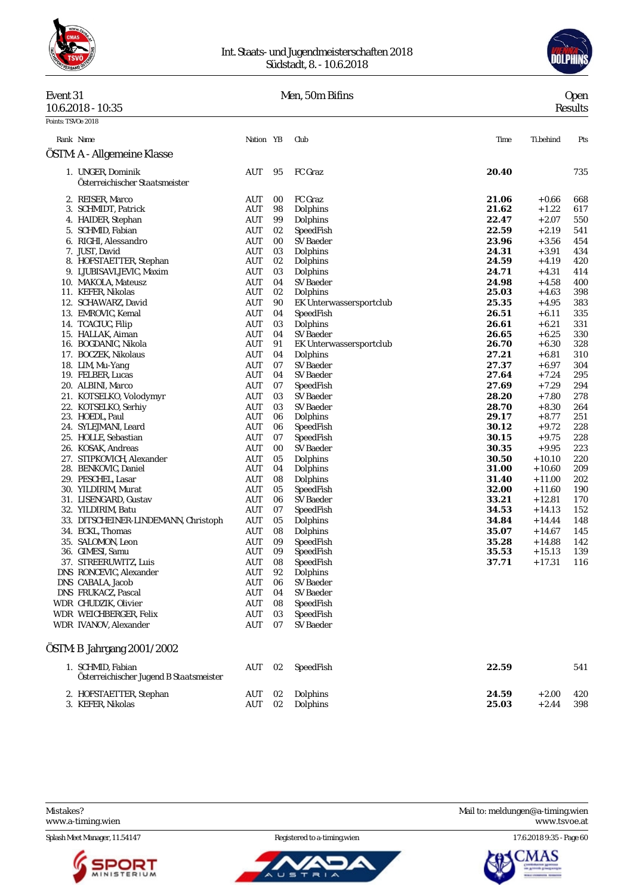

#### Int. Staats- und Jugendmeisterschaften 2018 Südstadt, 8. - 10.6.2018



### Event 31 Men, 50m Bifins

| Event 31            | Men, 50m Bifins | Jpen           |
|---------------------|-----------------|----------------|
| $10.6.2018 - 10.35$ |                 | <b>Results</b> |

| Points: TSVOe 2018 |                                                              |                                  |          |                                      |                |                      |            |
|--------------------|--------------------------------------------------------------|----------------------------------|----------|--------------------------------------|----------------|----------------------|------------|
|                    | Rank Name                                                    | Nation YB                        |          | Club                                 | Time           | Ti.behind            | Pts        |
|                    | OSTM: A - Allgemeine Klasse                                  |                                  |          |                                      |                |                      |            |
|                    | 1. UNGER, Dominik<br>Österreichischer Staatsmeister          | AUT                              | 95       | FC Graz                              | 20.40          |                      | 735        |
|                    | 2. REISER, Marco                                             | AUT                              | 00       | FC Graz                              | 21.06          | $+0.66$              | 668        |
|                    | 3. SCHMIDT, Patrick                                          | AUT                              | 98       | Dolphins                             | 21.62          | $+1.22$              | 617        |
|                    | 4. HAIDER, Stephan                                           | AUT                              | 99       | Dolphins                             | 22.47          | $+2.07$              | 550        |
|                    | 5. SCHMID, Fabian                                            | AUT                              | 02       | SpeedFish                            | 22.59          | $+2.19$              | 541        |
|                    | 6. RIGHI, Alessandro                                         | AUT                              | 00       | SV Baeder                            | 23.96          | $+3.56$              | 454        |
|                    | 7. JUST, David                                               | AUT                              | 03       | Dolphins                             | 24.31          | $+3.91$              | 434        |
|                    | 8. HOFSTAETTER, Stephan                                      | AUT                              | 02       | Dolphins                             | 24.59          | $+4.19$              | 420        |
|                    | 9. LJUBISAVLJEVIC, Maxim                                     | AUT                              | 03       | Dolphins                             | 24.71          | $+4.31$              | 414        |
|                    | 10. MAKOLA, Mateusz                                          | AUT                              | 04       | SV Baeder                            | 24.98          | $+4.58$              | 400        |
|                    | 11. KEFER, Nikolas                                           | AUT                              | 02       | Dolphins                             | 25.03          | + 4.63               | 398        |
|                    | 12. SCHAWARZ, David                                          | AUT                              | 90       | EK Unterwassersportclub              | 25.35          | $+4.95$              | 383        |
|                    | 13. EMROVIC, Kemal                                           | AUT                              | 04       | SpeedFish                            | 26.51          | $+6.11$              | 335        |
|                    | 14. TCACIUC, Filip                                           | AUT                              | 03       | Dolphins                             | 26.61          | $+6.21$              | 331        |
|                    | 15. HALLAK, Aiman<br>16. BOGDANIC, Nikola                    | AUT<br>AUT                       | 04<br>91 | SV Baeder<br>EK Unterwassersportclub | 26.65<br>26.70 | $+6.25$<br>$+6.30$   | 330<br>328 |
|                    | 17. BOCZEK, Nikolaus                                         | AUT                              | 04       | Dolphins                             | 27.21          | $+6.81$              | 310        |
|                    | 18. LIM, Mu-Yang                                             | AUT                              | 07       | SV Baeder                            | 27.37          | $+6.97$              | 304        |
|                    | 19. FELBER, Lucas                                            | AUT                              | 04       | SV Baeder                            | 27.64          | + 7.24               | 295        |
|                    | 20. ALBINI, Marco                                            | <b>AUT</b>                       | 07       | SpeedFish                            | 27.69          | $+7.29$              | 294        |
|                    | 21. KOTSELKO, Volodymyr                                      | AUT                              | 03       | SV Baeder                            | 28.20          | $+7.80$              | 278        |
|                    | 22. KOTSELKO, Serhiy                                         | AUT                              | 03       | SV Baeder                            | 28.70          | $+8.30$              | 264        |
|                    | 23. HOEDL, Paul                                              | AUT                              | 06       | Dolphins                             | 29.17          | $+8.77$              | 251        |
|                    | 24. SYLEJMANI, Leard                                         | AUT                              | 06       | SpeedFish                            | 30.12          | $+9.72$              | 228        |
|                    | 25. HOLLE, Sebastian                                         | AUT                              | 07       | SpeedFish                            | 30.15          | $+9.75$              | 228        |
|                    | 26. KOSAK, Andreas                                           | <b>AUT</b>                       | 00       | SV Baeder                            | 30.35          | $+9.95$              | 223        |
|                    | 27. STIPKOVICH, Alexander                                    | AUT                              | 05       | Dolphins                             | 30.50          | $+10.10$             | 220        |
|                    | 28. BENKOVIC, Daniel                                         | <b>AUT</b>                       | 04       | Dolphins                             | 31.00          | $+10.60$             | 209        |
|                    | 29. PESCHEL, Lasar                                           | <b>AUT</b>                       | 08       | Dolphins                             | 31.40          | $+11.00$             | 202        |
|                    | 30. YILDIRIM, Murat                                          | AUT                              | 05       | SpeedFish                            | 32.00          | $+11.60$             | 190        |
|                    | 31. LISENGARD, Gustav                                        | AUT                              | 06       | SV Baeder                            | 33.21          | $+12.81$             | 170        |
|                    | 32. YILDIRIM, Batu                                           | <b>AUT</b>                       | 07       | SpeedFish                            | 34.53          | $+14.13$             | 152        |
|                    | 33. DITSCHEINER-LINDEMANN, Christoph                         | <b>AUT</b>                       | 05       | Dolphins                             | 34.84          | $+14.44$             | 148        |
|                    | 34. ECKL, Thomas                                             | <b>AUT</b>                       | 08       | Dolphins                             | 35.07          | $+14.67$             | 145        |
|                    | 35. SALOMON, Leon<br>36. GIMESI, Samu                        | AUT<br>AUT                       | 09       | SpeedFish<br>SpeedFish               | 35.28<br>35.53 | $+14.88$<br>$+15.13$ | 142<br>139 |
|                    | 37. STREERUWITZ, Luis                                        | <b>AUT</b>                       | 09<br>08 | SpeedFish                            | 37.71          | $+17.31$             | 116        |
|                    | DNS RONCEVIC, Alexander                                      | AUT                              | 92       | Dolphins                             |                |                      |            |
|                    | DNS CABALA, Jacob                                            | AUT                              | 06       | SV Baeder                            |                |                      |            |
|                    | DNS FRUKACZ, Pascal                                          | $\mathbf{A}\mathbf{U}\mathbf{T}$ | 04       | SV Baeder                            |                |                      |            |
|                    | WDR CHUDZIK, Olivier                                         | AUT                              | 08       | SpeedFish                            |                |                      |            |
|                    | WDR WEICHBERGER, Felix                                       | <b>AUT</b>                       | 03       | SpeedFish                            |                |                      |            |
|                    | WDR IVANOV, Alexander                                        | <b>AUT</b>                       | 07       | SV Baeder                            |                |                      |            |
|                    | ÖSTM: B Jahrgang 2001/2002                                   |                                  |          |                                      |                |                      |            |
|                    | 1. SCHMID, Fabian<br>Österreichischer Jugend B Staatsmeister | AUT                              | 02       | SpeedFish                            | 22.59          |                      | 541        |
|                    |                                                              |                                  |          |                                      |                |                      |            |
|                    | 2. HOFSTAETTER, Stephan                                      | AUT                              | 02       | Dolphins                             | 24.59          | $+2.00$              | 420        |
|                    | 3. KEFER, Nikolas                                            | AUT                              | 02       | Dolphins                             | 25.03          | $+2.44$              | 398        |

Splash Meet Manager, 11.54147 Registered to a-timing.wien 17.6.2018 9:35 - Page 60



Ū.  $\blacksquare$ 



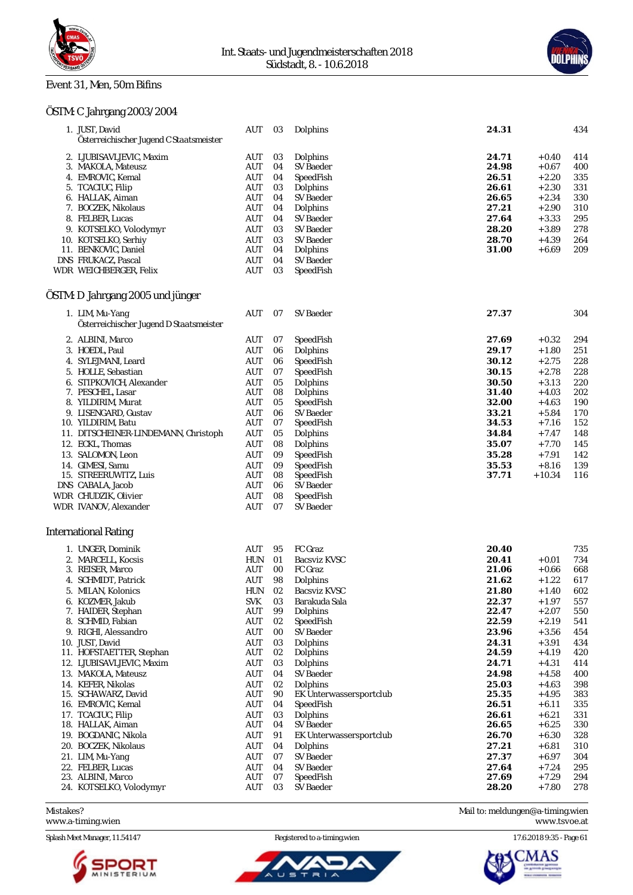

#### Event 31, Men, 50m Bifins



| ÖSTM: C Jahrgang 2003/2004                                 |                   |           |                                      |                |                     |            |
|------------------------------------------------------------|-------------------|-----------|--------------------------------------|----------------|---------------------|------------|
| 1. JUST, David<br>Österreichischer Jugend C Staatsmeister  | AUT               | 03        | Dolphins                             | 24.31          |                     | 434        |
| 2. LJUBISAVLJEVIC, Maxim                                   | AUT               | 03        | Dolphins                             | 24.71          | $+0.40$             | 414        |
| 3. MAKOLA, Mateusz                                         | AUT               | 04        | SV Baeder                            | 24.98          | $+0.67$             | 400        |
| 4. EMROVIC, Kemal                                          | AUT               | 04        | SpeedFish                            | 26.51          | $+2.20$             | 335        |
| 5. TCACIUC, Filip                                          | AUT               | 03        | Dolphins                             | 26.61          | $+2.30$             | 331        |
| 6. HALLAK, Aiman                                           | AUT               | 04        | SV Baeder                            | 26.65          | $+2.34$             | 330        |
| 7. BOCZEK, Nikolaus                                        | AUT               | 04        | Dolphins                             | 27.21          | $+2.90$             | 310        |
| 8. FELBER, Lucas                                           | AUT               | 04        | SV Baeder                            | 27.64          | $+3.33$             | 295        |
| 9. KOTSELKO, Volodymyr                                     | <b>AUT</b>        | 03        | SV Baeder                            | 28.20          | $+3.89$             | 278        |
| 10. KOTSELKO, Serhiy                                       | AUT               | 03        | SV Baeder                            | 28.70          | $+4.39$             | 264        |
| 11. BENKOVIC, Daniel                                       | AUT               | 04        | Dolphins                             | 31.00          | $+6.69$             | 209        |
| DNS FRUKACZ, Pascal<br>WDR WEICHBERGER, Felix              | AUT<br><b>AUT</b> | 04<br>03  | SV Baeder<br>SpeedFish               |                |                     |            |
|                                                            |                   |           |                                      |                |                     |            |
| ÖSTM: D Jahrgang 2005 und jünger                           |                   |           |                                      |                |                     |            |
| 1. LIM, Mu-Yang<br>Österreichischer Jugend D Staatsmeister | AUT               | 07        | <b>SV Baeder</b>                     | 27.37          |                     | 304        |
| 2. ALBINI, Marco                                           | AUT               | 07        | SpeedFish                            | 27.69          | $+0.32$             | 294        |
| 3. HOEDL, Paul                                             | AUT               | 06        | Dolphins                             | 29.17          | $+1.80$             | 251        |
| 4. SYLEJMANI, Leard                                        | AUT               | 06        | SpeedFish                            | 30.12          | $+2.75$             | 228        |
| 5. HOLLE, Sebastian                                        | AUT               | 07        | SpeedFish                            | 30.15          | $+2.78$             | 228        |
| 6. STIPKOVICH, Alexander                                   | AUT               | 05        | Dolphins                             | 30.50          | $+3.13$             | 220        |
| 7. PESCHEL, Lasar                                          | <b>AUT</b>        | 08        | Dolphins                             | 31.40          | $+4.03$             | 202        |
| 8. YILDIRIM, Murat                                         | AUT               | 05        | SpeedFish                            | 32.00          | $+4.63$             | 190        |
| 9. LISENGARD, Gustav                                       | AUT               | 06        | SV Baeder                            | 33.21          | $+5.84$             | 170        |
| 10. YILDIRIM, Batu                                         | AUT               | 07        | SpeedFish                            | 34.53          | $+7.16$             | 152        |
| 11. DITSCHEINER-LINDEMANN, Christoph                       | <b>AUT</b>        | 05        | Dolphins                             | 34.84          | $+7.47$             | 148        |
| 12. ECKL, Thomas                                           | AUT               | 08        | Dolphins                             | 35.07          | $+7.70$             | 145        |
| 13. SALOMON, Leon                                          | AUT               | 09        | SpeedFish                            | 35.28          | $+7.91$             | 142        |
| 14. GIMESI, Samu<br>15. STREERUWITZ, Luis                  | AUT<br>AUT        | 09<br>08  | SpeedFish<br>SpeedFish               | 35.53<br>37.71 | $+8.16$<br>$+10.34$ | 139<br>116 |
| DNS CABALA, Jacob                                          | AUT               | 06        | SV Baeder                            |                |                     |            |
| WDR CHUDZIK, Olivier                                       | <b>AUT</b>        | 08        | SpeedFish                            |                |                     |            |
| WDR IVANOV, Alexander                                      | <b>AUT</b>        | 07        | SV Baeder                            |                |                     |            |
| <b>International Rating</b>                                |                   |           |                                      |                |                     |            |
| 1. UNGER, Dominik                                          |                   |           | FC Graz                              | 20.40          |                     |            |
| 2. MARCELL, Kocsis                                         | AUT<br><b>HUN</b> | 95<br>01  | <b>Bacsviz KVSC</b>                  | 20.41          | $+0.01$             | 735<br>734 |
| 3. REISER, Marco                                           | AUT               | 00        | FC Graz                              | 21.06          | $+0.66$             | 668        |
| 4. SCHMIDT, Patrick                                        | AUT               | $\bf{98}$ | Dolphins                             | 21.62          | $+\,1.22$           | 617        |
| 5. MILAN, Kolonics                                         | HUN               | 02        | Bacsviz KVSC                         | 21.80          | $+1.40$             | 602        |
| 6. KOZMER, Jakub                                           | <b>SVK</b>        | 03        | Barakuda Sala                        | 22.37          | $+1.97$             | 557        |
| 7. HAIDER, Stephan                                         | AUT               | 99        | Dolphins                             | 22.47          | $+2.07$             | 550        |
| 8. SCHMID, Fabian                                          | AUT               | 02        | SpeedFish                            | 22.59          | $+2.19$             | 541        |
| 9. RIGHI, Alessandro                                       | AUT               | $00\,$    | SV Baeder                            | 23.96          | $+3.56$             | 454        |
| 10. JUST, David                                            | <b>AUT</b>        | 03        | Dolphins                             | 24.31          | $+3.91$             | 434        |
| 11. HOFSTAETTER, Stephan                                   | AUT               | 02        | Dolphins                             | 24.59          | $+4.19$             | 420        |
| 12. LJUBISAVLJEVIC, Maxim                                  | AUT               | 03        | Dolphins                             | 24.71          | $+4.31$             | 414        |
| 13. MAKOLA, Mateusz                                        | <b>AUT</b>        | 04        | <b>SV Baeder</b>                     | 24.98          | $+4.58$             | 400        |
| 14. KEFER, Nikolas                                         | <b>AUT</b>        | 02        | Dolphins                             | 25.03<br>25.35 | $+4.63$<br>$+4.95$  | 398        |
| 15. SCHAWARZ, David<br>16. EMROVIC, Kemal                  | AUT<br>AUT        | 90<br>04  | EK Unterwassersportclub<br>SpeedFish | 26.51          | $+6.11$             | 383<br>335 |
| 17. TCACIUC, Filip                                         | AUT               | 03        | Dolphins                             | 26.61          | $+6.21$             | 331        |
| 18. HALLAK, Aiman                                          | AUT               | 04        | SV Baeder                            | 26.65          | $+6.25$             | 330        |
| 19. BOGDANIC, Nikola                                       | <b>AUT</b>        | 91        | EK Unterwassersportclub              | 26.70          | $+6.30$             | 328        |
| 20. BOCZEK, Nikolaus                                       | AUT               | 04        | Dolphins                             | 27.21          | $+6.81$             | 310        |
| 21. LIM, Mu-Yang                                           | AUT               | 07        | SV Baeder                            | 27.37          | $+6.97$             | 304        |
| 22. FELBER, Lucas                                          | <b>AUT</b>        | 04        | SV Baeder                            | 27.64          | $+7.24$             | 295        |
| 23. ALBINI, Marco                                          | AUT               | 07        | SpeedFish                            | 27.69          | $+7.29$             | 294        |

24. KOTSELKO, Volodymyr AUT 03 SV Baeder **28.20** + 7.80 278

Splash Meet Manager, 11.54147 Registered to a-timing.wien 17.6.2018 9:35 - Page 61



ū  $\equiv$ 



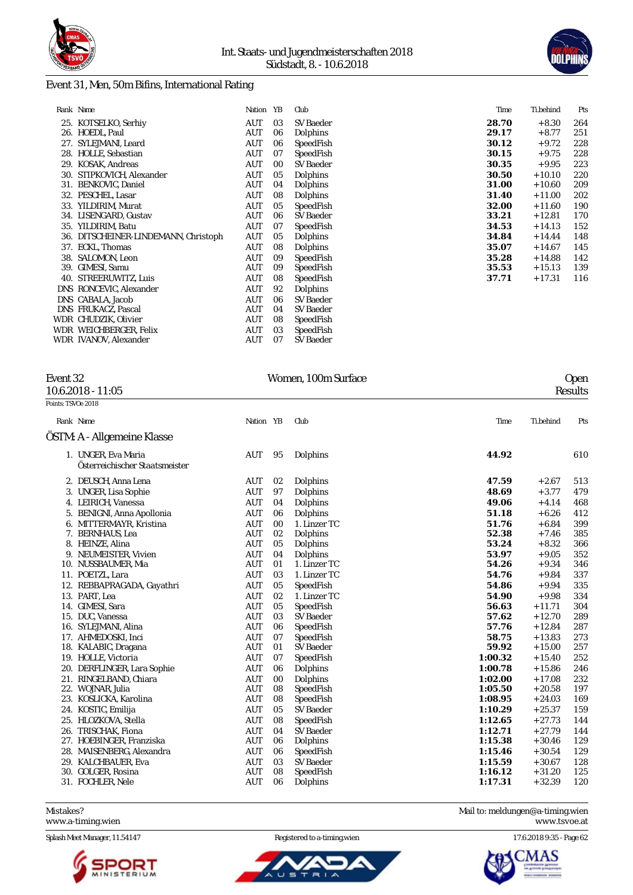



### Event 31, Men, 50m Bifins, International Rating

|            | Rank Name                        | Nation     | YB | Club      | Time  | Ti.behind | Pts |
|------------|----------------------------------|------------|----|-----------|-------|-----------|-----|
|            | 25. KOTSELKO, Serhiy             | AUT        | 03 | SV Baeder | 28.70 | $+8.30$   | 264 |
|            | 26. HOEDL, Paul                  | AUT        | 06 | Dolphins  | 29.17 | $+8.77$   | 251 |
| 27.        | SYLEJMANI, Leard                 | AUT        | 06 | SpeedFish | 30.12 | $+9.72$   | 228 |
|            | 28. HOLLE, Sebastian             | AUT        | 07 | SpeedFish | 30.15 | $+9.75$   | 228 |
|            | 29. KOSAK, Andreas               | AUT        | 00 | SV Baeder | 30.35 | $+9.95$   | 223 |
|            | 30. STIPKOVICH, Alexander        | AUT        | 05 | Dolphins  | 30.50 | $+10.10$  | 220 |
|            | 31. BENKOVIC, Daniel             | AUT        | 04 | Dolphins  | 31.00 | $+10.60$  | 209 |
|            | 32. PESCHEL, Lasar               | AUT        | 08 | Dolphins  | 31.40 | $+11.00$  | 202 |
|            | 33. YILDIRIM, Murat              | AUT        | 05 | SpeedFish | 32.00 | $+11.60$  | 190 |
|            | 34. LISENGARD, Gustav            | AUT        | 06 | SV Baeder | 33.21 | $+12.81$  | 170 |
|            | 35. YILDIRIM, Batu               | AUT        | 07 | SpeedFish | 34.53 | $+14.13$  | 152 |
| 36.        | DITSCHEINER-LINDEMANN, Christoph | <b>AUT</b> | 05 | Dolphins  | 34.84 | $+14.44$  | 148 |
|            | 37. ECKL, Thomas                 | <b>AUT</b> | 08 | Dolphins  | 35.07 | $+14.67$  | 145 |
| 38.        | SALOMON, Leon                    | <b>AUT</b> | 09 | SpeedFish | 35.28 | $+14.88$  | 142 |
|            | 39. GIMESI, Samu                 | AUT        | 09 | SpeedFish | 35.53 | $+15.13$  | 139 |
| 40.        | STREERUWITZ, Luis                | AUT        | 08 | SpeedFish | 37.71 | $+17.31$  | 116 |
|            | DNS RONCEVIC, Alexander          | <b>AUT</b> | 92 | Dolphins  |       |           |     |
|            | DNS CABALA, Jacob                | <b>AUT</b> | 06 | SV Baeder |       |           |     |
| <b>DNS</b> | FRUKACZ, Pascal                  | AUT        | 04 | SV Baeder |       |           |     |
|            | WDR CHUDZIK, Olivier             | AUT        | 08 | SpeedFish |       |           |     |
|            | WDR WEICHBERGER, Felix           | AUT        | 03 | SpeedFish |       |           |     |
|            | WDR IVANOV, Alexander            | AUT        | 07 | SV Baeder |       |           |     |

#### $10.6.2018 - 11:05$

| Event 32            | Women, 100m Surface | Open    |
|---------------------|---------------------|---------|
| $10.6.2018 - 11:05$ |                     | Results |

| Points: TSVOe 2018 |                                                       |            |    |                  |         |           |     |
|--------------------|-------------------------------------------------------|------------|----|------------------|---------|-----------|-----|
|                    | Rank Name                                             | Nation YB  |    | Club             | Time    | Ti.behind | Pts |
|                    | ÖSTM: A - Allgemeine Klasse                           |            |    |                  |         |           |     |
|                    | 1. UNGER, Eva Maria<br>Österreichischer Staatsmeister | AUT        | 95 | Dolphins         | 44.92   |           | 610 |
|                    | 2. DEUSCH, Anna Lena                                  | AUT        | 02 | Dolphins         | 47.59   | $+2.67$   | 513 |
|                    | 3. UNGER, Lisa Sophie                                 | <b>AUT</b> | 97 | Dolphins         | 48.69   | $+3.77$   | 479 |
|                    | 4. LEIRICH, Vanessa                                   | <b>AUT</b> | 04 | Dolphins         | 49.06   | $+4.14$   | 468 |
|                    | 5. BENIGNI, Anna Apollonia                            | <b>AUT</b> | 06 | Dolphins         | 51.18   | $+6.26$   | 412 |
|                    | 6. MITTERMAYR, Kristina                               | <b>AUT</b> | 00 | 1. Linzer TC     | 51.76   | $+6.84$   | 399 |
|                    | 7. BERNHAUS, Lea                                      | AUT        | 02 | Dolphins         | 52.38   | $+7.46$   | 385 |
|                    | 8. HEINZE, Alina                                      | <b>AUT</b> | 05 | Dolphins         | 53.24   | $+8.32$   | 366 |
|                    | 9. NEUMEISTER, Vivien                                 | <b>AUT</b> | 04 | Dolphins         | 53.97   | $+9.05$   | 352 |
|                    | 10. NUSSBAUMER, Mia                                   | AUT        | 01 | 1. Linzer TC     | 54.26   | $+9.34$   | 346 |
|                    | 11. POETZL, Lara                                      | <b>AUT</b> | 03 | 1. Linzer TC     | 54.76   | $+9.84$   | 337 |
|                    | 12. REBBAPRAGADA, Gayathri                            | AUT        | 05 | SpeedFish        | 54.86   | $+9.94$   | 335 |
|                    | 13. PART, Lea                                         | <b>AUT</b> | 02 | 1. Linzer TC     | 54.90   | $+9.98$   | 334 |
|                    | 14. GIMESI, Sara                                      | AUT        | 05 | SpeedFish        | 56.63   | $+11.71$  | 304 |
|                    | 15. DUC, Vanessa                                      | <b>AUT</b> | 03 | SV Baeder        | 57.62   | $+12.70$  | 289 |
|                    | 16. SYLEJMANI, Alina                                  | AUT        | 06 | SpeedFish        | 57.76   | $+12.84$  | 287 |
|                    | 17. AHMEDOSKI, Inci                                   | AUT        | 07 | SpeedFish        | 58.75   | $+13.83$  | 273 |
|                    | 18. KALABIC, Dragana                                  | <b>AUT</b> | 01 | SV Baeder        | 59.92   | $+15.00$  | 257 |
|                    | 19. HOLLE, Victoria                                   | AUT        | 07 | SpeedFish        | 1:00.32 | $+15.40$  | 252 |
|                    | 20. DERFLINGER, Lara Sophie                           | AUT        | 06 | Dolphins         | 1:00.78 | $+15.86$  | 246 |
|                    | 21. RINGELBAND, Chiara                                | <b>AUT</b> | 00 | Dolphins         | 1:02.00 | $+17.08$  | 232 |
|                    | 22. WOJNAR, Julia                                     | <b>AUT</b> | 08 | SpeedFish        | 1:05.50 | $+20.58$  | 197 |
|                    | 23. KOSLICKA, Karolina                                | AUT        | 08 | SpeedFish        | 1:08.95 | $+24.03$  | 169 |
|                    | 24. KOSTIC, Emilija                                   | AUT        | 05 | <b>SV</b> Baeder | 1:10.29 | $+25.37$  | 159 |
|                    | 25. HLOZKOVA, Stella                                  | AUT        | 08 | SpeedFish        | 1:12.65 | $+27.73$  | 144 |
|                    | 26. TRISCHAK, Fiona                                   | <b>AUT</b> | 04 | <b>SV Baeder</b> | 1:12.71 | $+27.79$  | 144 |
|                    | 27. HOEBINGER, Franziska                              | <b>AUT</b> | 06 | Dolphins         | 1:15.38 | $+30.46$  | 129 |
|                    | 28. MAISENBERG, Alexandra                             | <b>AUT</b> | 06 | SpeedFish        | 1:15.46 | $+30.54$  | 129 |
|                    | 29. KALCHBAUER, Eva                                   | AUT        | 03 | <b>SV</b> Baeder | 1:15.59 | $+30.67$  | 128 |
|                    | 30. GOLGER, Rosina                                    | AUT        | 08 | SpeedFish        | 1:16.12 | $+31.20$  | 125 |
|                    | 31. FOCHLER, Nele                                     | <b>AUT</b> | 06 | Dolphins         | 1:17.31 | $+32.39$  | 120 |

Mistakes? Mail to: [meldungen@a-timing.wien](mailto:meldungen@a-timing.wien) <www.a-timing.wien>

Splash Meet Manager, 11.54147 Registered to a-timing.wien 17.6.2018 9:35 - Page 62



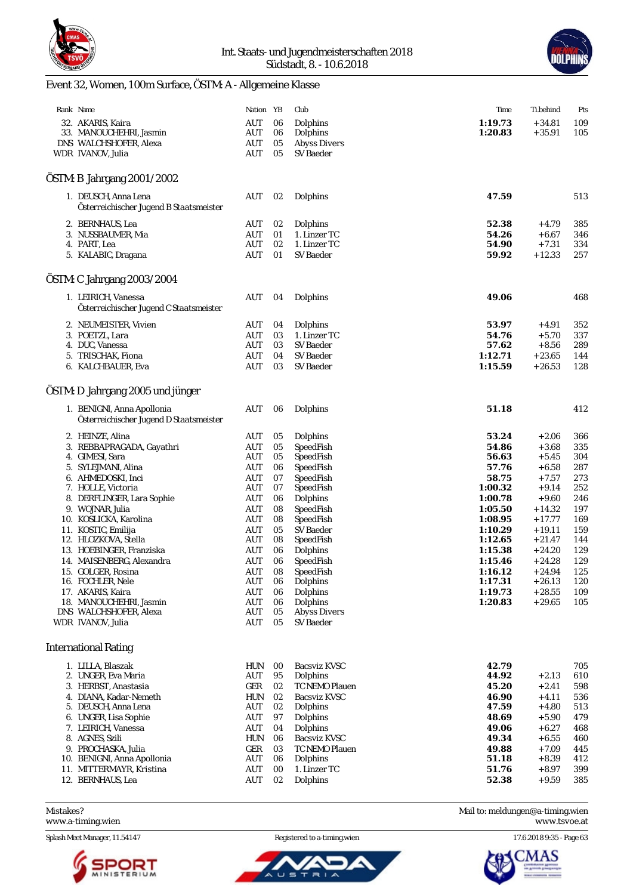



# Event 32, Women, 100m Surface, ÖSTM: A - Allgemeine Klasse

| Rank Name                                          | Nation YB  |          | Club                       | Time           | Ti.behind          | Pts        |
|----------------------------------------------------|------------|----------|----------------------------|----------------|--------------------|------------|
| 32. AKARIS, Kaira                                  | AUT        | 06       | Dolphins                   | 1:19.73        | $+34.81$           | 109        |
| 33. MANOUCHEHRI, Jasmin                            | AUT        | 06       | Dolphins                   | 1:20.83        | $+35.91$           | 105        |
| DNS WALCHSHOFER, Alexa                             | AUT        | 05       | <b>Abyss Divers</b>        |                |                    |            |
| WDR IVANOV, Julia                                  | AUT        | 05       | <b>SV Baeder</b>           |                |                    |            |
|                                                    |            |          |                            |                |                    |            |
| OSTM: B Jahrgang 2001/2002                         |            |          |                            |                |                    |            |
| 1. DEUSCH, Anna Lena                               | AUT        | 02       | Dolphins                   | 47.59          |                    | 513        |
| Österreichischer Jugend B Staatsmeister            |            |          |                            |                |                    |            |
|                                                    |            |          |                            |                |                    |            |
| 2. BERNHAUS, Lea                                   | AUT        | 02       | Dolphins                   | 52.38          | $+4.79$            | 385        |
| 3. NUSSBAUMER, Mia                                 | AUT        | 01       | 1. Linzer TC               | 54.26          | $+6.67$            | 346        |
| 4. PART, Lea                                       | AUT        | 02       | 1. Linzer TC               | 54.90          | $+7.31$            | 334        |
| 5. KALABIC, Dragana                                | AUT        | 01       | SV Baeder                  | 59.92          | $+12.33$           | 257        |
| ÖSTM: C Jahrgang 2003/2004                         |            |          |                            |                |                    |            |
|                                                    |            |          |                            |                |                    |            |
| 1. LEIRICH, Vanessa                                | AUT        | 04       | Dolphins                   | 49.06          |                    | 468        |
| Österreichischer Jugend C Staatsmeister            |            |          |                            |                |                    |            |
| 2. NEUMEISTER, Vivien                              | AUT        | 04       | Dolphins                   | 53.97          | $+4.91$            | 352        |
| 3. POETZL, Lara                                    | AUT        | 03       | 1. Linzer TC               | 54.76          | $+5.70$            | 337        |
| 4. DUC, Vanessa                                    | AUT        | 03       | SV Baeder                  | 57.62          | $+8.56$            | 289        |
| 5. TRISCHAK, Fiona                                 | AUT        | 04       | SV Baeder                  | 1:12.71        | $+23.65$           | 144        |
| 6. KALCHBAUER, Eva                                 | <b>AUT</b> | 03       | SV Baeder                  | 1:15.59        | $+26.53$           | 128        |
|                                                    |            |          |                            |                |                    |            |
| ÖSTM: D Jahrgang 2005 und jünger                   |            |          |                            |                |                    |            |
| 1. BENIGNI, Anna Apollonia                         | AUT        | 06       | Dolphins                   | 51.18          |                    | 412        |
| Österreichischer Jugend D Staatsmeister            |            |          |                            |                |                    |            |
| 2. HEINZE, Alina                                   | AUT        | 05       | Dolphins                   | 53.24          | $+2.06$            | 366        |
| 3. REBBAPRAGADA, Gayathri                          | AUT        | 05       | SpeedFish                  | 54.86          | $+3.68$            | 335        |
| 4. GIMESI, Sara                                    | AUT        | 05       | SpeedFish                  | 56.63          | $+5.45$            | 304        |
| 5. SYLEJMANI, Alina                                | AUT        | 06       | SpeedFish                  | 57.76          | $+6.58$            | 287        |
| 6. AHMEDOSKI, Inci                                 | AUT        | 07       | SpeedFish                  | 58.75          | $+7.57$            | 273        |
| 7. HOLLE, Victoria                                 | AUT        | 07       | SpeedFish                  | 1:00.32        | $+9.14$            | 252        |
| 8. DERFLINGER, Lara Sophie                         | AUT        | 06       | Dolphins                   | 1:00.78        | $+9.60$            | 246        |
| 9. WOJNAR, Julia                                   | AUT        | 08       | SpeedFish                  | 1:05.50        | $+14.32$           | 197        |
| 10. KOSLICKA, Karolina                             | AUT        | 08       | SpeedFish                  | 1:08.95        | $+17.77$           | 169        |
| 11. KOSTIC, Emilija                                | AUT        | 05       | SV Baeder                  | 1:10.29        | $+19.11$           | 159        |
| 12. HLOZKOVA, Stella                               | AUT        | 08       | SpeedFish                  | 1:12.65        | $+21.47$           | 144        |
| 13. HOEBINGER, Franziska                           | AUT        | 06       | Dolphins                   | 1:15.38        | $+24.20$           | 129        |
| 14. MAISENBERG, Alexandra                          | <b>AUT</b> | 06       | SpeedFish                  | 1:15.46        | $+24.28$           | 129        |
| 15. GOLGER, Rosina                                 | AUT        | 08       | SpeedFish                  | 1:16.12        | $+24.94$           | 125        |
| 16. FOCHLER, Nele                                  | AUT        | 06       | Dolphins                   | 1:17.31        | $+26.13$           | 120        |
| 17. AKARIS, Kaira                                  | AUT        | 06       | Dolphins                   | 1:19.73        | $+28.55$           | 109        |
| 18. MANOUCHEHRI, Jasmin                            | AUT        | 06       | Dolphins                   | 1:20.83        | $+29.65$           | 105        |
| DNS WALCHSHOFER, Alexa                             | AUT        | 05       | <b>Abyss Divers</b>        |                |                    |            |
| WDR IVANOV, Julia                                  | AUT        | 05       | SV Baeder                  |                |                    |            |
| <b>International Rating</b>                        |            |          |                            |                |                    |            |
|                                                    |            |          |                            |                |                    |            |
| 1. LILLA, Blaszak                                  | <b>HUN</b> | 00       | <b>Bacsviz KVSC</b>        | 42.79          |                    | 705        |
| 2. UNGER, Eva Maria                                | AUT        | 95       | Dolphins                   | 44.92          | $+2.13$            | 610        |
| 3. HERBST, Anastasia                               | GER        | 02       | TC NEMO Plauen             | 45.20          | $+2.41$            | 598        |
| 4. DIANA, Kadar-Nemeth                             | HUN        | 02       | <b>Bacsviz KVSC</b>        | 46.90          | $+4.11$            | 536        |
| 5. DEUSCH, Anna Lena                               | AUT        | 02       | Dolphins                   | 47.59          | $+4.80$            | 513        |
| 6. UNGER, Lisa Sophie                              | AUT        | 97       | Dolphins                   | 48.69          | $+5.90$            | 479        |
| 7. LEIRICH, Vanessa                                | AUT        | 04       | Dolphins                   | 49.06          | $+6.27$            | 468        |
| 8. AGNES, Szili                                    | HUN        | 06       | Bacsviz KVSC               | 49.34          | $+6.55$            | 460        |
| 9. PROCHASKA, Julia<br>10. BENIGNI, Anna Apollonia | GER<br>AUT | 03<br>06 | TC NEMO Plauen<br>Dolphins | 49.88<br>51.18 | $+7.09$<br>$+8.39$ | 445<br>412 |
| 11. MITTERMAYR, Kristina                           | AUT        | 00       | 1. Linzer TC               | 51.76          | $+8.97$            | 399        |
| 12. BERNHAUS, Lea                                  | AUT        | 02       | Dolphins                   | 52.38          | $+9.59$            | 385        |
|                                                    |            |          |                            |                |                    |            |

- 
- Mistakes? Mail to: [meldungen@a-timing.wien](mailto:meldungen@a-timing.wien)

<www.a-timing.wien> <www.tsvoe.at>

Splash Meet Manager, 11.54147 **Registered to a-timing.wien** 17.6.2018 9:35 - Page 63



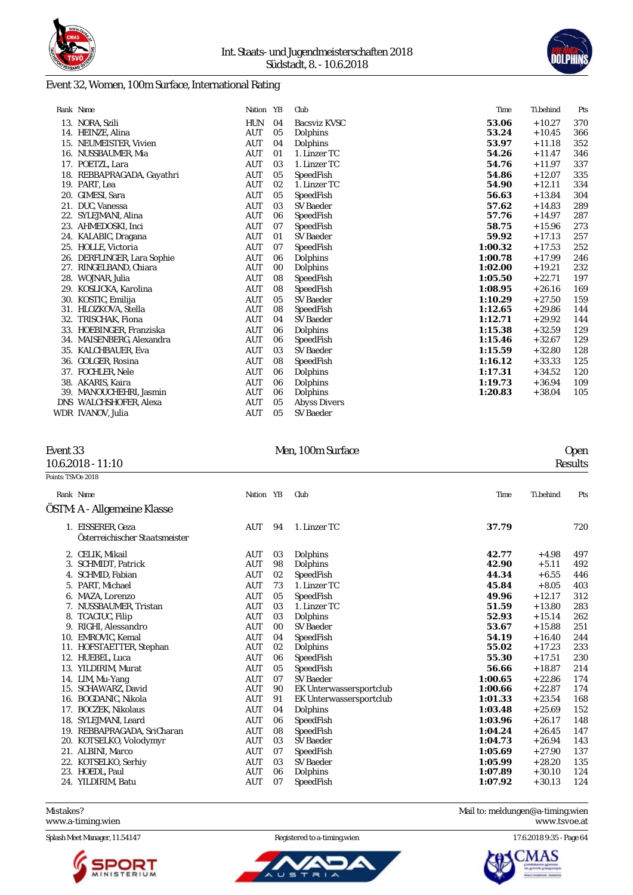

### Event 32, Women, 100m Surface, International Rating

|     | Rank Name                   | Nation YB  |    | Club                | Time    | Ti.behind | Pts |
|-----|-----------------------------|------------|----|---------------------|---------|-----------|-----|
|     | 13. NORA, Szili             | <b>HUN</b> | 04 | Bacsviz KVSC        | 53.06   | $+10.27$  | 370 |
| 14. | HEINZE, Alina               | AUT        | 05 | Dolphins            | 53.24   | $+10.45$  | 366 |
| 15. | NEUMEISTER, Vivien          | <b>AUT</b> | 04 | Dolphins            | 53.97   | $+11.18$  | 352 |
| 16. | NUSSBAUMER, Mia             | <b>AUT</b> | 01 | 1. Linzer TC        | 54.26   | $+11.47$  | 346 |
| 17. | POETZL, Lara                | AUT        | 03 | 1. Linzer TC        | 54.76   | $+11.97$  | 337 |
|     | 18. REBBAPRAGADA, Gayathri  | <b>AUT</b> | 05 | SpeedFish           | 54.86   | $+12.07$  | 335 |
|     | 19. PART, Lea               | <b>AUT</b> | 02 | 1. Linzer TC        | 54.90   | $+12.11$  | 334 |
| 20. | GIMESI, Sara                | <b>AUT</b> | 05 | SpeedFish           | 56.63   | $+13.84$  | 304 |
| 21. | DUC, Vanessa                | AUT        | 03 | <b>SV Baeder</b>    | 57.62   | $+14.83$  | 289 |
| 22. | SYLEJMANI, Alina            | <b>AUT</b> | 06 | SpeedFish           | 57.76   | $+14.97$  | 287 |
|     | 23. AHMEDOSKI, Inci         | <b>AUT</b> | 07 | SpeedFish           | 58.75   | $+15.96$  | 273 |
|     | 24. KALABIC, Dragana        | <b>AUT</b> | 01 | <b>SV Baeder</b>    | 59.92   | $+17.13$  | 257 |
|     | 25. HOLLE, Victoria         | <b>AUT</b> | 07 | SpeedFish           | 1:00.32 | $+17.53$  | 252 |
|     | 26. DERFLINGER, Lara Sophie | AUT        | 06 | Dolphins            | 1:00.78 | $+17.99$  | 246 |
| 27. | RINGELBAND, Chiara          | AUT        | 00 | Dolphins            | 1:02.00 | $+19.21$  | 232 |
| 28. | WOJNAR, Julia               | <b>AUT</b> | 08 | SpeedFish           | 1:05.50 | $+22.71$  | 197 |
| 29. | KOSLICKA. Karolina          | <b>AUT</b> | 08 | SpeedFish           | 1:08.95 | $+26.16$  | 169 |
|     | 30. KOSTIC, Emilija         | <b>AUT</b> | 05 | <b>SV Baeder</b>    | 1:10.29 | $+27.50$  | 159 |
| 31. | HLOZKOVA, Stella            | AUT        | 08 | SpeedFish           | 1:12.65 | $+29.86$  | 144 |
| 32. | TRISCHAK, Fiona             | <b>AUT</b> | 04 | SV Baeder           | 1:12.71 | $+29.92$  | 144 |
|     | 33. HOEBINGER, Franziska    | <b>AUT</b> | 06 | Dolphins            | 1:15.38 | $+32.59$  | 129 |
|     | 34. MAISENBERG, Alexandra   | AUT        | 06 | SpeedFish           | 1:15.46 | $+32.67$  | 129 |
| 35. | KALCHBAUER, Eva             | AUT        | 03 | <b>SV Baeder</b>    | 1:15.59 | $+32.80$  | 128 |
| 36. | GOLGER, Rosina              | AUT        | 08 | SpeedFish           | 1:16.12 | $+33.33$  | 125 |
| 37. | FOCHLER, Nele               | AUT        | 06 | Dolphins            | 1:17.31 | $+34.52$  | 120 |
|     | 38. AKARIS, Kaira           | <b>AUT</b> | 06 | Dolphins            | 1:19.73 | $+36.94$  | 109 |
| 39. | MANOUCHEHRI, Jasmin         | <b>AUT</b> | 06 | Dolphins            | 1:20.83 | $+38.04$  | 105 |
|     | DNS WALCHSHOFER, Alexa      | AUT        | 05 | <b>Abyss Divers</b> |         |           |     |
|     | WDR IVANOV, Julia           | AUT        | 05 | <b>SV Baeder</b>    |         |           |     |

# $10.6.2018 - 11:10$

# Event 33 Men, 100m Surface Open 10.6.2018 - 11:10 Consults

| Points: TSVOe 2018           |                                                                                                                                                                                                                                                                                                    |                                                                                                                                                               |                                                                                  |                                                                                                                                                                                                                  |                                                                                                                                |                                                                                                                                                                  |                                                                                                |
|------------------------------|----------------------------------------------------------------------------------------------------------------------------------------------------------------------------------------------------------------------------------------------------------------------------------------------------|---------------------------------------------------------------------------------------------------------------------------------------------------------------|----------------------------------------------------------------------------------|------------------------------------------------------------------------------------------------------------------------------------------------------------------------------------------------------------------|--------------------------------------------------------------------------------------------------------------------------------|------------------------------------------------------------------------------------------------------------------------------------------------------------------|------------------------------------------------------------------------------------------------|
|                              | Rank Name                                                                                                                                                                                                                                                                                          | Nation YB                                                                                                                                                     |                                                                                  | Club                                                                                                                                                                                                             | Time                                                                                                                           | Ti.behind                                                                                                                                                        | Pts                                                                                            |
|                              | ÖSTM: A - Allgemeine Klasse                                                                                                                                                                                                                                                                        |                                                                                                                                                               |                                                                                  |                                                                                                                                                                                                                  |                                                                                                                                |                                                                                                                                                                  |                                                                                                |
|                              | 1. EISSERER, Geza<br>Österreichischer Staatsmeister                                                                                                                                                                                                                                                | <b>AUT</b>                                                                                                                                                    | 94                                                                               | 1. Linzer TC                                                                                                                                                                                                     | 37.79                                                                                                                          |                                                                                                                                                                  | 720                                                                                            |
| 5.<br>8.<br>9.<br>10.<br>13. | 2. CELIK, Mikail<br>3. SCHMIDT, Patrick<br>4. SCHMID, Fabian<br>PART, Michael<br>6. MAZA, Lorenzo<br>7. NUSSBAUMER, Tristan<br>TCACIUC, Filip<br>RIGHI, Alessandro<br>EMROVIC, Kemal<br>11. HOFSTAETTER, Stephan<br>12. HUEBEL, Luca<br>YILDIRIM, Murat<br>14. LIM, Mu-Yang<br>15. SCHAWARZ, David | AUT<br><b>AUT</b><br>AUT<br><b>AUT</b><br><b>AUT</b><br><b>AUT</b><br>AUT<br><b>AUT</b><br><b>AUT</b><br><b>AUT</b><br><b>AUT</b><br>AUT<br><b>AUT</b><br>AUT | 03<br>98<br>02<br>73<br>05<br>03<br>03<br>00<br>04<br>02<br>06<br>05<br>07<br>90 | Dolphins<br>Dolphins<br>SpeedFish<br>1. Linzer TC<br>SpeedFish<br>1. Linzer TC<br>Dolphins<br><b>SV Baeder</b><br>SpeedFish<br>Dolphins<br>SpeedFish<br>SpeedFish<br><b>SV Baeder</b><br>EK Unterwassersportclub | 42.77<br>42.90<br>44.34<br>45.84<br>49.96<br>51.59<br>52.93<br>53.67<br>54.19<br>55.02<br>55.30<br>56.66<br>1:00.65<br>1:00.66 | $+4.98$<br>$+5.11$<br>$+6.55$<br>$+8.05$<br>$+12.17$<br>$+13.80$<br>$+15.14$<br>$+15.88$<br>$+16.40$<br>$+17.23$<br>$+17.51$<br>$+18.87$<br>$+22.86$<br>$+22.87$ | 497<br>492<br>446<br>403<br>312<br>283<br>262<br>251<br>244<br>233<br>230<br>214<br>174<br>174 |
| 17.                          | 16. BOGDANIC, Nikola<br><b>BOCZEK, Nikolaus</b><br>18. SYLEJMANI, Leard<br>19. REBBAPRAGADA, SriCharan<br>20. KOTSELKO, Volodymyr<br>21. ALBINI, Marco<br>22. KOTSELKO, Serhiy<br>23. HOEDL, Paul<br>24. YILDIRIM, Batu                                                                            | AUT<br>AUT<br><b>AUT</b><br><b>AUT</b><br>AUT<br>AUT<br>AUT<br>AUT<br>AUT                                                                                     | 91<br>04<br>06<br>08<br>03<br>07<br>03<br>06<br>07                               | EK Unterwassersportclub<br>Dolphins<br>SpeedFish<br>SpeedFish<br><b>SV Baeder</b><br>SpeedFish<br><b>SV Baeder</b><br>Dolphins<br>SpeedFish                                                                      | 1:01.33<br>1:03.48<br>1:03.96<br>1:04.24<br>1:04.73<br>1:05.69<br>1:05.99<br>1:07.89<br>1:07.92                                | $+23.54$<br>$+25.69$<br>$+26.17$<br>$+26.45$<br>$+26.94$<br>$+27.90$<br>$+28.20$<br>$+30.10$<br>$+30.13$                                                         | 168<br>152<br>148<br>147<br>143<br>137<br>135<br>124<br>124                                    |
|                              |                                                                                                                                                                                                                                                                                                    |                                                                                                                                                               |                                                                                  |                                                                                                                                                                                                                  |                                                                                                                                |                                                                                                                                                                  |                                                                                                |

Mistakes? Mail to: [meldungen@a-timing.wien](mailto:meldungen@a-timing.wien) <www.a-timing.wien>

Splash Meet Manager, 11.54147 Registered to a-timing.wien 17.6.2018 9:35 - Page 64



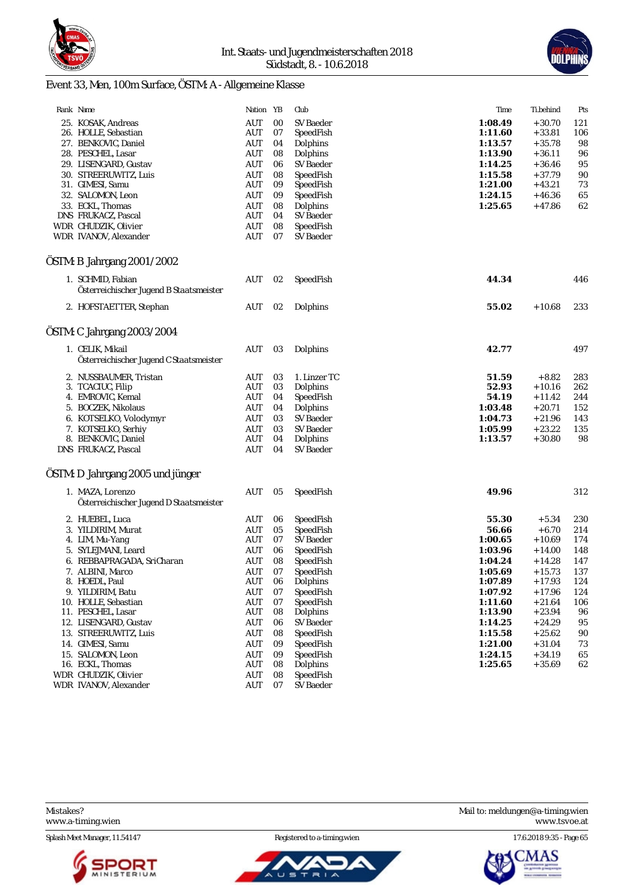



# Event 33, Men, 100m Surface, ÖSTM: A - Allgemeine Klasse

| Rank Name                                                    | Nation YB         |          | Club                   | Time               | Ti.behind            | Pts        |
|--------------------------------------------------------------|-------------------|----------|------------------------|--------------------|----------------------|------------|
| 25. KOSAK, Andreas                                           | AUT               | 00       | SV Baeder              | 1:08.49            | $+30.70$             | 121        |
| 26. HOLLE, Sebastian                                         | AUT               | 07       | SpeedFish              | 1:11.60            | $+33.81$             | 106        |
| 27. BENKOVIC, Daniel                                         | AUT               | 04       | Dolphins               | 1:13.57            | $+35.78$             | 98         |
| 28. PESCHEL, Lasar                                           | AUT               | 08       | Dolphins               | 1:13.90            | $+36.11$             | 96         |
| 29. LISENGARD, Gustav                                        | AUT               | 06       | SV Baeder              | 1:14.25            | $+36.46$             | 95         |
| 30. STREERUWITZ, Luis                                        | AUT               | 08       | SpeedFish              | 1:15.58            | $+37.79$             | 90         |
| 31. GIMESI, Samu                                             | AUT               | 09       | SpeedFish              | 1:21.00            | $+43.21$             | 73         |
| 32. SALOMON, Leon                                            | AUT               | 09       | SpeedFish              | 1:24.15            | $+46.36$             | 65         |
| 33. ECKL, Thomas                                             | AUT               | 08       | Dolphins               | 1:25.65            | $+47.86$             | 62         |
| DNS FRUKACZ, Pascal                                          | AUT               | 04       | SV Baeder              |                    |                      |            |
| WDR CHUDZIK, Olivier                                         | AUT               | 08       | SpeedFish              |                    |                      |            |
| WDR IVANOV, Alexander                                        | AUT               | 07       | SV Baeder              |                    |                      |            |
| ÖSTM: B Jahrgang 2001/2002                                   |                   |          |                        |                    |                      |            |
|                                                              |                   |          |                        |                    |                      |            |
| 1. SCHMID, Fabian<br>Österreichischer Jugend B Staatsmeister | AUT               | 02       | SpeedFish              | 44.34              |                      | 446        |
| 2. HOFSTAETTER, Stephan                                      | AUT               | 02       | Dolphins               | 55.02              | $+10.68$             | 233        |
| ÖSTM: C Jahrgang 2003/2004                                   |                   |          |                        |                    |                      |            |
| 1. CELIK, Mikail                                             | AUT               | 03       | Dolphins               | 42.77              |                      | 497        |
| Österreichischer Jugend C Staatsmeister                      |                   |          |                        |                    |                      |            |
| 2. NUSSBAUMER, Tristan                                       | AUT               | 03       | 1. Linzer TC           | 51.59              | $+8.82$              | 283        |
| 3. TCACIUC, Filip                                            | AUT               | 03       | Dolphins               | 52.93              | $+10.16$             | 262        |
| 4. EMROVIC, Kemal                                            | AUT               | 04       | SpeedFish              | 54.19              | $+11.42$             | 244        |
| 5. BOCZEK, Nikolaus                                          | AUT               | 04       | Dolphins               | 1:03.48            | $+20.71$             | 152        |
| 6. KOTSELKO, Volodymyr                                       | AUT               | 03       | SV Baeder              | 1:04.73            | $+21.96$             | 143        |
| 7. KOTSELKO, Serhiy                                          | AUT               | 03       | SV Baeder              | 1:05.99            | $+23.22$             | 135        |
| 8. BENKOVIC, Daniel                                          | AUT               | 04       | Dolphins               | 1:13.57            | $+30.80$             | 98         |
| DNS FRUKACZ, Pascal                                          | AUT               | 04       | SV Baeder              |                    |                      |            |
| ÖSTM: D Jahrgang 2005 und jünger                             |                   |          |                        |                    |                      |            |
| 1. MAZA, Lorenzo                                             | AUT               |          |                        | 49.96              |                      |            |
| Österreichischer Jugend D Staatsmeister                      |                   | 05       | SpeedFish              |                    |                      | 312        |
| 2. HUEBEL, Luca                                              | AUT               | 06       | SpeedFish              | 55.30              | $+5.34$              | 230        |
| 3. YILDIRIM, Murat                                           | AUT               | 05       | SpeedFish              | 56.66              | $+6.70$              | 214        |
| 4. LIM, Mu-Yang                                              | AUT               | 07       | SV Baeder              | 1:00.65            | $+10.69$             | 174        |
| 5. SYLEJMANI, Leard                                          | AUT               | 06       | SpeedFish              | 1:03.96            | $+14.00$             | 148        |
|                                                              | AUT               | 08       |                        |                    |                      |            |
| 6. REBBAPRAGADA, SriCharan                                   | <b>AUT</b>        |          | SpeedFish              | 1:04.24            | $+14.28$             | 147        |
| 7. ALBINI, Marco<br>8. HOEDL, Paul                           | AUT               | 07<br>06 | SpeedFish              | 1:05.69            | $+15.73$<br>$+17.93$ | 137<br>124 |
| 9. YILDIRIM, Batu                                            |                   |          | Dolphins               | 1:07.89<br>1:07.92 |                      |            |
|                                                              | AUT               | 07       | SpeedFish<br>SpeedFish |                    | + 17.96              | 124        |
| 10. HOLLE, Sebastian<br>11. PESCHEL, Lasar                   | <b>AUT</b><br>AUT | 07<br>08 | Dolphins               | 1:11.60<br>1:13.90 | $+21.64$<br>$+23.94$ | 106<br>96  |
| 12. LISENGARD, Gustav                                        | AUT               | 06       | SV Baeder              | 1:14.25            | $+24.29$             | 95         |
| 13. STREERUWITZ, Luis                                        | <b>AUT</b>        | 08       | SpeedFish              | 1:15.58            | $+25.62$             | 90         |
| 14. GIMESI, Samu                                             | AUT               | 09       | SpeedFish              | 1:21.00            | $+31.04$             |            |
| 15. SALOMON, Leon                                            |                   | 09       | SpeedFish              |                    |                      | 73         |
| 16. ECKL, Thomas                                             | AUT<br>AUT        | 08       | Dolphins               | 1:24.15<br>1:25.65 | $+34.19$<br>$+35.69$ | 65<br>62   |
| WDR CHUDZIK, Olivier                                         | AUT               | 08       | SpeedFish              |                    |                      |            |
| WDR IVANOV, Alexander                                        | AUT               | 07       | SV Baeder              |                    |                      |            |
|                                                              |                   |          |                        |                    |                      |            |

Splash Meet Manager, 11.54147 Registered to a-timing.wien 17.6.2018 9:35 - Page 65





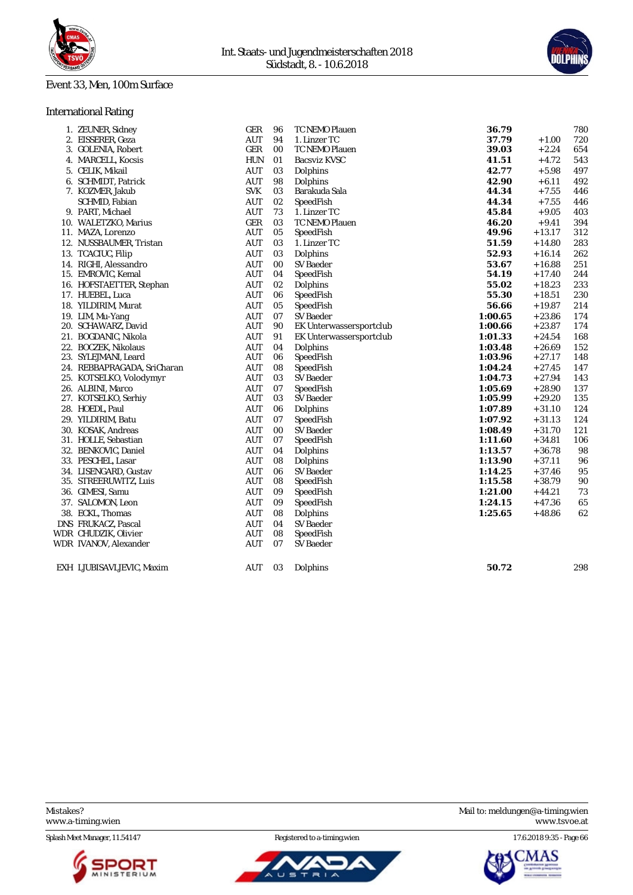

#### Event 33, Men, 100m Surface

### International Rating

| 1. ZEUNER, Sidney           | GER        | 96 | TC NEMO Plauen                 | 36.79   |          | 780 |
|-----------------------------|------------|----|--------------------------------|---------|----------|-----|
| 2. EISSERER, Geza           | <b>AUT</b> | 94 | 1. Linzer TC                   | 37.79   | $+1.00$  | 720 |
| 3. GOLENIA, Robert          | GER        | 00 | TC NEMO Plauen                 | 39.03   | $+2.24$  | 654 |
| 4. MARCELL, Kocsis          | HUN        | 01 | Bacsviz KVSC                   | 41.51   | $+4.72$  | 543 |
| 5. CELIK, Mikail            | <b>AUT</b> | 03 | Dolphins                       | 42.77   | $+5.98$  | 497 |
| 6. SCHMIDT, Patrick         | <b>AUT</b> | 98 | Dolphins                       | 42.90   | $+6.11$  | 492 |
| 7. KOZMER, Jakub            | <b>SVK</b> | 03 | Barakuda Sala                  | 44.34   | $+7.55$  | 446 |
| SCHMID, Fabian              | <b>AUT</b> | 02 | SpeedFish                      | 44.34   | $+7.55$  | 446 |
| 9. PART, Michael            | <b>AUT</b> | 73 | 1. Linzer TC                   | 45.84   | $+9.05$  | 403 |
| 10. WALETZKO, Marius        | <b>GER</b> | 03 | TC NEMO Plauen                 | 46.20   | $+9.41$  | 394 |
| 11. MAZA, Lorenzo           | <b>AUT</b> | 05 | SpeedFish                      | 49.96   | $+13.17$ | 312 |
| 12. NUSSBAUMER, Tristan     | <b>AUT</b> | 03 | 1. Linzer TC                   | 51.59   | $+14.80$ | 283 |
| 13. TCACIUC, Filip          | <b>AUT</b> | 03 | Dolphins                       | 52.93   | $+16.14$ | 262 |
| 14. RIGHI, Alessandro       | <b>AUT</b> | 00 | SV Baeder                      | 53.67   | $+16.88$ | 251 |
| 15. EMROVIC, Kemal          | <b>AUT</b> | 04 | SpeedFish                      | 54.19   | $+17.40$ | 244 |
| 16. HOFSTAETTER, Stephan    | <b>AUT</b> | 02 | Dolphins                       | 55.02   | $+18.23$ | 233 |
| 17. HUEBEL, Luca            | <b>AUT</b> | 06 | SpeedFish                      | 55.30   | $+18.51$ | 230 |
| 18. YILDIRIM, Murat         | <b>AUT</b> | 05 | SpeedFish                      | 56.66   | $+19.87$ | 214 |
| 19. LIM, Mu-Yang            | <b>AUT</b> | 07 | SV Baeder                      | 1:00.65 | $+23.86$ | 174 |
| 20. SCHAWARZ, David         | <b>AUT</b> | 90 | <b>EK Unterwassersportclub</b> | 1:00.66 | $+23.87$ | 174 |
| 21. BOGDANIC, Nikola        | <b>AUT</b> | 91 | EK Unterwassersportclub        | 1:01.33 | $+24.54$ | 168 |
| 22. BOCZEK, Nikolaus        | <b>AUT</b> | 04 | Dolphins                       | 1:03.48 | $+26.69$ | 152 |
| 23. SYLEJMANI, Leard        | <b>AUT</b> | 06 | SpeedFish                      | 1:03.96 | $+27.17$ | 148 |
| 24. REBBAPRAGADA, SriCharan | <b>AUT</b> | 08 | SpeedFish                      | 1:04.24 | $+27.45$ | 147 |
| 25. KOTSELKO, Volodymyr     | AUT        | 03 | <b>SV Baeder</b>               | 1:04.73 | $+27.94$ | 143 |
| 26. ALBINI, Marco           | <b>AUT</b> | 07 | SpeedFish                      | 1:05.69 | $+28.90$ | 137 |
| 27. KOTSELKO, Serhiy        | <b>AUT</b> | 03 | SV Baeder                      | 1:05.99 | $+29.20$ | 135 |
| 28. HOEDL, Paul             | <b>AUT</b> | 06 | Dolphins                       | 1:07.89 | $+31.10$ | 124 |
| 29. YILDIRIM, Batu          | <b>AUT</b> | 07 | SpeedFish                      | 1:07.92 | $+31.13$ | 124 |
| 30. KOSAK, Andreas          | <b>AUT</b> | 00 | <b>SV Baeder</b>               | 1:08.49 | $+31.70$ | 121 |
| 31. HOLLE, Sebastian        | <b>AUT</b> | 07 | SpeedFish                      | 1:11.60 | $+34.81$ | 106 |
| 32. BENKOVIC, Daniel        | <b>AUT</b> | 04 | Dolphins                       | 1:13.57 | $+36.78$ | 98  |
| 33. PESCHEL, Lasar          | <b>AUT</b> | 08 | Dolphins                       | 1:13.90 | $+37.11$ | 96  |
| 34. LISENGARD, Gustav       | <b>AUT</b> | 06 | <b>SV</b> Baeder               | 1:14.25 | $+37.46$ | 95  |
| 35. STREERUWITZ, Luis       | <b>AUT</b> | 08 | SpeedFish                      | 1:15.58 | $+38.79$ | 90  |
| 36. GIMESI, Samu            | AUT        | 09 | SpeedFish                      | 1:21.00 | $+44.21$ | 73  |
| 37. SALOMON, Leon           | <b>AUT</b> | 09 | SpeedFish                      | 1:24.15 | $+47.36$ | 65  |
| 38. ECKL, Thomas            | <b>AUT</b> | 08 | Dolphins                       | 1:25.65 | $+48.86$ | 62  |
| DNS FRUKACZ, Pascal         | <b>AUT</b> | 04 | <b>SV</b> Baeder               |         |          |     |
| WDR CHUDZIK, Olivier        | <b>AUT</b> | 08 | SpeedFish                      |         |          |     |
| WDR IVANOV, Alexander       | AUT        | 07 | <b>SV</b> Baeder               |         |          |     |
| EXH LJUBISAVLJEVIC, Maxim   | AUT        | 03 | Dolphins                       | 50.72   |          | 298 |

Splash Meet Manager, 11.54147 Registered to a-timing.wien 17.6.2018 9:35 - Page 66







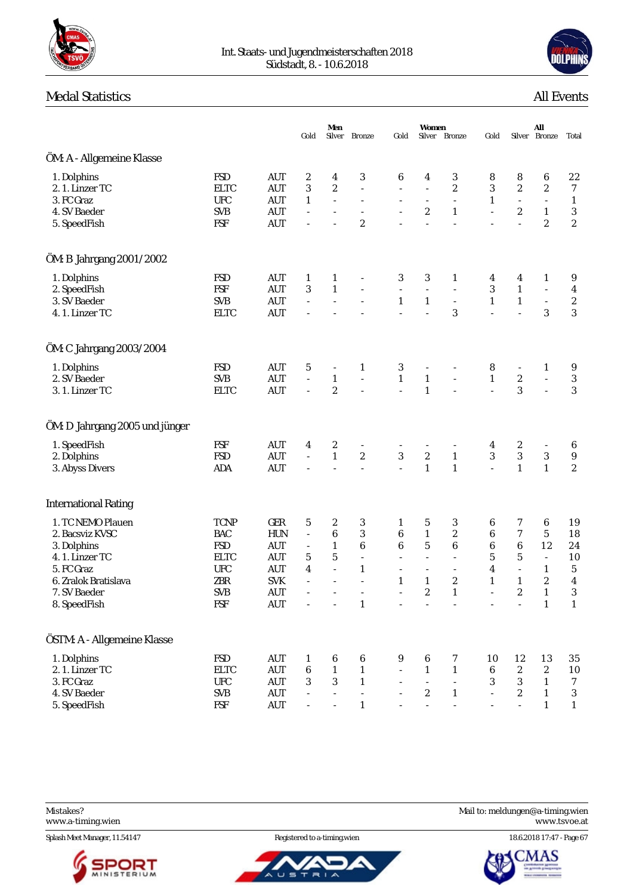



# **Medal Statistics**

| <b>All Events</b> |
|-------------------|
|                   |

|                                                                                                                                             |                                                                                                         |                                                                                                                                              | Gold                                                                                      | Men<br>Silver                                                                                    | <b>Bronze</b>                                                                                            | Gold                                                                                  | Women                                                                                            | Silver Bronze                                                                   | Gold                                                                                     |                                                                                    | All<br>Silver Bronze                                                                                                 | Total                                                                                          |
|---------------------------------------------------------------------------------------------------------------------------------------------|---------------------------------------------------------------------------------------------------------|----------------------------------------------------------------------------------------------------------------------------------------------|-------------------------------------------------------------------------------------------|--------------------------------------------------------------------------------------------------|----------------------------------------------------------------------------------------------------------|---------------------------------------------------------------------------------------|--------------------------------------------------------------------------------------------------|---------------------------------------------------------------------------------|------------------------------------------------------------------------------------------|------------------------------------------------------------------------------------|----------------------------------------------------------------------------------------------------------------------|------------------------------------------------------------------------------------------------|
| ÖM: A - Allgemeine Klasse                                                                                                                   |                                                                                                         |                                                                                                                                              |                                                                                           |                                                                                                  |                                                                                                          |                                                                                       |                                                                                                  |                                                                                 |                                                                                          |                                                                                    |                                                                                                                      |                                                                                                |
| 1. Dolphins<br>2. 1. Linzer TC<br>3. FC Graz<br>4. SV Baeder<br>5. SpeedFish                                                                | <b>FSD</b><br><b>ELTC</b><br><b>UFC</b><br><b>SVB</b><br><b>FSF</b>                                     | <b>AUT</b><br><b>AUT</b><br>AUT<br><b>AUT</b><br><b>AUT</b>                                                                                  | 2<br>3<br>$\mathbf{1}$<br>$\sim$                                                          | 4<br>$\boldsymbol{2}$<br>$\overline{\phantom{a}}$<br>$\bar{a}$                                   | 3<br>$\blacksquare$<br>$\frac{1}{2}$<br>$\overline{c}$                                                   | 6<br>$\overline{\phantom{a}}$<br>$\overline{\phantom{a}}$                             | 4<br>÷,<br>$\overline{\phantom{a}}$<br>$\boldsymbol{2}$                                          | 3<br>$\overline{c}$<br>$\overline{\phantom{a}}$<br>$\mathbf{1}$<br>L.           | 8<br>$\sqrt{3}$<br>$\mathbf{1}$<br>$\frac{1}{2}$                                         | 8<br>$\boldsymbol{2}$<br>$\overline{\phantom{a}}$<br>$\boldsymbol{2}$<br>$\bar{a}$ | $\boldsymbol{6}$<br>$\boldsymbol{2}$<br>$\Box$<br>$\mathbf{1}$<br>$\boldsymbol{2}$                                   | $2\sqrt{2}$<br>$\boldsymbol{7}$<br>$\mathbf{1}$<br>$\sqrt{3}$<br>$\sqrt{2}$                    |
| ÖM: B Jahrgang 2001/2002                                                                                                                    |                                                                                                         |                                                                                                                                              |                                                                                           |                                                                                                  |                                                                                                          |                                                                                       |                                                                                                  |                                                                                 |                                                                                          |                                                                                    |                                                                                                                      |                                                                                                |
| 1. Dolphins<br>2. SpeedFish<br>3. SV Baeder<br>4.1. Linzer TC                                                                               | <b>FSD</b><br><b>FSF</b><br><b>SVB</b><br><b>ELTC</b>                                                   | <b>AUT</b><br><b>AUT</b><br><b>AUT</b><br><b>AUT</b>                                                                                         | $\mathbf{1}$<br>3<br>$\overline{\phantom{a}}$                                             | $\mathbf{1}$<br>$\mathbf{1}$<br>$\bar{ }$                                                        |                                                                                                          | 3<br>$\blacksquare$<br>$\mathbf{1}$<br>$\sim$                                         | 3<br>$\blacksquare$<br>$\mathbf{1}$                                                              | $\mathbf{1}$<br>$\Box$<br>$\overline{\phantom{a}}$<br>3                         | 4<br>$\sqrt{3}$<br>$\mathbf{1}$<br>$\bar{a}$                                             | 4<br>$\mathbf{1}$<br>$\mathbf{1}$<br>$\overline{a}$                                | 1<br>$\Box$<br>$\Box$<br>3                                                                                           | 9<br>4<br>$\sqrt{2}$<br>$\overline{3}$                                                         |
| ÖM: C Jahrgang 2003/2004                                                                                                                    |                                                                                                         |                                                                                                                                              |                                                                                           |                                                                                                  |                                                                                                          |                                                                                       |                                                                                                  |                                                                                 |                                                                                          |                                                                                    |                                                                                                                      |                                                                                                |
| 1. Dolphins<br>2. SV Baeder<br>3. 1. Linzer TC                                                                                              | <b>FSD</b><br><b>SVB</b><br><b>ELTC</b>                                                                 | <b>AUT</b><br><b>AUT</b><br><b>AUT</b>                                                                                                       | $\sqrt{5}$<br>$\overline{\phantom{a}}$                                                    | $\overline{\phantom{a}}$<br>$\mathbf{1}$<br>$\boldsymbol{2}$                                     | $\mathbf{1}$<br>$\overline{\phantom{a}}$                                                                 | 3<br>$\mathbf{1}$<br>$\overline{a}$                                                   | $\overline{\phantom{a}}$<br>$\mathbf{1}$<br>$\mathbf{1}$                                         | ÷,                                                                              | 8<br>$\mathbf{1}$<br>$\bar{a}$                                                           | $\overline{\phantom{a}}$<br>$\boldsymbol{2}$<br>3                                  | 1<br>$\Box$                                                                                                          | 9<br>$\sqrt{3}$<br>3                                                                           |
| ÖM: D Jahrgang 2005 und jünger                                                                                                              |                                                                                                         |                                                                                                                                              |                                                                                           |                                                                                                  |                                                                                                          |                                                                                       |                                                                                                  |                                                                                 |                                                                                          |                                                                                    |                                                                                                                      |                                                                                                |
| 1. SpeedFish<br>2. Dolphins<br>3. Abyss Divers                                                                                              | <b>FSF</b><br><b>FSD</b><br>ADA                                                                         | <b>AUT</b><br><b>AUT</b><br><b>AUT</b>                                                                                                       | 4<br>$\overline{\phantom{a}}$<br>÷,                                                       | $\boldsymbol{2}$<br>$\mathbf{1}% _{T}\left  \mathbf{1}\right\rangle$<br>$\overline{\phantom{a}}$ | $\boldsymbol{2}$<br>÷,                                                                                   | 3<br>$\overline{a}$                                                                   | $\boldsymbol{2}$<br>$\mathbf{1}$                                                                 | $\overline{\phantom{m}}$<br>$\mathbf{1}$<br>$\mathbf{1}$                        | 4<br>$\sqrt{3}$<br>$\frac{1}{2}$                                                         | $\boldsymbol{2}$<br>3<br>$\mathbf{1}$                                              | $\overline{\phantom{a}}$<br>$\sqrt{3}$<br>$\mathbf{1}$                                                               | 6<br>$\boldsymbol{9}$<br>$\sqrt{2}$                                                            |
| <b>International Rating</b>                                                                                                                 |                                                                                                         |                                                                                                                                              |                                                                                           |                                                                                                  |                                                                                                          |                                                                                       |                                                                                                  |                                                                                 |                                                                                          |                                                                                    |                                                                                                                      |                                                                                                |
| 1. TC NEMO Plauen<br>2. Bacsviz KVSC<br>3. Dolphins<br>4.1. Linzer TC<br>5. FC Graz<br>6. Zralok Bratislava<br>7. SV Baeder<br>8. SpeedFish | <b>TCNP</b><br><b>BAC</b><br><b>FSD</b><br><b>ELTC</b><br><b>UFC</b><br>ZBR<br><b>SVB</b><br><b>FSF</b> | GER<br><b>HUN</b><br><b>AUT</b><br><b>AUT</b><br><b>AUT</b><br><b>SVK</b><br><b>AUT</b><br>$\mathbf{A}\mathbf{U}\mathbf{T}$                  | $\sqrt{5}$<br>$\overline{\phantom{a}}$<br>$\overline{\phantom{a}}$<br>5<br>4<br>$\bar{a}$ | 2<br>$\,6\,$<br>$\mathbf{1}$<br>$\mathbf 5$<br>$\sim$<br>÷.<br>$\blacksquare$                    | 3<br>3<br>$\boldsymbol{6}$<br>$\overline{\phantom{a}}$<br>$\mathbf{1}$<br>$\overline{a}$<br>$\mathbf{1}$ | $\mathbf{1}$<br>6<br>$\,6\,$<br>$\overline{\phantom{a}}$<br>$\bar{a}$<br>$\mathbf{1}$ | 5<br>$\mathbf{1}$<br>$\mathbf 5$<br>$\overline{\phantom{a}}$<br>$\mathbf{1}$<br>$\boldsymbol{2}$ | 3<br>$\overline{c}$<br>6<br>ä,<br>ä,<br>$\boldsymbol{2}$<br>$\mathbf{1}$        | 6<br>$\boldsymbol{6}$<br>$\boldsymbol{6}$<br>$\bf 5$<br>$\boldsymbol{4}$<br>$\mathbf{1}$ | 7<br>7<br>$\,6$<br>$\bf 5$<br>$\Box$<br>$\mathbf{1}$<br>$\boldsymbol{2}$<br>L,     | 6<br>$\mathbf 5$<br>12<br>$\overline{\phantom{a}}$<br>$\mathbf{1}$<br>$\boldsymbol{2}$<br>$\mathbf 1$<br>$\mathbf 1$ | 19<br>18<br>24<br>10<br>$\mathbf 5$<br>$\overline{\mathbf{4}}$<br>$\mathbf{3}$<br>$\mathbf{1}$ |
| ÖSTM: A - Allgemeine Klasse                                                                                                                 |                                                                                                         |                                                                                                                                              |                                                                                           |                                                                                                  |                                                                                                          |                                                                                       |                                                                                                  |                                                                                 |                                                                                          |                                                                                    |                                                                                                                      |                                                                                                |
| 1. Dolphins<br>2. 1. Linzer TC<br>3. FC Graz<br>4. SV Baeder<br>5. SpeedFish                                                                | <b>FSD</b><br><b>ELTC</b><br><b>UFC</b><br><b>SVB</b><br>FSF                                            | <b>AUT</b><br>$\mathbf{A}\mathbf{U}\mathbf{T}$<br>$\mathop{\rm AUT}$<br>$\mathbf{A}\mathbf{U}\mathbf{T}$<br>$\mathbf{A}\mathbf{U}\mathbf{T}$ | $\mathbf{1}$<br>$\boldsymbol{6}$<br>$\sqrt{3}$                                            | 6<br>$\mathbf{1}$<br>$\boldsymbol{3}$                                                            | 6<br>$\mathbf{1}$<br>$\mathbf{1}$<br>÷,<br>$\mathbf{1}$                                                  | 9<br>$\overline{\phantom{a}}$                                                         | 6<br>$\mathbf{1}$<br>$\overline{a}$<br>$\sqrt{2}$<br>$\overline{\phantom{a}}$                    | 7<br>$\mathbf{1}$<br>$\overline{a}$<br>$\mathbf{1}$<br>$\overline{\phantom{a}}$ | 10<br>$\boldsymbol{6}$<br>$\sqrt{3}$<br>$\Box$<br>$\overline{\phantom{a}}$               | 12<br>$\boldsymbol{2}$<br>$\,3$<br>$\boldsymbol{2}$<br>$\bar{\phantom{a}}$         | 13<br>$\boldsymbol{2}$<br>$\mathbf{1}$<br>$\mathbf{1}$<br>$\mathbf{1}$                                               | 35<br>10<br>$\tau$<br>$\sqrt{3}$<br>$\mathbf{1}$                                               |

<www.a-timing.wien>

Splash Meet Manager, 11.54147 Registered to a-timing.wien 18.6.2018 17:47 - Page 67



ັບ ຣ Ŧ  $\overline{a}$